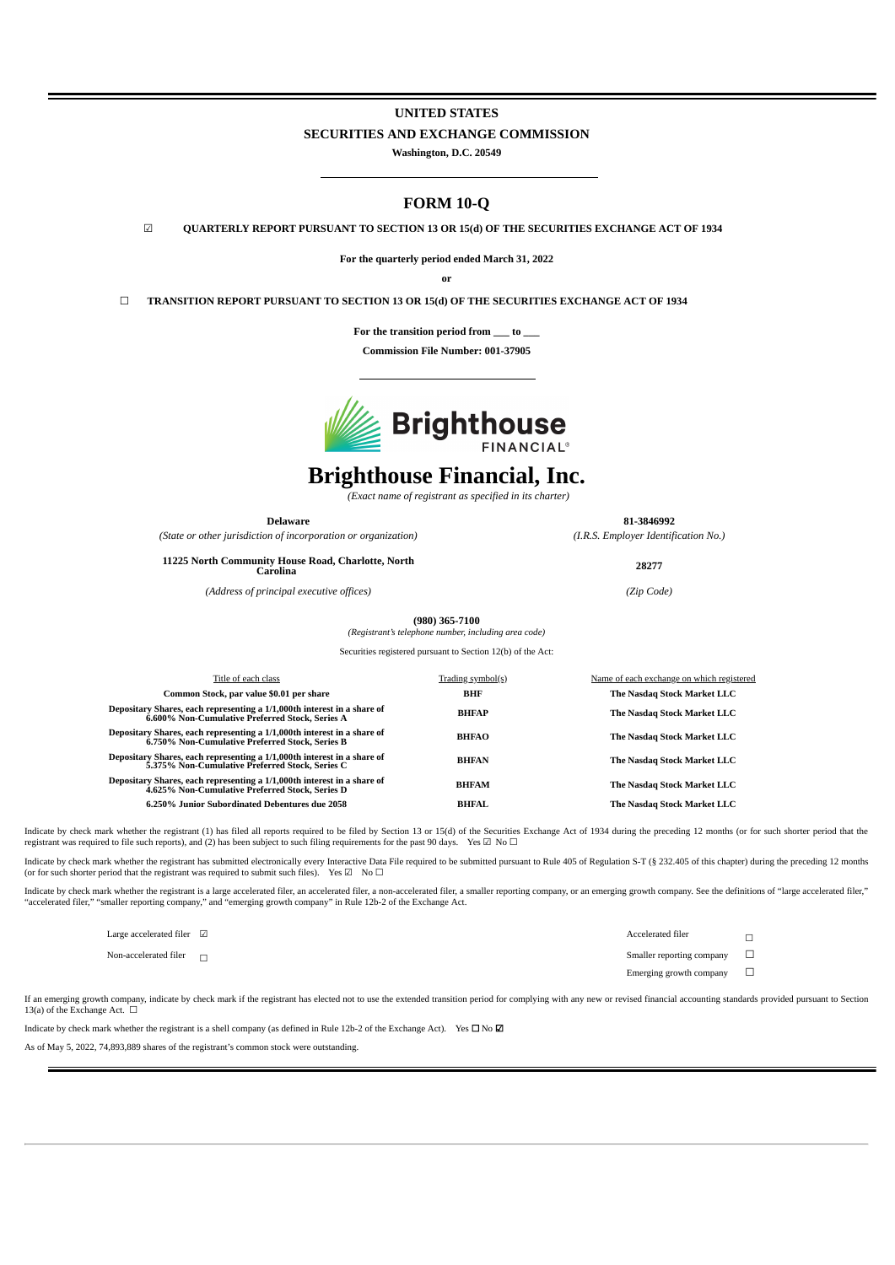### **UNITED STATES**

#### **SECURITIES AND EXCHANGE COMMISSION**

**Washington, D.C. 20549**

# **FORM 10-Q**

☑ **QUARTERLY REPORT PURSUANT TO SECTION 13 OR 15(d) OF THE SECURITIES EXCHANGE ACT OF 1934**

**For the quarterly period ended March 31, 2022**

**or**

☐ **TRANSITION REPORT PURSUANT TO SECTION 13 OR 15(d) OF THE SECURITIES EXCHANGE ACT OF 1934**

**For the transition period from \_\_\_ to \_\_\_**

**Commission File Number: 001-37905**



# **Brighthouse Financial, Inc.**

*(Exact name of registrant as specified in its charter)*

| Delaware<br>(State or other jurisdiction of incorporation or organization) | 81-3846992<br>(I.R.S. Employer Identification No.) |
|----------------------------------------------------------------------------|----------------------------------------------------|
| 11225 North Community House Road, Charlotte, North<br><b>Carolina</b>      | 28277                                              |
| (Address of principal executive offices)                                   | (Zip Code)                                         |

**(980) 365-7100** *(Registrant's telephone number, including area code)*

Securities registered pursuant to Section 12(b) of the Act:

| Title of each class                                                                                                        | Trading symbol(s) | Name of each exchange on which registered |
|----------------------------------------------------------------------------------------------------------------------------|-------------------|-------------------------------------------|
| Common Stock, par value \$0.01 per share                                                                                   | BHF               | The Nasdag Stock Market LLC               |
| Depositary Shares, each representing a 1/1,000th interest in a share of<br>6.600% Non-Cumulative Preferred Stock, Series A | <b>BHFAP</b>      | The Nasdag Stock Market LLC               |
| Depositary Shares, each representing a 1/1,000th interest in a share of<br>6.750% Non-Cumulative Preferred Stock, Series B | <b>BHFAO</b>      | The Nasdag Stock Market LLC               |
| Depositary Shares, each representing a 1/1,000th interest in a share of<br>5.375% Non-Cumulative Preferred Stock, Series C | <b>BHFAN</b>      | The Nasdag Stock Market LLC               |
| Depositary Shares, each representing a 1/1,000th interest in a share of<br>4.625% Non-Cumulative Preferred Stock. Series D | <b>BHFAM</b>      | The Nasdag Stock Market LLC               |
| 6.250% Junior Subordinated Debentures due 2058                                                                             | BHFAL             | The Nasdaq Stock Market LLC               |

Indicate by check mark whether the registrant (1) has filed all reports required to be filed by Section 13 or 15(d) of the Securities Exchange Act of 1934 during the preceding 12 months (or for such shorter period that the registrant was required to file such reports), and (2) has been subject to such filing requirements for the past 90 days. Yes  $\boxtimes$  No  $\Box$ 

Indicate by check mark whether the registrant has submitted electronically every Interactive Data File required to be submitted pursuant to Rule 405 of Regulation S-T (§ 232.405 of this chapter) during the preceding 12 mo

Indicate by check mark whether the registrant is a large accelerated filer, an accelerated filer, a non-accelerated filer, a smaller reporting company, or an emerging growth company. See the definitions of "large accelerat "accelerated filer," "smaller reporting company," and "emerging growth company" in Rule 12b-2 of the Exchange Act.

| Large accelerated filer $\boxtimes$ | Accelerated filer         | $\Box$ |
|-------------------------------------|---------------------------|--------|
| Non-accelerated filer $\Box$        | Smaller reporting company | $\Box$ |
|                                     | Emerging growth company   | $\Box$ |

If an emerging growth company, indicate by check mark if the registrant has elected not to use the extended transition period for complying with any new or revised financial accounting standards provided pursuant to Section 13(a) of the Exchange Act.  $□$ 

Indicate by check mark whether the registrant is a shell company (as defined in Rule 12b-2 of the Exchange Act). Yes ☐ No ☑

<span id="page-0-0"></span>As of May 5, 2022, 74,893,889 shares of the registrant's common stock were outstanding.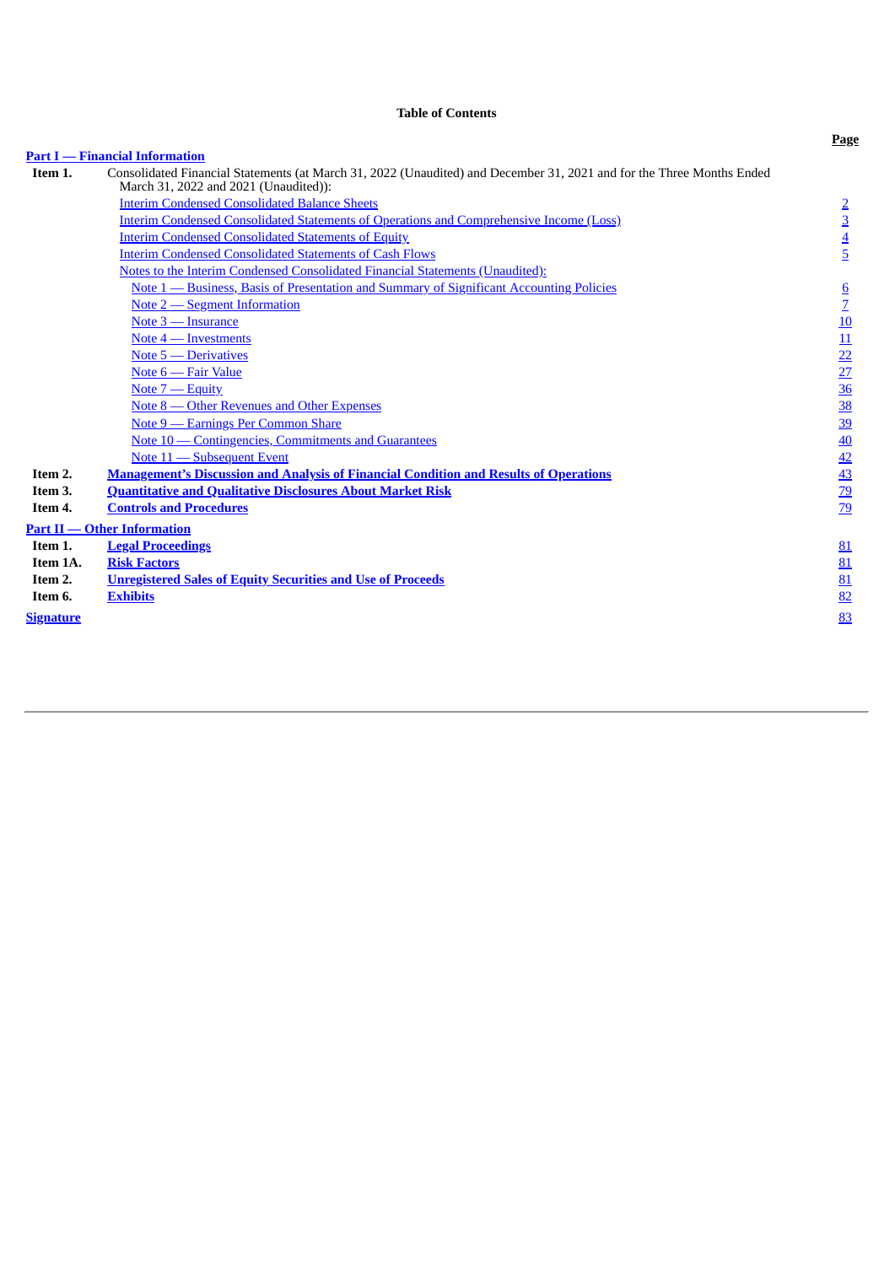## **Table of Contents**

<span id="page-1-0"></span>

|                  |                                                                                                                                                                | Page                            |
|------------------|----------------------------------------------------------------------------------------------------------------------------------------------------------------|---------------------------------|
|                  | <b>Part I</b> — Financial Information                                                                                                                          |                                 |
| Item 1.          | Consolidated Financial Statements (at March 31, 2022 (Unaudited) and December 31, 2021 and for the Three Months Ended<br>March 31, 2022 and 2021 (Unaudited)): |                                 |
|                  | <b>Interim Condensed Consolidated Balance Sheets</b>                                                                                                           | $\overline{2}$                  |
|                  | <b>Interim Condensed Consolidated Statements of Operations and Comprehensive Income (Loss)</b>                                                                 | $\overline{3}$                  |
|                  | <b>Interim Condensed Consolidated Statements of Equity</b>                                                                                                     | $\overline{\mathbf{4}}$         |
|                  | <b>Interim Condensed Consolidated Statements of Cash Flows</b>                                                                                                 | $\overline{5}$                  |
|                  | Notes to the Interim Condensed Consolidated Financial Statements (Unaudited):                                                                                  |                                 |
|                  | <u>Note 1 — Business, Basis of Presentation and Summary of Significant Accounting Policies</u>                                                                 | $6\overline{6}$                 |
|                  | Note 2 – Segment Information                                                                                                                                   | $\overline{Z}$                  |
|                  | Note 3 - Insurance                                                                                                                                             |                                 |
|                  | Note $4$ — Investments                                                                                                                                         | $\frac{10}{11}$                 |
|                  | Note 5 — Derivatives                                                                                                                                           |                                 |
|                  | Note 6 — Fair Value                                                                                                                                            |                                 |
|                  | Note $7$ - Equity                                                                                                                                              | $\frac{22}{27}$ $\frac{36}{27}$ |
|                  | Note 8 — Other Revenues and Other Expenses                                                                                                                     |                                 |
|                  | Note 9 — Earnings Per Common Share                                                                                                                             | $\frac{38}{39}$                 |
|                  | Note 10 – Contingencies, Commitments and Guarantees                                                                                                            | $\overline{40}$                 |
|                  | Note 11 - Subsequent Event                                                                                                                                     | $\frac{42}{5}$                  |
| Item 2.          | <b>Management's Discussion and Analysis of Financial Condition and Results of Operations</b>                                                                   | $\frac{43}{79}$                 |
| Item 3.          | <b>Quantitative and Qualitative Disclosures About Market Risk</b>                                                                                              |                                 |
| Item 4.          | <b>Controls and Procedures</b>                                                                                                                                 | 79                              |
|                  | <b>Part II — Other Information</b>                                                                                                                             |                                 |
| Item 1.          | <b>Legal Proceedings</b>                                                                                                                                       | 81                              |
| Item 1A.         | <b>Risk Factors</b>                                                                                                                                            | 81                              |
| Item 2.          | <b>Unregistered Sales of Equity Securities and Use of Proceeds</b>                                                                                             | 81                              |
| Item 6.          | <b>Exhibits</b>                                                                                                                                                | 82                              |
| <b>Signature</b> |                                                                                                                                                                | 83                              |
|                  |                                                                                                                                                                |                                 |
|                  |                                                                                                                                                                |                                 |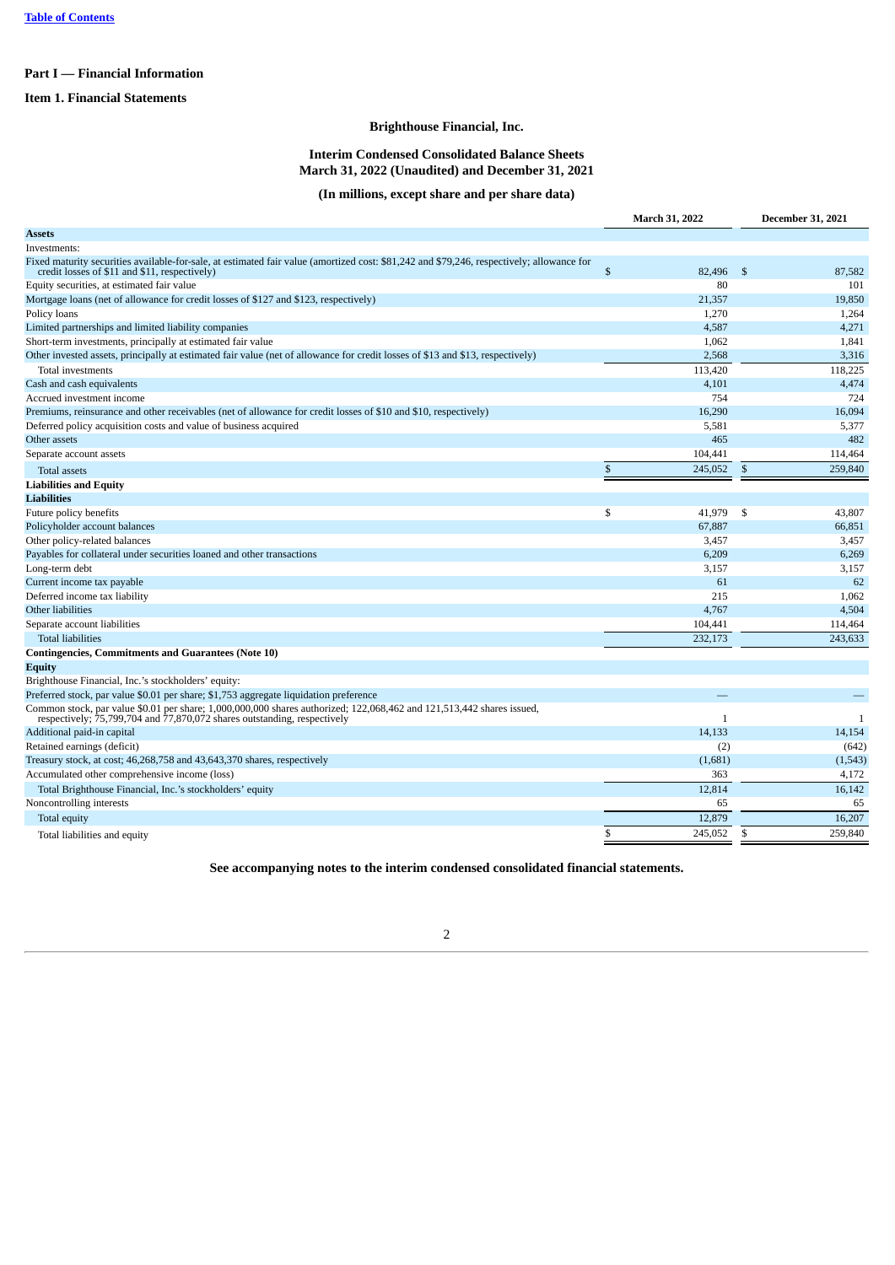## **Part I — Financial Information**

# <span id="page-2-0"></span>**Item 1. Financial Statements**

## **Brighthouse Financial, Inc.**

## **Interim Condensed Consolidated Balance Sheets March 31, 2022 (Unaudited) and December 31, 2021**

## **(In millions, except share and per share data)**

|                                                                                                                                                                                                   |              | March 31, 2022 | <b>December 31, 2021</b> |              |  |  |
|---------------------------------------------------------------------------------------------------------------------------------------------------------------------------------------------------|--------------|----------------|--------------------------|--------------|--|--|
| <b>Assets</b>                                                                                                                                                                                     |              |                |                          |              |  |  |
| Investments:                                                                                                                                                                                      |              |                |                          |              |  |  |
| Fixed maturity securities available-for-sale, at estimated fair value (amortized cost: \$81,242 and \$79,246, respectively; allowance for<br>credit losses of \$11 and \$11, respectively)        | \$           | 82,496         | $\mathbf{\hat{S}}$       | 87,582       |  |  |
| Equity securities, at estimated fair value                                                                                                                                                        |              | 80             |                          | 101          |  |  |
| Mortgage loans (net of allowance for credit losses of \$127 and \$123, respectively)                                                                                                              |              | 21,357         |                          | 19,850       |  |  |
| Policy loans                                                                                                                                                                                      |              | 1,270          |                          | 1,264        |  |  |
| Limited partnerships and limited liability companies                                                                                                                                              |              | 4,587          |                          | 4,271        |  |  |
| Short-term investments, principally at estimated fair value                                                                                                                                       |              | 1,062          |                          | 1,841        |  |  |
| Other invested assets, principally at estimated fair value (net of allowance for credit losses of \$13 and \$13, respectively)                                                                    |              | 2,568          |                          | 3,316        |  |  |
| <b>Total investments</b>                                                                                                                                                                          |              | 113,420        |                          | 118,225      |  |  |
| Cash and cash equivalents                                                                                                                                                                         |              | 4,101          |                          | 4,474        |  |  |
| Accrued investment income                                                                                                                                                                         |              | 754            |                          | 724          |  |  |
| Premiums, reinsurance and other receivables (net of allowance for credit losses of \$10 and \$10, respectively)                                                                                   |              | 16,290         |                          | 16,094       |  |  |
| Deferred policy acquisition costs and value of business acquired                                                                                                                                  |              | 5,581          |                          | 5,377        |  |  |
| Other assets                                                                                                                                                                                      |              | 465            |                          | 482          |  |  |
| Separate account assets                                                                                                                                                                           |              | 104,441        |                          | 114,464      |  |  |
| <b>Total assets</b>                                                                                                                                                                               | $\mathbb{S}$ | 245,052        | $\mathbf{s}$             | 259.840      |  |  |
| <b>Liabilities and Equity</b>                                                                                                                                                                     |              |                |                          |              |  |  |
| <b>Liabilities</b>                                                                                                                                                                                |              |                |                          |              |  |  |
| Future policy benefits                                                                                                                                                                            | \$           | 41,979         | - \$                     | 43,807       |  |  |
| Policyholder account balances                                                                                                                                                                     |              | 67,887         |                          | 66,851       |  |  |
| Other policy-related balances                                                                                                                                                                     |              | 3,457          |                          | 3,457        |  |  |
| Payables for collateral under securities loaned and other transactions                                                                                                                            |              | 6,209          |                          | 6,269        |  |  |
| Long-term debt                                                                                                                                                                                    |              | 3,157          |                          | 3,157        |  |  |
| Current income tax payable                                                                                                                                                                        |              | 61             |                          | 62           |  |  |
| Deferred income tax liability                                                                                                                                                                     |              | 215            |                          | 1,062        |  |  |
| Other liabilities                                                                                                                                                                                 |              | 4,767          |                          | 4,504        |  |  |
| Separate account liabilities                                                                                                                                                                      |              | 104,441        |                          | 114,464      |  |  |
| <b>Total liabilities</b>                                                                                                                                                                          |              | 232.173        |                          | 243.633      |  |  |
| <b>Contingencies, Commitments and Guarantees (Note 10)</b>                                                                                                                                        |              |                |                          |              |  |  |
| Equity                                                                                                                                                                                            |              |                |                          |              |  |  |
| Brighthouse Financial, Inc.'s stockholders' equity:                                                                                                                                               |              |                |                          |              |  |  |
| Preferred stock, par value \$0.01 per share; \$1,753 aggregate liquidation preference                                                                                                             |              |                |                          |              |  |  |
| Common stock, par value \$0.01 per share; 1,000,000,000 shares authorized; 122,068,462 and 121,513,442 shares issued,<br>respectively; 75,799,704 and 77,870,072 shares outstanding, respectively |              | $\mathbf{1}$   |                          | $\mathbf{1}$ |  |  |
| Additional paid-in capital                                                                                                                                                                        |              | 14,133         |                          | 14,154       |  |  |
| Retained earnings (deficit)                                                                                                                                                                       |              | (2)            |                          | (642)        |  |  |
| Treasury stock, at cost; 46,268,758 and 43,643,370 shares, respectively                                                                                                                           |              | (1,681)        |                          | (1,543)      |  |  |
| Accumulated other comprehensive income (loss)                                                                                                                                                     |              | 363            |                          | 4,172        |  |  |
| Total Brighthouse Financial, Inc.'s stockholders' equity                                                                                                                                          |              | 12,814         |                          | 16,142       |  |  |
| Noncontrolling interests                                                                                                                                                                          |              | 65             |                          | 65           |  |  |
| Total equity                                                                                                                                                                                      |              | 12,879         |                          | 16,207       |  |  |
| Total liabilities and equity                                                                                                                                                                      | \$           | 245,052        | \$                       | 259,840      |  |  |

<span id="page-2-1"></span>**See accompanying notes to the interim condensed consolidated financial statements.**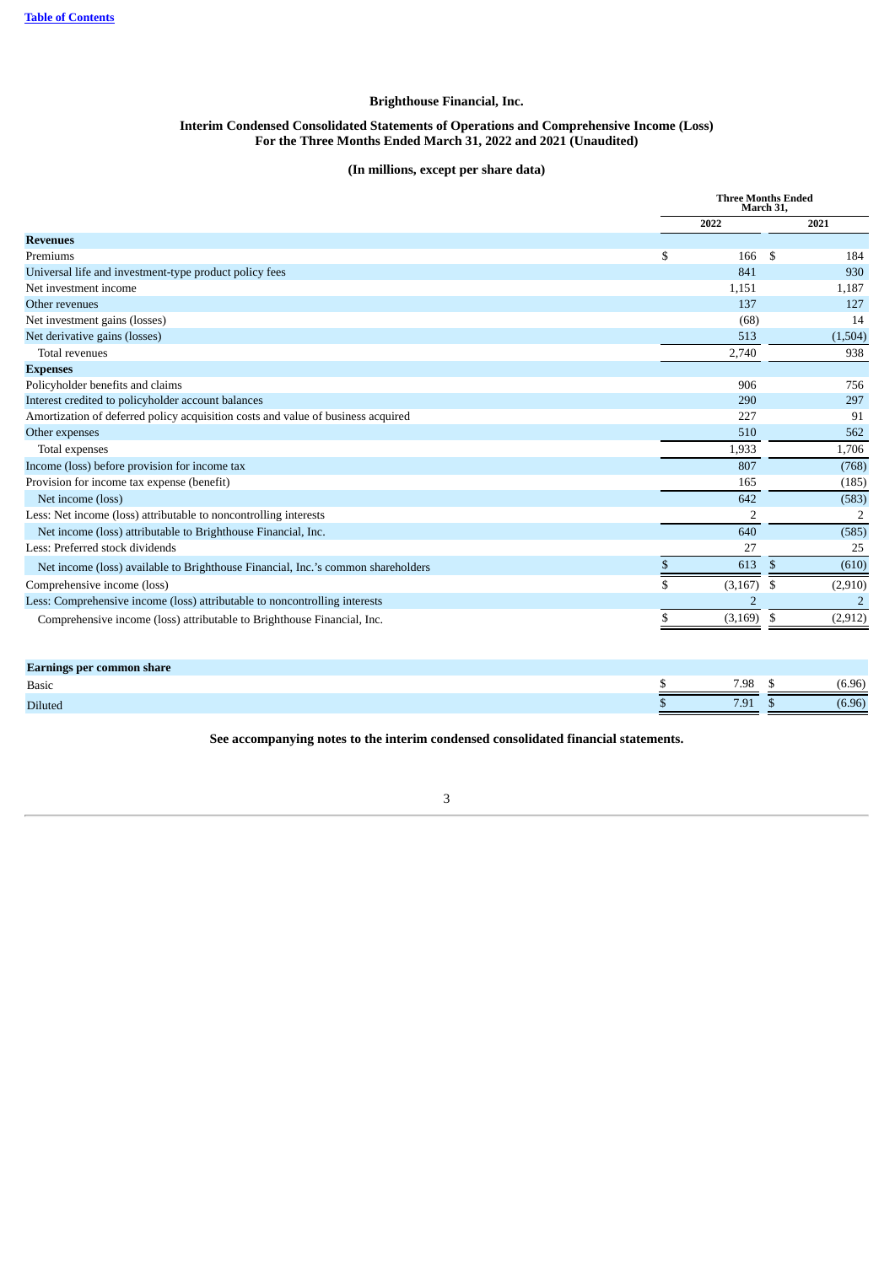## **Interim Condensed Consolidated Statements of Operations and Comprehensive Income (Loss) For the Three Months Ended March 31, 2022 and 2021 (Unaudited)**

## **(In millions, except per share data)**

|                                                                                  | <b>Three Months Ended</b><br>March 31. |               |                |  |  |
|----------------------------------------------------------------------------------|----------------------------------------|---------------|----------------|--|--|
|                                                                                  | 2022                                   |               | 2021           |  |  |
| <b>Revenues</b>                                                                  |                                        |               |                |  |  |
| Premiums                                                                         | \$<br>166                              | <sup>\$</sup> | 184            |  |  |
| Universal life and investment-type product policy fees                           | 841                                    |               | 930            |  |  |
| Net investment income                                                            | 1,151                                  |               | 1,187          |  |  |
| Other revenues                                                                   | 137                                    |               | 127            |  |  |
| Net investment gains (losses)                                                    | (68)                                   |               | 14             |  |  |
| Net derivative gains (losses)                                                    | 513                                    |               | (1,504)        |  |  |
| Total revenues                                                                   | 2,740                                  |               | 938            |  |  |
| <b>Expenses</b>                                                                  |                                        |               |                |  |  |
| Policyholder benefits and claims                                                 | 906                                    |               | 756            |  |  |
| Interest credited to policyholder account balances                               | 290                                    |               | 297            |  |  |
| Amortization of deferred policy acquisition costs and value of business acquired | 227                                    |               | 91             |  |  |
| Other expenses                                                                   | 510                                    |               | 562            |  |  |
| Total expenses                                                                   | 1,933                                  |               | 1,706          |  |  |
| Income (loss) before provision for income tax                                    | 807                                    |               | (768)          |  |  |
| Provision for income tax expense (benefit)                                       | 165                                    |               | (185)          |  |  |
| Net income (loss)                                                                | 642                                    |               | (583)          |  |  |
| Less: Net income (loss) attributable to noncontrolling interests                 | $\overline{2}$                         |               | 2              |  |  |
| Net income (loss) attributable to Brighthouse Financial, Inc.                    | 640                                    |               | (585)          |  |  |
| Less: Preferred stock dividends                                                  | 27                                     |               | 25             |  |  |
| Net income (loss) available to Brighthouse Financial, Inc.'s common shareholders | \$<br>613                              | \$            | (610)          |  |  |
| Comprehensive income (loss)                                                      | \$<br>(3, 167)                         | - \$          | (2,910)        |  |  |
| Less: Comprehensive income (loss) attributable to noncontrolling interests       | $\overline{2}$                         |               | $\overline{2}$ |  |  |
| Comprehensive income (loss) attributable to Brighthouse Financial, Inc.          | (3, 169)                               | \$            | (2, 912)       |  |  |
|                                                                                  |                                        |               |                |  |  |
| Earnings per common share                                                        |                                        |               |                |  |  |

<span id="page-3-0"></span>

| - -<br>Basic   | 7.98               | (6.96) |
|----------------|--------------------|--------|
| <b>Diluted</b> | $\sim$ $\sim$<br>. | (6.96) |

**See accompanying notes to the interim condensed consolidated financial statements.**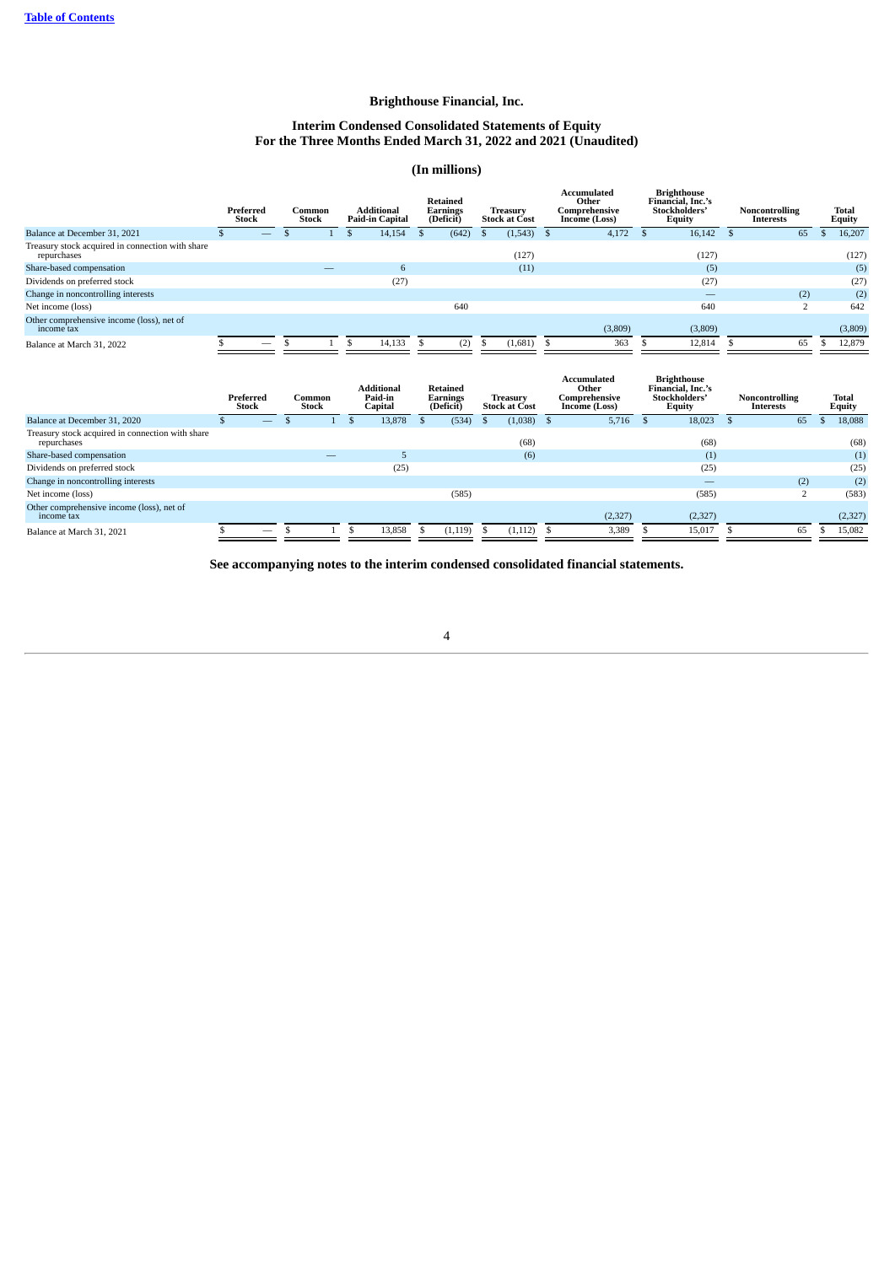# **Interim Condensed Consolidated Statements of Equity For the Three Months Ended March 31, 2022 and 2021 (Unaudited)**

**(In millions)**

|                                                                 | Preferred<br><b>Stock</b> | Common<br>Stock          | <b>Additional</b><br><b>Paid-in Capital</b> | Retained<br>Earnings<br>(Deficit) | Treasury<br><b>Stock at Cost</b> |      | Accumulated<br>Other<br>Comprehensive<br>Income (Loss) | <b>Brighthouse</b><br>Financial, Inc.'s<br>Stockholders'<br><b>Equity</b> | Noncontrolling<br>Interests | Total<br><b>Equity</b> |
|-----------------------------------------------------------------|---------------------------|--------------------------|---------------------------------------------|-----------------------------------|----------------------------------|------|--------------------------------------------------------|---------------------------------------------------------------------------|-----------------------------|------------------------|
| Balance at December 31, 2021                                    |                           |                          | 14,154                                      | (642)                             | (1, 543)                         | - 56 | 4,172                                                  | 16,142                                                                    | 65                          | 16,207                 |
| Treasury stock acquired in connection with share<br>repurchases |                           |                          |                                             |                                   | (127)                            |      |                                                        | (127)                                                                     |                             | (127)                  |
| Share-based compensation                                        |                           | $\overline{\phantom{a}}$ | 6                                           |                                   | (11)                             |      |                                                        | (5)                                                                       |                             | (5)                    |
| Dividends on preferred stock                                    |                           |                          | (27)                                        |                                   |                                  |      |                                                        | (27)                                                                      |                             | (27)                   |
| Change in noncontrolling interests                              |                           |                          |                                             |                                   |                                  |      |                                                        | $\overline{\phantom{a}}$                                                  | (2)                         | (2)                    |
| Net income (loss)                                               |                           |                          |                                             | 640                               |                                  |      |                                                        | 640                                                                       |                             | 642                    |
| Other comprehensive income (loss), net of<br>income tax         |                           |                          |                                             |                                   |                                  |      | (3,809)                                                | (3,809)                                                                   |                             | (3,809)                |
| Balance at March 31, 2022                                       |                           |                          | 14,133                                      | (2)                               | (1,681)                          |      | 363                                                    | 12,814                                                                    | 65                          | 12,879                 |

|                                                                 | Preferred<br>Stock       | Common<br>Stock | <b>Additional</b><br>Paid-in<br>Capital | <b>Retained</b><br><b>Earnings</b><br>(Deficit) |     | Treasury<br><b>Stock at Cost</b> |     | Accumulated<br>Other<br>Comprehensive<br>Income (Loss) | <b>Brighthouse</b><br>Financial, Inc.'s<br>Stockholders'<br><b>Equity</b> | Noncontrolling<br><b>Interests</b> | <b>Total</b><br>Equity |
|-----------------------------------------------------------------|--------------------------|-----------------|-----------------------------------------|-------------------------------------------------|-----|----------------------------------|-----|--------------------------------------------------------|---------------------------------------------------------------------------|------------------------------------|------------------------|
| Balance at December 31, 2020                                    |                          |                 | 13,878                                  | (534)                                           | Эħ. | (1,038)                          | - S | 5,716                                                  | 18,023                                                                    | 65                                 | 18,088                 |
| Treasury stock acquired in connection with share<br>repurchases |                          |                 |                                         |                                                 |     | (68)                             |     |                                                        | (68)                                                                      |                                    | (68)                   |
| Share-based compensation                                        |                          | _               |                                         |                                                 |     | (6)                              |     |                                                        | (1)                                                                       |                                    | (1)                    |
| Dividends on preferred stock                                    |                          |                 | (25)                                    |                                                 |     |                                  |     |                                                        | (25)                                                                      |                                    | (25)                   |
| Change in noncontrolling interests                              |                          |                 |                                         |                                                 |     |                                  |     |                                                        | $\overline{\phantom{a}}$                                                  | (2)                                | (2)                    |
| Net income (loss)                                               |                          |                 |                                         | (585)                                           |     |                                  |     |                                                        | (585)                                                                     |                                    | (583)                  |
| Other comprehensive income (loss), net of<br>income tax         |                          |                 |                                         |                                                 |     |                                  |     | (2,327)                                                | (2,327)                                                                   |                                    | (2,327)                |
| Balance at March 31, 2021                                       | $\overline{\phantom{a}}$ |                 | 13,858                                  | (1, 119)                                        |     | (1, 112)                         |     | 3,389                                                  | 15,017                                                                    | 65                                 | 15,082                 |

<span id="page-4-0"></span>**See accompanying notes to the interim condensed consolidated financial statements.**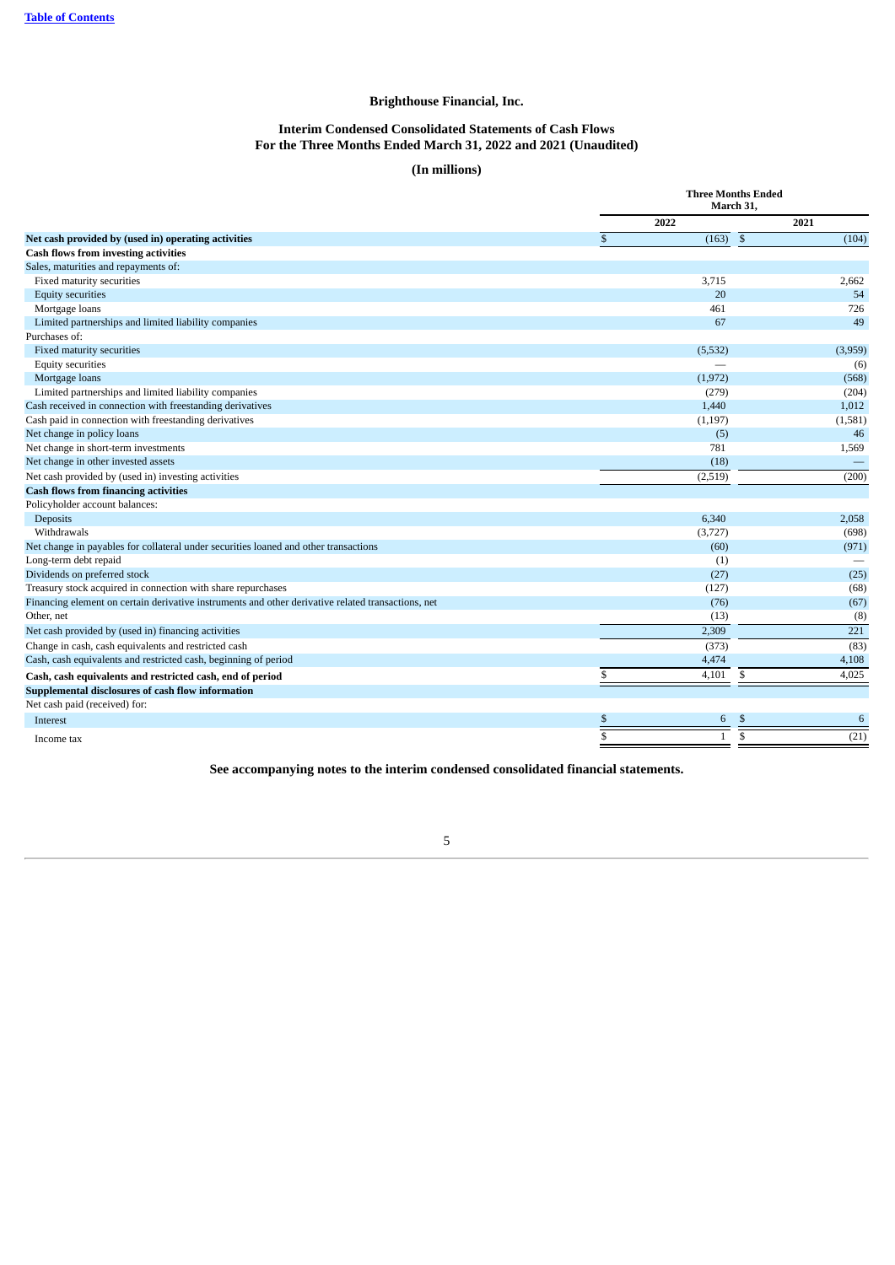# **Interim Condensed Consolidated Statements of Cash Flows For the Three Months Ended March 31, 2022 and 2021 (Unaudited)**

## **(In millions)**

|                                                                                                    |                         | <b>Three Months Ended</b><br>March 31. |         |
|----------------------------------------------------------------------------------------------------|-------------------------|----------------------------------------|---------|
|                                                                                                    |                         | 2022                                   | 2021    |
| Net cash provided by (used in) operating activities                                                | $\mathbb{S}$            | $\mathfrak{s}$<br>(163)                | (104)   |
| <b>Cash flows from investing activities</b>                                                        |                         |                                        |         |
| Sales, maturities and repayments of:                                                               |                         |                                        |         |
| Fixed maturity securities                                                                          |                         | 3,715                                  | 2,662   |
| <b>Equity securities</b>                                                                           |                         | 20                                     | 54      |
| Mortgage loans                                                                                     |                         | 461                                    | 726     |
| Limited partnerships and limited liability companies                                               |                         | 67                                     | 49      |
| Purchases of:                                                                                      |                         |                                        |         |
| Fixed maturity securities                                                                          |                         | (5,532)                                | (3,959) |
| <b>Equity securities</b>                                                                           |                         |                                        | (6)     |
| Mortgage loans                                                                                     |                         | (1, 972)                               | (568)   |
| Limited partnerships and limited liability companies                                               |                         | (279)                                  | (204)   |
| Cash received in connection with freestanding derivatives                                          |                         | 1,440                                  | 1,012   |
| Cash paid in connection with freestanding derivatives                                              |                         | (1, 197)                               | (1,581) |
| Net change in policy loans                                                                         |                         | (5)                                    | 46      |
| Net change in short-term investments                                                               |                         | 781                                    | 1,569   |
| Net change in other invested assets                                                                |                         | (18)                                   |         |
| Net cash provided by (used in) investing activities                                                |                         | (2,519)                                | (200)   |
| <b>Cash flows from financing activities</b>                                                        |                         |                                        |         |
| Policyholder account balances:                                                                     |                         |                                        |         |
| <b>Deposits</b>                                                                                    |                         | 6,340                                  | 2,058   |
| Withdrawals                                                                                        |                         | (3,727)                                | (698)   |
| Net change in payables for collateral under securities loaned and other transactions               |                         | (60)                                   | (971)   |
| Long-term debt repaid                                                                              |                         | (1)                                    |         |
| Dividends on preferred stock                                                                       |                         | (27)                                   | (25)    |
| Treasury stock acquired in connection with share repurchases                                       |                         | (127)                                  | (68)    |
| Financing element on certain derivative instruments and other derivative related transactions, net |                         | (76)                                   | (67)    |
| Other, net                                                                                         |                         | (13)                                   | (8)     |
| Net cash provided by (used in) financing activities                                                |                         | 2,309                                  | 221     |
| Change in cash, cash equivalents and restricted cash                                               |                         | (373)                                  | (83)    |
| Cash, cash equivalents and restricted cash, beginning of period                                    |                         | 4,474                                  | 4,108   |
| Cash, cash equivalents and restricted cash, end of period                                          | \$                      | 4,101<br>-S                            | 4,025   |
| Supplemental disclosures of cash flow information                                                  |                         |                                        |         |
| Net cash paid (received) for:                                                                      |                         |                                        |         |
| Interest                                                                                           | \$                      | 6<br>\$                                | 6       |
| Income tax                                                                                         | $\overline{\mathbb{S}}$ | $\mathbf{1}$                           | (21)    |

<span id="page-5-0"></span>**See accompanying notes to the interim condensed consolidated financial statements.**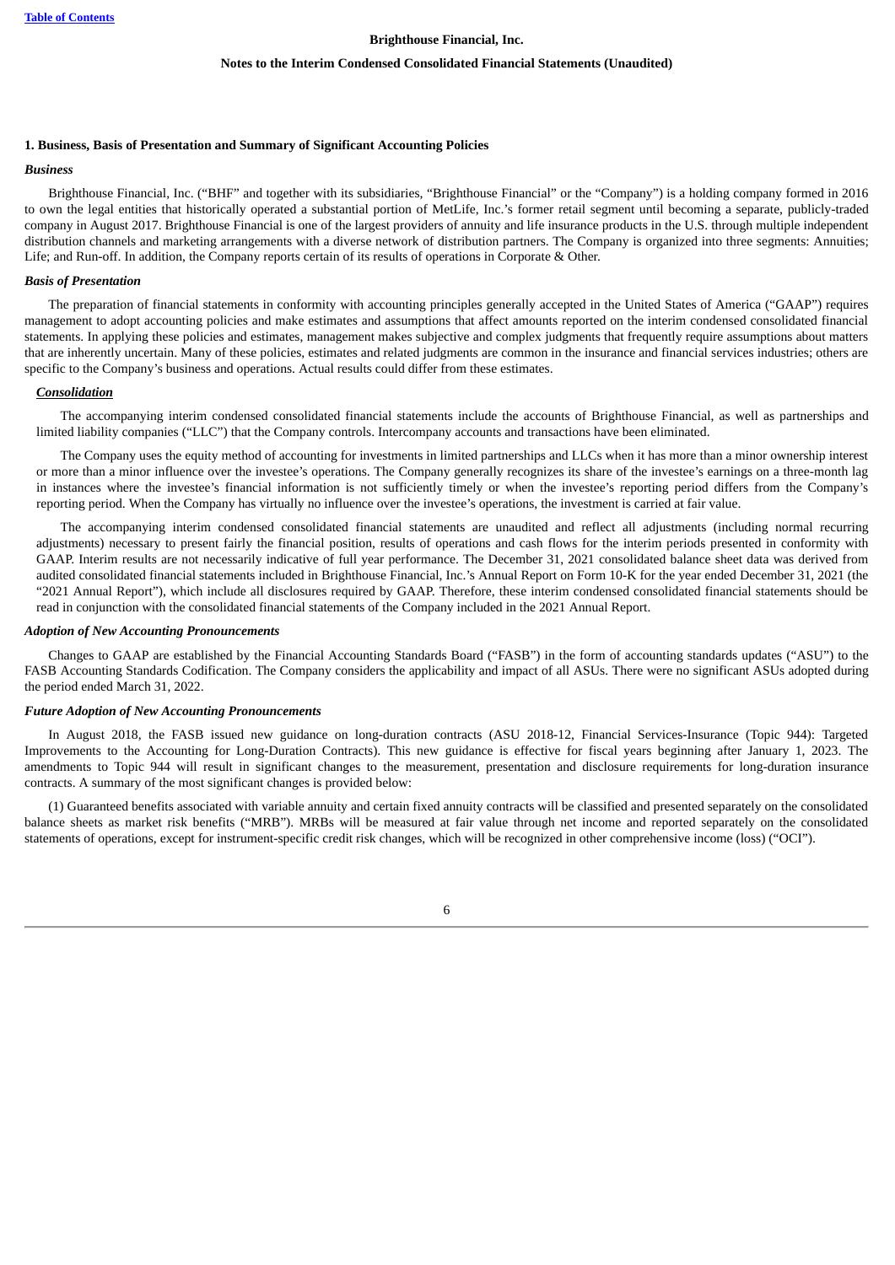#### **Notes to the Interim Condensed Consolidated Financial Statements (Unaudited)**

#### **1. Business, Basis of Presentation and Summary of Significant Accounting Policies**

#### *Business*

Brighthouse Financial, Inc. ("BHF" and together with its subsidiaries, "Brighthouse Financial" or the "Company") is a holding company formed in 2016 to own the legal entities that historically operated a substantial portion of MetLife, Inc.'s former retail segment until becoming a separate, publicly-traded company in August 2017. Brighthouse Financial is one of the largest providers of annuity and life insurance products in the U.S. through multiple independent distribution channels and marketing arrangements with a diverse network of distribution partners. The Company is organized into three segments: Annuities; Life; and Run-off. In addition, the Company reports certain of its results of operations in Corporate & Other.

#### *Basis of Presentation*

The preparation of financial statements in conformity with accounting principles generally accepted in the United States of America ("GAAP") requires management to adopt accounting policies and make estimates and assumptions that affect amounts reported on the interim condensed consolidated financial statements. In applying these policies and estimates, management makes subjective and complex judgments that frequently require assumptions about matters that are inherently uncertain. Many of these policies, estimates and related judgments are common in the insurance and financial services industries; others are specific to the Company's business and operations. Actual results could differ from these estimates.

#### *Consolidation*

The accompanying interim condensed consolidated financial statements include the accounts of Brighthouse Financial, as well as partnerships and limited liability companies ("LLC") that the Company controls. Intercompany accounts and transactions have been eliminated.

The Company uses the equity method of accounting for investments in limited partnerships and LLCs when it has more than a minor ownership interest or more than a minor influence over the investee's operations. The Company generally recognizes its share of the investee's earnings on a three-month lag in instances where the investee's financial information is not sufficiently timely or when the investee's reporting period differs from the Company's reporting period. When the Company has virtually no influence over the investee's operations, the investment is carried at fair value.

The accompanying interim condensed consolidated financial statements are unaudited and reflect all adjustments (including normal recurring adjustments) necessary to present fairly the financial position, results of operations and cash flows for the interim periods presented in conformity with GAAP. Interim results are not necessarily indicative of full year performance. The December 31, 2021 consolidated balance sheet data was derived from audited consolidated financial statements included in Brighthouse Financial, Inc.'s Annual Report on Form 10-K for the year ended December 31, 2021 (the "2021 Annual Report"), which include all disclosures required by GAAP. Therefore, these interim condensed consolidated financial statements should be read in conjunction with the consolidated financial statements of the Company included in the 2021 Annual Report.

#### *Adoption of New Accounting Pronouncements*

Changes to GAAP are established by the Financial Accounting Standards Board ("FASB") in the form of accounting standards updates ("ASU") to the FASB Accounting Standards Codification. The Company considers the applicability and impact of all ASUs. There were no significant ASUs adopted during the period ended March 31, 2022.

#### *Future Adoption of New Accounting Pronouncements*

In August 2018, the FASB issued new guidance on long-duration contracts (ASU 2018-12, Financial Services-Insurance (Topic 944): Targeted Improvements to the Accounting for Long-Duration Contracts). This new guidance is effective for fiscal years beginning after January 1, 2023. The amendments to Topic 944 will result in significant changes to the measurement, presentation and disclosure requirements for long-duration insurance contracts. A summary of the most significant changes is provided below:

(1) Guaranteed benefits associated with variable annuity and certain fixed annuity contracts will be classified and presented separately on the consolidated balance sheets as market risk benefits ("MRB"). MRBs will be measured at fair value through net income and reported separately on the consolidated statements of operations, except for instrument-specific credit risk changes, which will be recognized in other comprehensive income (loss) ("OCI").

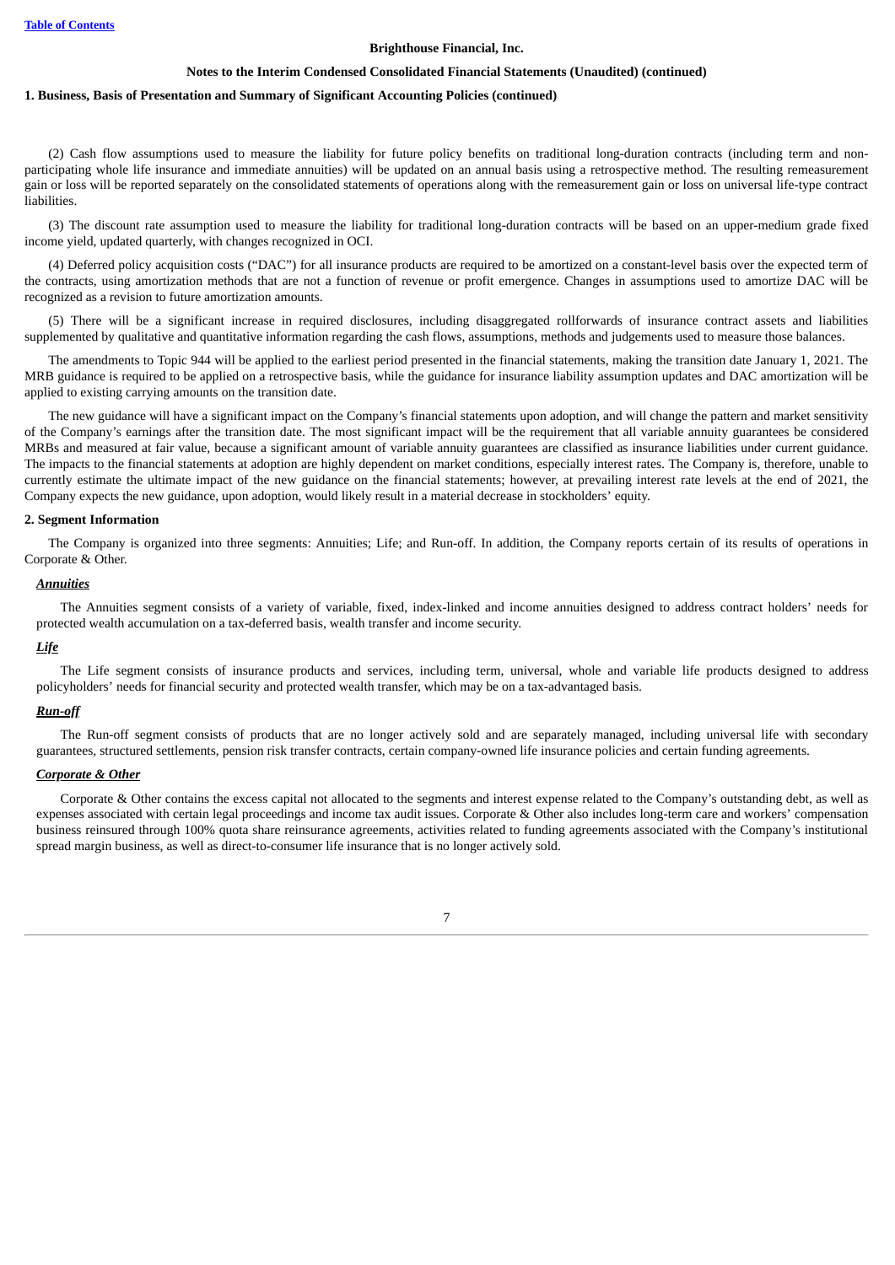### **Notes to the Interim Condensed Consolidated Financial Statements (Unaudited) (continued)**

### **1. Business, Basis of Presentation and Summary of Significant Accounting Policies (continued)**

(2) Cash flow assumptions used to measure the liability for future policy benefits on traditional long-duration contracts (including term and nonparticipating whole life insurance and immediate annuities) will be updated on an annual basis using a retrospective method. The resulting remeasurement gain or loss will be reported separately on the consolidated statements of operations along with the remeasurement gain or loss on universal life-type contract liabilities.

(3) The discount rate assumption used to measure the liability for traditional long-duration contracts will be based on an upper-medium grade fixed income yield, updated quarterly, with changes recognized in OCI.

(4) Deferred policy acquisition costs ("DAC") for all insurance products are required to be amortized on a constant-level basis over the expected term of the contracts, using amortization methods that are not a function of revenue or profit emergence. Changes in assumptions used to amortize DAC will be recognized as a revision to future amortization amounts.

(5) There will be a significant increase in required disclosures, including disaggregated rollforwards of insurance contract assets and liabilities supplemented by qualitative and quantitative information regarding the cash flows, assumptions, methods and judgements used to measure those balances.

The amendments to Topic 944 will be applied to the earliest period presented in the financial statements, making the transition date January 1, 2021. The MRB guidance is required to be applied on a retrospective basis, while the guidance for insurance liability assumption updates and DAC amortization will be applied to existing carrying amounts on the transition date.

The new guidance will have a significant impact on the Company's financial statements upon adoption, and will change the pattern and market sensitivity of the Company's earnings after the transition date. The most significant impact will be the requirement that all variable annuity guarantees be considered MRBs and measured at fair value, because a significant amount of variable annuity guarantees are classified as insurance liabilities under current guidance. The impacts to the financial statements at adoption are highly dependent on market conditions, especially interest rates. The Company is, therefore, unable to currently estimate the ultimate impact of the new guidance on the financial statements; however, at prevailing interest rate levels at the end of 2021, the Company expects the new guidance, upon adoption, would likely result in a material decrease in stockholders' equity.

#### <span id="page-7-0"></span>**2. Segment Information**

The Company is organized into three segments: Annuities; Life; and Run-off. In addition, the Company reports certain of its results of operations in Corporate & Other.

#### *Annuities*

The Annuities segment consists of a variety of variable, fixed, index-linked and income annuities designed to address contract holders' needs for protected wealth accumulation on a tax-deferred basis, wealth transfer and income security.

### *Life*

The Life segment consists of insurance products and services, including term, universal, whole and variable life products designed to address policyholders' needs for financial security and protected wealth transfer, which may be on a tax-advantaged basis.

#### *Run-off*

The Run-off segment consists of products that are no longer actively sold and are separately managed, including universal life with secondary guarantees, structured settlements, pension risk transfer contracts, certain company-owned life insurance policies and certain funding agreements.

#### *Corporate & Other*

Corporate & Other contains the excess capital not allocated to the segments and interest expense related to the Company's outstanding debt, as well as expenses associated with certain legal proceedings and income tax audit issues. Corporate & Other also includes long-term care and workers' compensation business reinsured through 100% quota share reinsurance agreements, activities related to funding agreements associated with the Company's institutional spread margin business, as well as direct-to-consumer life insurance that is no longer actively sold.

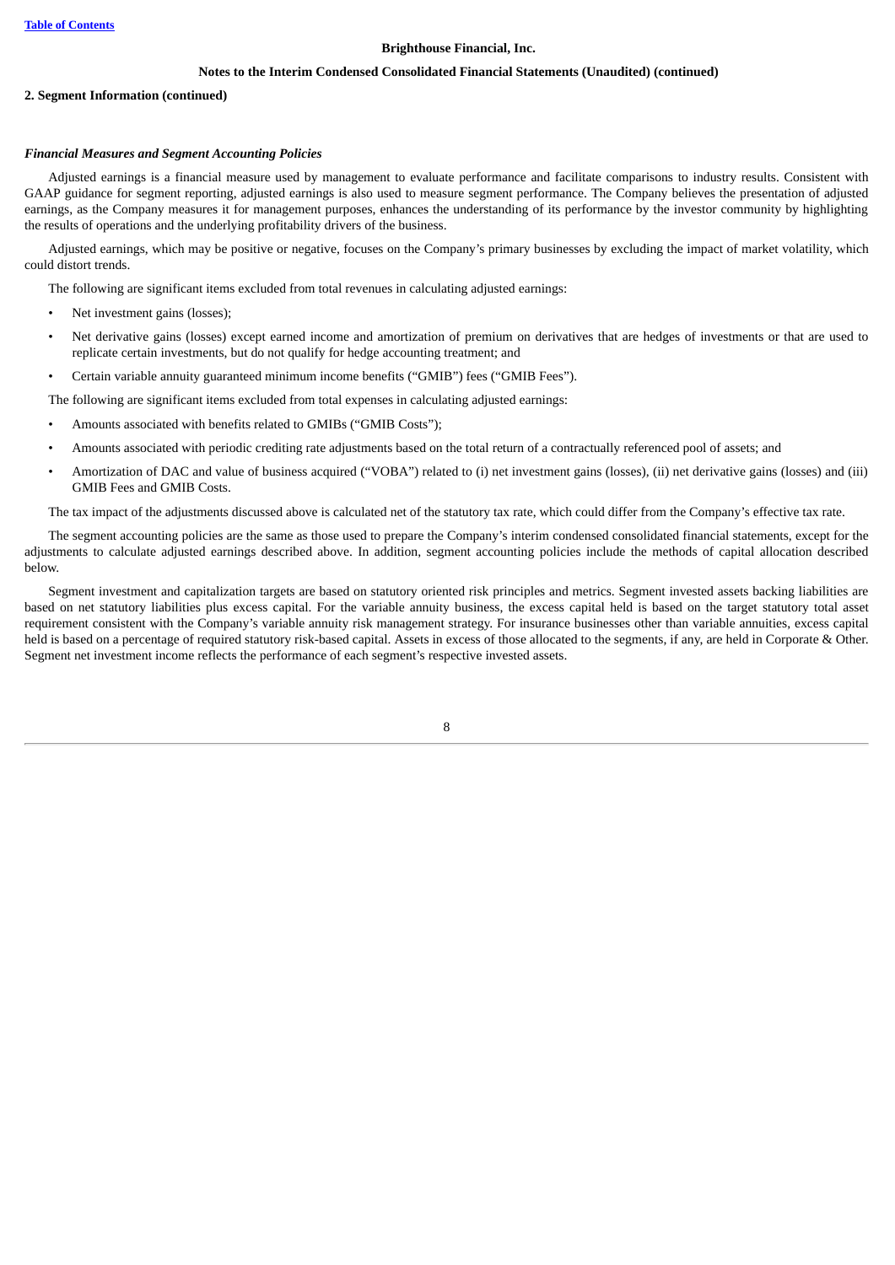## **Notes to the Interim Condensed Consolidated Financial Statements (Unaudited) (continued)**

#### **2. Segment Information (continued)**

### *Financial Measures and Segment Accounting Policies*

Adjusted earnings is a financial measure used by management to evaluate performance and facilitate comparisons to industry results. Consistent with GAAP guidance for segment reporting, adjusted earnings is also used to measure segment performance. The Company believes the presentation of adjusted earnings, as the Company measures it for management purposes, enhances the understanding of its performance by the investor community by highlighting the results of operations and the underlying profitability drivers of the business.

Adjusted earnings, which may be positive or negative, focuses on the Company's primary businesses by excluding the impact of market volatility, which could distort trends.

The following are significant items excluded from total revenues in calculating adjusted earnings:

- Net investment gains (losses);
- Net derivative gains (losses) except earned income and amortization of premium on derivatives that are hedges of investments or that are used to replicate certain investments, but do not qualify for hedge accounting treatment; and
- Certain variable annuity guaranteed minimum income benefits ("GMIB") fees ("GMIB Fees").

The following are significant items excluded from total expenses in calculating adjusted earnings:

- Amounts associated with benefits related to GMIBs ("GMIB Costs");
- Amounts associated with periodic crediting rate adjustments based on the total return of a contractually referenced pool of assets; and
- Amortization of DAC and value of business acquired ("VOBA") related to (i) net investment gains (losses), (ii) net derivative gains (losses) and (iii) GMIB Fees and GMIB Costs.

The tax impact of the adjustments discussed above is calculated net of the statutory tax rate, which could differ from the Company's effective tax rate.

The segment accounting policies are the same as those used to prepare the Company's interim condensed consolidated financial statements, except for the adjustments to calculate adjusted earnings described above. In addition, segment accounting policies include the methods of capital allocation described below.

Segment investment and capitalization targets are based on statutory oriented risk principles and metrics. Segment invested assets backing liabilities are based on net statutory liabilities plus excess capital. For the variable annuity business, the excess capital held is based on the target statutory total asset requirement consistent with the Company's variable annuity risk management strategy. For insurance businesses other than variable annuities, excess capital held is based on a percentage of required statutory risk-based capital. Assets in excess of those allocated to the segments, if any, are held in Corporate & Other. Segment net investment income reflects the performance of each segment's respective invested assets.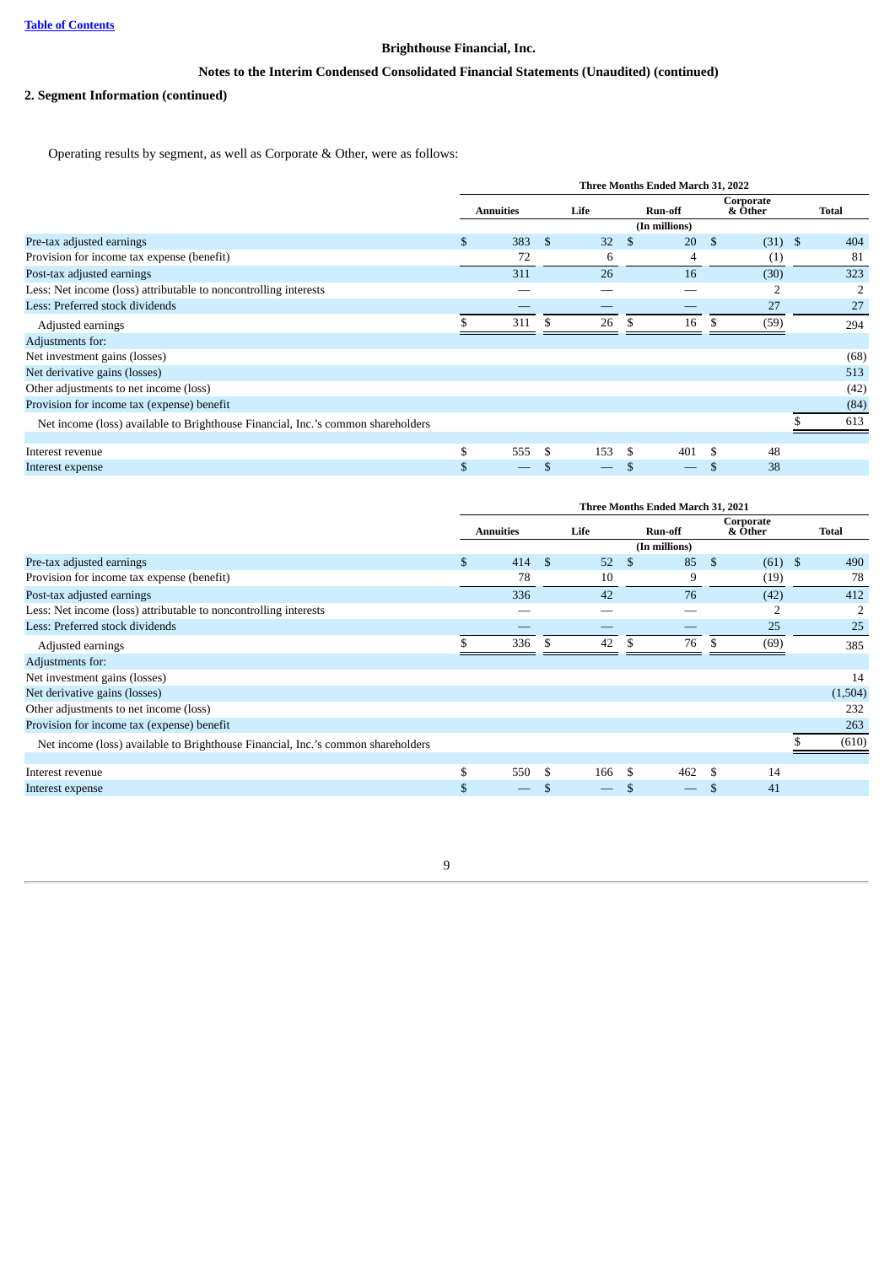# **Notes to the Interim Condensed Consolidated Financial Statements (Unaudited) (continued)**

# **2. Segment Information (continued)**

Operating results by segment, as well as Corporate & Other, were as follows:

|                                                                                  |                  | Three Months Ended March 31, 2022 |     |      |               |    |                      |     |                |  |  |  |  |  |
|----------------------------------------------------------------------------------|------------------|-----------------------------------|-----|------|---------------|----|----------------------|-----|----------------|--|--|--|--|--|
|                                                                                  | <b>Annuities</b> | Life                              |     |      | Run-off       |    | Corporate<br>& Other |     | Total          |  |  |  |  |  |
|                                                                                  |                  |                                   |     |      | (In millions) |    |                      |     |                |  |  |  |  |  |
| Pre-tax adjusted earnings                                                        | \$<br>383        | \$                                | 32  | - \$ | 20            | \$ | (31)                 | -\$ | 404            |  |  |  |  |  |
| Provision for income tax expense (benefit)                                       | 72               |                                   | 6   |      | 4             |    | (1)                  |     | 81             |  |  |  |  |  |
| Post-tax adjusted earnings                                                       | 311              |                                   | 26  |      | 16            |    | (30)                 |     | 323            |  |  |  |  |  |
| Less: Net income (loss) attributable to noncontrolling interests                 | ---              |                                   |     |      |               |    | $\overline{2}$       |     | $\overline{2}$ |  |  |  |  |  |
| Less: Preferred stock dividends                                                  |                  |                                   |     |      |               |    | 27                   |     | 27             |  |  |  |  |  |
| Adjusted earnings                                                                | 311              |                                   | 26  | £.   | 16            |    | (59)                 |     | 294            |  |  |  |  |  |
| Adjustments for:                                                                 |                  |                                   |     |      |               |    |                      |     |                |  |  |  |  |  |
| Net investment gains (losses)                                                    |                  |                                   |     |      |               |    |                      |     | (68)           |  |  |  |  |  |
| Net derivative gains (losses)                                                    |                  |                                   |     |      |               |    |                      |     | 513            |  |  |  |  |  |
| Other adjustments to net income (loss)                                           |                  |                                   |     |      |               |    |                      |     | (42)           |  |  |  |  |  |
| Provision for income tax (expense) benefit                                       |                  |                                   |     |      |               |    |                      |     | (84)           |  |  |  |  |  |
| Net income (loss) available to Brighthouse Financial, Inc.'s common shareholders |                  |                                   |     |      |               |    |                      |     | 613            |  |  |  |  |  |
|                                                                                  |                  |                                   |     |      |               |    |                      |     |                |  |  |  |  |  |
| Interest revenue                                                                 | \$<br>555        | \$                                | 153 | -\$  | 401           |    | 48                   |     |                |  |  |  |  |  |
| Interest expense                                                                 | —                |                                   |     | S    |               | ъ  | 38                   |     |                |  |  |  |  |  |

|                                                                                  | Three Months Ended March 31, 2021 |                  |    |      |     |               |                      |      |    |         |  |  |  |
|----------------------------------------------------------------------------------|-----------------------------------|------------------|----|------|-----|---------------|----------------------|------|----|---------|--|--|--|
|                                                                                  |                                   | <b>Annuities</b> |    | Life |     | Run-off       | Corporate<br>& Other |      |    | Total   |  |  |  |
|                                                                                  |                                   |                  |    |      |     | (In millions) |                      |      |    |         |  |  |  |
| Pre-tax adjusted earnings                                                        | \$                                | 414              | -S | 52   | -\$ | 85            | \$                   | (61) | \$ | 490     |  |  |  |
| Provision for income tax expense (benefit)                                       |                                   | 78               |    | 10   |     | 9             |                      | (19) |    | 78      |  |  |  |
| Post-tax adjusted earnings                                                       |                                   | 336              |    | 42   |     | 76            |                      | (42) |    | 412     |  |  |  |
| Less: Net income (loss) attributable to noncontrolling interests                 |                                   |                  |    |      |     |               |                      | 2    |    | 2       |  |  |  |
| Less: Preferred stock dividends                                                  |                                   |                  |    |      |     |               |                      | 25   |    | 25      |  |  |  |
| Adjusted earnings                                                                |                                   | 336              |    | 42   |     | 76            |                      | (69) |    | 385     |  |  |  |
| Adjustments for:                                                                 |                                   |                  |    |      |     |               |                      |      |    |         |  |  |  |
| Net investment gains (losses)                                                    |                                   |                  |    |      |     |               |                      |      |    | 14      |  |  |  |
| Net derivative gains (losses)                                                    |                                   |                  |    |      |     |               |                      |      |    | (1,504) |  |  |  |
| Other adjustments to net income (loss)                                           |                                   |                  |    |      |     |               |                      |      |    | 232     |  |  |  |
| Provision for income tax (expense) benefit                                       |                                   |                  |    |      |     |               |                      |      |    | 263     |  |  |  |
| Net income (loss) available to Brighthouse Financial, Inc.'s common shareholders |                                   |                  |    |      |     |               |                      |      |    | (610)   |  |  |  |
|                                                                                  |                                   |                  |    |      |     |               |                      |      |    |         |  |  |  |
| Interest revenue                                                                 |                                   | 550              |    | 166  | -\$ | 462           |                      | 14   |    |         |  |  |  |
| Interest expense                                                                 | \$                                | —                |    |      | \$  |               | ъ                    | 41   |    |         |  |  |  |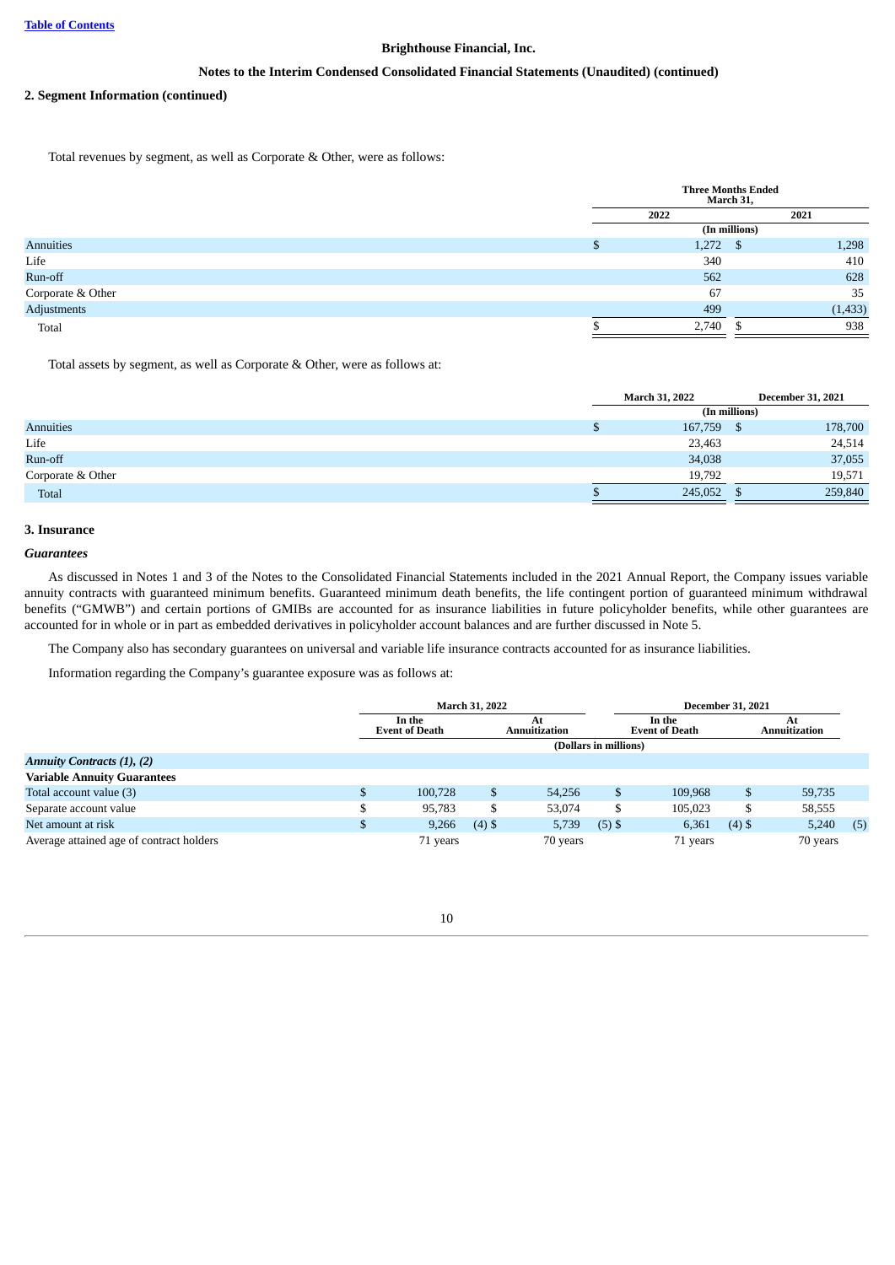## **Notes to the Interim Condensed Consolidated Financial Statements (Unaudited) (continued)**

## **2. Segment Information (continued)**

Total revenues by segment, as well as Corporate & Other, were as follows:

|                   | <b>Three Months Ended</b><br>March 31, |               |  |  |  |  |  |
|-------------------|----------------------------------------|---------------|--|--|--|--|--|
|                   | 2022                                   | 2021          |  |  |  |  |  |
|                   |                                        | (In millions) |  |  |  |  |  |
| <b>Annuities</b>  | 1,272                                  | 1,298<br>- \$ |  |  |  |  |  |
| Life              | 340                                    | 410           |  |  |  |  |  |
| Run-off           | 562                                    | 628           |  |  |  |  |  |
| Corporate & Other | 67                                     | 35            |  |  |  |  |  |
| Adjustments       | 499                                    | (1, 433)      |  |  |  |  |  |
| Total             | 2,740                                  | 938           |  |  |  |  |  |
|                   |                                        |               |  |  |  |  |  |

Total assets by segment, as well as Corporate & Other, were as follows at:

|                   |   | March 31, 2022 |               | <b>December 31, 2021</b> |
|-------------------|---|----------------|---------------|--------------------------|
|                   |   |                | (In millions) |                          |
| Annuities         | Φ | 167,759        | SБ            | 178,700                  |
| Life              |   | 23,463         |               | 24,514                   |
| Run-off           |   | 34,038         |               | 37,055                   |
| Corporate & Other |   | 19,792         |               | 19,571                   |
| <b>Total</b>      |   | 245,052        |               | 259,840                  |

### <span id="page-10-0"></span>**3. Insurance**

## *Guarantees*

As discussed in Notes 1 and 3 of the Notes to the Consolidated Financial Statements included in the 2021 Annual Report, the Company issues variable annuity contracts with guaranteed minimum benefits. Guaranteed minimum death benefits, the life contingent portion of guaranteed minimum withdrawal benefits ("GMWB") and certain portions of GMIBs are accounted for as insurance liabilities in future policyholder benefits, while other guarantees are accounted for in whole or in part as embedded derivatives in policyholder account balances and are further discussed in Note 5.

The Company also has secondary guarantees on universal and variable life insurance contracts accounted for as insurance liabilities.

Information regarding the Company's guarantee exposure was as follows at:

|                                          |                                 | <b>March 31, 2022</b> |                            |                       |                                 | <b>December 31, 2021</b>   |          |     |  |
|------------------------------------------|---------------------------------|-----------------------|----------------------------|-----------------------|---------------------------------|----------------------------|----------|-----|--|
|                                          | In the<br><b>Event of Death</b> |                       | At<br><b>Annuitization</b> |                       | In the<br><b>Event of Death</b> | At<br><b>Annuitization</b> |          |     |  |
|                                          |                                 |                       |                            | (Dollars in millions) |                                 |                            |          |     |  |
| <b>Annuity Contracts (1), (2)</b>        |                                 |                       |                            |                       |                                 |                            |          |     |  |
| <b>Variable Annuity Guarantees</b>       |                                 |                       |                            |                       |                                 |                            |          |     |  |
| Total account value (3)                  | 100,728                         | S.                    | 54,256                     | S                     | 109,968                         | \$                         | 59,735   |     |  |
| Separate account value                   | 95,783                          |                       | 53,074                     | S                     | 105.023                         | \$                         | 58,555   |     |  |
| Net amount at risk                       | 9,266                           | $(4)$ \$              | 5,739                      | $(5)$ \$              | 6,361                           | $(4)$ \$                   | 5,240    | (5) |  |
| Average attained age of contract holders | 71 years                        |                       | 70 years                   |                       | 71 years                        |                            | 70 years |     |  |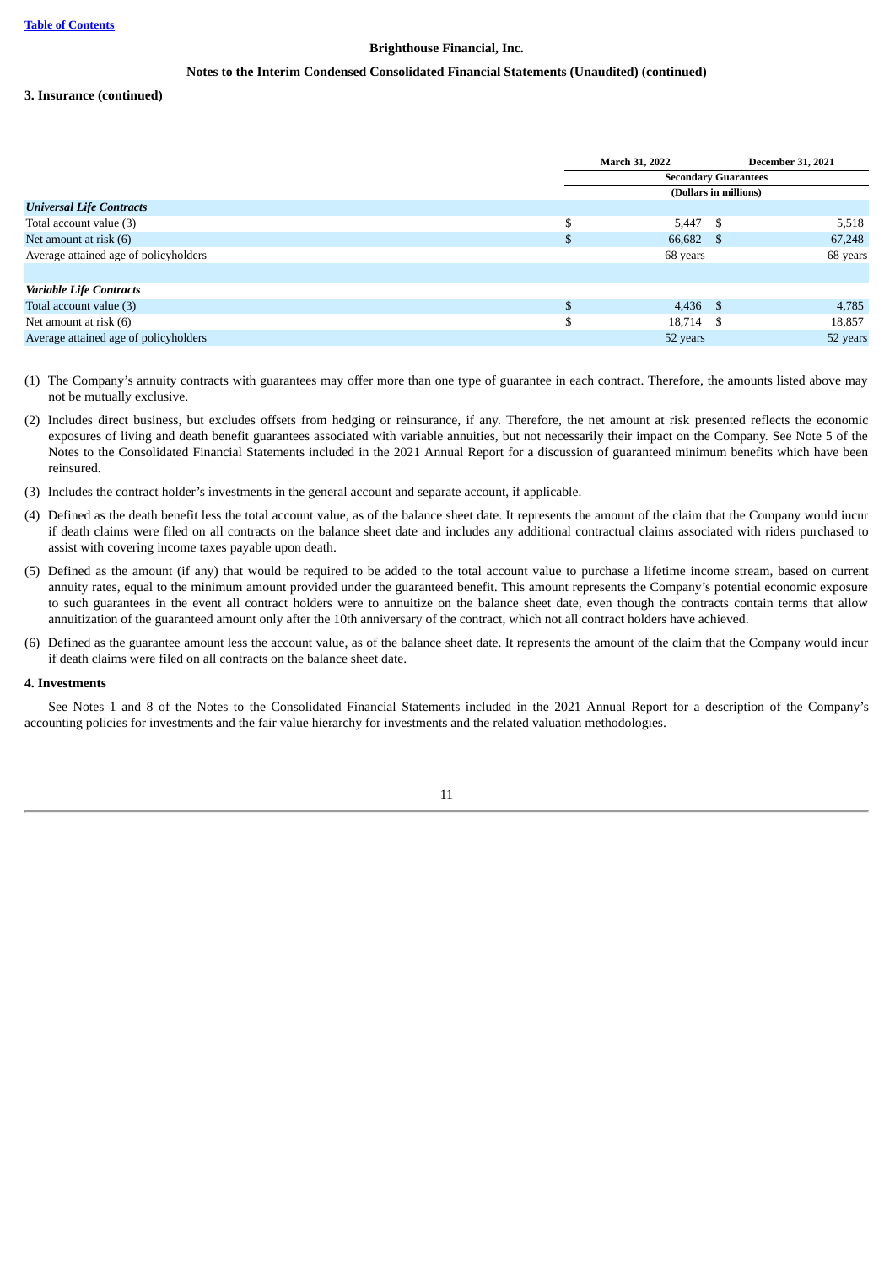## **Notes to the Interim Condensed Consolidated Financial Statements (Unaudited) (continued)**

### **3. Insurance (continued)**

|                                       |                             | March 31, 2022        | <b>December 31, 2021</b> |          |  |  |  |
|---------------------------------------|-----------------------------|-----------------------|--------------------------|----------|--|--|--|
|                                       | <b>Secondary Guarantees</b> |                       |                          |          |  |  |  |
|                                       |                             | (Dollars in millions) |                          |          |  |  |  |
| <b>Universal Life Contracts</b>       |                             |                       |                          |          |  |  |  |
| Total account value (3)               |                             | 5,447                 | - \$                     | 5,518    |  |  |  |
| Net amount at risk (6)                | Ф                           | 66,682                | - 56                     | 67,248   |  |  |  |
| Average attained age of policyholders |                             | 68 years              |                          | 68 years |  |  |  |
|                                       |                             |                       |                          |          |  |  |  |
| <b>Variable Life Contracts</b>        |                             |                       |                          |          |  |  |  |
| Total account value (3)               |                             | $4,436$ \$            |                          | 4,785    |  |  |  |
| Net amount at risk (6)                | ¢<br>J.                     | 18,714                | - 5                      | 18,857   |  |  |  |
| Average attained age of policyholders |                             | 52 years              |                          | 52 years |  |  |  |

(1) The Company's annuity contracts with guarantees may offer more than one type of guarantee in each contract. Therefore, the amounts listed above may not be mutually exclusive.

- (2) Includes direct business, but excludes offsets from hedging or reinsurance, if any. Therefore, the net amount at risk presented reflects the economic exposures of living and death benefit guarantees associated with variable annuities, but not necessarily their impact on the Company. See Note 5 of the Notes to the Consolidated Financial Statements included in the 2021 Annual Report for a discussion of guaranteed minimum benefits which have been reinsured.
- (3) Includes the contract holder's investments in the general account and separate account, if applicable.
- (4) Defined as the death benefit less the total account value, as of the balance sheet date. It represents the amount of the claim that the Company would incur if death claims were filed on all contracts on the balance sheet date and includes any additional contractual claims associated with riders purchased to assist with covering income taxes payable upon death.
- (5) Defined as the amount (if any) that would be required to be added to the total account value to purchase a lifetime income stream, based on current annuity rates, equal to the minimum amount provided under the guaranteed benefit. This amount represents the Company's potential economic exposure to such guarantees in the event all contract holders were to annuitize on the balance sheet date, even though the contracts contain terms that allow annuitization of the guaranteed amount only after the 10th anniversary of the contract, which not all contract holders have achieved.
- (6) Defined as the guarantee amount less the account value, as of the balance sheet date. It represents the amount of the claim that the Company would incur if death claims were filed on all contracts on the balance sheet date.

### <span id="page-11-0"></span>**4. Investments**

 $\overline{\phantom{a}}$ 

See Notes 1 and 8 of the Notes to the Consolidated Financial Statements included in the 2021 Annual Report for a description of the Company's accounting policies for investments and the fair value hierarchy for investments and the related valuation methodologies.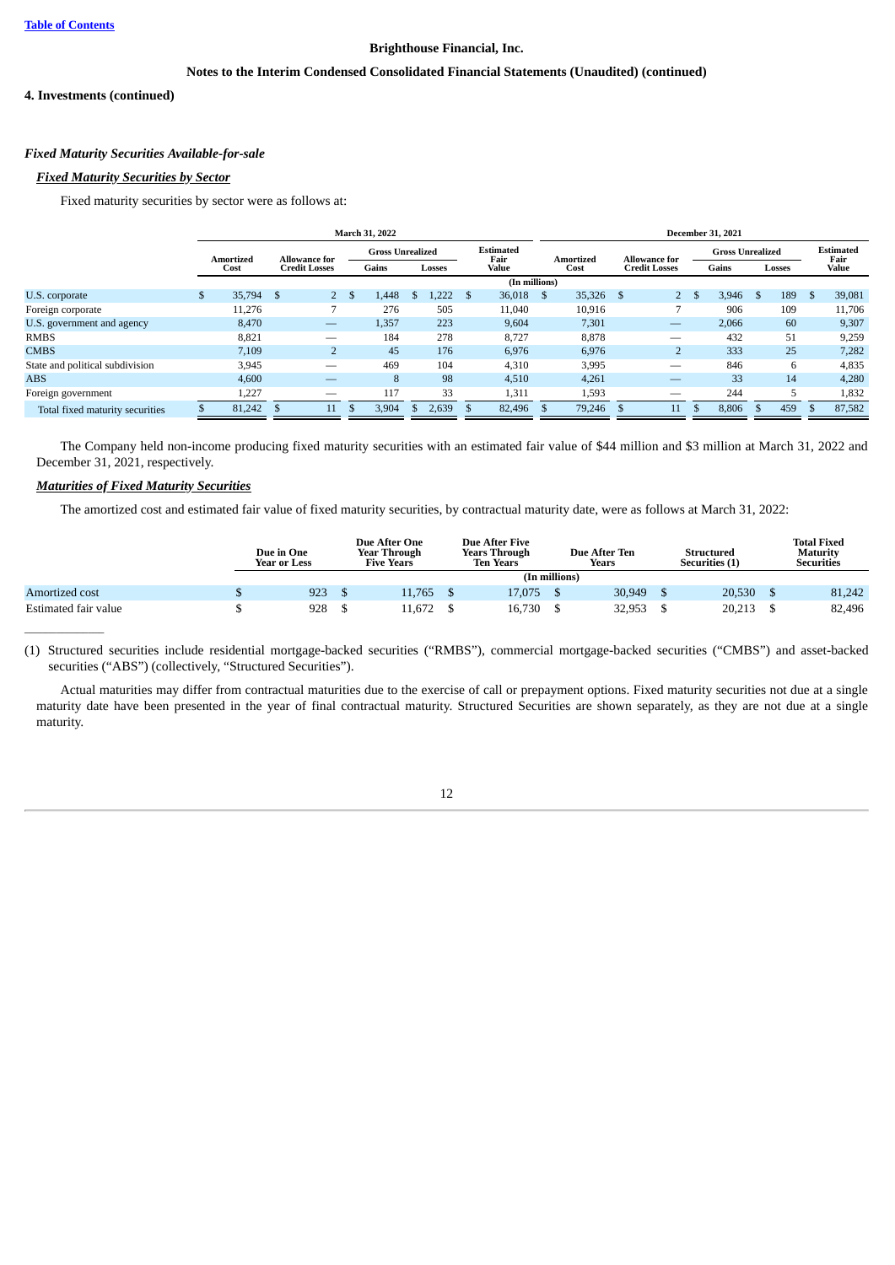## **Notes to the Interim Condensed Consolidated Financial Statements (Unaudited) (continued)**

#### **4. Investments (continued)**

## *Fixed Maturity Securities Available-for-sale*

## *Fixed Maturity Securities by Sector*

Fixed maturity securities by sector were as follows at:

|                                 |          | March 31, 2022   |     |                          |               |                         |  |        |                          |               |     | <b>December 31, 2021</b>     |              |                          |       |       |                         |     |                          |        |
|---------------------------------|----------|------------------|-----|--------------------------|---------------|-------------------------|--|--------|--------------------------|---------------|-----|------------------------------|--------------|--------------------------|-------|-------|-------------------------|-----|--------------------------|--------|
|                                 |          | <b>Amortized</b> |     | Allowance for            |               | <b>Gross Unrealized</b> |  |        | <b>Estimated</b><br>Fair |               |     | Amortized                    |              | <b>Allowance for</b>     |       |       | <b>Gross Unrealized</b> |     | <b>Estimated</b><br>Fair |        |
|                                 |          | Cost             |     | <b>Credit Losses</b>     |               | Gains                   |  | Losses |                          | Value         |     | <b>Credit Losses</b><br>Cost |              |                          | Gains |       |                         |     | Value<br>Losses          |        |
|                                 |          |                  |     |                          |               |                         |  |        |                          | (In millions) |     |                              |              |                          |       |       |                         |     |                          |        |
| U.S. corporate                  | <b>S</b> | 35,794           | -\$ | $\overline{2}$           | $\mathbf{\$}$ | 1.448                   |  | .222   | \$                       | 36,018        | -\$ | 35,326                       | $\mathbf{s}$ |                          |       | 3,946 | <sup>\$</sup>           | 189 | .S                       | 39,081 |
| Foreign corporate               |          | 11,276           |     |                          |               | 276                     |  | 505    |                          | 11,040        |     | 10,916                       |              |                          |       | 906   |                         | 109 |                          | 11,706 |
| U.S. government and agency      |          | 8,470            |     | $\frac{1}{2}$            |               | 1,357                   |  | 223    |                          | 9,604         |     | 7,301                        |              | $\overline{\phantom{m}}$ |       | 2,066 |                         | 60  |                          | 9,307  |
| <b>RMBS</b>                     |          | 8,821            |     | $\overline{\phantom{0}}$ |               | 184                     |  | 278    |                          | 8,727         |     | 8,878                        |              |                          |       | 432   |                         | 51  |                          | 9,259  |
| <b>CMBS</b>                     |          | 7,109            |     |                          |               | 45                      |  | 176    |                          | 6,976         |     | 6,976                        |              |                          |       | 333   |                         | 25  |                          | 7,282  |
| State and political subdivision |          | 3,945            |     |                          |               | 469                     |  | 104    |                          | 4,310         |     | 3,995                        |              |                          |       | 846   |                         | 6   |                          | 4,835  |
| <b>ABS</b>                      |          | 4,600            |     | $\sim$                   |               | 8                       |  | 98     |                          | 4,510         |     | 4,261                        |              |                          |       | 33    |                         | 14  |                          | 4,280  |
| Foreign government              |          | 1,227            |     | $\overline{\phantom{m}}$ |               | 117                     |  | 33     |                          | 1,311         |     | 1,593                        |              | $-$                      |       | 244   |                         | 5   |                          | 1,832  |
| Total fixed maturity securities |          | 81,242           |     | 11                       |               | 3.904                   |  | 2.639  |                          | 82,496        |     | 79,246                       |              | 11                       |       | 8.806 |                         | 459 |                          | 87,582 |

The Company held non-income producing fixed maturity securities with an estimated fair value of \$44 million and \$3 million at March 31, 2022 and December 31, 2021, respectively.

## *Maturities of Fixed Maturity Securities*

 $\overline{\phantom{a}}$ 

The amortized cost and estimated fair value of fixed maturity securities, by contractual maturity date, were as follows at March 31, 2022:

|                      | Due in One<br>Year or Less | <b>Due After One</b><br><b>Year Through</b><br><b>Five Years</b> | Due After Five<br><b>Years Through</b><br><b>Ten Years</b> |               | Due After Ten<br>Years | Structured<br>Securities (1) | <b>Total Fixed</b><br><b>Maturity</b><br><b>Securities</b> |        |
|----------------------|----------------------------|------------------------------------------------------------------|------------------------------------------------------------|---------------|------------------------|------------------------------|------------------------------------------------------------|--------|
|                      |                            |                                                                  |                                                            | (In millions) |                        |                              |                                                            |        |
| Amortized cost       | 923                        | 11,765                                                           | 17.075                                                     |               | 30,949                 | 20,530                       |                                                            | 81,242 |
| Estimated fair value | 928                        | 11.672                                                           | 16.730                                                     |               | 32,953                 | 20.213                       |                                                            | 82,496 |

(1) Structured securities include residential mortgage-backed securities ("RMBS"), commercial mortgage-backed securities ("CMBS") and asset-backed securities ("ABS") (collectively, "Structured Securities").

Actual maturities may differ from contractual maturities due to the exercise of call or prepayment options. Fixed maturity securities not due at a single maturity date have been presented in the year of final contractual maturity. Structured Securities are shown separately, as they are not due at a single maturity.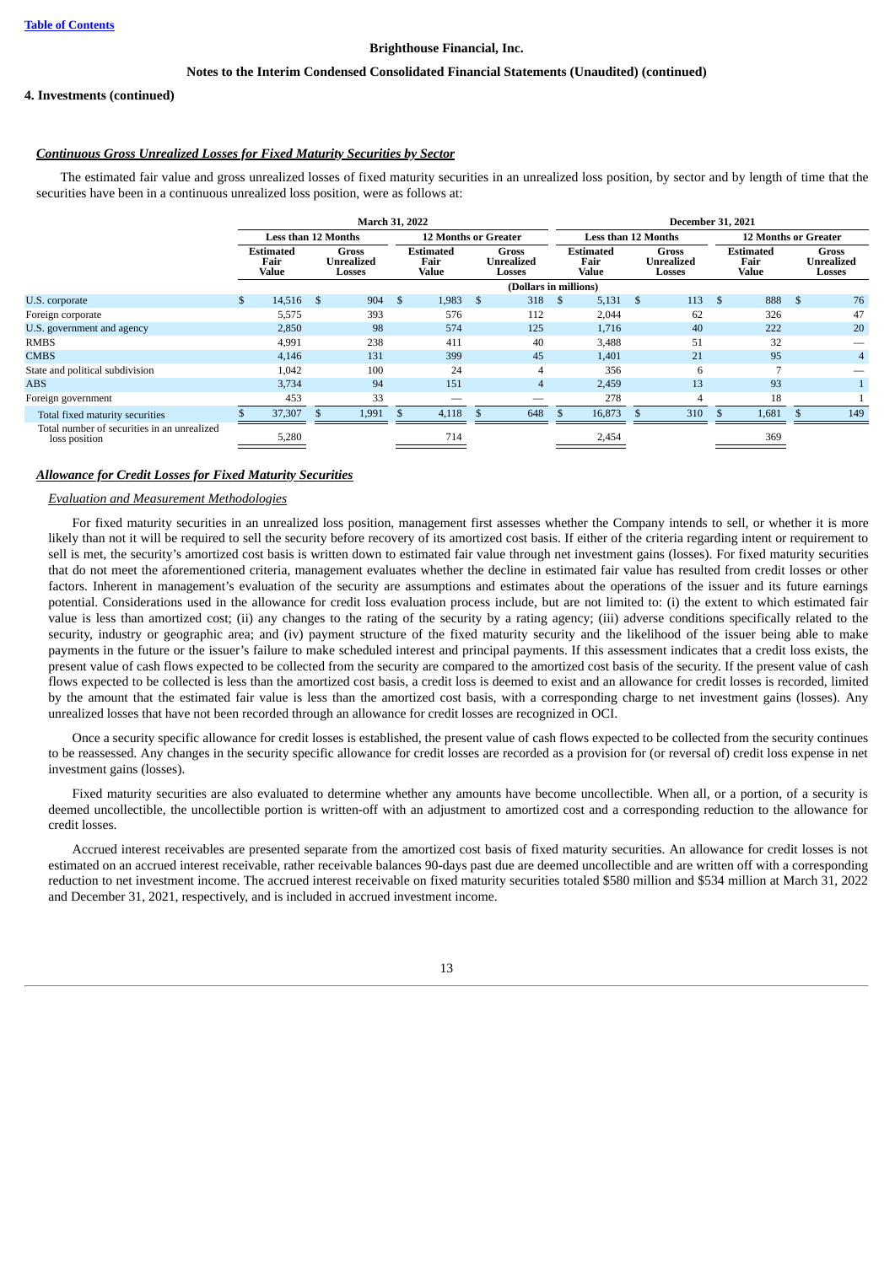## **Notes to the Interim Condensed Consolidated Financial Statements (Unaudited) (continued)**

#### **4. Investments (continued)**

### *Continuous Gross Unrealized Losses for Fixed Maturity Securities by Sector*

The estimated fair value and gross unrealized losses of fixed maturity securities in an unrealized loss position, by sector and by length of time that the securities have been in a continuous unrealized loss position, were as follows at:

|                                                              | March 31, 2022 |                            |    |                                      |               |                             |    | <b>December 31, 2021</b>             |                            |                                   |  |                                             |     |                             |    |                                      |  |
|--------------------------------------------------------------|----------------|----------------------------|----|--------------------------------------|---------------|-----------------------------|----|--------------------------------------|----------------------------|-----------------------------------|--|---------------------------------------------|-----|-----------------------------|----|--------------------------------------|--|
|                                                              |                | Less than 12 Months        |    |                                      |               | <b>12 Months or Greater</b> |    |                                      | <b>Less than 12 Months</b> |                                   |  |                                             |     | <b>12 Months or Greater</b> |    |                                      |  |
|                                                              |                | Estimated<br>Fair<br>Value |    | <b>Gross</b><br>Unrealized<br>Losses |               | Estimated<br>Fair<br>Value  |    | <b>Gross</b><br>Unrealized<br>Losses |                            | <b>Estimated</b><br>Fair<br>Value |  | <b>Gross</b><br><b>Unrealized</b><br>Losses |     | Estimated<br>Fair<br>Value  |    | Gross<br><b>Unrealized</b><br>Losses |  |
|                                                              |                |                            |    |                                      |               |                             |    | (Dollars in millions)                |                            |                                   |  |                                             |     |                             |    |                                      |  |
| U.S. corporate                                               | S.             | 14,516                     | -S | 904                                  | <sup>\$</sup> | 1,983                       | -S | 318                                  | S.                         | $5,131$ \$                        |  | 113                                         | -\$ | 888                         | -S | 76                                   |  |
| Foreign corporate                                            |                | 5,575                      |    | 393                                  |               | 576                         |    | 112                                  |                            | 2,044                             |  | 62                                          |     | 326                         |    | 47                                   |  |
| U.S. government and agency                                   |                | 2,850                      |    | 98                                   |               | 574                         |    | 125                                  |                            | 1,716                             |  | 40                                          |     | 222                         |    | 20                                   |  |
| <b>RMBS</b>                                                  |                | 4,991                      |    | 238                                  |               | 411                         |    | 40                                   |                            | 3,488                             |  | 51                                          |     | 32                          |    |                                      |  |
| <b>CMBS</b>                                                  |                | 4,146                      |    | 131                                  |               | 399                         |    | 45                                   |                            | 1,401                             |  | 21                                          |     | 95                          |    | 4                                    |  |
| State and political subdivision                              |                | 1,042                      |    | 100                                  |               | 24                          |    | $\overline{4}$                       |                            | 356                               |  | 6                                           |     |                             |    |                                      |  |
| <b>ABS</b>                                                   |                | 3,734                      |    | 94                                   |               | 151                         |    | $\overline{4}$                       |                            | 2,459                             |  | 13                                          |     | 93                          |    |                                      |  |
| Foreign government                                           |                | 453                        |    | 33                                   |               |                             |    |                                      |                            | 278                               |  |                                             |     | 18                          |    |                                      |  |
| Total fixed maturity securities                              |                | 37,307                     |    | 1,991                                |               | 4,118                       |    | 648                                  |                            | 16,873                            |  | 310                                         |     | 1,681                       |    | 149                                  |  |
| Total number of securities in an unrealized<br>loss position |                | 5,280                      |    |                                      |               | 714                         |    |                                      |                            | 2,454                             |  |                                             |     | 369                         |    |                                      |  |

#### *Allowance for Credit Losses for Fixed Maturity Securities*

## *Evaluation and Measurement Methodologies*

For fixed maturity securities in an unrealized loss position, management first assesses whether the Company intends to sell, or whether it is more likely than not it will be required to sell the security before recovery of its amortized cost basis. If either of the criteria regarding intent or requirement to sell is met, the security's amortized cost basis is written down to estimated fair value through net investment gains (losses). For fixed maturity securities that do not meet the aforementioned criteria, management evaluates whether the decline in estimated fair value has resulted from credit losses or other factors. Inherent in management's evaluation of the security are assumptions and estimates about the operations of the issuer and its future earnings potential. Considerations used in the allowance for credit loss evaluation process include, but are not limited to: (i) the extent to which estimated fair value is less than amortized cost; (ii) any changes to the rating of the security by a rating agency; (iii) adverse conditions specifically related to the security, industry or geographic area; and (iv) payment structure of the fixed maturity security and the likelihood of the issuer being able to make payments in the future or the issuer's failure to make scheduled interest and principal payments. If this assessment indicates that a credit loss exists, the present value of cash flows expected to be collected from the security are compared to the amortized cost basis of the security. If the present value of cash flows expected to be collected is less than the amortized cost basis, a credit loss is deemed to exist and an allowance for credit losses is recorded, limited by the amount that the estimated fair value is less than the amortized cost basis, with a corresponding charge to net investment gains (losses). Any unrealized losses that have not been recorded through an allowance for credit losses are recognized in OCI.

Once a security specific allowance for credit losses is established, the present value of cash flows expected to be collected from the security continues to be reassessed. Any changes in the security specific allowance for credit losses are recorded as a provision for (or reversal of) credit loss expense in net investment gains (losses).

Fixed maturity securities are also evaluated to determine whether any amounts have become uncollectible. When all, or a portion, of a security is deemed uncollectible, the uncollectible portion is written-off with an adjustment to amortized cost and a corresponding reduction to the allowance for credit losses.

Accrued interest receivables are presented separate from the amortized cost basis of fixed maturity securities. An allowance for credit losses is not estimated on an accrued interest receivable, rather receivable balances 90-days past due are deemed uncollectible and are written off with a corresponding reduction to net investment income. The accrued interest receivable on fixed maturity securities totaled \$580 million and \$534 million at March 31, 2022 and December 31, 2021, respectively, and is included in accrued investment income.

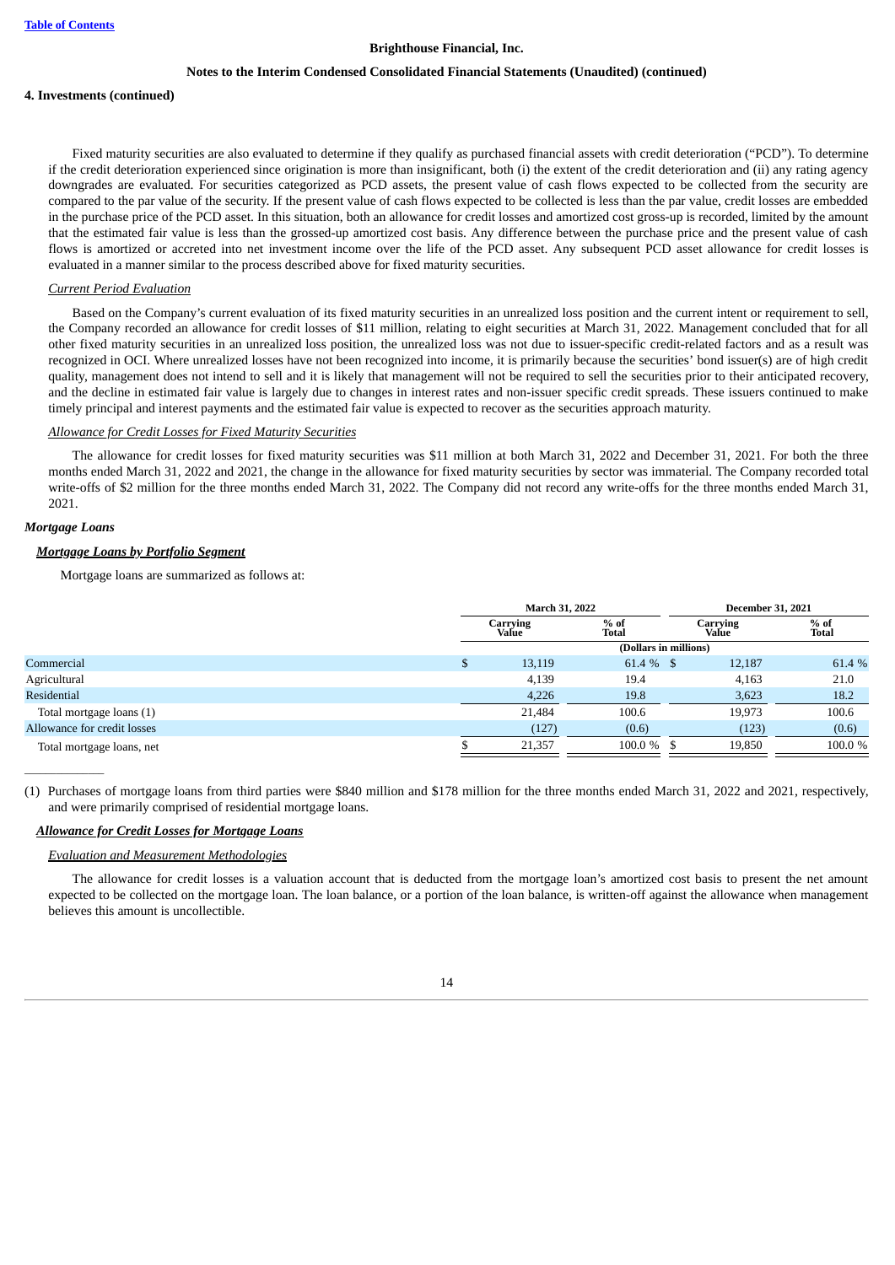## **Notes to the Interim Condensed Consolidated Financial Statements (Unaudited) (continued)**

## **4. Investments (continued)**

Fixed maturity securities are also evaluated to determine if they qualify as purchased financial assets with credit deterioration ("PCD"). To determine if the credit deterioration experienced since origination is more than insignificant, both (i) the extent of the credit deterioration and (ii) any rating agency downgrades are evaluated. For securities categorized as PCD assets, the present value of cash flows expected to be collected from the security are compared to the par value of the security. If the present value of cash flows expected to be collected is less than the par value, credit losses are embedded in the purchase price of the PCD asset. In this situation, both an allowance for credit losses and amortized cost gross-up is recorded, limited by the amount that the estimated fair value is less than the grossed-up amortized cost basis. Any difference between the purchase price and the present value of cash flows is amortized or accreted into net investment income over the life of the PCD asset. Any subsequent PCD asset allowance for credit losses is evaluated in a manner similar to the process described above for fixed maturity securities.

### *Current Period Evaluation*

Based on the Company's current evaluation of its fixed maturity securities in an unrealized loss position and the current intent or requirement to sell, the Company recorded an allowance for credit losses of \$11 million, relating to eight securities at March 31, 2022. Management concluded that for all other fixed maturity securities in an unrealized loss position, the unrealized loss was not due to issuer-specific credit-related factors and as a result was recognized in OCI. Where unrealized losses have not been recognized into income, it is primarily because the securities' bond issuer(s) are of high credit quality, management does not intend to sell and it is likely that management will not be required to sell the securities prior to their anticipated recovery, and the decline in estimated fair value is largely due to changes in interest rates and non-issuer specific credit spreads. These issuers continued to make timely principal and interest payments and the estimated fair value is expected to recover as the securities approach maturity.

#### *Allowance for Credit Losses for Fixed Maturity Securities*

The allowance for credit losses for fixed maturity securities was \$11 million at both March 31, 2022 and December 31, 2021. For both the three months ended March 31, 2022 and 2021, the change in the allowance for fixed maturity securities by sector was immaterial. The Company recorded total write-offs of \$2 million for the three months ended March 31, 2022. The Company did not record any write-offs for the three months ended March 31, 2021.

### *Mortgage Loans*

 $\overline{\phantom{a}}$ 

#### *Mortgage Loans by Portfolio Segment*

Mortgage loans are summarized as follows at:

|                             | <b>March 31, 2022</b> |                        |                       | <b>December 31, 2021</b> |  |  |
|-----------------------------|-----------------------|------------------------|-----------------------|--------------------------|--|--|
|                             | Carrying<br>Value     | $%$ of<br><b>Total</b> | Carrying<br>Value     | $%$ of<br>Total          |  |  |
|                             |                       |                        | (Dollars in millions) |                          |  |  |
| Commercial                  | 13,119                | 61.4 % \$              | 12,187                | 61.4 %                   |  |  |
| Agricultural                | 4,139                 | 19.4                   | 4,163                 | 21.0                     |  |  |
| Residential                 | 4,226                 | 19.8                   | 3,623                 | 18.2                     |  |  |
| Total mortgage loans (1)    | 21,484                | 100.6                  | 19,973                | 100.6                    |  |  |
| Allowance for credit losses | (127)                 | (0.6)                  | (123)                 | (0.6)                    |  |  |
| Total mortgage loans, net   | 21,357                | $100.0 \%$ \$          | 19,850                | 100.0%                   |  |  |
|                             |                       |                        |                       |                          |  |  |

(1) Purchases of mortgage loans from third parties were \$840 million and \$178 million for the three months ended March 31, 2022 and 2021, respectively, and were primarily comprised of residential mortgage loans.

#### *Allowance for Credit Losses for Mortgage Loans*

#### *Evaluation and Measurement Methodologies*

The allowance for credit losses is a valuation account that is deducted from the mortgage loan's amortized cost basis to present the net amount expected to be collected on the mortgage loan. The loan balance, or a portion of the loan balance, is written-off against the allowance when management believes this amount is uncollectible.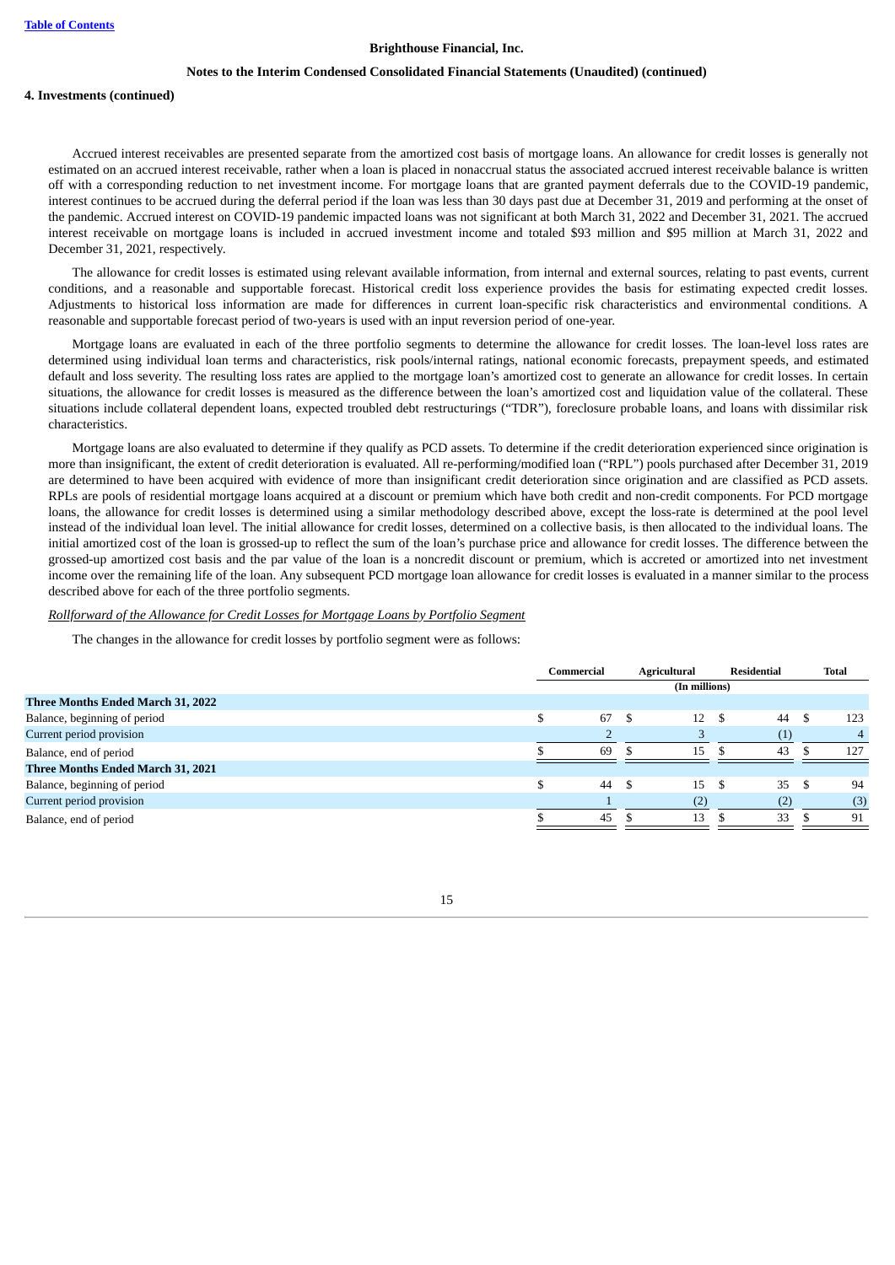## **Notes to the Interim Condensed Consolidated Financial Statements (Unaudited) (continued)**

### **4. Investments (continued)**

Accrued interest receivables are presented separate from the amortized cost basis of mortgage loans. An allowance for credit losses is generally not estimated on an accrued interest receivable, rather when a loan is placed in nonaccrual status the associated accrued interest receivable balance is written off with a corresponding reduction to net investment income. For mortgage loans that are granted payment deferrals due to the COVID-19 pandemic, interest continues to be accrued during the deferral period if the loan was less than 30 days past due at December 31, 2019 and performing at the onset of the pandemic. Accrued interest on COVID-19 pandemic impacted loans was not significant at both March 31, 2022 and December 31, 2021. The accrued interest receivable on mortgage loans is included in accrued investment income and totaled \$93 million and \$95 million at March 31, 2022 and December 31, 2021, respectively.

The allowance for credit losses is estimated using relevant available information, from internal and external sources, relating to past events, current conditions, and a reasonable and supportable forecast. Historical credit loss experience provides the basis for estimating expected credit losses. Adjustments to historical loss information are made for differences in current loan-specific risk characteristics and environmental conditions. A reasonable and supportable forecast period of two-years is used with an input reversion period of one-year.

Mortgage loans are evaluated in each of the three portfolio segments to determine the allowance for credit losses. The loan-level loss rates are determined using individual loan terms and characteristics, risk pools/internal ratings, national economic forecasts, prepayment speeds, and estimated default and loss severity. The resulting loss rates are applied to the mortgage loan's amortized cost to generate an allowance for credit losses. In certain situations, the allowance for credit losses is measured as the difference between the loan's amortized cost and liquidation value of the collateral. These situations include collateral dependent loans, expected troubled debt restructurings ("TDR"), foreclosure probable loans, and loans with dissimilar risk characteristics.

Mortgage loans are also evaluated to determine if they qualify as PCD assets. To determine if the credit deterioration experienced since origination is more than insignificant, the extent of credit deterioration is evaluated. All re-performing/modified loan ("RPL") pools purchased after December 31, 2019 are determined to have been acquired with evidence of more than insignificant credit deterioration since origination and are classified as PCD assets. RPLs are pools of residential mortgage loans acquired at a discount or premium which have both credit and non-credit components. For PCD mortgage loans, the allowance for credit losses is determined using a similar methodology described above, except the loss-rate is determined at the pool level instead of the individual loan level. The initial allowance for credit losses, determined on a collective basis, is then allocated to the individual loans. The initial amortized cost of the loan is grossed-up to reflect the sum of the loan's purchase price and allowance for credit losses. The difference between the grossed-up amortized cost basis and the par value of the loan is a noncredit discount or premium, which is accreted or amortized into net investment income over the remaining life of the loan. Any subsequent PCD mortgage loan allowance for credit losses is evaluated in a manner similar to the process described above for each of the three portfolio segments.

## *Rollforward of the Allowance for Credit Losses for Mortgage Loans by Portfolio Segment*

The changes in the allowance for credit losses by portfolio segment were as follows:

|                                   | Commercial | <b>Agricultural</b> | <b>Residential</b> | <b>Total</b> |
|-----------------------------------|------------|---------------------|--------------------|--------------|
|                                   |            | (In millions)       |                    |              |
| Three Months Ended March 31, 2022 |            |                     |                    |              |
| Balance, beginning of period      | 67         | 12S                 | 44                 | 123          |
| Current period provision          |            |                     | (1)                | 4            |
| Balance, end of period            | 69         | 15                  | 43                 | 127          |
| Three Months Ended March 31, 2021 |            |                     |                    |              |
| Balance, beginning of period      | 44         | 15 \$               | 35                 | 94<br>S      |
| Current period provision          |            | (2)                 | (2)                | (3)          |
| Balance, end of period            | 45         | 13                  | 33                 | 91           |
|                                   |            |                     |                    |              |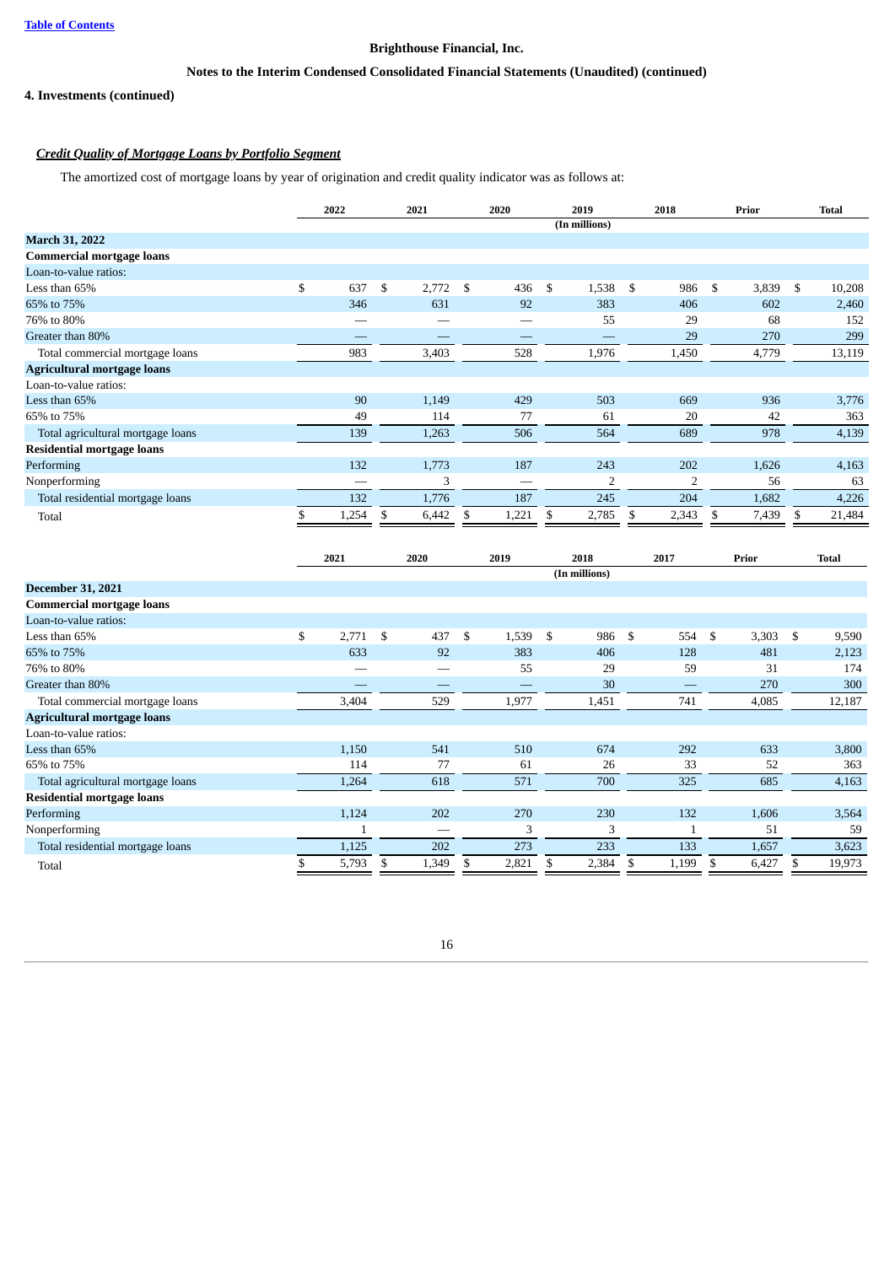## **Notes to the Interim Condensed Consolidated Financial Statements (Unaudited) (continued)**

## **4. Investments (continued)**

# *Credit Quality of Mortgage Loans by Portfolio Segment*

The amortized cost of mortgage loans by year of origination and credit quality indicator was as follows at:

|                                   | 2022      | 2021        |     | 2020  | 2019           | 2018      | Prior       | <b>Total</b> |
|-----------------------------------|-----------|-------------|-----|-------|----------------|-----------|-------------|--------------|
|                                   |           |             |     |       | (In millions)  |           |             |              |
| <b>March 31, 2022</b>             |           |             |     |       |                |           |             |              |
| <b>Commercial mortgage loans</b>  |           |             |     |       |                |           |             |              |
| Loan-to-value ratios:             |           |             |     |       |                |           |             |              |
| Less than 65%                     | \$<br>637 | \$<br>2,772 | \$  | 436   | \$<br>1,538    | \$<br>986 | \$<br>3,839 | \$<br>10,208 |
| 65% to 75%                        | 346       | 631         |     | 92    | 383            | 406       | 602         | 2,460        |
| 76% to 80%                        |           |             |     | __    | 55             | 29        | 68          | 152          |
| Greater than 80%                  |           |             |     | _     |                | 29        | 270         | 299          |
| Total commercial mortgage loans   | 983       | 3,403       |     | 528   | 1,976          | 1,450     | 4,779       | 13,119       |
| Agricultural mortgage loans       |           |             |     |       |                |           |             |              |
| Loan-to-value ratios:             |           |             |     |       |                |           |             |              |
| Less than 65%                     | 90        | 1,149       |     | 429   | 503            | 669       | 936         | 3,776        |
| 65% to 75%                        | 49        | 114         |     | 77    | 61             | 20        | 42          | 363          |
| Total agricultural mortgage loans | 139       | 1,263       |     | 506   | 564            | 689       | 978         | 4,139        |
| <b>Residential mortgage loans</b> |           |             |     |       |                |           |             |              |
| Performing                        | 132       | 1,773       |     | 187   | 243            | 202       | 1,626       | 4,163        |
| Nonperforming                     | __        | 3           |     |       | $\overline{2}$ | 2         | 56          | 63           |
| Total residential mortgage loans  | 132       | 1,776       |     | 187   | 245            | 204       | 1,682       | 4,226        |
| Total                             | 1,254     | 6,442       | \$. | 1,221 | 2,785          | 2,343     | 7,439       | 21,484       |

|                                   | 2021        |    | 2020  |    | 2019  |     | 2018          |     | 2017  |    | Prior |    | <b>Total</b> |
|-----------------------------------|-------------|----|-------|----|-------|-----|---------------|-----|-------|----|-------|----|--------------|
|                                   |             |    |       |    |       |     | (In millions) |     |       |    |       |    |              |
| <b>December 31, 2021</b>          |             |    |       |    |       |     |               |     |       |    |       |    |              |
| <b>Commercial mortgage loans</b>  |             |    |       |    |       |     |               |     |       |    |       |    |              |
| Loan-to-value ratios:             |             |    |       |    |       |     |               |     |       |    |       |    |              |
| Less than 65%                     | \$<br>2,771 | \$ | 437   | \$ | 1,539 | -\$ | 986           | \$  | 554   | \$ | 3,303 | \$ | 9,590        |
| 65% to 75%                        | 633         |    | 92    |    | 383   |     | 406           |     | 128   |    | 481   |    | 2,123        |
| 76% to 80%                        |             |    |       |    | 55    |     | 29            |     | 59    |    | 31    |    | 174          |
| Greater than 80%                  |             |    |       |    |       |     | 30            |     |       |    | 270   |    | 300          |
| Total commercial mortgage loans   | 3,404       |    | 529   |    | 1,977 |     | 1,451         |     | 741   |    | 4,085 |    | 12,187       |
| Agricultural mortgage loans       |             |    |       |    |       |     |               |     |       |    |       |    |              |
| Loan-to-value ratios:             |             |    |       |    |       |     |               |     |       |    |       |    |              |
| Less than 65%                     | 1,150       |    | 541   |    | 510   |     | 674           |     | 292   |    | 633   |    | 3,800        |
| 65% to 75%                        | 114         |    | 77    |    | 61    |     | 26            |     | 33    |    | 52    |    | 363          |
| Total agricultural mortgage loans | 1,264       |    | 618   |    | 571   |     | 700           |     | 325   |    | 685   |    | 4,163        |
| <b>Residential mortgage loans</b> |             |    |       |    |       |     |               |     |       |    |       |    |              |
| Performing                        | 1,124       |    | 202   |    | 270   |     | 230           |     | 132   |    | 1,606 |    | 3,564        |
| Nonperforming                     |             |    | _     |    | 3     |     | 3             |     |       |    | 51    |    | 59           |
| Total residential mortgage loans  | 1,125       |    | 202   |    | 273   |     | 233           |     | 133   |    | 1,657 |    | 3,623        |
| Total                             | \$<br>5,793 | \$ | 1,349 | \$ | 2,821 | \$. | 2,384         | \$. | 1,199 | \$ | 6,427 | \$ | 19,973       |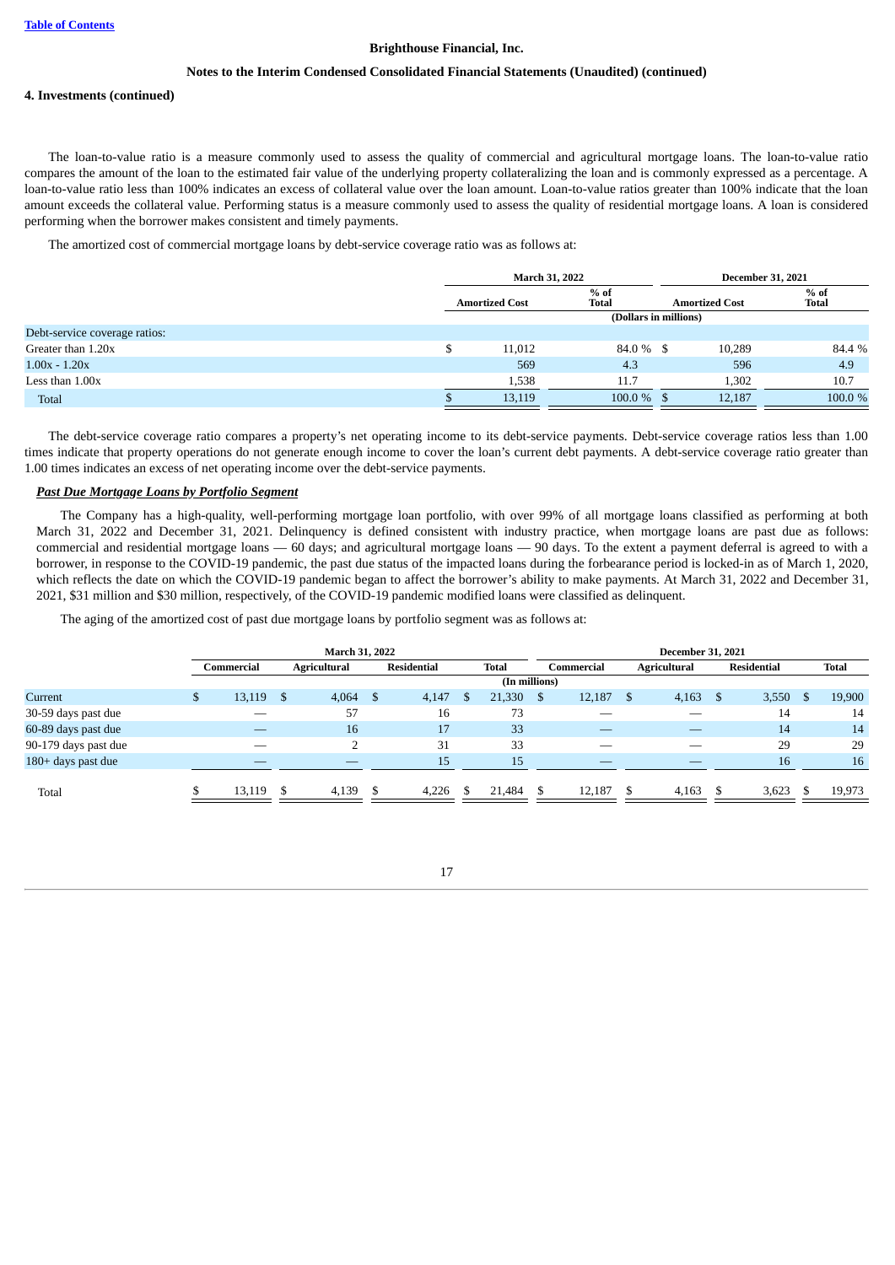## **Notes to the Interim Condensed Consolidated Financial Statements (Unaudited) (continued)**

### **4. Investments (continued)**

The loan-to-value ratio is a measure commonly used to assess the quality of commercial and agricultural mortgage loans. The loan-to-value ratio compares the amount of the loan to the estimated fair value of the underlying property collateralizing the loan and is commonly expressed as a percentage. A loan-to-value ratio less than 100% indicates an excess of collateral value over the loan amount. Loan-to-value ratios greater than 100% indicate that the loan amount exceeds the collateral value. Performing status is a measure commonly used to assess the quality of residential mortgage loans. A loan is considered performing when the borrower makes consistent and timely payments.

The amortized cost of commercial mortgage loans by debt-service coverage ratio was as follows at:

|                               |                       | March 31, 2022         | <b>December 31, 2021</b> |                       |                 |  |  |  |
|-------------------------------|-----------------------|------------------------|--------------------------|-----------------------|-----------------|--|--|--|
|                               | <b>Amortized Cost</b> | $%$ of<br><b>Total</b> |                          | <b>Amortized Cost</b> | $%$ of<br>Total |  |  |  |
|                               |                       |                        | (Dollars in millions)    |                       |                 |  |  |  |
| Debt-service coverage ratios: |                       |                        |                          |                       |                 |  |  |  |
| Greater than 1.20x            | 11,012                | $84.0\%$ \$            |                          | 10.289                | 84.4 %          |  |  |  |
| $1.00x - 1.20x$               | 569                   | 4.3                    |                          | 596                   | 4.9             |  |  |  |
| Less than $1.00x$             | 1,538                 | 11.7                   |                          | 1,302                 | 10.7            |  |  |  |
| <b>Total</b>                  | 13,119                | $100.0 \%$ \$          |                          | 12,187                | 100.0 %         |  |  |  |

The debt-service coverage ratio compares a property's net operating income to its debt-service payments. Debt-service coverage ratios less than 1.00 times indicate that property operations do not generate enough income to cover the loan's current debt payments. A debt-service coverage ratio greater than 1.00 times indicates an excess of net operating income over the debt-service payments.

### *Past Due Mortgage Loans by Portfolio Segment*

The Company has a high-quality, well-performing mortgage loan portfolio, with over 99% of all mortgage loans classified as performing at both March 31, 2022 and December 31, 2021. Delinquency is defined consistent with industry practice, when mortgage loans are past due as follows: commercial and residential mortgage loans — 60 days; and agricultural mortgage loans — 90 days. To the extent a payment deferral is agreed to with a borrower, in response to the COVID-19 pandemic, the past due status of the impacted loans during the forbearance period is locked-in as of March 1, 2020, which reflects the date on which the COVID-19 pandemic began to affect the borrower's ability to make payments. At March 31, 2022 and December 31, 2021, \$31 million and \$30 million, respectively, of the COVID-19 pandemic modified loans were classified as delinquent.

The aging of the amortized cost of past due mortgage loans by portfolio segment was as follows at:

|                      | March 31, 2022 |               |                     |  |             |     | <b>December 31, 2021</b> |      |            |     |                     |    |             |   |              |
|----------------------|----------------|---------------|---------------------|--|-------------|-----|--------------------------|------|------------|-----|---------------------|----|-------------|---|--------------|
|                      | Commercial     |               | <b>Agricultural</b> |  | Residential |     | Total                    |      | Commercial |     | <b>Agricultural</b> |    | Residential |   | <b>Total</b> |
|                      |                |               |                     |  |             |     | (In millions)            |      |            |     |                     |    |             |   |              |
| Current              | 13,119         | <sup>\$</sup> | 4,064               |  | 4,147       | \$  | 21.330                   | - \$ | 12,187     | \$. | 4,163               | -5 | 3,550       | S | 19,900       |
| 30-59 days past due  | _              |               | 57                  |  | 16          |     | 73                       |      |            |     |                     |    | 14          |   | 14           |
| 60-89 days past due  |                |               | 16                  |  | 17          |     | 33                       |      |            |     |                     |    | 14          |   | 14           |
| 90-179 days past due |                |               | <sup>-</sup>        |  | 31          |     | 33                       |      |            |     |                     |    | 29          |   | 29           |
| 180+ days past due   |                |               |                     |  | 15          |     | 15                       |      |            |     |                     |    | 16          |   | 16           |
|                      |                |               |                     |  |             |     |                          |      |            |     |                     |    |             |   |              |
| Total                | 13.119         |               | 4,139               |  | 4.226       | \$. | 21,484                   |      | 12.187     |     | 4,163               |    | 3.623       |   | 19.973       |
|                      |                |               |                     |  |             |     |                          |      |            |     |                     |    |             |   |              |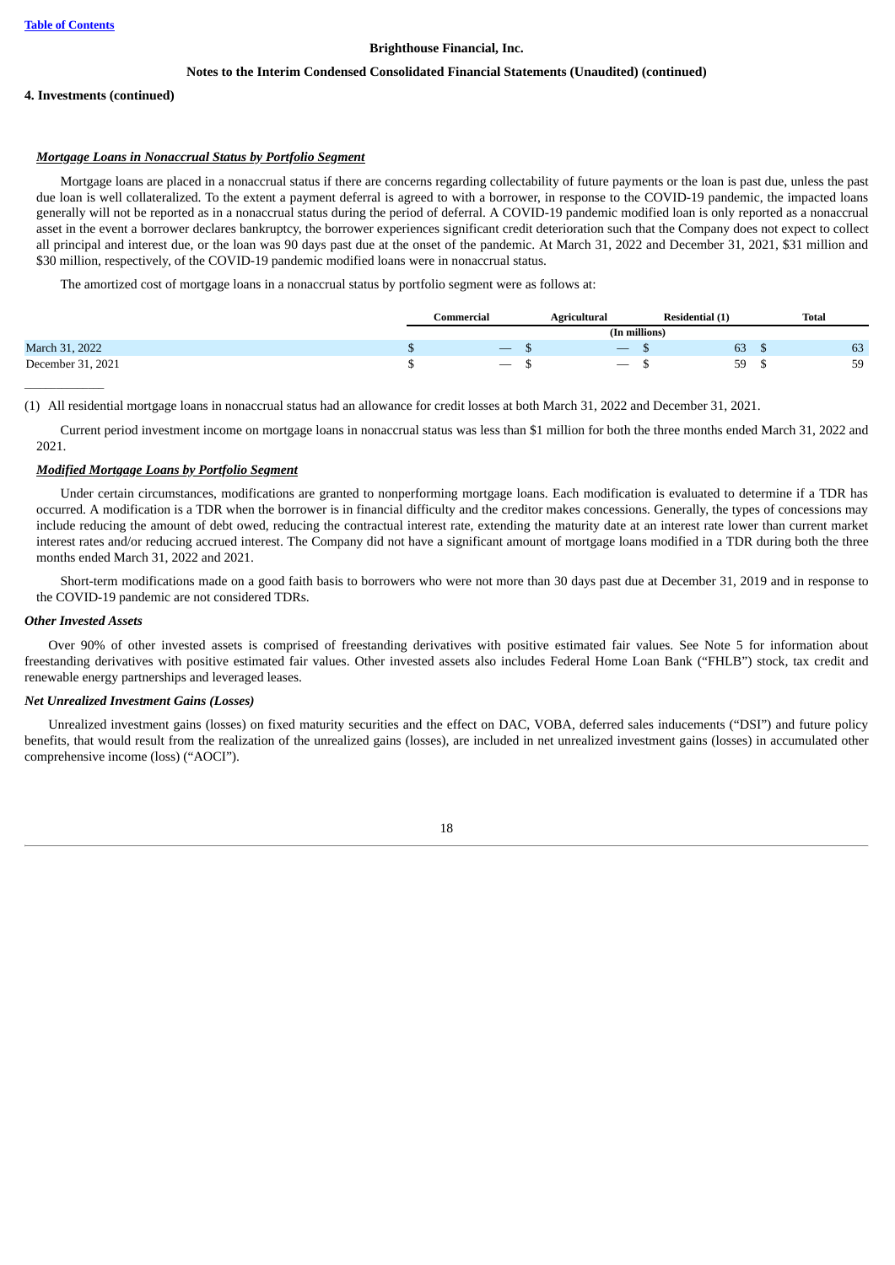## **Notes to the Interim Condensed Consolidated Financial Statements (Unaudited) (continued)**

### **4. Investments (continued)**

#### *Mortgage Loans in Nonaccrual Status by Portfolio Segment*

Mortgage loans are placed in a nonaccrual status if there are concerns regarding collectability of future payments or the loan is past due, unless the past due loan is well collateralized. To the extent a payment deferral is agreed to with a borrower, in response to the COVID-19 pandemic, the impacted loans generally will not be reported as in a nonaccrual status during the period of deferral. A COVID-19 pandemic modified loan is only reported as a nonaccrual asset in the event a borrower declares bankruptcy, the borrower experiences significant credit deterioration such that the Company does not expect to collect all principal and interest due, or the loan was 90 days past due at the onset of the pandemic. At March 31, 2022 and December 31, 2021, \$31 million and \$30 million, respectively, of the COVID-19 pandemic modified loans were in nonaccrual status.

The amortized cost of mortgage loans in a nonaccrual status by portfolio segment were as follows at:

|                   | Commercial | Agricultural             |                          | <b>Residential (1)</b> | <b>Total</b> |
|-------------------|------------|--------------------------|--------------------------|------------------------|--------------|
|                   |            |                          | (In millions)            |                        |              |
| March 31, 2022    |            |                          |                          | 63                     | 63           |
| December 31, 2021 |            | $\overline{\phantom{a}}$ | $\overline{\phantom{a}}$ | 59                     | 59           |

(1) All residential mortgage loans in nonaccrual status had an allowance for credit losses at both March 31, 2022 and December 31, 2021.

Current period investment income on mortgage loans in nonaccrual status was less than \$1 million for both the three months ended March 31, 2022 and 2021.

#### *Modified Mortgage Loans by Portfolio Segment*

Under certain circumstances, modifications are granted to nonperforming mortgage loans. Each modification is evaluated to determine if a TDR has occurred. A modification is a TDR when the borrower is in financial difficulty and the creditor makes concessions. Generally, the types of concessions may include reducing the amount of debt owed, reducing the contractual interest rate, extending the maturity date at an interest rate lower than current market interest rates and/or reducing accrued interest. The Company did not have a significant amount of mortgage loans modified in a TDR during both the three months ended March 31, 2022 and 2021.

Short-term modifications made on a good faith basis to borrowers who were not more than 30 days past due at December 31, 2019 and in response to the COVID-19 pandemic are not considered TDRs.

## *Other Invested Assets*

 $\overline{\phantom{a}}$ 

Over 90% of other invested assets is comprised of freestanding derivatives with positive estimated fair values. See Note 5 for information about freestanding derivatives with positive estimated fair values. Other invested assets also includes Federal Home Loan Bank ("FHLB") stock, tax credit and renewable energy partnerships and leveraged leases.

## *Net Unrealized Investment Gains (Losses)*

Unrealized investment gains (losses) on fixed maturity securities and the effect on DAC, VOBA, deferred sales inducements ("DSI") and future policy benefits, that would result from the realization of the unrealized gains (losses), are included in net unrealized investment gains (losses) in accumulated other comprehensive income (loss) ("AOCI").

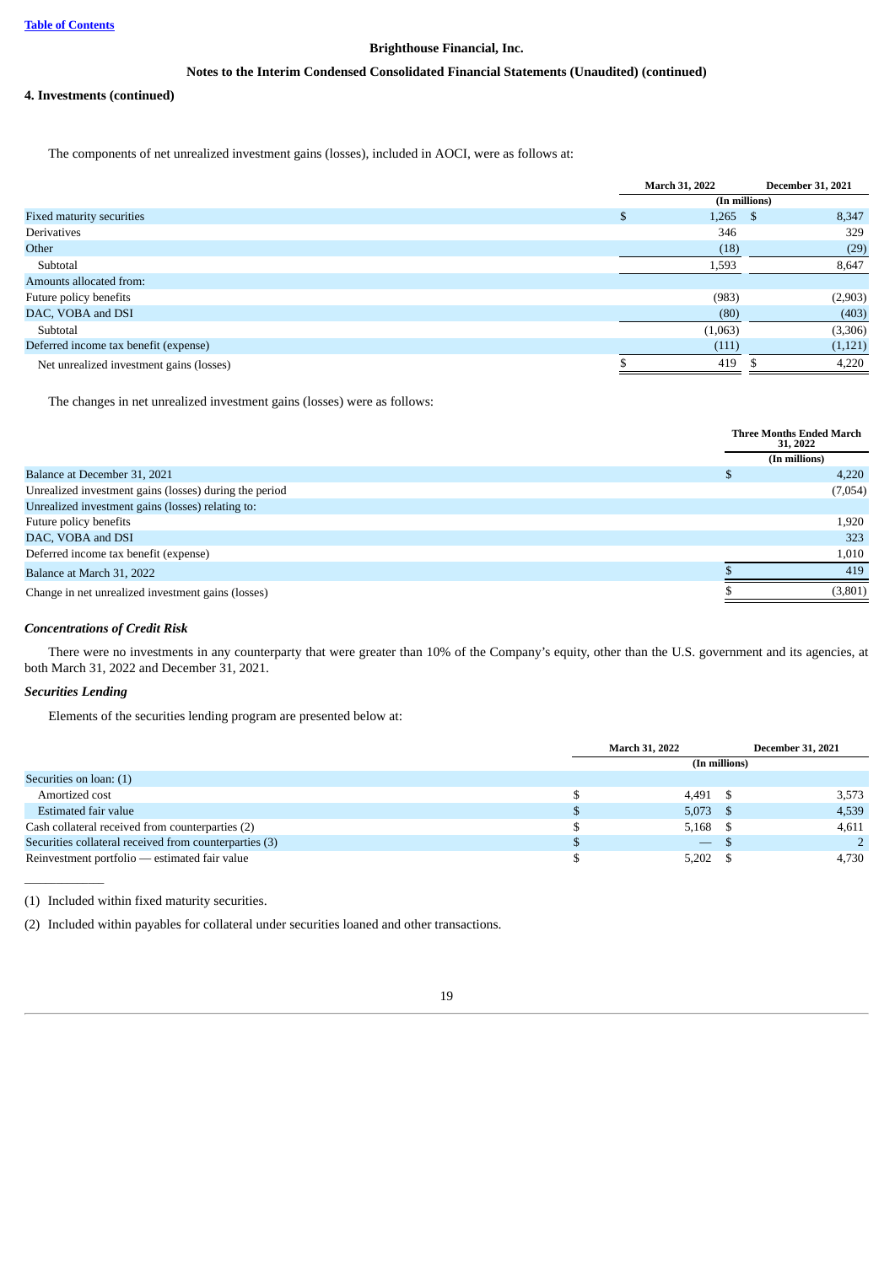## **Notes to the Interim Condensed Consolidated Financial Statements (Unaudited) (continued)**

## **4. Investments (continued)**

The components of net unrealized investment gains (losses), included in AOCI, were as follows at:

|                                          | <b>March 31, 2022</b> |              | <b>December 31, 2021</b> |
|------------------------------------------|-----------------------|--------------|--------------------------|
|                                          | (In millions)         |              |                          |
| Fixed maturity securities                | \$<br>1,265           | $\mathbb{S}$ | 8,347                    |
| <b>Derivatives</b>                       | 346                   |              | 329                      |
| Other                                    | (18)                  |              | (29)                     |
| Subtotal                                 | 1,593                 |              | 8,647                    |
| Amounts allocated from:                  |                       |              |                          |
| Future policy benefits                   | (983)                 |              | (2,903)                  |
| DAC, VOBA and DSI                        | (80)                  |              | (403)                    |
| Subtotal                                 | (1,063)               |              | (3,306)                  |
| Deferred income tax benefit (expense)    | (111)                 |              | (1,121)                  |
| Net unrealized investment gains (losses) | 419                   |              | 4,220                    |
|                                          |                       |              |                          |

The changes in net unrealized investment gains (losses) were as follows:

|                                                        | <b>Three Months Ended March</b><br>31, 2022 |
|--------------------------------------------------------|---------------------------------------------|
|                                                        | (In millions)                               |
| Balance at December 31, 2021                           | 4,220                                       |
| Unrealized investment gains (losses) during the period | (7,054)                                     |
| Unrealized investment gains (losses) relating to:      |                                             |
| Future policy benefits                                 | 1,920                                       |
| DAC, VOBA and DSI                                      | 323                                         |
| Deferred income tax benefit (expense)                  | 1,010                                       |
| Balance at March 31, 2022                              | 419                                         |
| Change in net unrealized investment gains (losses)     | (3,801)                                     |

## *Concentrations of Credit Risk*

There were no investments in any counterparty that were greater than 10% of the Company's equity, other than the U.S. government and its agencies, at both March 31, 2022 and December 31, 2021.

## *Securities Lending*

 $\overline{\phantom{a}}$ 

Elements of the securities lending program are presented below at:

|                                                        | <b>March 31, 2022</b> |            |  | <b>December 31, 2021</b> |
|--------------------------------------------------------|-----------------------|------------|--|--------------------------|
|                                                        |                       |            |  |                          |
| Securities on loan: (1)                                |                       |            |  |                          |
| Amortized cost                                         |                       | 4,491 \$   |  | 3,573                    |
| Estimated fair value                                   |                       | $5,073$ \$ |  | 4,539                    |
| Cash collateral received from counterparties (2)       |                       | $5,168$ \$ |  | 4,611                    |
| Securities collateral received from counterparties (3) |                       | $-$ \$     |  | $\mathcal{P}$            |
| Reinvestment portfolio — estimated fair value          |                       | $5,202$ \$ |  | 4,730                    |

(1) Included within fixed maturity securities.

(2) Included within payables for collateral under securities loaned and other transactions.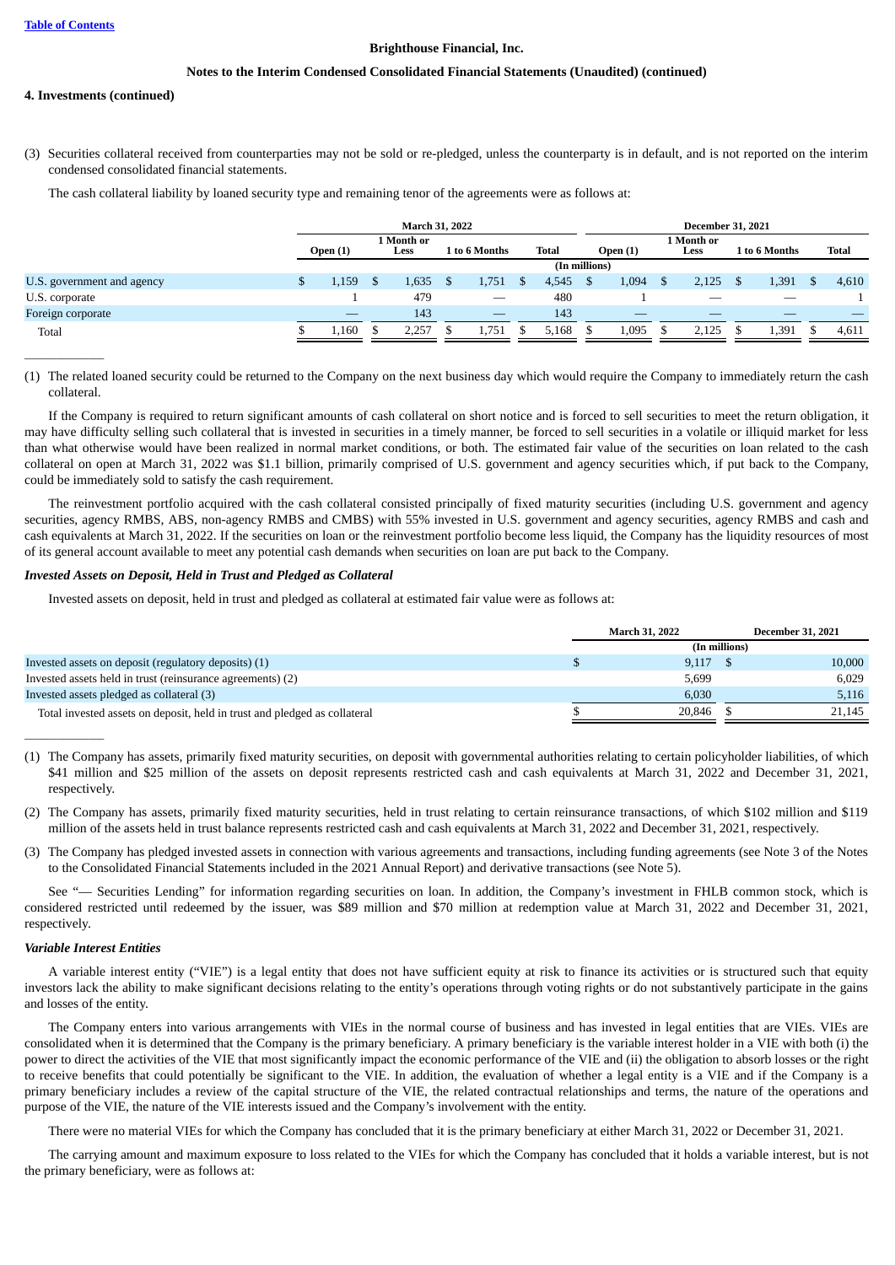$\overline{\phantom{a}}$ 

### **Brighthouse Financial, Inc.**

## **Notes to the Interim Condensed Consolidated Financial Statements (Unaudited) (continued)**

### **4. Investments (continued)**

(3) Securities collateral received from counterparties may not be sold or re-pledged, unless the counterparty is in default, and is not reported on the interim condensed consolidated financial statements.

The cash collateral liability by loaned security type and remaining tenor of the agreements were as follows at:

|   | <b>March 31, 2022</b> |            |       |            |                                 |                      | <b>December 31, 2021</b> |  |       |                             |       |            |       |               |              |
|---|-----------------------|------------|-------|------------|---------------------------------|----------------------|--------------------------|--|-------|-----------------------------|-------|------------|-------|---------------|--------------|
|   |                       |            | Less  |            |                                 |                      | Total                    |  |       |                             | Less  |            |       |               | <b>Total</b> |
|   |                       |            |       |            |                                 |                      |                          |  |       |                             |       |            |       |               |              |
| Ф | 1,159                 |            | 1,635 |            | 1,751                           |                      | 4.545                    |  | 1,094 |                             | 2.125 |            | 1,391 |               | 4,610        |
|   |                       |            | 479   |            | $\hspace{0.1mm}-\hspace{0.1mm}$ |                      | 480                      |  |       |                             | _     |            |       |               |              |
|   |                       |            | 143   |            |                                 |                      | 143                      |  |       |                             | _     |            |       |               |              |
|   | 1,160                 |            | 2,257 |            | 1,751                           |                      | 5,168                    |  | 1,095 |                             | 2,125 |            | 1,391 |               | 4,611        |
|   |                       | Open $(1)$ |       | 1 Month or |                                 | <b>L</b> to 6 Months |                          |  |       | Open $(1)$<br>(In millions) |       | 1 Month or |       | 1 to 6 Months |              |

(1) The related loaned security could be returned to the Company on the next business day which would require the Company to immediately return the cash collateral.

If the Company is required to return significant amounts of cash collateral on short notice and is forced to sell securities to meet the return obligation, it may have difficulty selling such collateral that is invested in securities in a timely manner, be forced to sell securities in a volatile or illiquid market for less than what otherwise would have been realized in normal market conditions, or both. The estimated fair value of the securities on loan related to the cash collateral on open at March 31, 2022 was \$1.1 billion, primarily comprised of U.S. government and agency securities which, if put back to the Company, could be immediately sold to satisfy the cash requirement.

The reinvestment portfolio acquired with the cash collateral consisted principally of fixed maturity securities (including U.S. government and agency securities, agency RMBS, ABS, non-agency RMBS and CMBS) with 55% invested in U.S. government and agency securities, agency RMBS and cash and cash equivalents at March 31, 2022. If the securities on loan or the reinvestment portfolio become less liquid, the Company has the liquidity resources of most of its general account available to meet any potential cash demands when securities on loan are put back to the Company.

#### *Invested Assets on Deposit, Held in Trust and Pledged as Collateral*

Invested assets on deposit, held in trust and pledged as collateral at estimated fair value were as follows at:

|                                                                           |  | <b>March 31, 2022</b> | <b>December 31, 2021</b> |        |  |
|---------------------------------------------------------------------------|--|-----------------------|--------------------------|--------|--|
|                                                                           |  | (In millions)         |                          |        |  |
| Invested assets on deposit (regulatory deposits) (1)                      |  | 9,117                 |                          | 10,000 |  |
| Invested assets held in trust (reinsurance agreements) (2)                |  | 5,699                 |                          | 6,029  |  |
| Invested assets pledged as collateral (3)                                 |  | 6.030                 |                          | 5.116  |  |
| Total invested assets on deposit, held in trust and pledged as collateral |  | 20,846                |                          | 21,145 |  |

- (1) The Company has assets, primarily fixed maturity securities, on deposit with governmental authorities relating to certain policyholder liabilities, of which \$41 million and \$25 million of the assets on deposit represents restricted cash and cash equivalents at March 31, 2022 and December 31, 2021, respectively.
- (2) The Company has assets, primarily fixed maturity securities, held in trust relating to certain reinsurance transactions, of which \$102 million and \$119 million of the assets held in trust balance represents restricted cash and cash equivalents at March 31, 2022 and December 31, 2021, respectively.
- (3) The Company has pledged invested assets in connection with various agreements and transactions, including funding agreements (see Note 3 of the Notes to the Consolidated Financial Statements included in the 2021 Annual Report) and derivative transactions (see Note 5).

See "— Securities Lending" for information regarding securities on loan. In addition, the Company's investment in FHLB common stock, which is considered restricted until redeemed by the issuer, was \$89 million and \$70 million at redemption value at March 31, 2022 and December 31, 2021, respectively.

#### *Variable Interest Entities*

 $\overline{\phantom{a}}$ 

A variable interest entity ("VIE") is a legal entity that does not have sufficient equity at risk to finance its activities or is structured such that equity investors lack the ability to make significant decisions relating to the entity's operations through voting rights or do not substantively participate in the gains and losses of the entity.

The Company enters into various arrangements with VIEs in the normal course of business and has invested in legal entities that are VIEs. VIEs are consolidated when it is determined that the Company is the primary beneficiary. A primary beneficiary is the variable interest holder in a VIE with both (i) the power to direct the activities of the VIE that most significantly impact the economic performance of the VIE and (ii) the obligation to absorb losses or the right to receive benefits that could potentially be significant to the VIE. In addition, the evaluation of whether a legal entity is a VIE and if the Company is a primary beneficiary includes a review of the capital structure of the VIE, the related contractual relationships and terms, the nature of the operations and purpose of the VIE, the nature of the VIE interests issued and the Company's involvement with the entity.

There were no material VIEs for which the Company has concluded that it is the primary beneficiary at either March 31, 2022 or December 31, 2021.

The carrying amount and maximum exposure to loss related to the VIEs for which the Company has concluded that it holds a variable interest, but is not the primary beneficiary, were as follows at: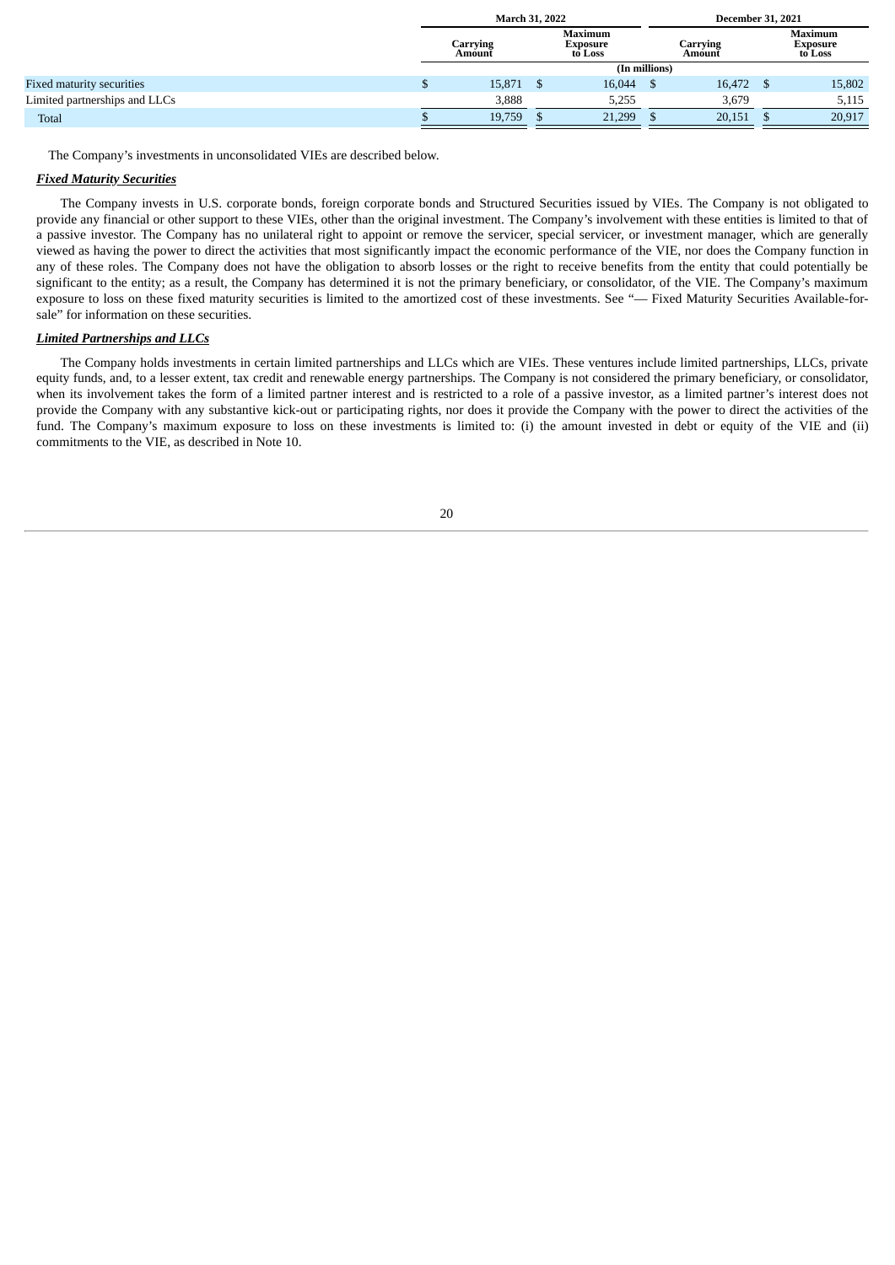|                               | <b>March 31, 2022</b> |                                |        | <b>December 31, 2021</b> |                    |  |                                       |  |
|-------------------------------|-----------------------|--------------------------------|--------|--------------------------|--------------------|--|---------------------------------------|--|
|                               | Carrying<br>Amount    | Maximum<br>Exposure<br>to Loss |        |                          | Carrving<br>Amount |  | <b>Maximum</b><br>Exposure<br>to Loss |  |
|                               |                       |                                |        |                          |                    |  |                                       |  |
| Fixed maturity securities     | 15,871                |                                | 16,044 | - 5                      | 16,472             |  | 15,802                                |  |
| Limited partnerships and LLCs | 3,888                 |                                | 5,255  |                          | 3,679              |  | 5,115                                 |  |
| Total                         | 19,759                |                                | 21,299 |                          | 20,151             |  | 20,917                                |  |

The Company's investments in unconsolidated VIEs are described below.

## *Fixed Maturity Securities*

The Company invests in U.S. corporate bonds, foreign corporate bonds and Structured Securities issued by VIEs. The Company is not obligated to provide any financial or other support to these VIEs, other than the original investment. The Company's involvement with these entities is limited to that of a passive investor. The Company has no unilateral right to appoint or remove the servicer, special servicer, or investment manager, which are generally viewed as having the power to direct the activities that most significantly impact the economic performance of the VIE, nor does the Company function in any of these roles. The Company does not have the obligation to absorb losses or the right to receive benefits from the entity that could potentially be significant to the entity; as a result, the Company has determined it is not the primary beneficiary, or consolidator, of the VIE. The Company's maximum exposure to loss on these fixed maturity securities is limited to the amortized cost of these investments. See "— Fixed Maturity Securities Available-forsale" for information on these securities.

## *Limited Partnerships and LLCs*

The Company holds investments in certain limited partnerships and LLCs which are VIEs. These ventures include limited partnerships, LLCs, private equity funds, and, to a lesser extent, tax credit and renewable energy partnerships. The Company is not considered the primary beneficiary, or consolidator, when its involvement takes the form of a limited partner interest and is restricted to a role of a passive investor, as a limited partner's interest does not provide the Company with any substantive kick-out or participating rights, nor does it provide the Company with the power to direct the activities of the fund. The Company's maximum exposure to loss on these investments is limited to: (i) the amount invested in debt or equity of the VIE and (ii) commitments to the VIE, as described in Note 10.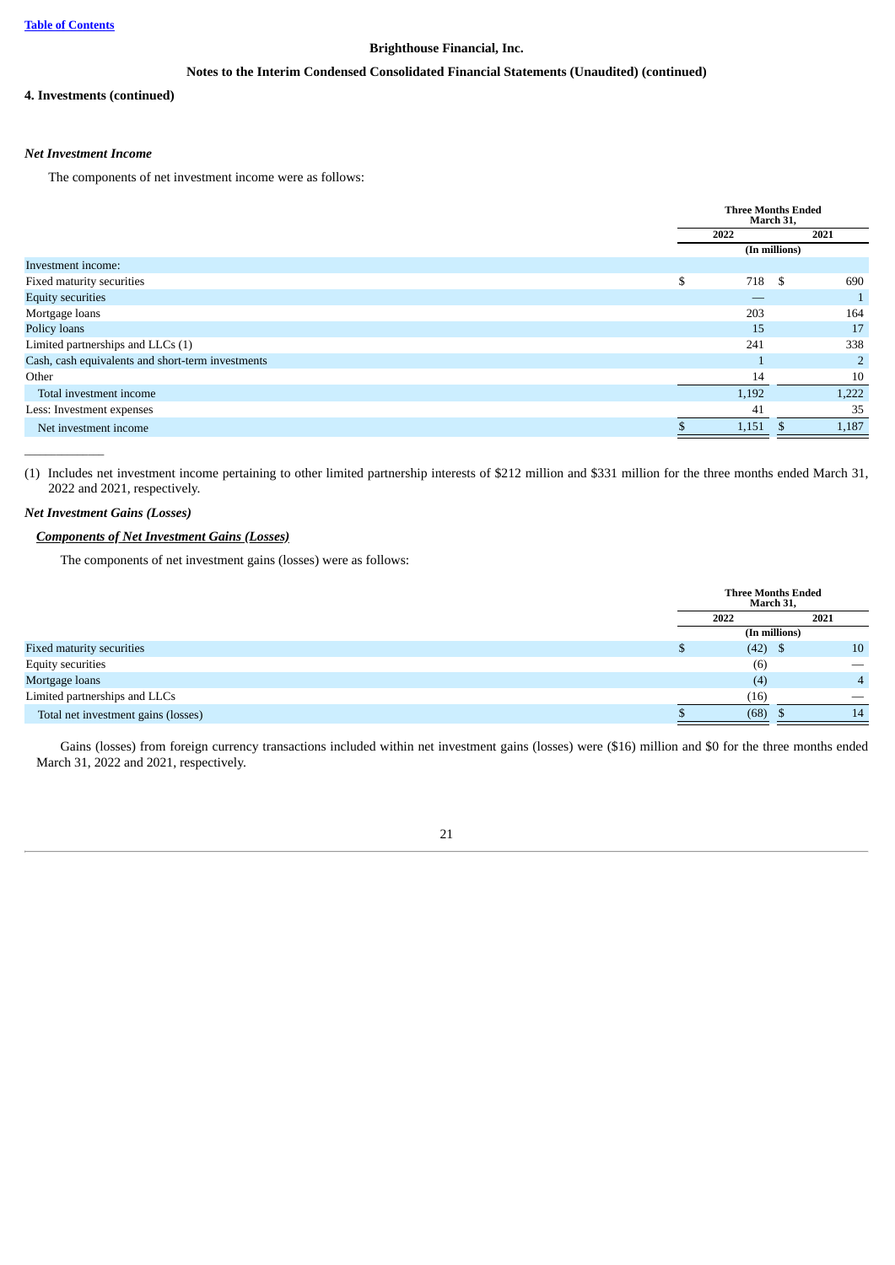## **Notes to the Interim Condensed Consolidated Financial Statements (Unaudited) (continued)**

## **4. Investments (continued)**

### *Net Investment Income*

The components of net investment income were as follows:

|                                                   | <b>Three Months Ended</b><br>March 31, |  |                |  |  |  |  |
|---------------------------------------------------|----------------------------------------|--|----------------|--|--|--|--|
|                                                   | 2022                                   |  | 2021           |  |  |  |  |
|                                                   | (In millions)                          |  |                |  |  |  |  |
| Investment income:                                |                                        |  |                |  |  |  |  |
| Fixed maturity securities                         | \$<br>718 \$                           |  | 690            |  |  |  |  |
| <b>Equity securities</b>                          |                                        |  |                |  |  |  |  |
| Mortgage loans                                    | 203                                    |  | 164            |  |  |  |  |
| Policy loans                                      | 15                                     |  | 17             |  |  |  |  |
| Limited partnerships and LLCs (1)                 | 241                                    |  | 338            |  |  |  |  |
| Cash, cash equivalents and short-term investments |                                        |  | $\overline{2}$ |  |  |  |  |
| Other                                             | 14                                     |  | 10             |  |  |  |  |
| Total investment income                           | 1,192                                  |  | 1,222          |  |  |  |  |
| Less: Investment expenses                         | 41                                     |  | 35             |  |  |  |  |
| Net investment income                             | 1,151                                  |  | 1,187          |  |  |  |  |
|                                                   |                                        |  |                |  |  |  |  |

(1) Includes net investment income pertaining to other limited partnership interests of \$212 million and \$331 million for the three months ended March 31, 2022 and 2021, respectively.

## *Net Investment Gains (Losses)*

 $\overline{\phantom{a}}$ 

## *Components of Net Investment Gains (Losses)*

The components of net investment gains (losses) were as follows:

|                                     |      | March 31,     | <b>Three Months Ended</b> |    |
|-------------------------------------|------|---------------|---------------------------|----|
|                                     | 2022 |               | 2021                      |    |
|                                     |      | (In millions) |                           |    |
| Fixed maturity securities           | D    | (42)<br>- 5   |                           | 10 |
| <b>Equity securities</b>            |      | (6)           |                           |    |
| Mortgage loans                      |      | (4)           |                           |    |
| Limited partnerships and LLCs       |      | (16)          |                           |    |
| Total net investment gains (losses) |      | (68)          |                           | 14 |
|                                     |      |               |                           |    |

Gains (losses) from foreign currency transactions included within net investment gains (losses) were (\$16) million and \$0 for the three months ended March 31, 2022 and 2021, respectively.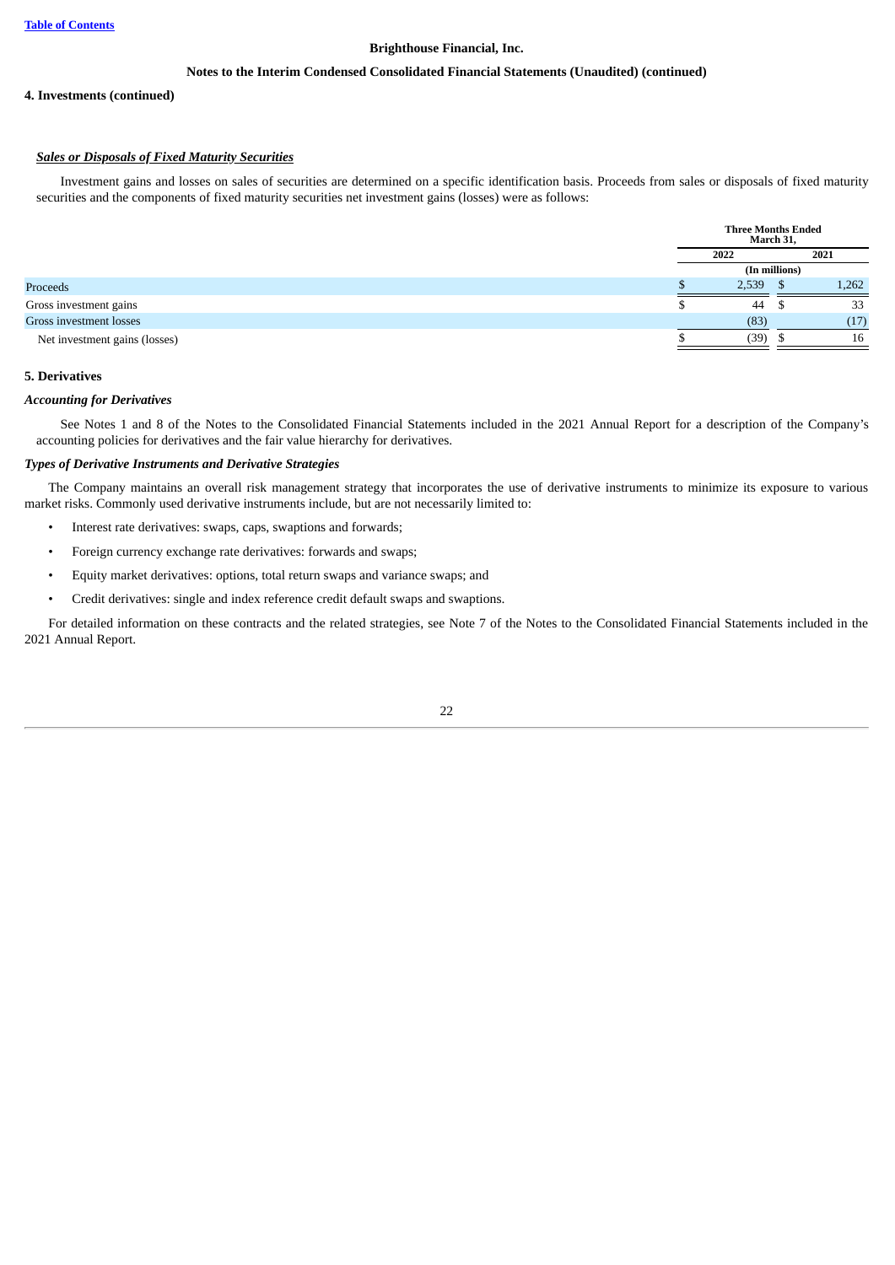## **Notes to the Interim Condensed Consolidated Financial Statements (Unaudited) (continued)**

### **4. Investments (continued)**

## *Sales or Disposals of Fixed Maturity Securities*

Investment gains and losses on sales of securities are determined on a specific identification basis. Proceeds from sales or disposals of fixed maturity securities and the components of fixed maturity securities net investment gains (losses) were as follows:

|                               |      | <b>Three Months Ended</b><br>March 31,<br>2021<br>(In millions)<br>2,539 |       |  |  |  |
|-------------------------------|------|--------------------------------------------------------------------------|-------|--|--|--|
|                               | 2022 |                                                                          |       |  |  |  |
|                               |      |                                                                          |       |  |  |  |
| Proceeds                      |      |                                                                          | 1,262 |  |  |  |
| Gross investment gains        | 44   |                                                                          | 33    |  |  |  |
| Gross investment losses       | (83) |                                                                          | (17)  |  |  |  |
| Net investment gains (losses) | (39) |                                                                          | 16    |  |  |  |
|                               |      |                                                                          |       |  |  |  |

### <span id="page-23-0"></span>**5. Derivatives**

#### *Accounting for Derivatives*

See Notes 1 and 8 of the Notes to the Consolidated Financial Statements included in the 2021 Annual Report for a description of the Company's accounting policies for derivatives and the fair value hierarchy for derivatives.

### *Types of Derivative Instruments and Derivative Strategies*

The Company maintains an overall risk management strategy that incorporates the use of derivative instruments to minimize its exposure to various market risks. Commonly used derivative instruments include, but are not necessarily limited to:

- Interest rate derivatives: swaps, caps, swaptions and forwards;
- Foreign currency exchange rate derivatives: forwards and swaps;
- Equity market derivatives: options, total return swaps and variance swaps; and
- Credit derivatives: single and index reference credit default swaps and swaptions.

For detailed information on these contracts and the related strategies, see Note 7 of the Notes to the Consolidated Financial Statements included in the 2021 Annual Report.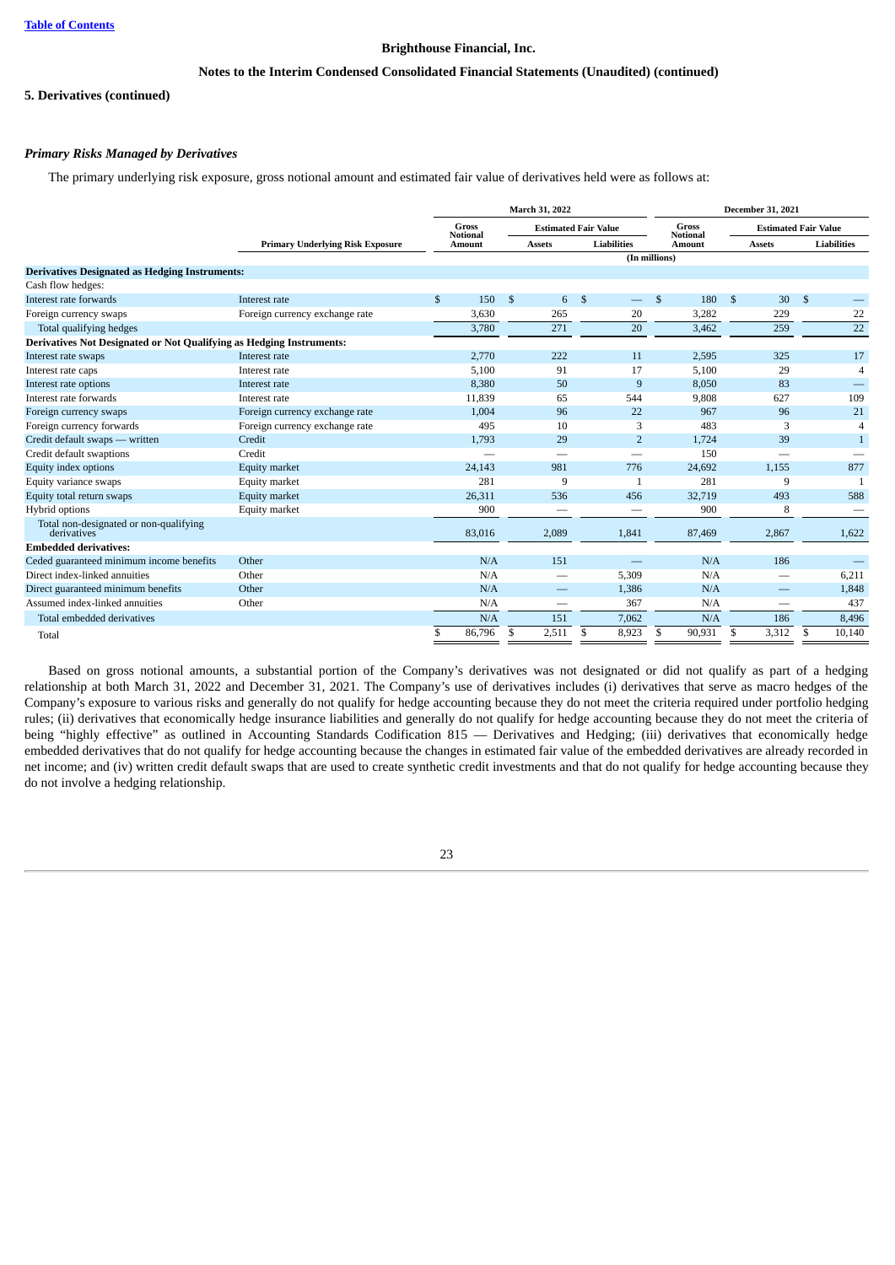## **Notes to the Interim Condensed Consolidated Financial Statements (Unaudited) (continued)**

#### **5. Derivatives (continued)**

#### *Primary Risks Managed by Derivatives*

The primary underlying risk exposure, gross notional amount and estimated fair value of derivatives held were as follows at:

|                                                                      |                                         |                                 |              | March 31, 2022                  |                                | <b>December 31, 2021</b> |                                 |              |                             |                    |                |  |
|----------------------------------------------------------------------|-----------------------------------------|---------------------------------|--------------|---------------------------------|--------------------------------|--------------------------|---------------------------------|--------------|-----------------------------|--------------------|----------------|--|
|                                                                      |                                         | <b>Gross</b><br><b>Notional</b> |              |                                 | <b>Estimated Fair Value</b>    |                          | <b>Gross</b><br><b>Notional</b> |              | <b>Estimated Fair Value</b> |                    |                |  |
|                                                                      | <b>Primary Underlying Risk Exposure</b> | Amount                          |              | Assets                          | <b>Liabilities</b>             |                          | <b>Amount</b>                   |              | <b>Assets</b>               | <b>Liabilities</b> |                |  |
|                                                                      |                                         |                                 |              |                                 |                                | (In millions)            |                                 |              |                             |                    |                |  |
| <b>Derivatives Designated as Hedging Instruments:</b>                |                                         |                                 |              |                                 |                                |                          |                                 |              |                             |                    |                |  |
| Cash flow hedges:                                                    |                                         |                                 |              |                                 |                                |                          |                                 |              |                             |                    |                |  |
| Interest rate forwards                                               | Interest rate                           | \$<br>150                       | $\mathbb{S}$ | 6                               | $\mathbb{S}$                   | $\mathbb{S}$             | 180                             | $\mathbf{s}$ | 30                          | $\mathbb{S}$       |                |  |
| Foreign currency swaps                                               | Foreign currency exchange rate          | 3,630                           |              | 265                             | 20                             |                          | 3,282                           |              | 229                         |                    | 22             |  |
| Total qualifying hedges                                              |                                         | 3,780                           |              | 271                             | 20                             |                          | 3.462                           |              | 259                         |                    | 22             |  |
| Derivatives Not Designated or Not Qualifying as Hedging Instruments: |                                         |                                 |              |                                 |                                |                          |                                 |              |                             |                    |                |  |
| Interest rate swaps                                                  | Interest rate                           | 2,770                           |              | 222                             | 11                             |                          | 2,595                           |              | 325                         |                    | 17             |  |
| Interest rate caps                                                   | Interest rate                           | 5,100                           |              | 91                              | 17                             |                          | 5,100                           |              | 29                          |                    | $\overline{A}$ |  |
| Interest rate options                                                | Interest rate                           | 8,380                           |              | 50                              | 9                              |                          | 8,050                           |              | 83                          |                    |                |  |
| Interest rate forwards                                               | Interest rate                           | 11,839                          |              | 65                              | 544                            |                          | 9.808                           |              | 627                         |                    | 109            |  |
| Foreign currency swaps                                               | Foreign currency exchange rate          | 1,004                           |              | 96                              | 22                             |                          | 967                             |              | 96                          |                    | 21             |  |
| Foreign currency forwards                                            | Foreign currency exchange rate          | 495                             |              | 10                              | 3                              |                          | 483                             |              | 3                           |                    | $\overline{A}$ |  |
| Credit default swaps - written                                       | Credit                                  | 1,793                           |              | 29                              | 2                              |                          | 1.724                           |              | 39                          |                    | $\mathbf{1}$   |  |
| Credit default swaptions                                             | Credit                                  |                                 |              |                                 |                                |                          | 150                             |              |                             |                    |                |  |
| Equity index options                                                 | Equity market                           | 24,143                          |              | 981                             | 776                            |                          | 24,692                          |              | 1,155                       |                    | 877            |  |
| Equity variance swaps                                                | Equity market                           | 281                             |              | 9                               | $\mathbf{1}$                   |                          | 281                             |              | 9                           |                    | $\overline{1}$ |  |
| Equity total return swaps                                            | Equity market                           | 26,311                          |              | 536                             | 456                            |                          | 32,719                          |              | 493                         |                    | 588            |  |
| Hybrid options                                                       | Equity market                           | 900                             |              |                                 |                                |                          | 900                             |              | 8                           |                    |                |  |
| Total non-designated or non-qualifying<br>derivatives                |                                         | 83,016                          |              | 2,089                           | 1,841                          |                          | 87,469                          |              | 2,867                       |                    | 1,622          |  |
| <b>Embedded derivatives:</b>                                         |                                         |                                 |              |                                 |                                |                          |                                 |              |                             |                    |                |  |
| Ceded guaranteed minimum income benefits                             | Other                                   | N/A                             |              | 151                             | $\qquad \qquad \longleftarrow$ |                          | N/A                             |              | 186                         |                    |                |  |
| Direct index-linked annuities                                        | Other                                   | N/A                             |              | $\overline{\phantom{0}}$        | 5,309                          |                          | N/A                             |              | $\overline{\phantom{0}}$    |                    | 6,211          |  |
| Direct guaranteed minimum benefits                                   | Other                                   | N/A                             |              | $\hspace{0.1mm}-\hspace{0.1mm}$ | 1,386                          |                          | N/A                             |              | $\overline{\phantom{0}}$    |                    | 1,848          |  |
| Assumed index-linked annuities                                       | Other                                   | N/A                             |              | $\sim$                          | 367                            |                          | N/A                             |              |                             |                    | 437            |  |
| Total embedded derivatives                                           |                                         | N/A                             |              | 151                             | 7,062                          |                          | N/A                             |              | 186                         |                    | 8,496          |  |
| Total                                                                |                                         | 86,796                          | \$           | 2,511                           | $\mathfrak{s}$<br>8,923        | \$                       | 90,931                          | \$           | 3,312                       | \$                 | 10,140         |  |

Based on gross notional amounts, a substantial portion of the Company's derivatives was not designated or did not qualify as part of a hedging relationship at both March 31, 2022 and December 31, 2021. The Company's use of derivatives includes (i) derivatives that serve as macro hedges of the Company's exposure to various risks and generally do not qualify for hedge accounting because they do not meet the criteria required under portfolio hedging rules; (ii) derivatives that economically hedge insurance liabilities and generally do not qualify for hedge accounting because they do not meet the criteria of being "highly effective" as outlined in Accounting Standards Codification 815 — Derivatives and Hedging; (iii) derivatives that economically hedge embedded derivatives that do not qualify for hedge accounting because the changes in estimated fair value of the embedded derivatives are already recorded in net income; and (iv) written credit default swaps that are used to create synthetic credit investments and that do not qualify for hedge accounting because they do not involve a hedging relationship.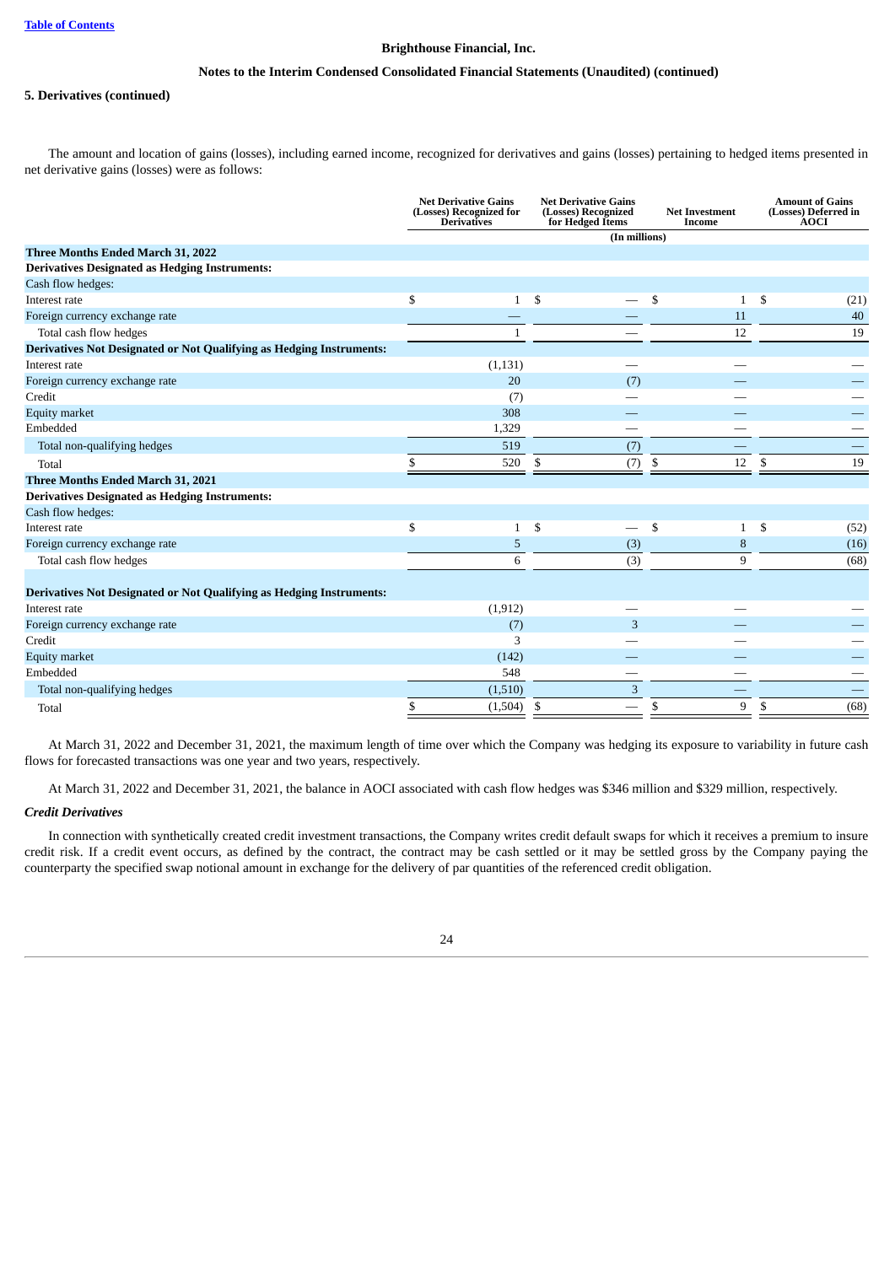## **Notes to the Interim Condensed Consolidated Financial Statements (Unaudited) (continued)**

## **5. Derivatives (continued)**

The amount and location of gains (losses), including earned income, recognized for derivatives and gains (losses) pertaining to hedged items presented in net derivative gains (losses) were as follows:

|                                                                      | <b>Net Derivative Gains</b><br>(Losses) Recognized for<br>Derivatives |              | <b>Net Derivative Gains</b><br>(Losses) Recognized<br>for Hedged Items | <b>Net Investment</b><br>Income | <b>Amount of Gains</b><br>(Losses) Deferred in<br>AOCI |
|----------------------------------------------------------------------|-----------------------------------------------------------------------|--------------|------------------------------------------------------------------------|---------------------------------|--------------------------------------------------------|
|                                                                      |                                                                       |              | (In millions)                                                          |                                 |                                                        |
| Three Months Ended March 31, 2022                                    |                                                                       |              |                                                                        |                                 |                                                        |
| <b>Derivatives Designated as Hedging Instruments:</b>                |                                                                       |              |                                                                        |                                 |                                                        |
| Cash flow hedges:                                                    |                                                                       |              |                                                                        |                                 |                                                        |
| Interest rate                                                        | \$                                                                    | $\mathbf{1}$ | \$                                                                     | \$<br>$\mathbf{1}$              | \$<br>(21)                                             |
| Foreign currency exchange rate                                       |                                                                       |              |                                                                        | 11                              | 40                                                     |
| Total cash flow hedges                                               |                                                                       | 1            |                                                                        | 12                              | 19                                                     |
| Derivatives Not Designated or Not Qualifying as Hedging Instruments: |                                                                       |              |                                                                        |                                 |                                                        |
| Interest rate                                                        |                                                                       | (1, 131)     |                                                                        |                                 |                                                        |
| Foreign currency exchange rate                                       |                                                                       | 20           | (7)                                                                    |                                 |                                                        |
| Credit                                                               |                                                                       | (7)          |                                                                        |                                 |                                                        |
| <b>Equity market</b>                                                 |                                                                       | 308          |                                                                        |                                 |                                                        |
| Embedded                                                             |                                                                       | 1,329        |                                                                        |                                 |                                                        |
| Total non-qualifying hedges                                          |                                                                       | 519          | (7)                                                                    |                                 |                                                        |
| Total                                                                | S                                                                     | 520          | \$<br>(7)                                                              | 12<br>\$                        | 19<br>\$                                               |
| Three Months Ended March 31, 2021                                    |                                                                       |              |                                                                        |                                 |                                                        |
| <b>Derivatives Designated as Hedging Instruments:</b>                |                                                                       |              |                                                                        |                                 |                                                        |
| Cash flow hedges:                                                    |                                                                       |              |                                                                        |                                 |                                                        |
| Interest rate                                                        | \$                                                                    | $\mathbf{1}$ | \$                                                                     | \$<br>$\mathbf{1}$              | \$<br>(52)                                             |
| Foreign currency exchange rate                                       |                                                                       | 5            | (3)                                                                    | $\, 8$                          | (16)                                                   |
| Total cash flow hedges                                               |                                                                       | 6            | (3)                                                                    | 9                               | (68)                                                   |
|                                                                      |                                                                       |              |                                                                        |                                 |                                                        |
| Derivatives Not Designated or Not Qualifying as Hedging Instruments: |                                                                       |              |                                                                        |                                 |                                                        |
| Interest rate                                                        |                                                                       | (1, 912)     |                                                                        |                                 |                                                        |
| Foreign currency exchange rate                                       |                                                                       | (7)          | 3                                                                      |                                 |                                                        |
| Credit                                                               |                                                                       | 3            |                                                                        |                                 |                                                        |
| <b>Equity market</b>                                                 |                                                                       | (142)        |                                                                        |                                 |                                                        |
| Embedded                                                             |                                                                       | 548          |                                                                        |                                 |                                                        |
| Total non-qualifying hedges                                          |                                                                       | (1,510)      | 3                                                                      |                                 |                                                        |
| Total                                                                | \$                                                                    | (1,504)      | \$                                                                     | 9<br>\$                         | \$<br>(68)                                             |

At March 31, 2022 and December 31, 2021, the maximum length of time over which the Company was hedging its exposure to variability in future cash flows for forecasted transactions was one year and two years, respectively.

At March 31, 2022 and December 31, 2021, the balance in AOCI associated with cash flow hedges was \$346 million and \$329 million, respectively.

## *Credit Derivatives*

In connection with synthetically created credit investment transactions, the Company writes credit default swaps for which it receives a premium to insure credit risk. If a credit event occurs, as defined by the contract, the contract may be cash settled or it may be settled gross by the Company paying the counterparty the specified swap notional amount in exchange for the delivery of par quantities of the referenced credit obligation.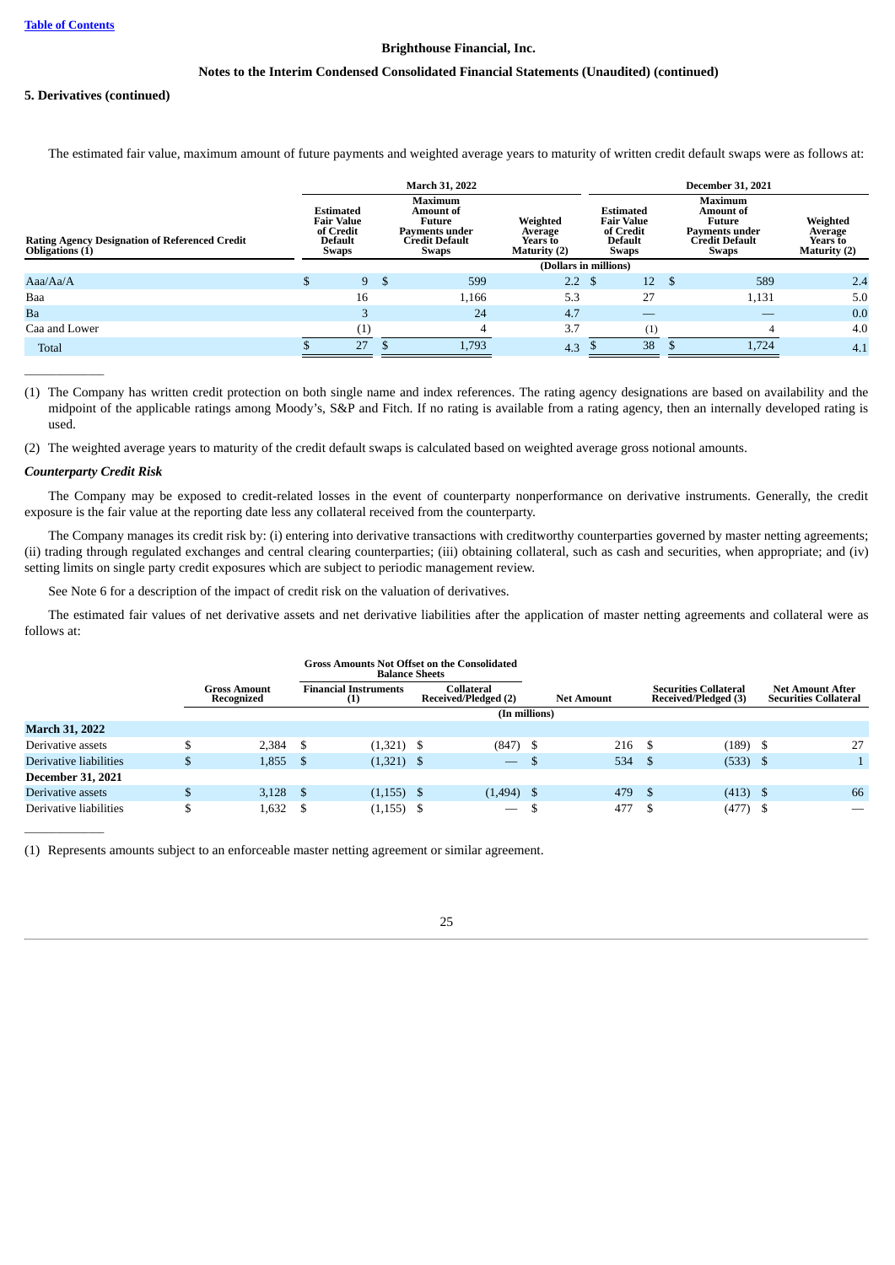## **Notes to the Interim Condensed Consolidated Financial Statements (Unaudited) (continued)**

## **5. Derivatives (continued)**

The estimated fair value, maximum amount of future payments and weighted average years to maturity of written credit default swaps were as follows at:

|                                                                          |                       |                                                                               |  | March 31, 2022                                                                                          |                                                 | <b>December 31, 2021</b> |                                                                                      |    |                                                                                                                       |                                                        |  |  |  |
|--------------------------------------------------------------------------|-----------------------|-------------------------------------------------------------------------------|--|---------------------------------------------------------------------------------------------------------|-------------------------------------------------|--------------------------|--------------------------------------------------------------------------------------|----|-----------------------------------------------------------------------------------------------------------------------|--------------------------------------------------------|--|--|--|
| <b>Rating Agency Designation of Referenced Credit</b><br>Obligations (1) |                       | <b>Estimated</b><br><b>Fair Value</b><br>of Credit<br><b>Default</b><br>Swaps |  | <b>Maximum</b><br>Amount of<br><b>Future</b><br><b>Payments under</b><br>Credit Default<br><b>Swaps</b> | Weighted<br>Average<br>Years to<br>Maturity (2) |                          | <b>Estimated</b><br><b>Fair Value</b><br>of Credit<br><b>Default</b><br><b>Swaps</b> |    | <b>Maximum</b><br><b>Amount of</b><br><b>Future</b><br><b>Payments under</b><br><b>Credit Default</b><br><b>Swaps</b> | Weighted<br>Average<br>Years to<br><b>Maturity (2)</b> |  |  |  |
|                                                                          | (Dollars in millions) |                                                                               |  |                                                                                                         |                                                 |                          |                                                                                      |    |                                                                                                                       |                                                        |  |  |  |
| Aaa/Aa/A                                                                 |                       | 9S                                                                            |  | 599                                                                                                     | 2.2 <sup>5</sup>                                |                          | 12                                                                                   | -S | 589                                                                                                                   | 2.4                                                    |  |  |  |
| Baa                                                                      |                       | 16                                                                            |  | 1,166                                                                                                   | 5.3                                             |                          | 27                                                                                   |    | 1,131                                                                                                                 | 5.0                                                    |  |  |  |
| Ba                                                                       |                       | 3                                                                             |  | 24                                                                                                      | 4.7                                             |                          |                                                                                      |    |                                                                                                                       | 0.0                                                    |  |  |  |
| Caa and Lower                                                            |                       |                                                                               |  | 4                                                                                                       | 3.7                                             |                          | (1)                                                                                  |    |                                                                                                                       | 4.0                                                    |  |  |  |
| Total                                                                    |                       | 27                                                                            |  | 1,793                                                                                                   | 4.3                                             |                          | 38                                                                                   |    | 1,724                                                                                                                 | 4.1                                                    |  |  |  |
|                                                                          |                       |                                                                               |  |                                                                                                         |                                                 |                          |                                                                                      |    |                                                                                                                       |                                                        |  |  |  |

 $\overline{\phantom{a}}$ 

 $\overline{\phantom{a}}$ 

(1) The Company has written credit protection on both single name and index references. The rating agency designations are based on availability and the midpoint of the applicable ratings among Moody's, S&P and Fitch. If no rating is available from a rating agency, then an internally developed rating is used.

(2) The weighted average years to maturity of the credit default swaps is calculated based on weighted average gross notional amounts.

### *Counterparty Credit Risk*

The Company may be exposed to credit-related losses in the event of counterparty nonperformance on derivative instruments. Generally, the credit exposure is the fair value at the reporting date less any collateral received from the counterparty.

The Company manages its credit risk by: (i) entering into derivative transactions with creditworthy counterparties governed by master netting agreements; (ii) trading through regulated exchanges and central clearing counterparties; (iii) obtaining collateral, such as cash and securities, when appropriate; and (iv) setting limits on single party credit exposures which are subject to periodic management review.

See Note 6 for a description of the impact of credit risk on the valuation of derivatives.

The estimated fair values of net derivative assets and net derivative liabilities after the application of master netting agreements and collateral were as follows at:

|                        |     |                                   |      | <b>Balance Sheets</b>                            | <b>Gross Amounts Not Offset on the Consolidated</b> |                                    |  |                   |     |                                                      |                                                         |
|------------------------|-----|-----------------------------------|------|--------------------------------------------------|-----------------------------------------------------|------------------------------------|--|-------------------|-----|------------------------------------------------------|---------------------------------------------------------|
|                        |     | <b>Gross Amount</b><br>Recognized |      | <b>Financial Instruments</b><br>$\left(1\right)$ |                                                     | Collateral<br>Received/Pledged (2) |  | <b>Net Amount</b> |     | <b>Securities Collateral</b><br>Received/Pledged (3) | <b>Net Amount After</b><br><b>Securities Collateral</b> |
|                        |     |                                   |      |                                                  |                                                     | (In millions)                      |  |                   |     |                                                      |                                                         |
| <b>March 31, 2022</b>  |     |                                   |      |                                                  |                                                     |                                    |  |                   |     |                                                      |                                                         |
| Derivative assets      |     | 2.384                             | - \$ | $(1,321)$ \$                                     |                                                     | $(847)$ \$                         |  | 216               | - 5 | $(189)$ \$                                           | 27                                                      |
| Derivative liabilities |     | 1,855                             | - \$ | $(1,321)$ \$                                     |                                                     |                                    |  | 534               | - 5 | $(533)$ \$                                           |                                                         |
| December 31, 2021      |     |                                   |      |                                                  |                                                     |                                    |  |                   |     |                                                      |                                                         |
| Derivative assets      | \$. | 3,128                             | - \$ | $(1,155)$ \$                                     |                                                     | $(1,494)$ \$                       |  | 479               | -5  | $(413)$ \$                                           | 66                                                      |
| Derivative liabilities |     | 1,632                             |      | $(1,155)$ \$                                     |                                                     | $\overbrace{\phantom{13333}}$      |  | 477               |     | $(477)$ \$                                           |                                                         |
|                        |     |                                   |      |                                                  |                                                     |                                    |  |                   |     |                                                      |                                                         |

(1) Represents amounts subject to an enforceable master netting agreement or similar agreement.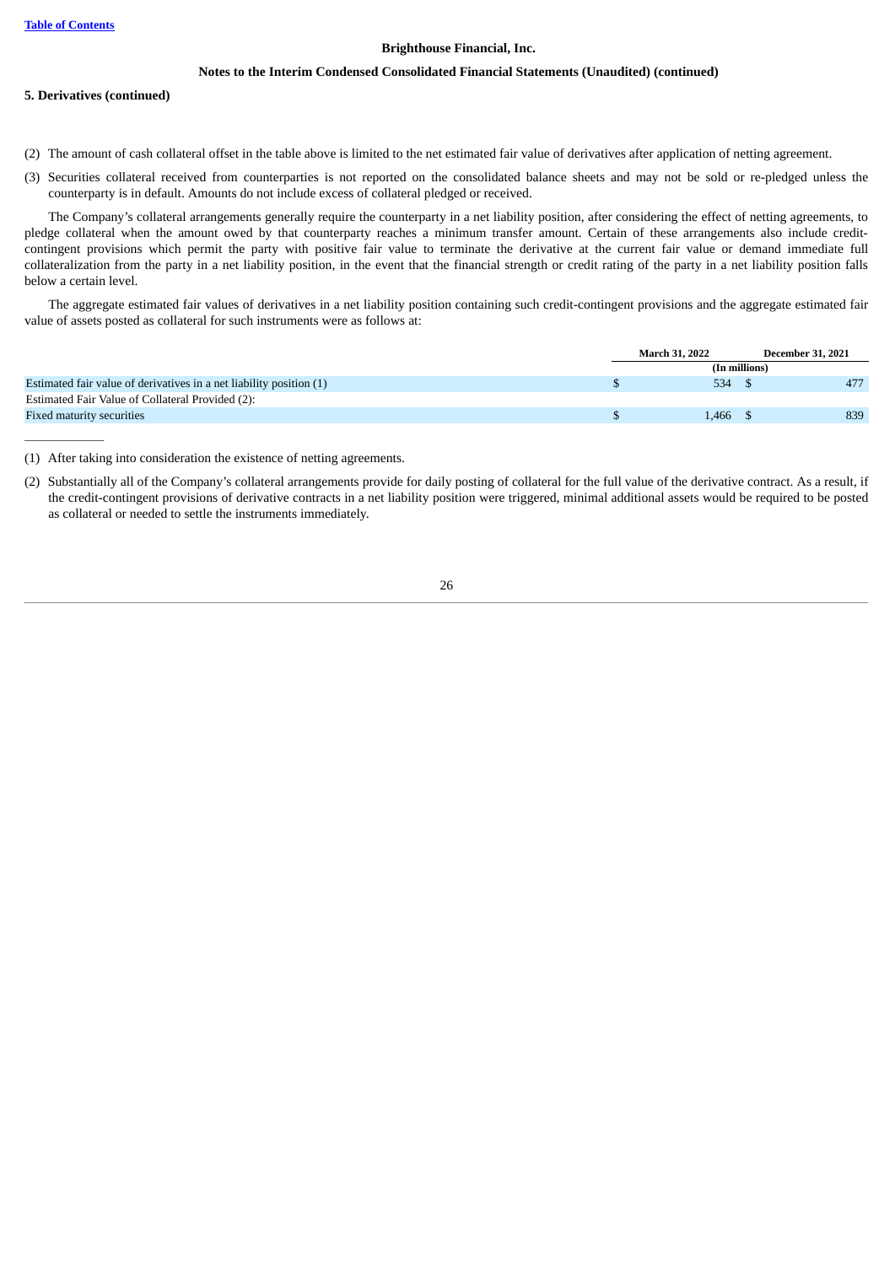$\overline{\phantom{a}}$ 

### **Brighthouse Financial, Inc.**

## **Notes to the Interim Condensed Consolidated Financial Statements (Unaudited) (continued)**

### **5. Derivatives (continued)**

- (2) The amount of cash collateral offset in the table above is limited to the net estimated fair value of derivatives after application of netting agreement.
- (3) Securities collateral received from counterparties is not reported on the consolidated balance sheets and may not be sold or re-pledged unless the counterparty is in default. Amounts do not include excess of collateral pledged or received.

The Company's collateral arrangements generally require the counterparty in a net liability position, after considering the effect of netting agreements, to pledge collateral when the amount owed by that counterparty reaches a minimum transfer amount. Certain of these arrangements also include creditcontingent provisions which permit the party with positive fair value to terminate the derivative at the current fair value or demand immediate full collateralization from the party in a net liability position, in the event that the financial strength or credit rating of the party in a net liability position falls below a certain level.

The aggregate estimated fair values of derivatives in a net liability position containing such credit-contingent provisions and the aggregate estimated fair value of assets posted as collateral for such instruments were as follows at:

|                                                                     | March 31, 2022 | <b>December 31, 2021</b> |
|---------------------------------------------------------------------|----------------|--------------------------|
|                                                                     | (In millions)  |                          |
| Estimated fair value of derivatives in a net liability position (1) | 534            | 477                      |
| Estimated Fair Value of Collateral Provided (2):                    |                |                          |
| Fixed maturity securities                                           | 1.466          | 839                      |
|                                                                     |                |                          |

(1) After taking into consideration the existence of netting agreements.

<span id="page-27-0"></span>(2) Substantially all of the Company's collateral arrangements provide for daily posting of collateral for the full value of the derivative contract. As a result, if the credit-contingent provisions of derivative contracts in a net liability position were triggered, minimal additional assets would be required to be posted as collateral or needed to settle the instruments immediately.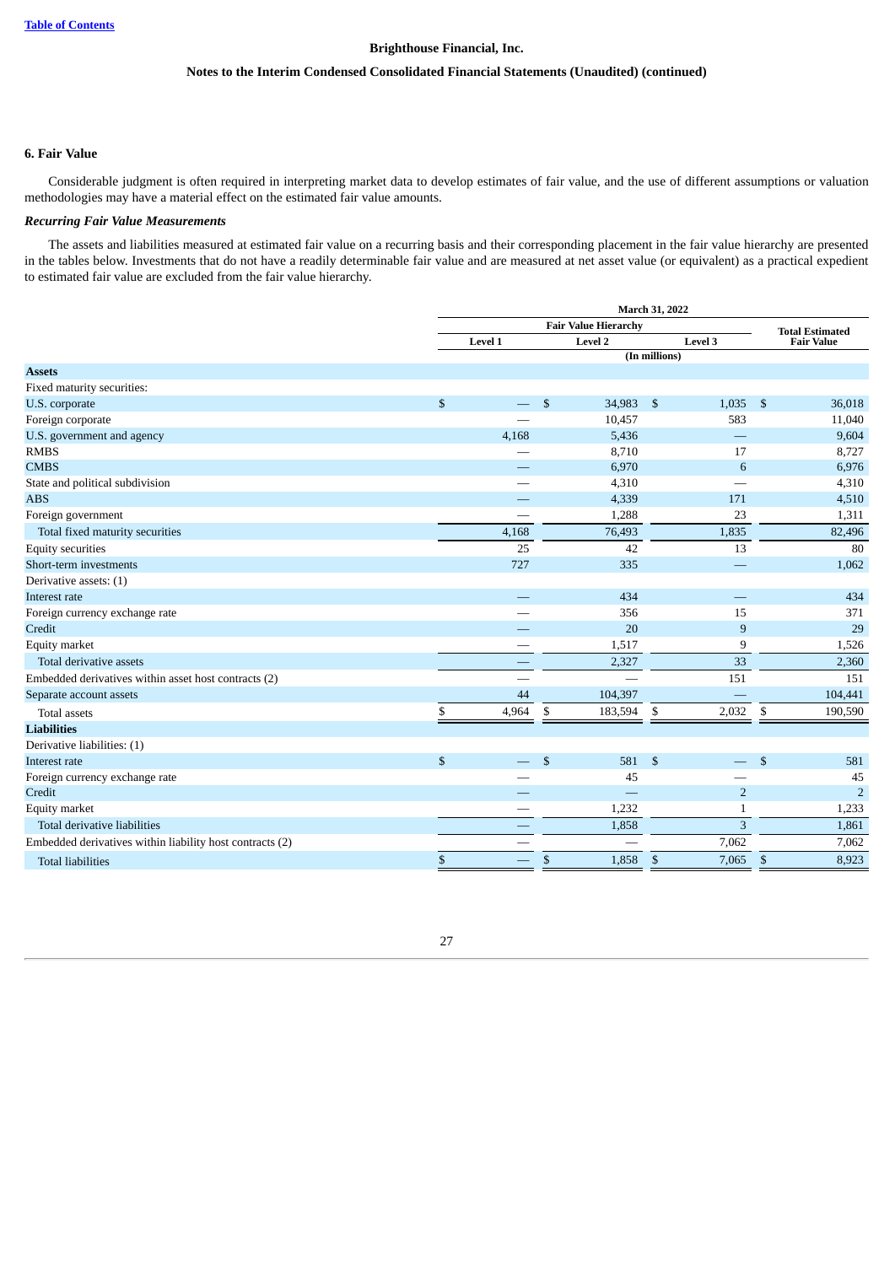## **Notes to the Interim Condensed Consolidated Financial Statements (Unaudited) (continued)**

## **6. Fair Value**

Considerable judgment is often required in interpreting market data to develop estimates of fair value, and the use of different assumptions or valuation methodologies may have a material effect on the estimated fair value amounts.

## *Recurring Fair Value Measurements*

The assets and liabilities measured at estimated fair value on a recurring basis and their corresponding placement in the fair value hierarchy are presented in the tables below. Investments that do not have a readily determinable fair value and are measured at net asset value (or equivalent) as a practical expedient to estimated fair value are excluded from the fair value hierarchy.

| <b>Fair Value Hierarchy</b><br><b>Total Estimated</b><br>Level 1<br>Level 3<br><b>Level 2</b><br><b>Fair Value</b><br>(In millions)<br><b>Assets</b><br>Fixed maturity securities:<br>$\mathfrak{S}$<br>\$<br>$\mathbf{s}$<br>U.S. corporate<br>34,983<br>1,035<br>\$<br>36,018<br>583<br>Foreign corporate<br>10,457<br>11,040<br>U.S. government and agency<br>4,168<br>5,436<br>9,604<br>$\overline{\phantom{0}}$<br><b>RMBS</b><br>8,710<br>17<br>8,727<br>6,970<br>6<br>6,976<br>4,310<br>4,310<br>4,339<br>4,510<br>171<br>1,288<br>23<br>1,311<br>Total fixed maturity securities<br>1,835<br>4,168<br>76,493<br>82,496<br>25<br>42<br>13<br>80<br>727<br>335<br>1,062<br>434<br>434<br>$\overline{\phantom{0}}$<br>356<br>15<br>371<br>20<br>9<br>29<br>9<br>1,517<br>1,526<br>33<br>Total derivative assets<br>2,327<br>2,360<br>—<br>151<br>151<br>Embedded derivatives within asset host contracts (2)<br>44<br>104,397<br>104,441<br>\$<br>4,964<br>\$<br>183,594<br>2,032<br>\$<br>- \$<br>190,590<br><b>Total assets</b><br>$\boldsymbol{\mathsf{s}}$<br>$\mathfrak{s}$<br>581<br>\$<br>\$<br>581<br>$\overline{\phantom{m}}$<br>$\overline{\phantom{0}}$<br>Foreign currency exchange rate<br>45<br>45<br>$\overline{2}$<br>$\overline{2}$ |                                                          | March 31, 2022 |  |       |  |              |  |       |  |  |
|-----------------------------------------------------------------------------------------------------------------------------------------------------------------------------------------------------------------------------------------------------------------------------------------------------------------------------------------------------------------------------------------------------------------------------------------------------------------------------------------------------------------------------------------------------------------------------------------------------------------------------------------------------------------------------------------------------------------------------------------------------------------------------------------------------------------------------------------------------------------------------------------------------------------------------------------------------------------------------------------------------------------------------------------------------------------------------------------------------------------------------------------------------------------------------------------------------------------------------------------------------------|----------------------------------------------------------|----------------|--|-------|--|--------------|--|-------|--|--|
|                                                                                                                                                                                                                                                                                                                                                                                                                                                                                                                                                                                                                                                                                                                                                                                                                                                                                                                                                                                                                                                                                                                                                                                                                                                           |                                                          |                |  |       |  |              |  |       |  |  |
|                                                                                                                                                                                                                                                                                                                                                                                                                                                                                                                                                                                                                                                                                                                                                                                                                                                                                                                                                                                                                                                                                                                                                                                                                                                           |                                                          |                |  |       |  |              |  |       |  |  |
|                                                                                                                                                                                                                                                                                                                                                                                                                                                                                                                                                                                                                                                                                                                                                                                                                                                                                                                                                                                                                                                                                                                                                                                                                                                           |                                                          |                |  |       |  |              |  |       |  |  |
|                                                                                                                                                                                                                                                                                                                                                                                                                                                                                                                                                                                                                                                                                                                                                                                                                                                                                                                                                                                                                                                                                                                                                                                                                                                           |                                                          |                |  |       |  |              |  |       |  |  |
|                                                                                                                                                                                                                                                                                                                                                                                                                                                                                                                                                                                                                                                                                                                                                                                                                                                                                                                                                                                                                                                                                                                                                                                                                                                           |                                                          |                |  |       |  |              |  |       |  |  |
|                                                                                                                                                                                                                                                                                                                                                                                                                                                                                                                                                                                                                                                                                                                                                                                                                                                                                                                                                                                                                                                                                                                                                                                                                                                           |                                                          |                |  |       |  |              |  |       |  |  |
|                                                                                                                                                                                                                                                                                                                                                                                                                                                                                                                                                                                                                                                                                                                                                                                                                                                                                                                                                                                                                                                                                                                                                                                                                                                           |                                                          |                |  |       |  |              |  |       |  |  |
|                                                                                                                                                                                                                                                                                                                                                                                                                                                                                                                                                                                                                                                                                                                                                                                                                                                                                                                                                                                                                                                                                                                                                                                                                                                           |                                                          |                |  |       |  |              |  |       |  |  |
|                                                                                                                                                                                                                                                                                                                                                                                                                                                                                                                                                                                                                                                                                                                                                                                                                                                                                                                                                                                                                                                                                                                                                                                                                                                           |                                                          |                |  |       |  |              |  |       |  |  |
|                                                                                                                                                                                                                                                                                                                                                                                                                                                                                                                                                                                                                                                                                                                                                                                                                                                                                                                                                                                                                                                                                                                                                                                                                                                           | <b>CMBS</b>                                              |                |  |       |  |              |  |       |  |  |
|                                                                                                                                                                                                                                                                                                                                                                                                                                                                                                                                                                                                                                                                                                                                                                                                                                                                                                                                                                                                                                                                                                                                                                                                                                                           | State and political subdivision                          |                |  |       |  |              |  |       |  |  |
|                                                                                                                                                                                                                                                                                                                                                                                                                                                                                                                                                                                                                                                                                                                                                                                                                                                                                                                                                                                                                                                                                                                                                                                                                                                           | <b>ABS</b>                                               |                |  |       |  |              |  |       |  |  |
|                                                                                                                                                                                                                                                                                                                                                                                                                                                                                                                                                                                                                                                                                                                                                                                                                                                                                                                                                                                                                                                                                                                                                                                                                                                           | Foreign government                                       |                |  |       |  |              |  |       |  |  |
|                                                                                                                                                                                                                                                                                                                                                                                                                                                                                                                                                                                                                                                                                                                                                                                                                                                                                                                                                                                                                                                                                                                                                                                                                                                           |                                                          |                |  |       |  |              |  |       |  |  |
|                                                                                                                                                                                                                                                                                                                                                                                                                                                                                                                                                                                                                                                                                                                                                                                                                                                                                                                                                                                                                                                                                                                                                                                                                                                           | Equity securities                                        |                |  |       |  |              |  |       |  |  |
|                                                                                                                                                                                                                                                                                                                                                                                                                                                                                                                                                                                                                                                                                                                                                                                                                                                                                                                                                                                                                                                                                                                                                                                                                                                           | Short-term investments                                   |                |  |       |  |              |  |       |  |  |
|                                                                                                                                                                                                                                                                                                                                                                                                                                                                                                                                                                                                                                                                                                                                                                                                                                                                                                                                                                                                                                                                                                                                                                                                                                                           | Derivative assets: (1)                                   |                |  |       |  |              |  |       |  |  |
|                                                                                                                                                                                                                                                                                                                                                                                                                                                                                                                                                                                                                                                                                                                                                                                                                                                                                                                                                                                                                                                                                                                                                                                                                                                           | Interest rate                                            |                |  |       |  |              |  |       |  |  |
|                                                                                                                                                                                                                                                                                                                                                                                                                                                                                                                                                                                                                                                                                                                                                                                                                                                                                                                                                                                                                                                                                                                                                                                                                                                           | Foreign currency exchange rate                           |                |  |       |  |              |  |       |  |  |
|                                                                                                                                                                                                                                                                                                                                                                                                                                                                                                                                                                                                                                                                                                                                                                                                                                                                                                                                                                                                                                                                                                                                                                                                                                                           | Credit                                                   |                |  |       |  |              |  |       |  |  |
|                                                                                                                                                                                                                                                                                                                                                                                                                                                                                                                                                                                                                                                                                                                                                                                                                                                                                                                                                                                                                                                                                                                                                                                                                                                           | Equity market                                            |                |  |       |  |              |  |       |  |  |
|                                                                                                                                                                                                                                                                                                                                                                                                                                                                                                                                                                                                                                                                                                                                                                                                                                                                                                                                                                                                                                                                                                                                                                                                                                                           |                                                          |                |  |       |  |              |  |       |  |  |
|                                                                                                                                                                                                                                                                                                                                                                                                                                                                                                                                                                                                                                                                                                                                                                                                                                                                                                                                                                                                                                                                                                                                                                                                                                                           |                                                          |                |  |       |  |              |  |       |  |  |
|                                                                                                                                                                                                                                                                                                                                                                                                                                                                                                                                                                                                                                                                                                                                                                                                                                                                                                                                                                                                                                                                                                                                                                                                                                                           | Separate account assets                                  |                |  |       |  |              |  |       |  |  |
|                                                                                                                                                                                                                                                                                                                                                                                                                                                                                                                                                                                                                                                                                                                                                                                                                                                                                                                                                                                                                                                                                                                                                                                                                                                           |                                                          |                |  |       |  |              |  |       |  |  |
|                                                                                                                                                                                                                                                                                                                                                                                                                                                                                                                                                                                                                                                                                                                                                                                                                                                                                                                                                                                                                                                                                                                                                                                                                                                           | <b>Liabilities</b>                                       |                |  |       |  |              |  |       |  |  |
|                                                                                                                                                                                                                                                                                                                                                                                                                                                                                                                                                                                                                                                                                                                                                                                                                                                                                                                                                                                                                                                                                                                                                                                                                                                           | Derivative liabilities: (1)                              |                |  |       |  |              |  |       |  |  |
|                                                                                                                                                                                                                                                                                                                                                                                                                                                                                                                                                                                                                                                                                                                                                                                                                                                                                                                                                                                                                                                                                                                                                                                                                                                           | Interest rate                                            |                |  |       |  |              |  |       |  |  |
|                                                                                                                                                                                                                                                                                                                                                                                                                                                                                                                                                                                                                                                                                                                                                                                                                                                                                                                                                                                                                                                                                                                                                                                                                                                           |                                                          |                |  |       |  |              |  |       |  |  |
|                                                                                                                                                                                                                                                                                                                                                                                                                                                                                                                                                                                                                                                                                                                                                                                                                                                                                                                                                                                                                                                                                                                                                                                                                                                           | Credit                                                   |                |  |       |  |              |  |       |  |  |
|                                                                                                                                                                                                                                                                                                                                                                                                                                                                                                                                                                                                                                                                                                                                                                                                                                                                                                                                                                                                                                                                                                                                                                                                                                                           | Equity market                                            |                |  | 1,232 |  | $\mathbf{1}$ |  | 1,233 |  |  |
| 3<br>1,858<br>Total derivative liabilities<br>1,861                                                                                                                                                                                                                                                                                                                                                                                                                                                                                                                                                                                                                                                                                                                                                                                                                                                                                                                                                                                                                                                                                                                                                                                                       |                                                          |                |  |       |  |              |  |       |  |  |
| 7,062<br>7,062                                                                                                                                                                                                                                                                                                                                                                                                                                                                                                                                                                                                                                                                                                                                                                                                                                                                                                                                                                                                                                                                                                                                                                                                                                            | Embedded derivatives within liability host contracts (2) |                |  |       |  |              |  |       |  |  |
| \$<br>$\mathfrak{s}$<br>\$<br>1,858<br>$\mathfrak{S}$<br>7,065<br>8,923<br><b>Total liabilities</b>                                                                                                                                                                                                                                                                                                                                                                                                                                                                                                                                                                                                                                                                                                                                                                                                                                                                                                                                                                                                                                                                                                                                                       |                                                          |                |  |       |  |              |  |       |  |  |

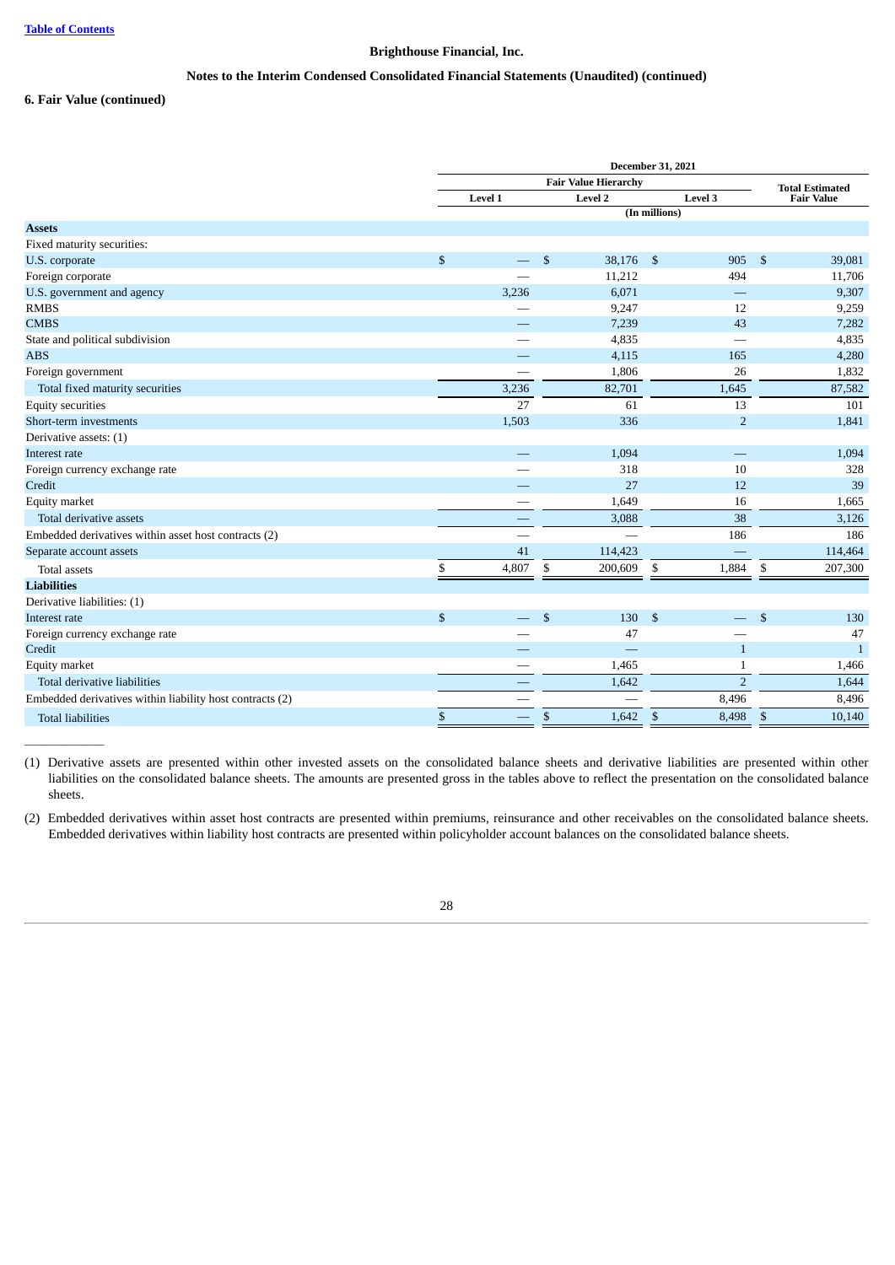$\overline{\phantom{a}}$ 

## **Brighthouse Financial, Inc.**

# **Notes to the Interim Condensed Consolidated Financial Statements (Unaudited) (continued)**

## **6. Fair Value (continued)**

|                                                          |                |         |                | <b>December 31, 2021</b>    |               |                          |                        |
|----------------------------------------------------------|----------------|---------|----------------|-----------------------------|---------------|--------------------------|------------------------|
|                                                          |                |         |                | <b>Fair Value Hierarchy</b> |               |                          | <b>Total Estimated</b> |
|                                                          |                | Level 1 |                | Level 2                     |               | Level 3                  | <b>Fair Value</b>      |
|                                                          |                |         |                |                             | (In millions) |                          |                        |
| <b>Assets</b>                                            |                |         |                |                             |               |                          |                        |
| Fixed maturity securities:                               |                |         |                |                             |               |                          |                        |
| U.S. corporate                                           | $\mathfrak{S}$ |         | $\mathfrak{s}$ | 38,176 \$                   |               | 905                      | \$<br>39,081           |
| Foreign corporate                                        |                |         |                | 11,212                      |               | 494                      | 11,706                 |
| U.S. government and agency                               |                | 3,236   |                | 6,071                       |               | -                        | 9,307                  |
| <b>RMBS</b>                                              |                |         |                | 9,247                       |               | 12                       | 9,259                  |
| <b>CMBS</b>                                              |                |         |                | 7,239                       |               | 43                       | 7,282                  |
| State and political subdivision                          |                |         |                | 4,835                       |               | $\overline{\phantom{0}}$ | 4,835                  |
| <b>ABS</b>                                               |                |         |                | 4,115                       |               | 165                      | 4,280                  |
| Foreign government                                       |                |         |                | 1,806                       |               | 26                       | 1,832                  |
| Total fixed maturity securities                          |                | 3,236   |                | 82,701                      |               | 1,645                    | 87,582                 |
| <b>Equity securities</b>                                 |                | 27      |                | 61                          |               | 13                       | 101                    |
| Short-term investments                                   |                | 1,503   |                | 336                         |               | $\overline{2}$           | 1,841                  |
| Derivative assets: (1)                                   |                |         |                |                             |               |                          |                        |
| Interest rate                                            |                |         |                | 1,094                       |               |                          | 1,094                  |
| Foreign currency exchange rate                           |                |         |                | 318                         |               | 10                       | 328                    |
| Credit                                                   |                |         |                | 27                          |               | 12                       | 39                     |
| <b>Equity market</b>                                     |                |         |                | 1,649                       |               | 16                       | 1,665                  |
| Total derivative assets                                  |                |         |                | 3,088                       |               | 38                       | 3,126                  |
| Embedded derivatives within asset host contracts (2)     |                |         |                |                             |               | 186                      | 186                    |
| Separate account assets                                  |                | 41      |                | 114,423                     |               |                          | 114,464                |
| <b>Total assets</b>                                      | \$             | 4,807   | \$             | 200,609                     | \$            | 1,884                    | \$<br>207,300          |
| <b>Liabilities</b>                                       |                |         |                |                             |               |                          |                        |
| Derivative liabilities: (1)                              |                |         |                |                             |               |                          |                        |
| Interest rate                                            | $\mathfrak{S}$ |         | \$             | 130                         | \$            |                          | \$<br>130              |
| Foreign currency exchange rate                           |                |         |                | 47                          |               |                          | 47                     |
| Credit                                                   |                |         |                | -                           |               | $\mathbf{1}$             | $\mathbf{1}$           |
| Equity market                                            |                |         |                | 1,465                       |               | $\mathbf{1}$             | 1,466                  |
| Total derivative liabilities                             |                |         |                | 1,642                       |               | $\overline{2}$           | 1,644                  |
| Embedded derivatives within liability host contracts (2) |                |         |                |                             |               | 8,496                    | 8,496                  |
| <b>Total liabilities</b>                                 | \$             |         | \$             | 1,642                       | \$            | 8,498                    | \$<br>10,140           |
|                                                          |                |         |                |                             |               |                          |                        |

(1) Derivative assets are presented within other invested assets on the consolidated balance sheets and derivative liabilities are presented within other liabilities on the consolidated balance sheets. The amounts are presented gross in the tables above to reflect the presentation on the consolidated balance sheets.

(2) Embedded derivatives within asset host contracts are presented within premiums, reinsurance and other receivables on the consolidated balance sheets. Embedded derivatives within liability host contracts are presented within policyholder account balances on the consolidated balance sheets.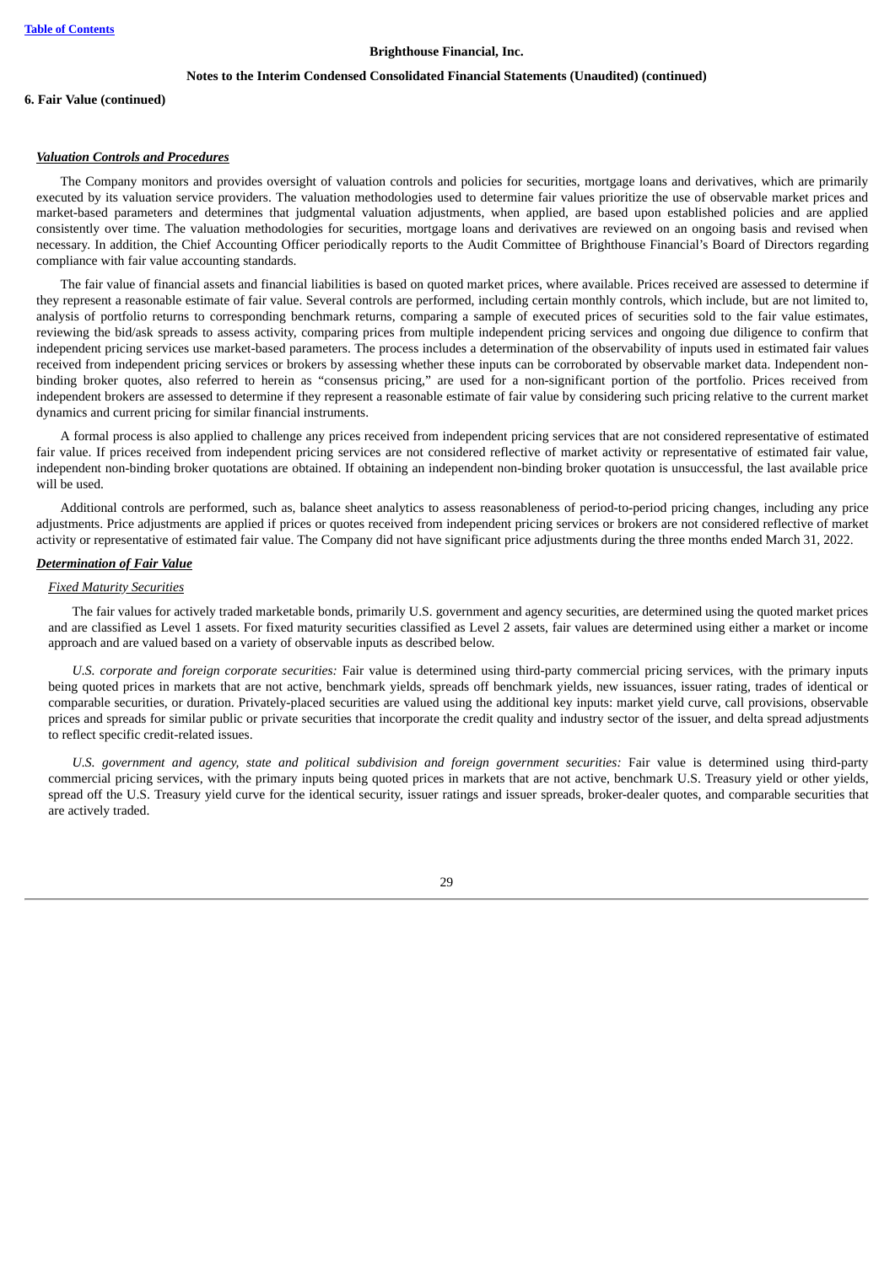## **Notes to the Interim Condensed Consolidated Financial Statements (Unaudited) (continued)**

#### **6. Fair Value (continued)**

#### *Valuation Controls and Procedures*

The Company monitors and provides oversight of valuation controls and policies for securities, mortgage loans and derivatives, which are primarily executed by its valuation service providers. The valuation methodologies used to determine fair values prioritize the use of observable market prices and market-based parameters and determines that judgmental valuation adjustments, when applied, are based upon established policies and are applied consistently over time. The valuation methodologies for securities, mortgage loans and derivatives are reviewed on an ongoing basis and revised when necessary. In addition, the Chief Accounting Officer periodically reports to the Audit Committee of Brighthouse Financial's Board of Directors regarding compliance with fair value accounting standards.

The fair value of financial assets and financial liabilities is based on quoted market prices, where available. Prices received are assessed to determine if they represent a reasonable estimate of fair value. Several controls are performed, including certain monthly controls, which include, but are not limited to, analysis of portfolio returns to corresponding benchmark returns, comparing a sample of executed prices of securities sold to the fair value estimates, reviewing the bid/ask spreads to assess activity, comparing prices from multiple independent pricing services and ongoing due diligence to confirm that independent pricing services use market-based parameters. The process includes a determination of the observability of inputs used in estimated fair values received from independent pricing services or brokers by assessing whether these inputs can be corroborated by observable market data. Independent nonbinding broker quotes, also referred to herein as "consensus pricing," are used for a non-significant portion of the portfolio. Prices received from independent brokers are assessed to determine if they represent a reasonable estimate of fair value by considering such pricing relative to the current market dynamics and current pricing for similar financial instruments.

A formal process is also applied to challenge any prices received from independent pricing services that are not considered representative of estimated fair value. If prices received from independent pricing services are not considered reflective of market activity or representative of estimated fair value, independent non-binding broker quotations are obtained. If obtaining an independent non-binding broker quotation is unsuccessful, the last available price will be used.

Additional controls are performed, such as, balance sheet analytics to assess reasonableness of period-to-period pricing changes, including any price adjustments. Price adjustments are applied if prices or quotes received from independent pricing services or brokers are not considered reflective of market activity or representative of estimated fair value. The Company did not have significant price adjustments during the three months ended March 31, 2022.

#### *Determination of Fair Value*

### *Fixed Maturity Securities*

The fair values for actively traded marketable bonds, primarily U.S. government and agency securities, are determined using the quoted market prices and are classified as Level 1 assets. For fixed maturity securities classified as Level 2 assets, fair values are determined using either a market or income approach and are valued based on a variety of observable inputs as described below.

*U.S. corporate and foreign corporate securities:* Fair value is determined using third-party commercial pricing services, with the primary inputs being quoted prices in markets that are not active, benchmark yields, spreads off benchmark yields, new issuances, issuer rating, trades of identical or comparable securities, or duration. Privately-placed securities are valued using the additional key inputs: market yield curve, call provisions, observable prices and spreads for similar public or private securities that incorporate the credit quality and industry sector of the issuer, and delta spread adjustments to reflect specific credit-related issues.

*U.S. government and agency, state and political subdivision and foreign government securities:* Fair value is determined using third-party commercial pricing services, with the primary inputs being quoted prices in markets that are not active, benchmark U.S. Treasury yield or other yields, spread off the U.S. Treasury yield curve for the identical security, issuer ratings and issuer spreads, broker-dealer quotes, and comparable securities that are actively traded.

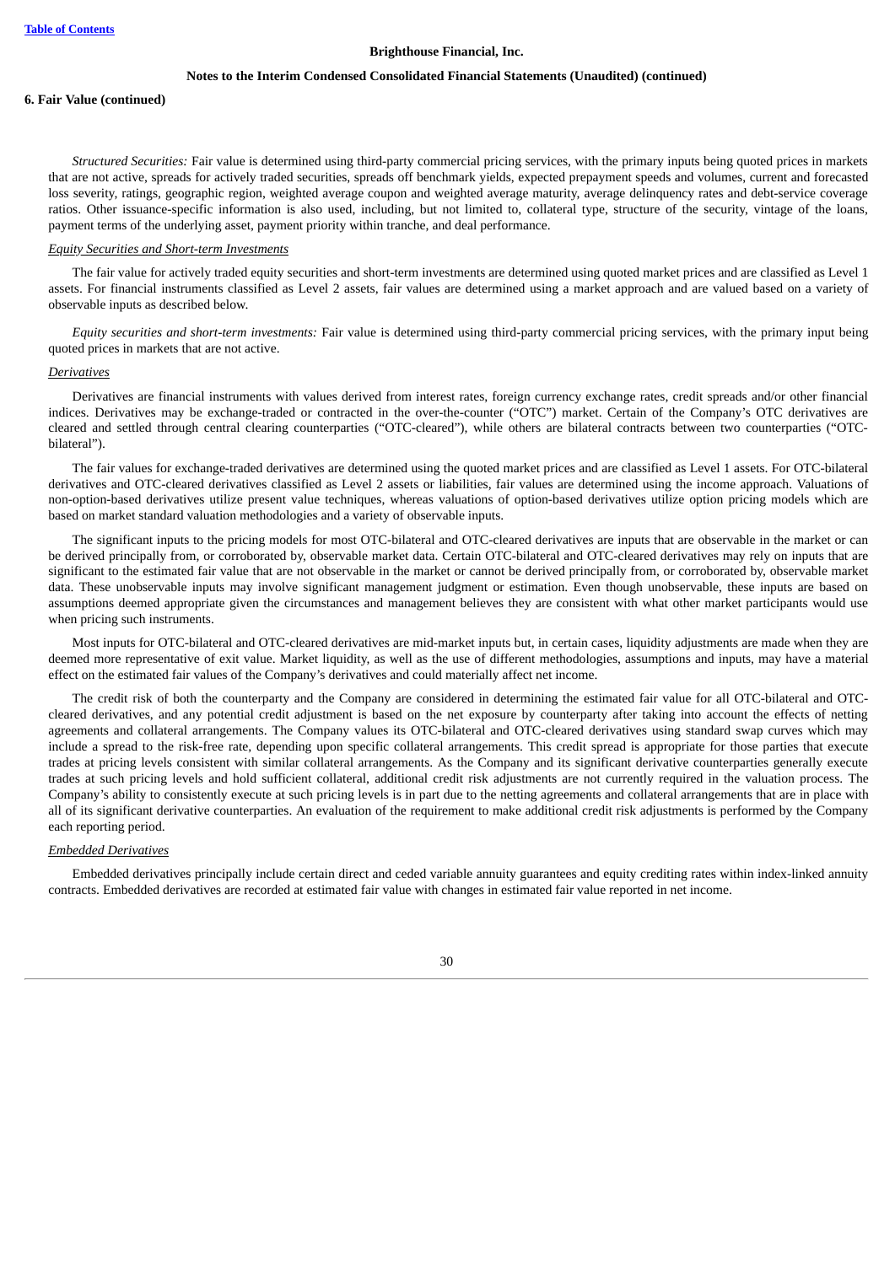## **Notes to the Interim Condensed Consolidated Financial Statements (Unaudited) (continued)**

#### **6. Fair Value (continued)**

*Structured Securities:* Fair value is determined using third-party commercial pricing services, with the primary inputs being quoted prices in markets that are not active, spreads for actively traded securities, spreads off benchmark yields, expected prepayment speeds and volumes, current and forecasted loss severity, ratings, geographic region, weighted average coupon and weighted average maturity, average delinquency rates and debt-service coverage ratios. Other issuance-specific information is also used, including, but not limited to, collateral type, structure of the security, vintage of the loans, payment terms of the underlying asset, payment priority within tranche, and deal performance.

## *Equity Securities and Short-term Investments*

The fair value for actively traded equity securities and short-term investments are determined using quoted market prices and are classified as Level 1 assets. For financial instruments classified as Level 2 assets, fair values are determined using a market approach and are valued based on a variety of observable inputs as described below.

*Equity securities and short-term investments:* Fair value is determined using third-party commercial pricing services, with the primary input being quoted prices in markets that are not active.

#### *Derivatives*

Derivatives are financial instruments with values derived from interest rates, foreign currency exchange rates, credit spreads and/or other financial indices. Derivatives may be exchange-traded or contracted in the over-the-counter ("OTC") market. Certain of the Company's OTC derivatives are cleared and settled through central clearing counterparties ("OTC-cleared"), while others are bilateral contracts between two counterparties ("OTCbilateral").

The fair values for exchange-traded derivatives are determined using the quoted market prices and are classified as Level 1 assets. For OTC-bilateral derivatives and OTC-cleared derivatives classified as Level 2 assets or liabilities, fair values are determined using the income approach. Valuations of non-option-based derivatives utilize present value techniques, whereas valuations of option-based derivatives utilize option pricing models which are based on market standard valuation methodologies and a variety of observable inputs.

The significant inputs to the pricing models for most OTC-bilateral and OTC-cleared derivatives are inputs that are observable in the market or can be derived principally from, or corroborated by, observable market data. Certain OTC-bilateral and OTC-cleared derivatives may rely on inputs that are significant to the estimated fair value that are not observable in the market or cannot be derived principally from, or corroborated by, observable market data. These unobservable inputs may involve significant management judgment or estimation. Even though unobservable, these inputs are based on assumptions deemed appropriate given the circumstances and management believes they are consistent with what other market participants would use when pricing such instruments.

Most inputs for OTC-bilateral and OTC-cleared derivatives are mid-market inputs but, in certain cases, liquidity adjustments are made when they are deemed more representative of exit value. Market liquidity, as well as the use of different methodologies, assumptions and inputs, may have a material effect on the estimated fair values of the Company's derivatives and could materially affect net income.

The credit risk of both the counterparty and the Company are considered in determining the estimated fair value for all OTC-bilateral and OTCcleared derivatives, and any potential credit adjustment is based on the net exposure by counterparty after taking into account the effects of netting agreements and collateral arrangements. The Company values its OTC-bilateral and OTC-cleared derivatives using standard swap curves which may include a spread to the risk-free rate, depending upon specific collateral arrangements. This credit spread is appropriate for those parties that execute trades at pricing levels consistent with similar collateral arrangements. As the Company and its significant derivative counterparties generally execute trades at such pricing levels and hold sufficient collateral, additional credit risk adjustments are not currently required in the valuation process. The Company's ability to consistently execute at such pricing levels is in part due to the netting agreements and collateral arrangements that are in place with all of its significant derivative counterparties. An evaluation of the requirement to make additional credit risk adjustments is performed by the Company each reporting period.

#### *Embedded Derivatives*

Embedded derivatives principally include certain direct and ceded variable annuity guarantees and equity crediting rates within index-linked annuity contracts. Embedded derivatives are recorded at estimated fair value with changes in estimated fair value reported in net income.

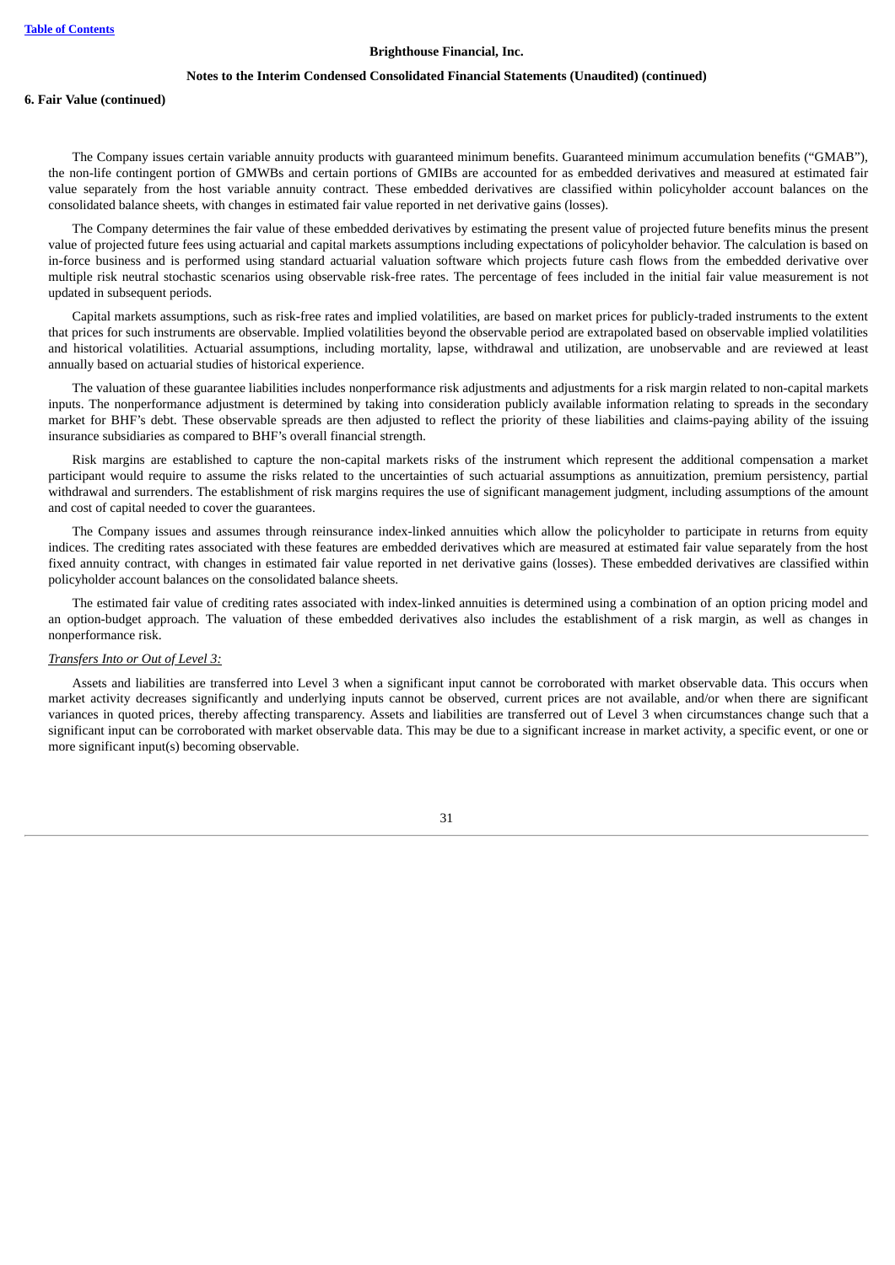## **Notes to the Interim Condensed Consolidated Financial Statements (Unaudited) (continued)**

#### **6. Fair Value (continued)**

The Company issues certain variable annuity products with guaranteed minimum benefits. Guaranteed minimum accumulation benefits ("GMAB"), the non-life contingent portion of GMWBs and certain portions of GMIBs are accounted for as embedded derivatives and measured at estimated fair value separately from the host variable annuity contract. These embedded derivatives are classified within policyholder account balances on the consolidated balance sheets, with changes in estimated fair value reported in net derivative gains (losses).

The Company determines the fair value of these embedded derivatives by estimating the present value of projected future benefits minus the present value of projected future fees using actuarial and capital markets assumptions including expectations of policyholder behavior. The calculation is based on in-force business and is performed using standard actuarial valuation software which projects future cash flows from the embedded derivative over multiple risk neutral stochastic scenarios using observable risk-free rates. The percentage of fees included in the initial fair value measurement is not updated in subsequent periods.

Capital markets assumptions, such as risk-free rates and implied volatilities, are based on market prices for publicly-traded instruments to the extent that prices for such instruments are observable. Implied volatilities beyond the observable period are extrapolated based on observable implied volatilities and historical volatilities. Actuarial assumptions, including mortality, lapse, withdrawal and utilization, are unobservable and are reviewed at least annually based on actuarial studies of historical experience.

The valuation of these guarantee liabilities includes nonperformance risk adjustments and adjustments for a risk margin related to non-capital markets inputs. The nonperformance adjustment is determined by taking into consideration publicly available information relating to spreads in the secondary market for BHF's debt. These observable spreads are then adjusted to reflect the priority of these liabilities and claims-paying ability of the issuing insurance subsidiaries as compared to BHF's overall financial strength.

Risk margins are established to capture the non-capital markets risks of the instrument which represent the additional compensation a market participant would require to assume the risks related to the uncertainties of such actuarial assumptions as annuitization, premium persistency, partial withdrawal and surrenders. The establishment of risk margins requires the use of significant management judgment, including assumptions of the amount and cost of capital needed to cover the guarantees.

The Company issues and assumes through reinsurance index-linked annuities which allow the policyholder to participate in returns from equity indices. The crediting rates associated with these features are embedded derivatives which are measured at estimated fair value separately from the host fixed annuity contract, with changes in estimated fair value reported in net derivative gains (losses). These embedded derivatives are classified within policyholder account balances on the consolidated balance sheets.

The estimated fair value of crediting rates associated with index-linked annuities is determined using a combination of an option pricing model and an option-budget approach. The valuation of these embedded derivatives also includes the establishment of a risk margin, as well as changes in nonperformance risk.

### *Transfers Into or Out of Level 3:*

Assets and liabilities are transferred into Level 3 when a significant input cannot be corroborated with market observable data. This occurs when market activity decreases significantly and underlying inputs cannot be observed, current prices are not available, and/or when there are significant variances in quoted prices, thereby affecting transparency. Assets and liabilities are transferred out of Level 3 when circumstances change such that a significant input can be corroborated with market observable data. This may be due to a significant increase in market activity, a specific event, or one or more significant input(s) becoming observable.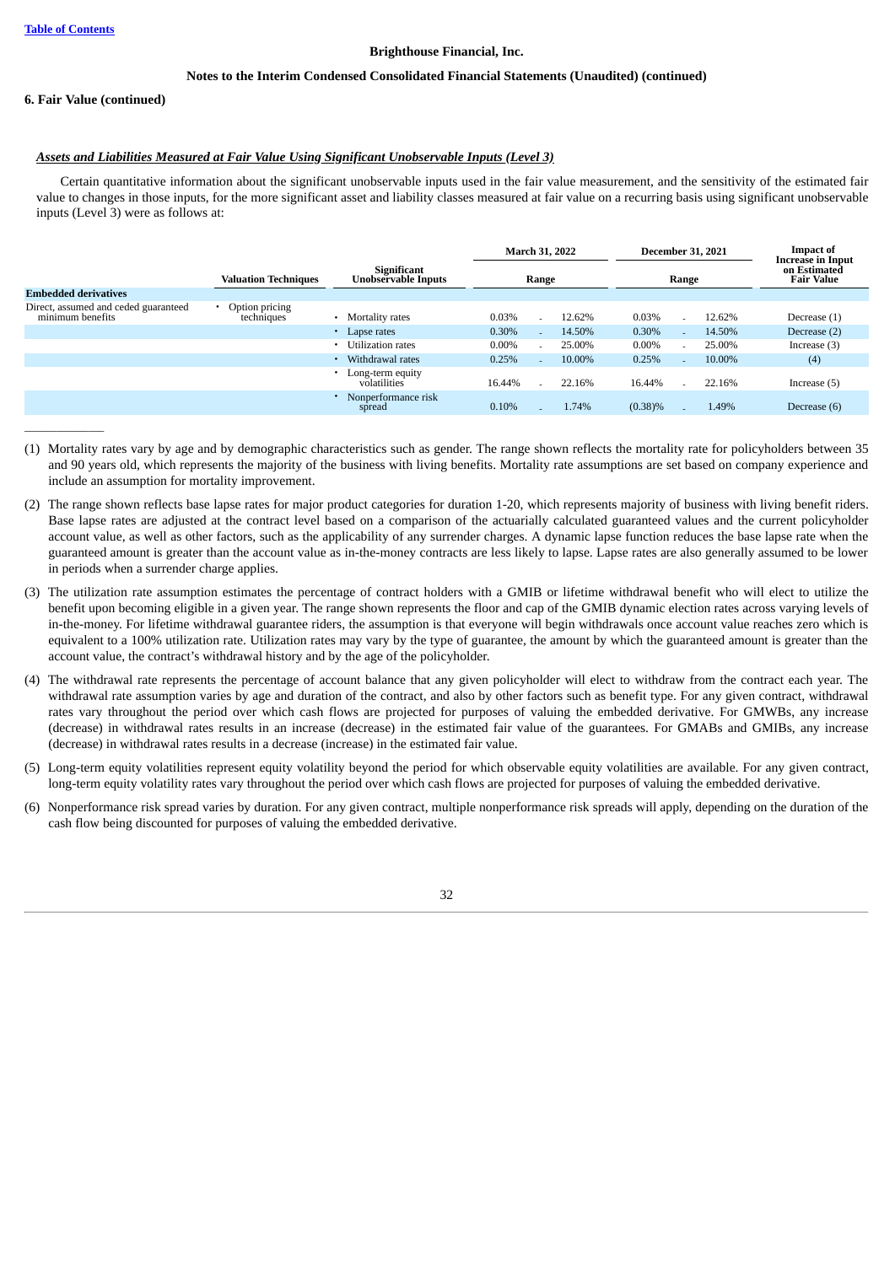$\overline{\phantom{a}}$ 

### **Brighthouse Financial, Inc.**

## **Notes to the Interim Condensed Consolidated Financial Statements (Unaudited) (continued)**

## **6. Fair Value (continued)**

#### *Assets and Liabilities Measured at Fair Value Using Significant Unobservable Inputs (Level 3)*

Certain quantitative information about the significant unobservable inputs used in the fair value measurement, and the sensitivity of the estimated fair value to changes in those inputs, for the more significant asset and liability classes measured at fair value on a recurring basis using significant unobservable inputs (Level 3) were as follows at:

|                                                          |                                     |                                                  |          | March 31, 2022 |            | <b>December 31, 2021</b> | <b>Impact of</b><br><b>Increase in Input</b> |  |  |
|----------------------------------------------------------|-------------------------------------|--------------------------------------------------|----------|----------------|------------|--------------------------|----------------------------------------------|--|--|
|                                                          | <b>Valuation Techniques</b>         | <b>Significant</b><br><b>Unobservable Inputs</b> |          | Range          |            | Range                    | on Estimated<br><b>Fair Value</b>            |  |  |
| <b>Embedded derivatives</b>                              |                                     |                                                  |          |                |            |                          |                                              |  |  |
| Direct, assumed and ceded guaranteed<br>minimum benefits | <b>Option pricing</b><br>techniques | <b>Mortality</b> rates                           | 0.03%    | 12.62%         | 0.03%      | 12.62%                   | Decrease (1)                                 |  |  |
|                                                          |                                     | Lapse rates                                      | 0.30%    | 14.50%         | 0.30%      | 14.50%                   | Decrease (2)                                 |  |  |
|                                                          |                                     | <b>Utilization rates</b>                         | $0.00\%$ | 25.00%         | $0.00\%$   | 25.00%                   | Increase $(3)$                               |  |  |
|                                                          |                                     | Withdrawal rates                                 | 0.25%    | 10.00%         | 0.25%      | 10.00%                   | (4)                                          |  |  |
|                                                          |                                     | Long-term equity<br>volatilities                 | 16.44%   | 22.16%         | 16.44%     | 22.16%                   | Increase $(5)$                               |  |  |
|                                                          |                                     | Nonperformance risk<br>spread                    | 0.10%    | 1.74%          | $(0.38)\%$ | 1.49%                    | Decrease (6)                                 |  |  |

(1) Mortality rates vary by age and by demographic characteristics such as gender. The range shown reflects the mortality rate for policyholders between 35 and 90 years old, which represents the majority of the business with living benefits. Mortality rate assumptions are set based on company experience and include an assumption for mortality improvement.

- (2) The range shown reflects base lapse rates for major product categories for duration 1-20, which represents majority of business with living benefit riders. Base lapse rates are adjusted at the contract level based on a comparison of the actuarially calculated guaranteed values and the current policyholder account value, as well as other factors, such as the applicability of any surrender charges. A dynamic lapse function reduces the base lapse rate when the guaranteed amount is greater than the account value as in-the-money contracts are less likely to lapse. Lapse rates are also generally assumed to be lower in periods when a surrender charge applies.
- (3) The utilization rate assumption estimates the percentage of contract holders with a GMIB or lifetime withdrawal benefit who will elect to utilize the benefit upon becoming eligible in a given year. The range shown represents the floor and cap of the GMIB dynamic election rates across varying levels of in-the-money. For lifetime withdrawal guarantee riders, the assumption is that everyone will begin withdrawals once account value reaches zero which is equivalent to a 100% utilization rate. Utilization rates may vary by the type of guarantee, the amount by which the guaranteed amount is greater than the account value, the contract's withdrawal history and by the age of the policyholder.
- (4) The withdrawal rate represents the percentage of account balance that any given policyholder will elect to withdraw from the contract each year. The withdrawal rate assumption varies by age and duration of the contract, and also by other factors such as benefit type. For any given contract, withdrawal rates vary throughout the period over which cash flows are projected for purposes of valuing the embedded derivative. For GMWBs, any increase (decrease) in withdrawal rates results in an increase (decrease) in the estimated fair value of the guarantees. For GMABs and GMIBs, any increase (decrease) in withdrawal rates results in a decrease (increase) in the estimated fair value.
- (5) Long-term equity volatilities represent equity volatility beyond the period for which observable equity volatilities are available. For any given contract, long-term equity volatility rates vary throughout the period over which cash flows are projected for purposes of valuing the embedded derivative.
- (6) Nonperformance risk spread varies by duration. For any given contract, multiple nonperformance risk spreads will apply, depending on the duration of the cash flow being discounted for purposes of valuing the embedded derivative.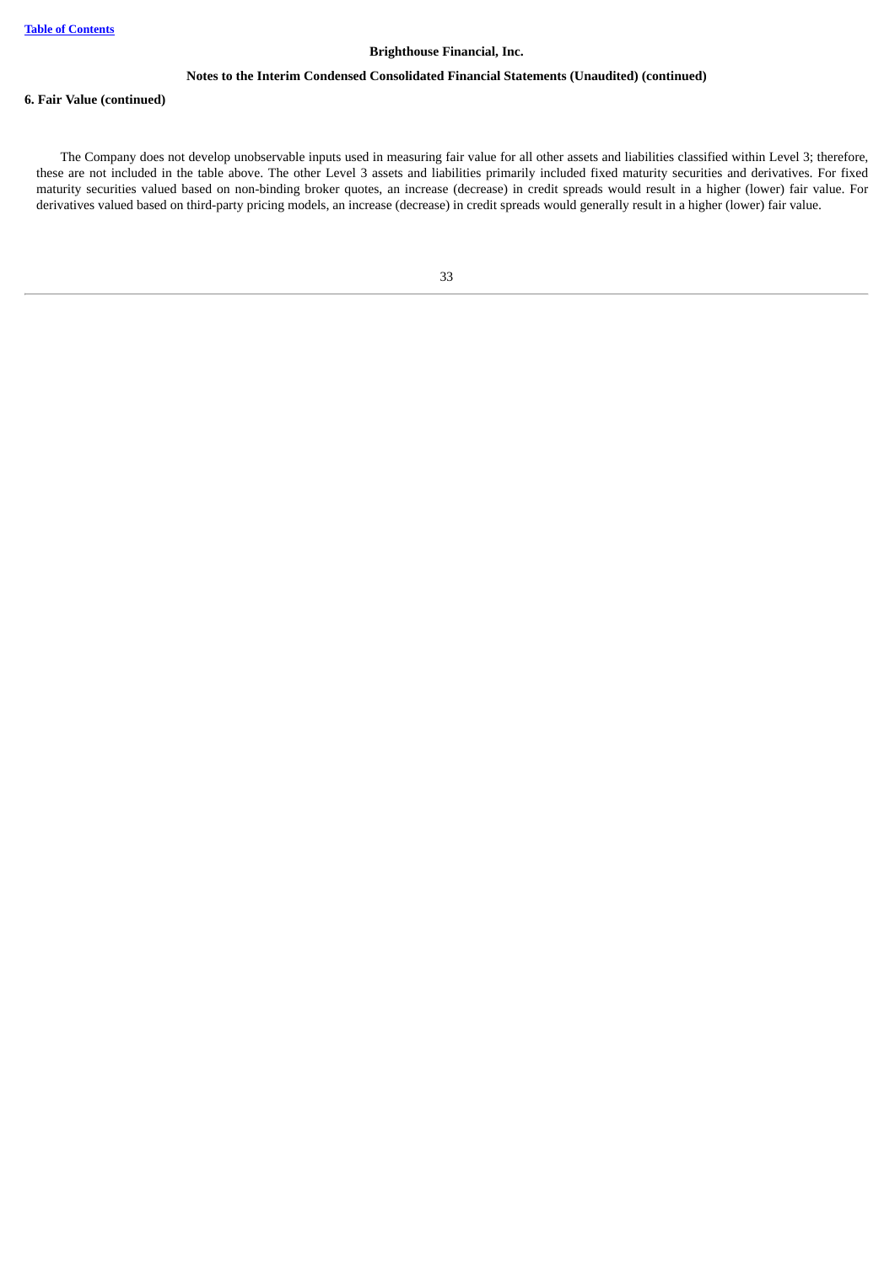## **Notes to the Interim Condensed Consolidated Financial Statements (Unaudited) (continued)**

## **6. Fair Value (continued)**

The Company does not develop unobservable inputs used in measuring fair value for all other assets and liabilities classified within Level 3; therefore, these are not included in the table above. The other Level 3 assets and liabilities primarily included fixed maturity securities and derivatives. For fixed maturity securities valued based on non-binding broker quotes, an increase (decrease) in credit spreads would result in a higher (lower) fair value. For derivatives valued based on third-party pricing models, an increase (decrease) in credit spreads would generally result in a higher (lower) fair value.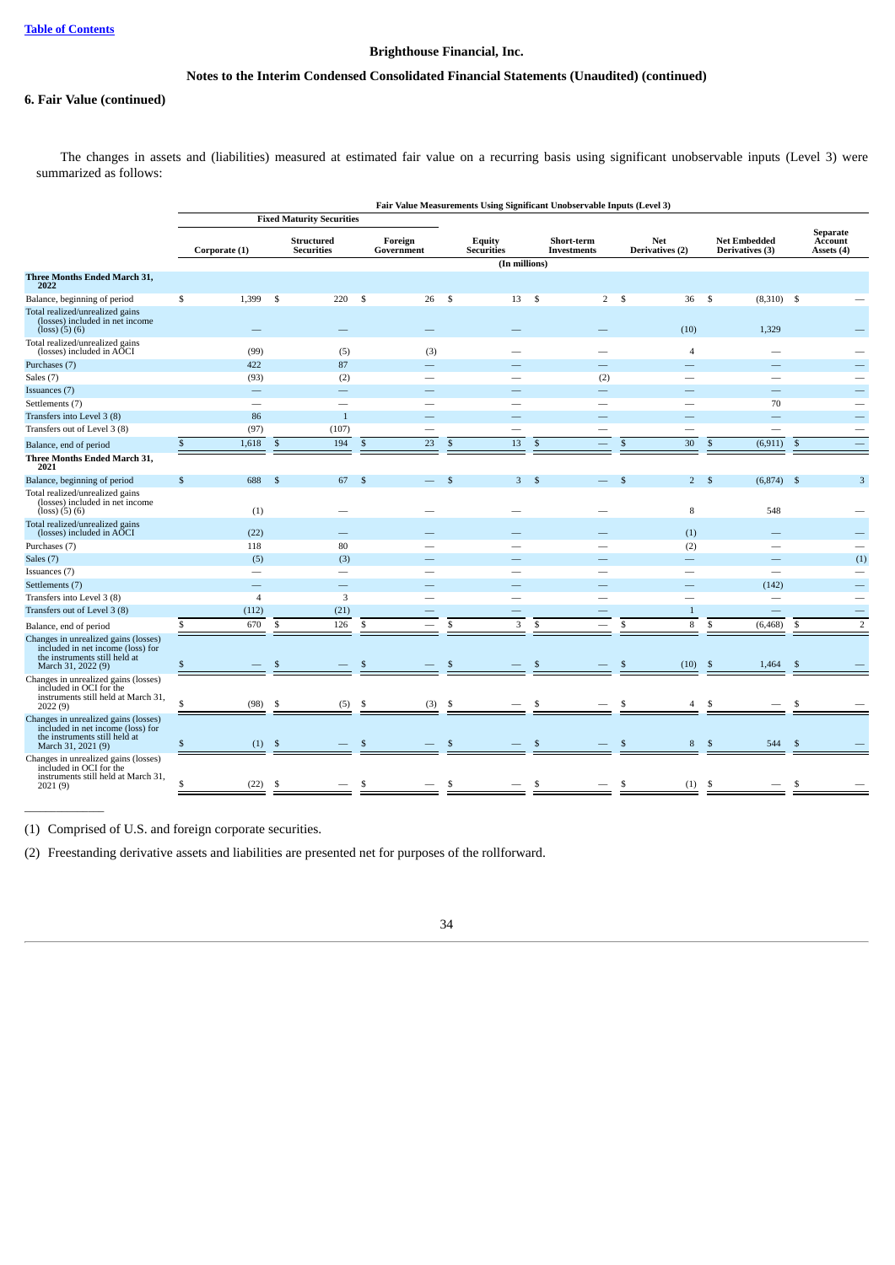## **Notes to the Interim Condensed Consolidated Financial Statements (Unaudited) (continued)**

# **6. Fair Value (continued)**

The changes in assets and (liabilities) measured at estimated fair value on a recurring basis using significant unobservable inputs (Level 3) were summarized as follows:

|                                                                                                                                  | Fair Value Measurements Using Significant Unobservable Inputs (Level 3) |                          |              |                          |                      |     |                                         |                |                        |                                        |                |                                                 |                          |              |                |
|----------------------------------------------------------------------------------------------------------------------------------|-------------------------------------------------------------------------|--------------------------|--------------|--------------------------|----------------------|-----|-----------------------------------------|----------------|------------------------|----------------------------------------|----------------|-------------------------------------------------|--------------------------|--------------|----------------|
|                                                                                                                                  | <b>Fixed Maturity Securities</b>                                        |                          |              |                          |                      |     |                                         |                |                        |                                        |                |                                                 |                          |              |                |
|                                                                                                                                  | Structured<br>Corporate (1)<br><b>Securities</b>                        |                          |              | Foreign<br>Government    | Equity<br>Securities |     | <b>Short-term</b><br><b>Investments</b> |                | Net<br>Derivatives (2) | <b>Net Embedded</b><br>Derivatives (3) |                | <b>Separate</b><br><b>Account</b><br>Assets (4) |                          |              |                |
|                                                                                                                                  |                                                                         |                          |              |                          |                      |     |                                         | (In millions)  |                        |                                        |                |                                                 |                          |              |                |
| <b>Three Months Ended March 31,</b><br>2022                                                                                      |                                                                         |                          |              |                          |                      |     |                                         |                |                        |                                        |                |                                                 |                          |              |                |
| Balance, beginning of period                                                                                                     | \$                                                                      | 1,399                    | \$           | 220                      | $\mathbf{s}$         | 26  | - \$                                    | 13             | S.                     | 2S                                     |                | 36S                                             | $(8,310)$ \$             |              |                |
| Total realized/unrealized gains<br>(losses) included in net income<br>$\left($ loss $\right)$ $(5)$ $(6)$                        |                                                                         |                          |              |                          |                      |     |                                         |                |                        |                                        |                | (10)                                            | 1,329                    |              |                |
| Total realized/unrealized gains<br>(losses) included in AOCI                                                                     |                                                                         | (99)                     |              | (5)                      |                      | (3) |                                         |                |                        |                                        |                | $\overline{4}$                                  |                          |              |                |
| Purchases (7)                                                                                                                    |                                                                         | 422                      |              | 87                       |                      |     |                                         |                |                        |                                        |                |                                                 |                          |              |                |
| Sales (7)                                                                                                                        |                                                                         | (93)                     |              | (2)                      |                      |     |                                         |                |                        | (2)                                    |                |                                                 |                          |              |                |
| Issuances (7)                                                                                                                    |                                                                         | -                        |              |                          |                      |     |                                         |                |                        |                                        |                |                                                 |                          |              |                |
| Settlements (7)                                                                                                                  |                                                                         | $\overline{\phantom{a}}$ |              | $\overline{\phantom{0}}$ |                      |     |                                         |                |                        |                                        |                |                                                 | 70                       |              |                |
| Transfers into Level 3 (8)                                                                                                       |                                                                         | 86                       |              | $\mathbf{1}$             |                      |     |                                         |                |                        |                                        |                |                                                 |                          |              |                |
| Transfers out of Level 3 (8)                                                                                                     |                                                                         | (97)                     |              | (107)                    |                      |     |                                         |                |                        |                                        |                |                                                 |                          |              |                |
| Balance, end of period                                                                                                           | $\mathbb{S}$                                                            | 1,618                    | $\mathbb{S}$ | 194                      | $\mathfrak{s}$       | 23  | $\mathbf{s}$                            | 13             | $\mathbf{s}$           | $\qquad \qquad -$                      | $\mathfrak{s}$ | 30 <sup>°</sup>                                 | $\mathbb{S}$<br>(6, 911) | $\mathbb{S}$ |                |
| Three Months Ended March 31,<br>2021                                                                                             |                                                                         |                          |              |                          |                      |     |                                         |                |                        |                                        |                |                                                 |                          |              |                |
| Balance, beginning of period                                                                                                     | $\mathbb{S}$                                                            | 688                      | $\mathbf{s}$ | 67                       | $\mathbf{s}$         |     | $\mathbf{s}$                            | 3 <sup>7</sup> | - \$                   |                                        | -S             | 2 S                                             | $(6,874)$ \$             |              | 3              |
| Total realized/unrealized gains<br>(losses) included in net income<br>$(\text{loss}) (5) (6)$                                    |                                                                         | (1)                      |              |                          |                      |     |                                         |                |                        |                                        |                | 8                                               | 548                      |              |                |
| Total realized/unrealized gains<br>(losses) included in AOCI                                                                     |                                                                         | (22)                     |              |                          |                      |     |                                         |                |                        |                                        |                | (1)                                             |                          |              |                |
| Purchases (7)                                                                                                                    |                                                                         | 118                      |              | 80                       |                      |     |                                         |                |                        |                                        |                | (2)                                             |                          |              |                |
| Sales (7)                                                                                                                        |                                                                         | (5)                      |              | (3)                      |                      |     |                                         |                |                        |                                        |                |                                                 |                          |              | (1)            |
| Issuances (7)                                                                                                                    |                                                                         | -                        |              | $\overline{\phantom{a}}$ |                      |     |                                         |                |                        |                                        |                |                                                 |                          |              |                |
| Settlements (7)                                                                                                                  |                                                                         | ۳                        |              | -                        |                      |     |                                         |                |                        |                                        |                |                                                 | (142)                    |              |                |
| Transfers into Level 3 (8)                                                                                                       |                                                                         | $\overline{4}$           |              | 3                        |                      |     |                                         |                |                        | -                                      |                |                                                 | $\overline{\phantom{a}}$ |              | -              |
| Transfers out of Level 3 (8)                                                                                                     |                                                                         | (112)                    |              | (21)                     |                      |     |                                         |                |                        |                                        |                | $\mathbf{1}$                                    |                          |              |                |
| Balance, end of period                                                                                                           | \$                                                                      | 670                      | \$           | 126                      | \$                   |     | \$                                      | 3              | $\mathbb{S}$           | -                                      | \$             | 8                                               | \$<br>(6, 468)           | \$           | $\overline{2}$ |
| Changes in unrealized gains (losses)<br>included in net income (loss) for<br>the instruments still held at<br>March 31, 2022 (9) |                                                                         |                          | $\mathbf{s}$ |                          | $\mathfrak{s}$       |     | .S                                      |                | .S                     |                                        | S.             | (10)                                            | -\$<br>1,464             | - \$         |                |
| Changes in unrealized gains (losses)<br>included in OCI for the<br>instruments still held at March 31,<br>2022(9)                |                                                                         | (98)                     | \$           | (5)                      | -\$                  | (3) | \$                                      |                | \$.                    |                                        | S.             | 4                                               | \$.                      |              |                |
| Changes in unrealized gains (losses)<br>included in net income (loss) for<br>the instruments still held at<br>March 31, 2021 (9) | S                                                                       | (1)                      | -\$          |                          | $\mathfrak{s}$       |     | S                                       |                | -S                     |                                        | -S             | 8                                               | -\$<br>544               | - \$         |                |
| Changes in unrealized gains (losses)<br>included in OCI for the<br>instruments still held at March 31,<br>2021(9)                |                                                                         | (22)                     | \$           |                          | \$                   |     | \$                                      |                | £.                     |                                        | .S             | (1)                                             | - \$                     |              |                |
|                                                                                                                                  |                                                                         |                          |              |                          |                      |     |                                         |                |                        |                                        |                |                                                 |                          |              |                |

(1) Comprised of U.S. and foreign corporate securities.

 $\overline{\phantom{a}}$ 

(2) Freestanding derivative assets and liabilities are presented net for purposes of the rollforward.

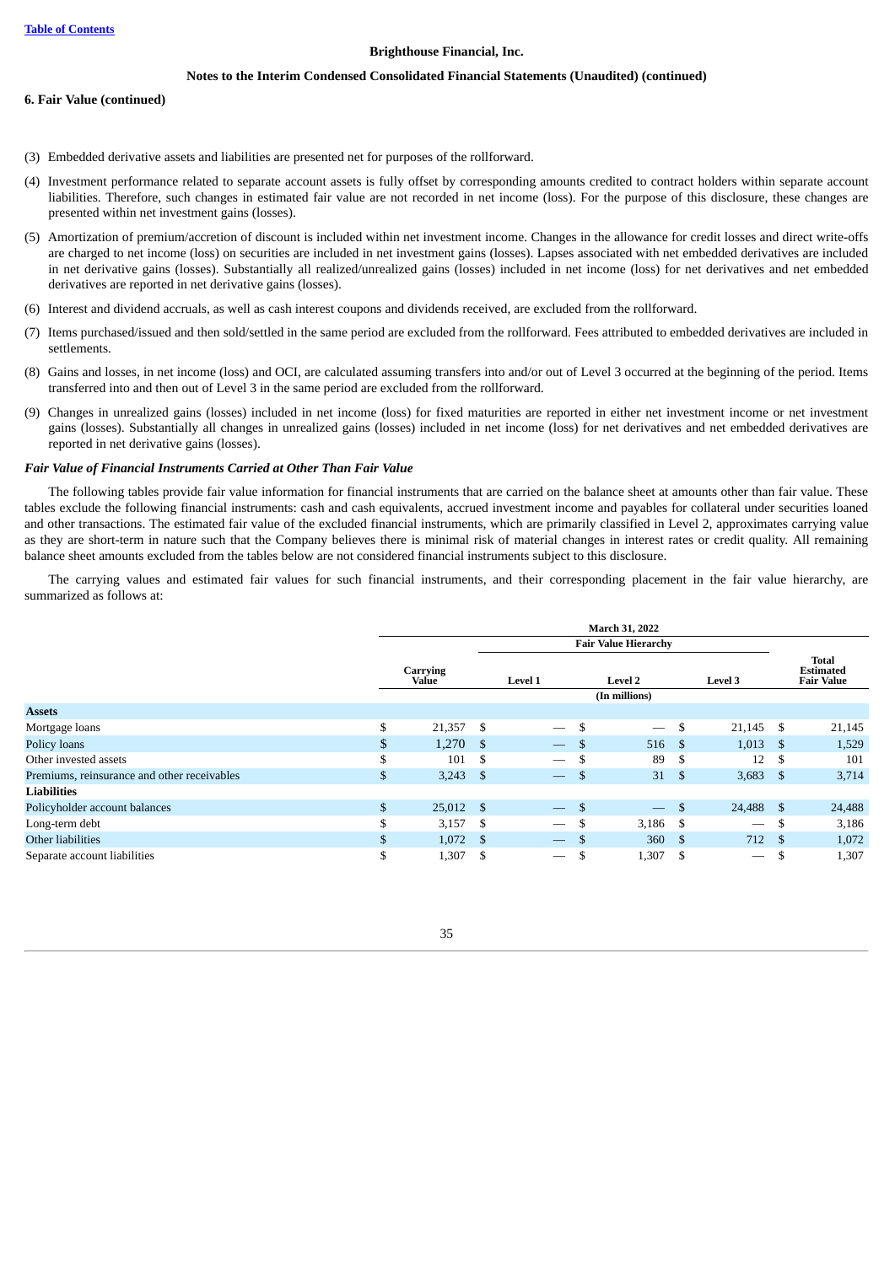## **Notes to the Interim Condensed Consolidated Financial Statements (Unaudited) (continued)**

#### **6. Fair Value (continued)**

- (3) Embedded derivative assets and liabilities are presented net for purposes of the rollforward.
- (4) Investment performance related to separate account assets is fully offset by corresponding amounts credited to contract holders within separate account liabilities. Therefore, such changes in estimated fair value are not recorded in net income (loss). For the purpose of this disclosure, these changes are presented within net investment gains (losses).
- (5) Amortization of premium/accretion of discount is included within net investment income. Changes in the allowance for credit losses and direct write-offs are charged to net income (loss) on securities are included in net investment gains (losses). Lapses associated with net embedded derivatives are included in net derivative gains (losses). Substantially all realized/unrealized gains (losses) included in net income (loss) for net derivatives and net embedded derivatives are reported in net derivative gains (losses).
- (6) Interest and dividend accruals, as well as cash interest coupons and dividends received, are excluded from the rollforward.
- (7) Items purchased/issued and then sold/settled in the same period are excluded from the rollforward. Fees attributed to embedded derivatives are included in settlements.
- (8) Gains and losses, in net income (loss) and OCI, are calculated assuming transfers into and/or out of Level 3 occurred at the beginning of the period. Items transferred into and then out of Level 3 in the same period are excluded from the rollforward.
- (9) Changes in unrealized gains (losses) included in net income (loss) for fixed maturities are reported in either net investment income or net investment gains (losses). Substantially all changes in unrealized gains (losses) included in net income (loss) for net derivatives and net embedded derivatives are reported in net derivative gains (losses).

# *Fair Value of Financial Instruments Carried at Other Than Fair Value*

The following tables provide fair value information for financial instruments that are carried on the balance sheet at amounts other than fair value. These tables exclude the following financial instruments: cash and cash equivalents, accrued investment income and payables for collateral under securities loaned and other transactions. The estimated fair value of the excluded financial instruments, which are primarily classified in Level 2, approximates carrying value as they are short-term in nature such that the Company believes there is minimal risk of material changes in interest rates or credit quality. All remaining balance sheet amounts excluded from the tables below are not considered financial instruments subject to this disclosure.

The carrying values and estimated fair values for such financial instruments, and their corresponding placement in the fair value hierarchy, are summarized as follows at:

|                                             |    |                   |      |                                 |               | <b>Fair Value Hierarchy</b> |      |                          |     |                                                |
|---------------------------------------------|----|-------------------|------|---------------------------------|---------------|-----------------------------|------|--------------------------|-----|------------------------------------------------|
|                                             |    | Carrying<br>Value |      | <b>Level 1</b>                  |               | <b>Level 2</b>              |      | <b>Level 3</b>           |     | Total<br><b>Estimated</b><br><b>Fair Value</b> |
|                                             |    |                   |      |                                 |               | (In millions)               |      |                          |     |                                                |
| <b>Assets</b>                               |    |                   |      |                                 |               |                             |      |                          |     |                                                |
| Mortgage loans                              | \$ | $21,357$ \$       |      |                                 | \$            | $\overline{\phantom{a}}$    | \$   | $21,145$ \$              |     | 21,145                                         |
| Policy loans                                | \$ | $1,270$ \$        |      | $\qquad \qquad -$               | <sup>\$</sup> | $516$ \$                    |      | $1,013$ \$               |     | 1,529                                          |
| Other invested assets                       | \$ | 101               | - \$ | $\overline{\phantom{m}}$        | \$            | 89                          | \$   | 12                       | S   | 101                                            |
| Premiums, reinsurance and other receivables | \$ | $3,243$ \$        |      | $\hspace{0.1mm}-\hspace{0.1mm}$ | \$            | 31                          | -\$  | $3,683$ \$               |     | 3,714                                          |
| <b>Liabilities</b>                          |    |                   |      |                                 |               |                             |      |                          |     |                                                |
| Policyholder account balances               | \$ | $25,012$ \$       |      | $\qquad \qquad -$               | \$            |                             | - \$ | 24,488 \$                |     | 24,488                                         |
| Long-term debt                              | \$ | $3,157$ \$        |      | $\overline{\phantom{m}}$        | \$            | $3,186$ \$                  |      |                          | S   | 3,186                                          |
| Other liabilities                           | \$ | $1,072$ \$        |      | $\qquad \qquad -$               | \$.           | 360                         | -\$  | 712                      | -\$ | 1,072                                          |
| Separate account liabilities                | \$ | 1,307             | - \$ | $\hspace{0.1mm}-\hspace{0.1mm}$ | \$            | 1,307                       | - \$ | $\overline{\phantom{a}}$ | S   | 1,307                                          |

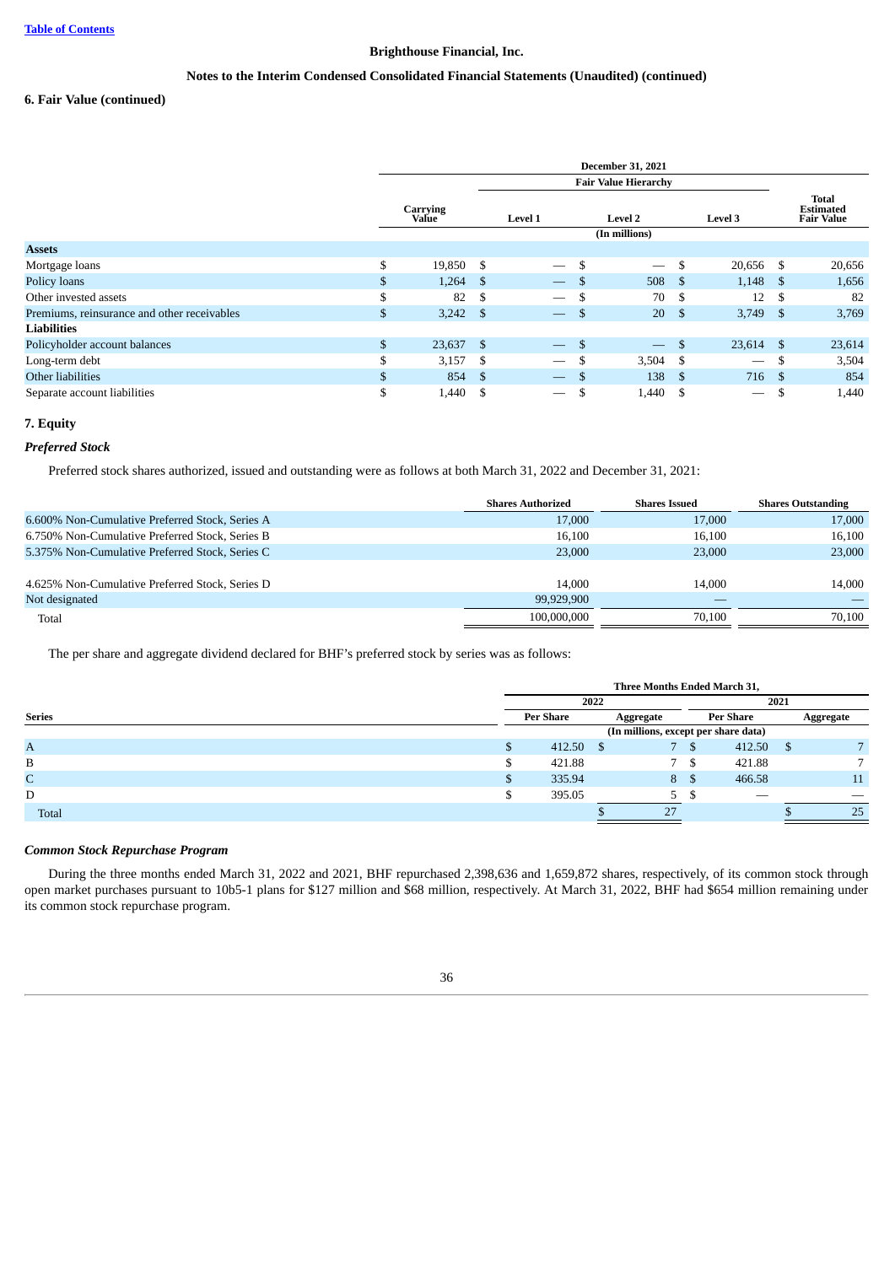# **Notes to the Interim Condensed Consolidated Financial Statements (Unaudited) (continued)**

# **6. Fair Value (continued)**

|                                             |              | <b>December 31, 2021</b> |            |                                 |     |                             |      |                          |      |                                                       |  |
|---------------------------------------------|--------------|--------------------------|------------|---------------------------------|-----|-----------------------------|------|--------------------------|------|-------------------------------------------------------|--|
|                                             |              |                          |            |                                 |     | <b>Fair Value Hierarchy</b> |      |                          |      |                                                       |  |
|                                             |              | Carrying<br><b>Value</b> |            | Level 1                         |     | <b>Level 2</b>              |      | <b>Level 3</b>           |      | <b>Total</b><br><b>Estimated</b><br><b>Fair Value</b> |  |
|                                             |              |                          |            |                                 |     | (In millions)               |      |                          |      |                                                       |  |
| <b>Assets</b>                               |              |                          |            |                                 |     |                             |      |                          |      |                                                       |  |
| Mortgage loans                              | \$           | 19,850 \$                |            | $\overline{\phantom{m}}$        | \$  |                             | -\$  | 20,656 \$                |      | 20,656                                                |  |
| Policy loans                                | \$           | 1,264                    | - \$       |                                 | \$  | 508                         | -\$  | 1,148                    | - \$ | 1,656                                                 |  |
| Other invested assets                       | \$           | 82                       | \$         | $\overline{\phantom{m}}$        | \$  | 70                          | -\$  | 12                       | S    | 82                                                    |  |
| Premiums, reinsurance and other receivables | \$           | $3,242$ \$               |            | $\hspace{0.1mm}-\hspace{0.1mm}$ | \$  | 20                          | \$   | $3,749$ \$               |      | 3,769                                                 |  |
| <b>Liabilities</b>                          |              |                          |            |                                 |     |                             |      |                          |      |                                                       |  |
| Policyholder account balances               | $\mathbb{S}$ | $23,637$ \$              |            |                                 | -\$ | $\overline{\phantom{0}}$    | -\$  | 23,614 \$                |      | 23,614                                                |  |
| Long-term debt                              | \$           | 3,157                    | - \$       | $\overline{\phantom{m}}$        | \$  | 3,504                       | - \$ |                          | S    | 3,504                                                 |  |
| Other liabilities                           | \$           | 854                      | $\sqrt{S}$ | $\overline{\phantom{m}}$        | \$. | 138                         | - \$ | 716 \$                   |      | 854                                                   |  |
| Separate account liabilities                | \$           | 1,440                    | - \$       | $\hspace{0.1mm}-\hspace{0.1mm}$ | \$  | 1,440                       | -S   | $\overline{\phantom{a}}$ | S    | 1,440                                                 |  |

# **7. Equity**

## *Preferred Stock*

Preferred stock shares authorized, issued and outstanding were as follows at both March 31, 2022 and December 31, 2021:

|                                                 | <b>Shares Authorized</b> | <b>Shares Issued</b> | <b>Shares Outstanding</b> |
|-------------------------------------------------|--------------------------|----------------------|---------------------------|
| 6.600% Non-Cumulative Preferred Stock, Series A | 17,000                   | 17,000               | 17,000                    |
| 6.750% Non-Cumulative Preferred Stock, Series B | 16.100                   | 16.100               | 16,100                    |
| 5.375% Non-Cumulative Preferred Stock, Series C | 23,000                   | 23,000               | 23,000                    |
|                                                 |                          |                      |                           |
| 4.625% Non-Cumulative Preferred Stock, Series D | 14.000                   | 14.000               | 14.000                    |
| Not designated                                  | 99.929.900               | _                    |                           |
| Total                                           | 100,000,000              | 70.100               | 70,100                    |
|                                                 |                          |                      |                           |

The per share and aggregate dividend declared for BHF's preferred stock by series was as follows:

|               | Three Months Ended March 31, |                  |                                      |          |           |      |           |  |
|---------------|------------------------------|------------------|--------------------------------------|----------|-----------|------|-----------|--|
|               | 2022                         |                  |                                      |          |           |      |           |  |
| <b>Series</b> |                              | <b>Per Share</b> | Aggregate                            |          | Per Share |      | Aggregate |  |
|               |                              |                  | (In millions, except per share data) |          |           |      |           |  |
| $\mathbf{A}$  |                              | 412.50           | S                                    | 7 S      | 412.50    | - \$ |           |  |
| B             |                              | 421.88           |                                      | 7 S      | 421.88    |      |           |  |
| C             |                              | 335.94           |                                      | 8<br>- S | 466.58    |      | 11        |  |
| D             |                              | 395.05           |                                      | 5 \$     |           |      |           |  |
| Total         |                              |                  | 27                                   |          |           |      | 25        |  |

### *Common Stock Repurchase Program*

During the three months ended March 31, 2022 and 2021, BHF repurchased 2,398,636 and 1,659,872 shares, respectively, of its common stock through open market purchases pursuant to 10b5-1 plans for \$127 million and \$68 million, respectively. At March 31, 2022, BHF had \$654 million remaining under its common stock repurchase program.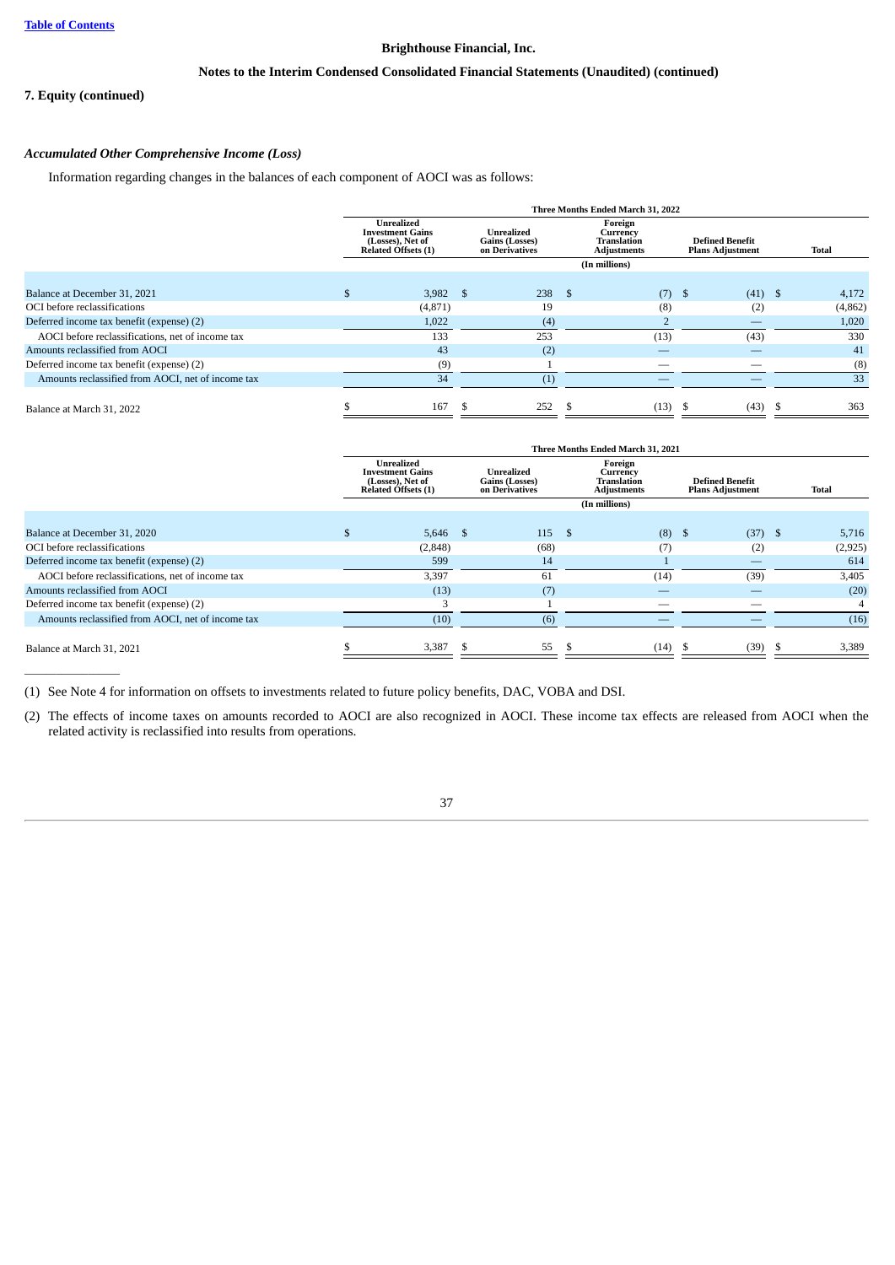# **Notes to the Interim Condensed Consolidated Financial Statements (Unaudited) (continued)**

# **7. Equity (continued)**

 $\frac{1}{2}$  ,  $\frac{1}{2}$  ,  $\frac{1}{2}$  ,  $\frac{1}{2}$  ,  $\frac{1}{2}$  ,  $\frac{1}{2}$  ,  $\frac{1}{2}$  ,  $\frac{1}{2}$  ,  $\frac{1}{2}$  ,  $\frac{1}{2}$  ,  $\frac{1}{2}$  ,  $\frac{1}{2}$  ,  $\frac{1}{2}$  ,  $\frac{1}{2}$  ,  $\frac{1}{2}$  ,  $\frac{1}{2}$  ,  $\frac{1}{2}$  ,  $\frac{1}{2}$  ,  $\frac{1$ 

# *Accumulated Other Comprehensive Income (Loss)*

Information regarding changes in the balances of each component of AOCI was as follows:

|                                                   | Three Months Ended March 31, 2022                                                                                                         |  |                                                                 |      |               |                                                   |           |              |         |
|---------------------------------------------------|-------------------------------------------------------------------------------------------------------------------------------------------|--|-----------------------------------------------------------------|------|---------------|---------------------------------------------------|-----------|--------------|---------|
|                                                   | Unrealized<br><b>Investment Gains</b><br>Unrealized<br>(Losses), Net of<br>Gains (Losses)<br><b>Related Offsets (1)</b><br>on Derivatives |  | Foreign<br>Currency<br><b>Translation</b><br><b>Adjustments</b> |      |               | <b>Defined Benefit</b><br><b>Plans Adjustment</b> |           | <b>Total</b> |         |
|                                                   |                                                                                                                                           |  |                                                                 |      | (In millions) |                                                   |           |              |         |
|                                                   |                                                                                                                                           |  |                                                                 |      |               |                                                   |           |              |         |
| Balance at December 31, 2021                      | \$<br>$3,982$ \$                                                                                                                          |  | 238                                                             | - \$ | (7)           | - \$                                              | $(41)$ \$ |              | 4,172   |
| OCI before reclassifications                      | (4,871)                                                                                                                                   |  | 19                                                              |      | (8)           |                                                   | (2)       |              | (4,862) |
| Deferred income tax benefit (expense) (2)         | 1,022                                                                                                                                     |  | (4)                                                             |      |               |                                                   |           |              | 1,020   |
| AOCI before reclassifications, net of income tax  | 133                                                                                                                                       |  | 253                                                             |      | (13)          |                                                   | (43)      |              | 330     |
| Amounts reclassified from AOCI                    | 43                                                                                                                                        |  | (2)                                                             |      |               |                                                   |           |              | 41      |
| Deferred income tax benefit (expense) (2)         | (9)                                                                                                                                       |  |                                                                 |      |               |                                                   |           |              | (8)     |
| Amounts reclassified from AOCI, net of income tax | 34                                                                                                                                        |  | (1)                                                             |      |               |                                                   |           |              | 33      |
| Balance at March 31, 2022                         | 167                                                                                                                                       |  | 252                                                             |      | (13)          | -\$                                               | (43)      | - S          | 363     |

|                                                   | Unrealized<br><b>Investment Gains</b><br>(Losses), Net of<br><b>Related Offsets (1)</b> |     | Unrealized<br>Gains (Losses)<br>on Derivatives |     | Foreign<br>Currency<br>Translation<br><b>Adjustments</b> | <b>Defined Benefit</b><br><b>Plans Adjustment</b> |      | Total    |
|---------------------------------------------------|-----------------------------------------------------------------------------------------|-----|------------------------------------------------|-----|----------------------------------------------------------|---------------------------------------------------|------|----------|
|                                                   |                                                                                         |     |                                                |     | (In millions)                                            |                                                   |      |          |
|                                                   |                                                                                         |     |                                                |     |                                                          |                                                   |      |          |
| Balance at December 31, 2020                      | $5,646$ \$<br>\$                                                                        |     | 115S                                           |     | (8)                                                      | (37)<br>-\$                                       | - \$ | 5,716    |
| OCI before reclassifications                      | (2,848)                                                                                 |     | (68)                                           |     |                                                          | (2)                                               |      | (2, 925) |
| Deferred income tax benefit (expense) (2)         | 599                                                                                     |     | 14                                             |     |                                                          |                                                   |      | 614      |
| AOCI before reclassifications, net of income tax  | 3,397                                                                                   |     | 61                                             |     | (14)                                                     | (39)                                              |      | 3,405    |
| Amounts reclassified from AOCI                    | (13)                                                                                    |     | (7)                                            |     | __                                                       |                                                   |      | (20)     |
| Deferred income tax benefit (expense) (2)         |                                                                                         |     |                                                |     |                                                          |                                                   |      |          |
| Amounts reclassified from AOCI, net of income tax | (10)                                                                                    |     | (6)                                            |     |                                                          |                                                   |      | (16)     |
| Balance at March 31, 2021                         | 3,387                                                                                   | -\$ | 55                                             | \$. | (14)                                                     | (39)<br>-S                                        | -S   | 3,389    |

(1) See Note 4 for information on offsets to investments related to future policy benefits, DAC, VOBA and DSI.

(2) The effects of income taxes on amounts recorded to AOCI are also recognized in AOCI. These income tax effects are released from AOCI when the related activity is reclassified into results from operations.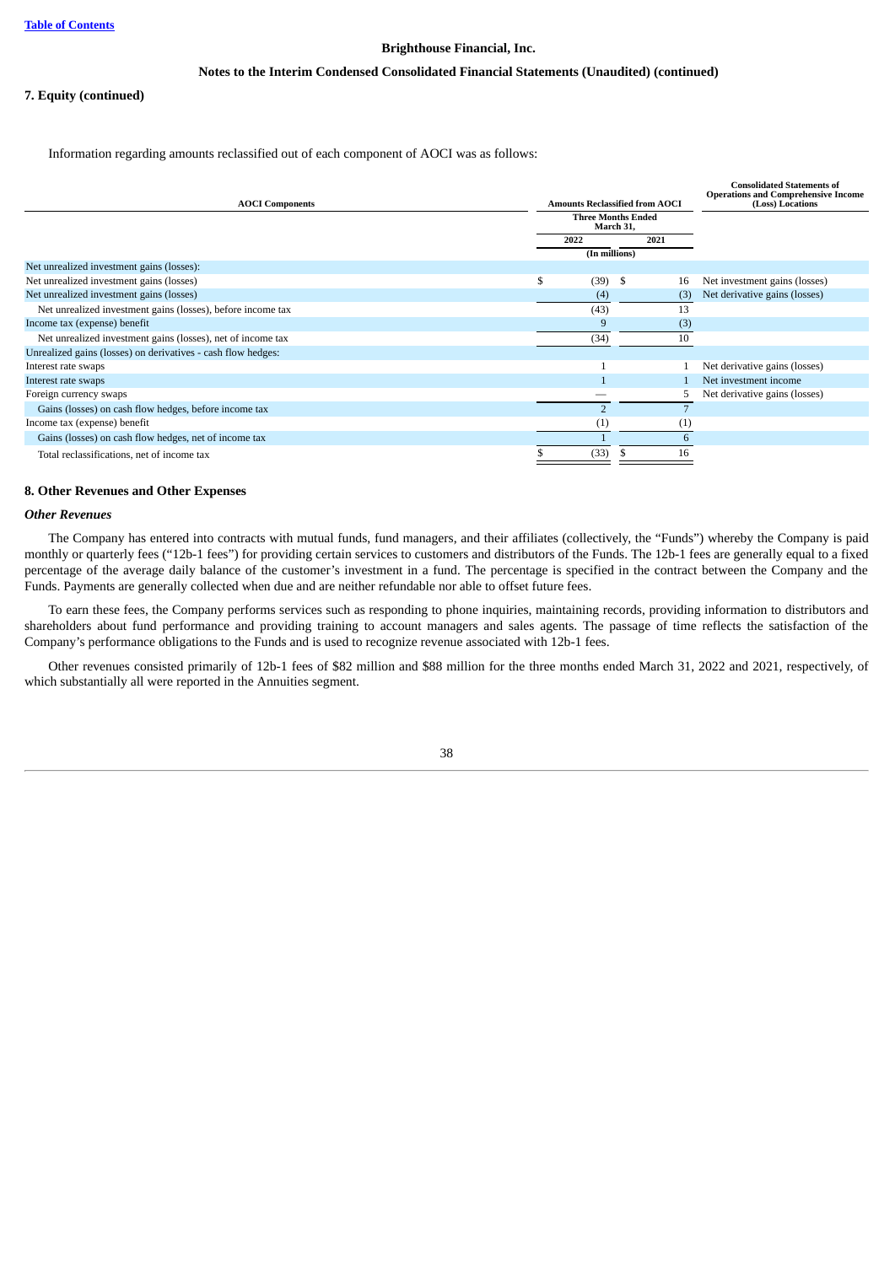# **Notes to the Interim Condensed Consolidated Financial Statements (Unaudited) (continued)**

# **7. Equity (continued)**

Information regarding amounts reclassified out of each component of AOCI was as follows:

| <b>AOCI</b> Components                                       |                               | <b>Amounts Reclassified from AOCI</b>  |    | <b>Consolidated Statements of</b><br><b>Operations and Comprehensive Income</b><br>(Loss) Locations |                               |  |
|--------------------------------------------------------------|-------------------------------|----------------------------------------|----|-----------------------------------------------------------------------------------------------------|-------------------------------|--|
|                                                              |                               | <b>Three Months Ended</b><br>March 31, |    |                                                                                                     |                               |  |
|                                                              | 2021<br>2022<br>(In millions) |                                        |    |                                                                                                     |                               |  |
| Net unrealized investment gains (losses):                    |                               |                                        |    |                                                                                                     |                               |  |
| Net unrealized investment gains (losses)                     | \$                            | (39)                                   | -5 | 16                                                                                                  | Net investment gains (losses) |  |
| Net unrealized investment gains (losses)                     |                               | $\left( 4\right)$                      |    | (3)                                                                                                 | Net derivative gains (losses) |  |
| Net unrealized investment gains (losses), before income tax  |                               | (43)                                   |    | 13                                                                                                  |                               |  |
| Income tax (expense) benefit                                 |                               | 9                                      |    | (3)                                                                                                 |                               |  |
| Net unrealized investment gains (losses), net of income tax  |                               | (34)                                   |    | 10                                                                                                  |                               |  |
| Unrealized gains (losses) on derivatives - cash flow hedges: |                               |                                        |    |                                                                                                     |                               |  |
| Interest rate swaps                                          |                               |                                        |    |                                                                                                     | Net derivative gains (losses) |  |
| Interest rate swaps                                          |                               |                                        |    |                                                                                                     | Net investment income         |  |
| Foreign currency swaps                                       |                               |                                        |    | 5                                                                                                   | Net derivative gains (losses) |  |
| Gains (losses) on cash flow hedges, before income tax        |                               | $\mathcal{D}$                          |    | $\overline{7}$                                                                                      |                               |  |
| Income tax (expense) benefit                                 |                               | $\left( 1\right)$                      |    | (1)                                                                                                 |                               |  |
| Gains (losses) on cash flow hedges, net of income tax        |                               |                                        |    | 6                                                                                                   |                               |  |
| Total reclassifications, net of income tax                   |                               | (33)                                   |    | 16                                                                                                  |                               |  |

# **8. Other Revenues and Other Expenses**

### *Other Revenues*

The Company has entered into contracts with mutual funds, fund managers, and their affiliates (collectively, the "Funds") whereby the Company is paid monthly or quarterly fees ("12b-1 fees") for providing certain services to customers and distributors of the Funds. The 12b-1 fees are generally equal to a fixed percentage of the average daily balance of the customer's investment in a fund. The percentage is specified in the contract between the Company and the Funds. Payments are generally collected when due and are neither refundable nor able to offset future fees.

To earn these fees, the Company performs services such as responding to phone inquiries, maintaining records, providing information to distributors and shareholders about fund performance and providing training to account managers and sales agents. The passage of time reflects the satisfaction of the Company's performance obligations to the Funds and is used to recognize revenue associated with 12b-1 fees.

Other revenues consisted primarily of 12b-1 fees of \$82 million and \$88 million for the three months ended March 31, 2022 and 2021, respectively, of which substantially all were reported in the Annuities segment.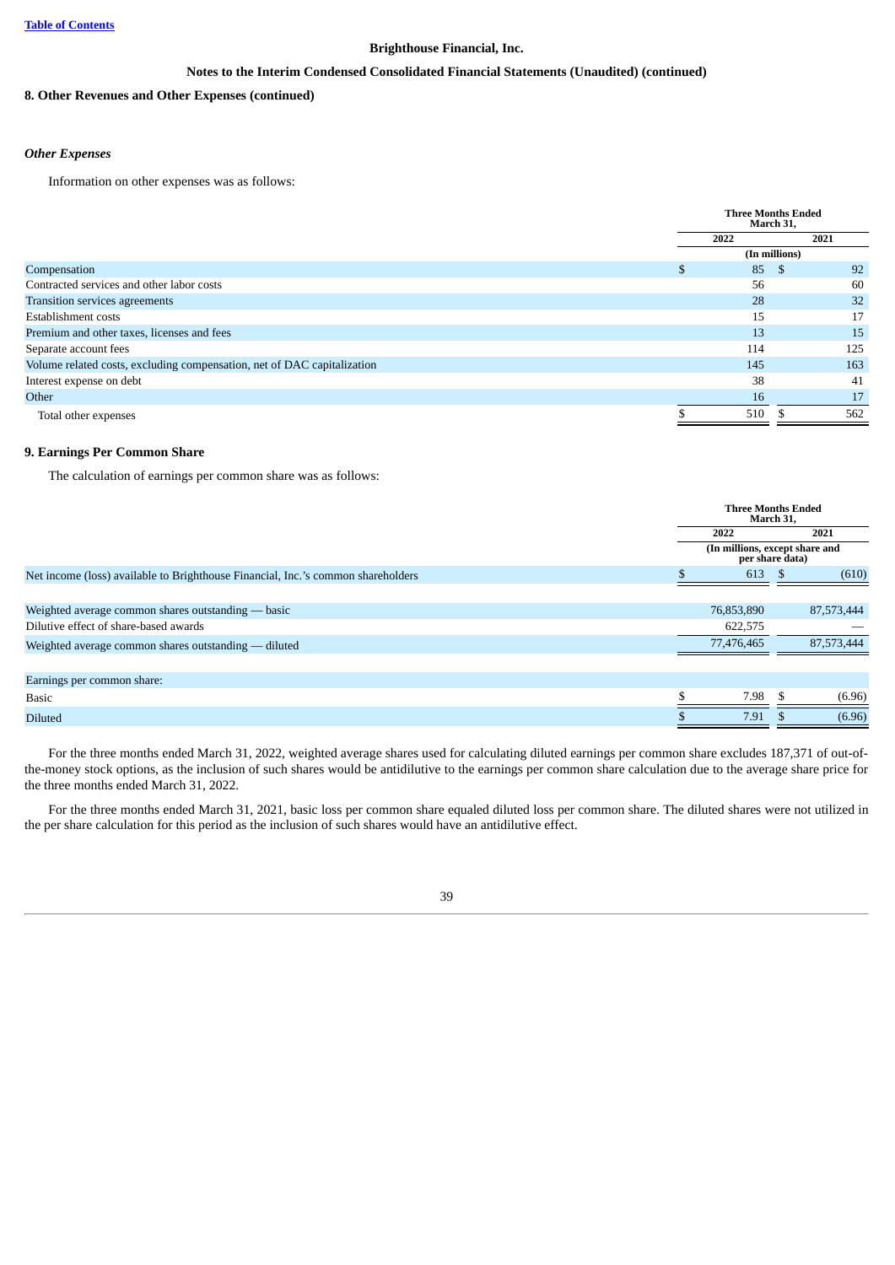# **Notes to the Interim Condensed Consolidated Financial Statements (Unaudited) (continued)**

# **8. Other Revenues and Other Expenses (continued)**

# *Other Expenses*

Information on other expenses was as follows:

|                                                                         | <b>Three Months Ended</b><br>March 31, |               |  |
|-------------------------------------------------------------------------|----------------------------------------|---------------|--|
|                                                                         | 2022                                   | 2021          |  |
|                                                                         |                                        | (In millions) |  |
| Compensation                                                            | \$<br>85 \$                            | 92            |  |
| Contracted services and other labor costs                               | 56                                     | 60            |  |
| Transition services agreements                                          | 28                                     | 32            |  |
| Establishment costs                                                     | 15                                     | 17            |  |
| Premium and other taxes, licenses and fees                              | 13                                     | 15            |  |
| Separate account fees                                                   | 114                                    | 125           |  |
| Volume related costs, excluding compensation, net of DAC capitalization | 145                                    | 163           |  |
| Interest expense on debt                                                | 38                                     | 41            |  |
| Other                                                                   | 16                                     | 17            |  |
| Total other expenses                                                    | 510                                    | 562           |  |
|                                                                         |                                        |               |  |

# **9. Earnings Per Common Share**

The calculation of earnings per common share was as follows:

|                                                                                  | <b>Three Months Ended</b><br>March 31,            |             |            |
|----------------------------------------------------------------------------------|---------------------------------------------------|-------------|------------|
|                                                                                  | 2022                                              |             | 2021       |
|                                                                                  | (In millions, except share and<br>per share data) |             |            |
| Net income (loss) available to Brighthouse Financial, Inc.'s common shareholders | 613                                               | $\mathbf S$ | (610)      |
|                                                                                  |                                                   |             |            |
| Weighted average common shares outstanding — basic                               | 76,853,890                                        |             | 87,573,444 |
| Dilutive effect of share-based awards                                            | 622,575                                           |             |            |
| Weighted average common shares outstanding — diluted                             | 77,476,465                                        |             | 87,573,444 |
|                                                                                  |                                                   |             |            |
| Earnings per common share:                                                       |                                                   |             |            |
| <b>Basic</b>                                                                     | 7.98                                              | -S          | (6.96)     |
| <b>Diluted</b>                                                                   | 7.91                                              |             | (6.96)     |
|                                                                                  |                                                   |             |            |

For the three months ended March 31, 2022, weighted average shares used for calculating diluted earnings per common share excludes 187,371 of out-ofthe-money stock options, as the inclusion of such shares would be antidilutive to the earnings per common share calculation due to the average share price for the three months ended March 31, 2022.

For the three months ended March 31, 2021, basic loss per common share equaled diluted loss per common share. The diluted shares were not utilized in the per share calculation for this period as the inclusion of such shares would have an antidilutive effect.

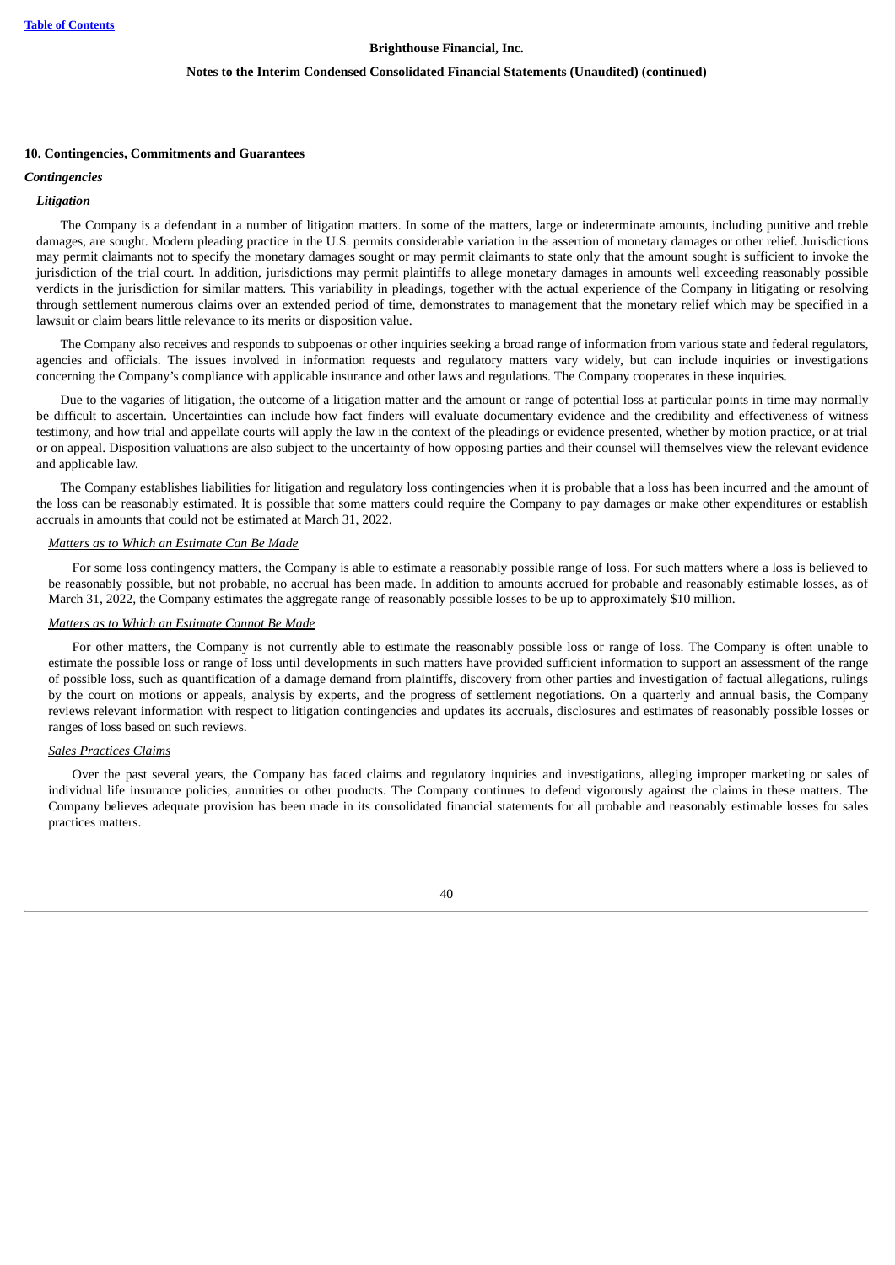## **Notes to the Interim Condensed Consolidated Financial Statements (Unaudited) (continued)**

### **10. Contingencies, Commitments and Guarantees**

### *Contingencies*

# *Litigation*

The Company is a defendant in a number of litigation matters. In some of the matters, large or indeterminate amounts, including punitive and treble damages, are sought. Modern pleading practice in the U.S. permits considerable variation in the assertion of monetary damages or other relief. Jurisdictions may permit claimants not to specify the monetary damages sought or may permit claimants to state only that the amount sought is sufficient to invoke the jurisdiction of the trial court. In addition, jurisdictions may permit plaintiffs to allege monetary damages in amounts well exceeding reasonably possible verdicts in the jurisdiction for similar matters. This variability in pleadings, together with the actual experience of the Company in litigating or resolving through settlement numerous claims over an extended period of time, demonstrates to management that the monetary relief which may be specified in a lawsuit or claim bears little relevance to its merits or disposition value.

The Company also receives and responds to subpoenas or other inquiries seeking a broad range of information from various state and federal regulators, agencies and officials. The issues involved in information requests and regulatory matters vary widely, but can include inquiries or investigations concerning the Company's compliance with applicable insurance and other laws and regulations. The Company cooperates in these inquiries.

Due to the vagaries of litigation, the outcome of a litigation matter and the amount or range of potential loss at particular points in time may normally be difficult to ascertain. Uncertainties can include how fact finders will evaluate documentary evidence and the credibility and effectiveness of witness testimony, and how trial and appellate courts will apply the law in the context of the pleadings or evidence presented, whether by motion practice, or at trial or on appeal. Disposition valuations are also subject to the uncertainty of how opposing parties and their counsel will themselves view the relevant evidence and applicable law.

The Company establishes liabilities for litigation and regulatory loss contingencies when it is probable that a loss has been incurred and the amount of the loss can be reasonably estimated. It is possible that some matters could require the Company to pay damages or make other expenditures or establish accruals in amounts that could not be estimated at March 31, 2022.

#### *Matters as to Which an Estimate Can Be Made*

For some loss contingency matters, the Company is able to estimate a reasonably possible range of loss. For such matters where a loss is believed to be reasonably possible, but not probable, no accrual has been made. In addition to amounts accrued for probable and reasonably estimable losses, as of March 31, 2022, the Company estimates the aggregate range of reasonably possible losses to be up to approximately \$10 million.

### *Matters as to Which an Estimate Cannot Be Made*

For other matters, the Company is not currently able to estimate the reasonably possible loss or range of loss. The Company is often unable to estimate the possible loss or range of loss until developments in such matters have provided sufficient information to support an assessment of the range of possible loss, such as quantification of a damage demand from plaintiffs, discovery from other parties and investigation of factual allegations, rulings by the court on motions or appeals, analysis by experts, and the progress of settlement negotiations. On a quarterly and annual basis, the Company reviews relevant information with respect to litigation contingencies and updates its accruals, disclosures and estimates of reasonably possible losses or ranges of loss based on such reviews.

### *Sales Practices Claims*

Over the past several years, the Company has faced claims and regulatory inquiries and investigations, alleging improper marketing or sales of individual life insurance policies, annuities or other products. The Company continues to defend vigorously against the claims in these matters. The Company believes adequate provision has been made in its consolidated financial statements for all probable and reasonably estimable losses for sales practices matters.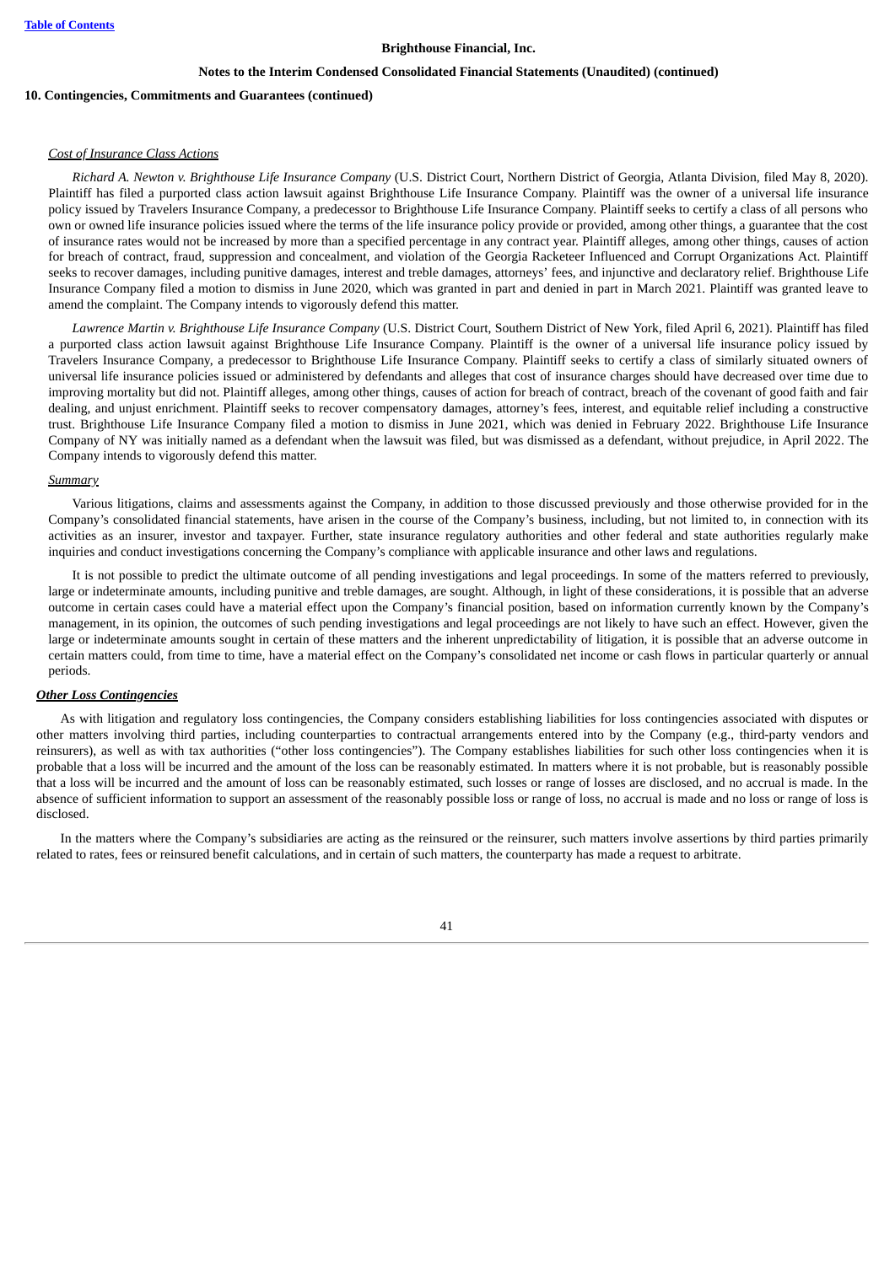## **Notes to the Interim Condensed Consolidated Financial Statements (Unaudited) (continued)**

## **10. Contingencies, Commitments and Guarantees (continued)**

### *Cost of Insurance Class Actions*

*Richard A. Newton v. Brighthouse Life Insurance Company* (U.S. District Court, Northern District of Georgia, Atlanta Division, filed May 8, 2020). Plaintiff has filed a purported class action lawsuit against Brighthouse Life Insurance Company. Plaintiff was the owner of a universal life insurance policy issued by Travelers Insurance Company, a predecessor to Brighthouse Life Insurance Company. Plaintiff seeks to certify a class of all persons who own or owned life insurance policies issued where the terms of the life insurance policy provide or provided, among other things, a guarantee that the cost of insurance rates would not be increased by more than a specified percentage in any contract year. Plaintiff alleges, among other things, causes of action for breach of contract, fraud, suppression and concealment, and violation of the Georgia Racketeer Influenced and Corrupt Organizations Act. Plaintiff seeks to recover damages, including punitive damages, interest and treble damages, attorneys' fees, and injunctive and declaratory relief. Brighthouse Life Insurance Company filed a motion to dismiss in June 2020, which was granted in part and denied in part in March 2021. Plaintiff was granted leave to amend the complaint. The Company intends to vigorously defend this matter.

*Lawrence Martin v. Brighthouse Life Insurance Company* (U.S. District Court, Southern District of New York, filed April 6, 2021). Plaintiff has filed a purported class action lawsuit against Brighthouse Life Insurance Company. Plaintiff is the owner of a universal life insurance policy issued by Travelers Insurance Company, a predecessor to Brighthouse Life Insurance Company. Plaintiff seeks to certify a class of similarly situated owners of universal life insurance policies issued or administered by defendants and alleges that cost of insurance charges should have decreased over time due to improving mortality but did not. Plaintiff alleges, among other things, causes of action for breach of contract, breach of the covenant of good faith and fair dealing, and unjust enrichment. Plaintiff seeks to recover compensatory damages, attorney's fees, interest, and equitable relief including a constructive trust. Brighthouse Life Insurance Company filed a motion to dismiss in June 2021, which was denied in February 2022. Brighthouse Life Insurance Company of NY was initially named as a defendant when the lawsuit was filed, but was dismissed as a defendant, without prejudice, in April 2022. The Company intends to vigorously defend this matter.

#### *Summary*

Various litigations, claims and assessments against the Company, in addition to those discussed previously and those otherwise provided for in the Company's consolidated financial statements, have arisen in the course of the Company's business, including, but not limited to, in connection with its activities as an insurer, investor and taxpayer. Further, state insurance regulatory authorities and other federal and state authorities regularly make inquiries and conduct investigations concerning the Company's compliance with applicable insurance and other laws and regulations.

It is not possible to predict the ultimate outcome of all pending investigations and legal proceedings. In some of the matters referred to previously, large or indeterminate amounts, including punitive and treble damages, are sought. Although, in light of these considerations, it is possible that an adverse outcome in certain cases could have a material effect upon the Company's financial position, based on information currently known by the Company's management, in its opinion, the outcomes of such pending investigations and legal proceedings are not likely to have such an effect. However, given the large or indeterminate amounts sought in certain of these matters and the inherent unpredictability of litigation, it is possible that an adverse outcome in certain matters could, from time to time, have a material effect on the Company's consolidated net income or cash flows in particular quarterly or annual periods.

## *Other Loss Contingencies*

As with litigation and regulatory loss contingencies, the Company considers establishing liabilities for loss contingencies associated with disputes or other matters involving third parties, including counterparties to contractual arrangements entered into by the Company (e.g., third-party vendors and reinsurers), as well as with tax authorities ("other loss contingencies"). The Company establishes liabilities for such other loss contingencies when it is probable that a loss will be incurred and the amount of the loss can be reasonably estimated. In matters where it is not probable, but is reasonably possible that a loss will be incurred and the amount of loss can be reasonably estimated, such losses or range of losses are disclosed, and no accrual is made. In the absence of sufficient information to support an assessment of the reasonably possible loss or range of loss, no accrual is made and no loss or range of loss is disclosed.

In the matters where the Company's subsidiaries are acting as the reinsured or the reinsurer, such matters involve assertions by third parties primarily related to rates, fees or reinsured benefit calculations, and in certain of such matters, the counterparty has made a request to arbitrate.

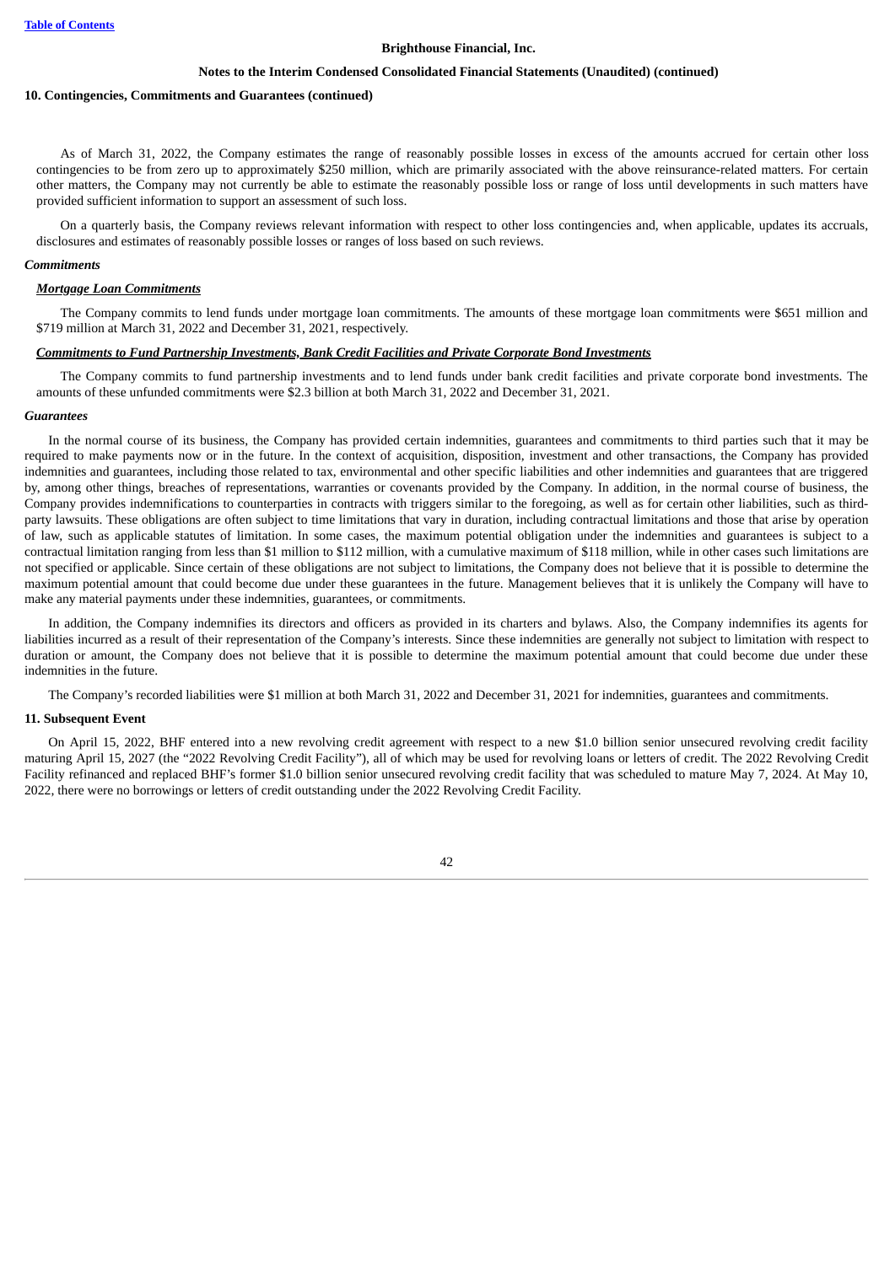### **Notes to the Interim Condensed Consolidated Financial Statements (Unaudited) (continued)**

### **10. Contingencies, Commitments and Guarantees (continued)**

As of March 31, 2022, the Company estimates the range of reasonably possible losses in excess of the amounts accrued for certain other loss contingencies to be from zero up to approximately \$250 million, which are primarily associated with the above reinsurance-related matters. For certain other matters, the Company may not currently be able to estimate the reasonably possible loss or range of loss until developments in such matters have provided sufficient information to support an assessment of such loss.

On a quarterly basis, the Company reviews relevant information with respect to other loss contingencies and, when applicable, updates its accruals, disclosures and estimates of reasonably possible losses or ranges of loss based on such reviews.

#### *Commitments*

#### *Mortgage Loan Commitments*

The Company commits to lend funds under mortgage loan commitments. The amounts of these mortgage loan commitments were \$651 million and \$719 million at March 31, 2022 and December 31, 2021, respectively.

### *Commitments to Fund Partnership Investments, Bank Credit Facilities and Private Corporate Bond Investments*

The Company commits to fund partnership investments and to lend funds under bank credit facilities and private corporate bond investments. The amounts of these unfunded commitments were \$2.3 billion at both March 31, 2022 and December 31, 2021.

#### *Guarantees*

In the normal course of its business, the Company has provided certain indemnities, guarantees and commitments to third parties such that it may be required to make payments now or in the future. In the context of acquisition, disposition, investment and other transactions, the Company has provided indemnities and guarantees, including those related to tax, environmental and other specific liabilities and other indemnities and guarantees that are triggered by, among other things, breaches of representations, warranties or covenants provided by the Company. In addition, in the normal course of business, the Company provides indemnifications to counterparties in contracts with triggers similar to the foregoing, as well as for certain other liabilities, such as thirdparty lawsuits. These obligations are often subject to time limitations that vary in duration, including contractual limitations and those that arise by operation of law, such as applicable statutes of limitation. In some cases, the maximum potential obligation under the indemnities and guarantees is subject to a contractual limitation ranging from less than \$1 million to \$112 million, with a cumulative maximum of \$118 million, while in other cases such limitations are not specified or applicable. Since certain of these obligations are not subject to limitations, the Company does not believe that it is possible to determine the maximum potential amount that could become due under these guarantees in the future. Management believes that it is unlikely the Company will have to make any material payments under these indemnities, guarantees, or commitments.

In addition, the Company indemnifies its directors and officers as provided in its charters and bylaws. Also, the Company indemnifies its agents for liabilities incurred as a result of their representation of the Company's interests. Since these indemnities are generally not subject to limitation with respect to duration or amount, the Company does not believe that it is possible to determine the maximum potential amount that could become due under these indemnities in the future.

The Company's recorded liabilities were \$1 million at both March 31, 2022 and December 31, 2021 for indemnities, guarantees and commitments.

#### **11. Subsequent Event**

On April 15, 2022, BHF entered into a new revolving credit agreement with respect to a new \$1.0 billion senior unsecured revolving credit facility maturing April 15, 2027 (the "2022 Revolving Credit Facility"), all of which may be used for revolving loans or letters of credit. The 2022 Revolving Credit Facility refinanced and replaced BHF's former \$1.0 billion senior unsecured revolving credit facility that was scheduled to mature May 7, 2024. At May 10, 2022, there were no borrowings or letters of credit outstanding under the 2022 Revolving Credit Facility.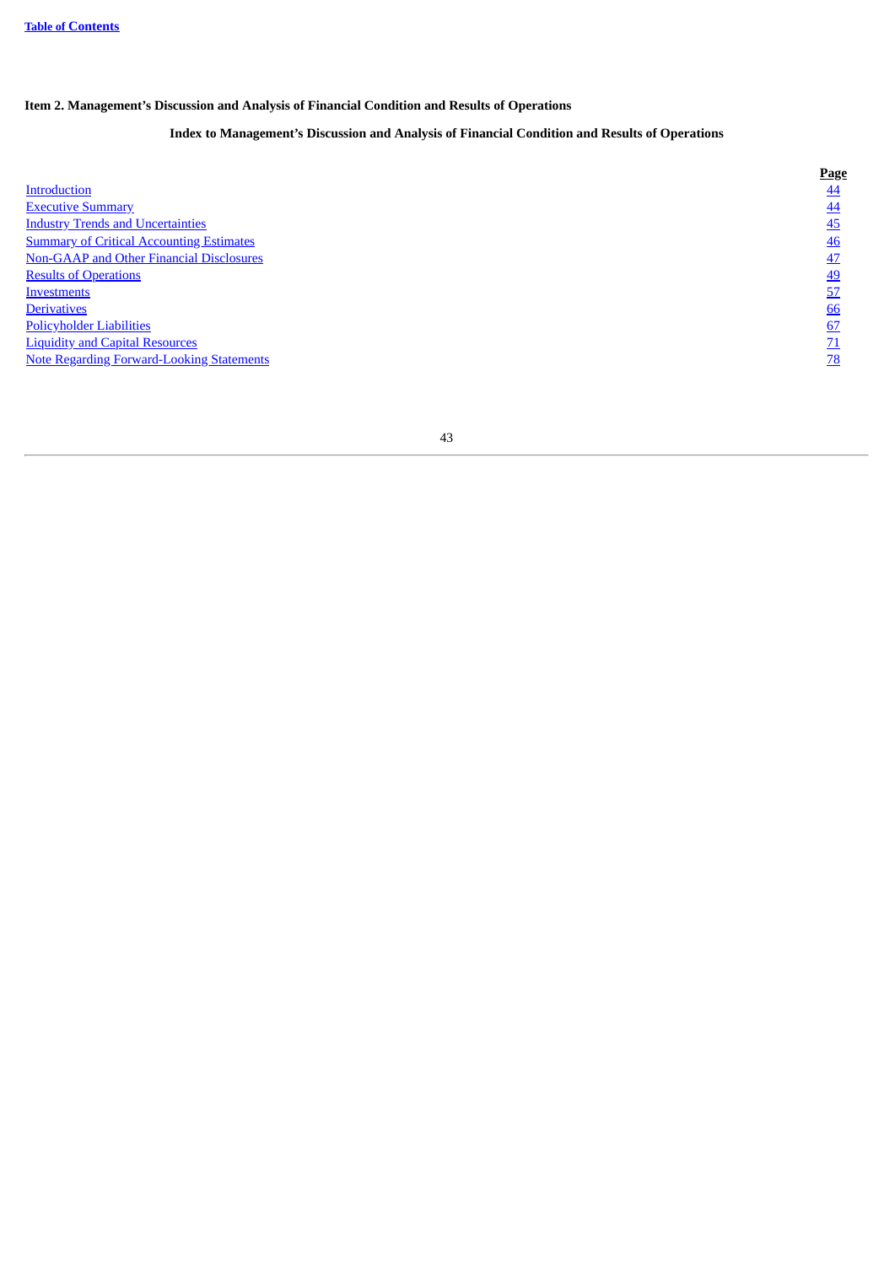# **Item 2. Management's Discussion and Analysis of Financial Condition and Results of Operations**

# **Index to Management's Discussion and Analysis of Financial Condition and Results of Operations**

**Page**

<span id="page-44-0"></span><u>[Introduction](#page-44-0) and the set of the set of the set of the set of the set of the set of the set of the set of the set of the set of the set of the set of the set of the set of the set of the set of the set of the set of the se</u> Material [Executive](#page-45-0) Summary<br>
Executive Summary<br>
Industry Trends and Uncertainties<br>
Mon-GAAP and Other Financial Disclosures<br>
Non-GAAP and Other Financial Disclosures<br>
Results of Operations<br>
Investments<br>
<u>Berivatives</u><br>
State **Industry Trends and [Uncertainties](#page-46-0) Summary of Critical [Accounting](#page-47-0) Estimates** [Non-GAAP](#page-48-0) and Other Financial Disclosures **Results of [Operations](#page-49-0) [Investments](#page-58-0)** [57](#page-58-0) <u>[Derivatives](#page-67-0)</u> [66](#page-67-0) **66 and 2012 66 and 2013 66 and 2013 66 and 2013 66 and 2013 66 66** [Policyholder](#page-68-0) Liabilities **Liquidity and Capital [Resources](#page-71-0)** Note Regarding [Forward-Looking](#page-78-0) Statements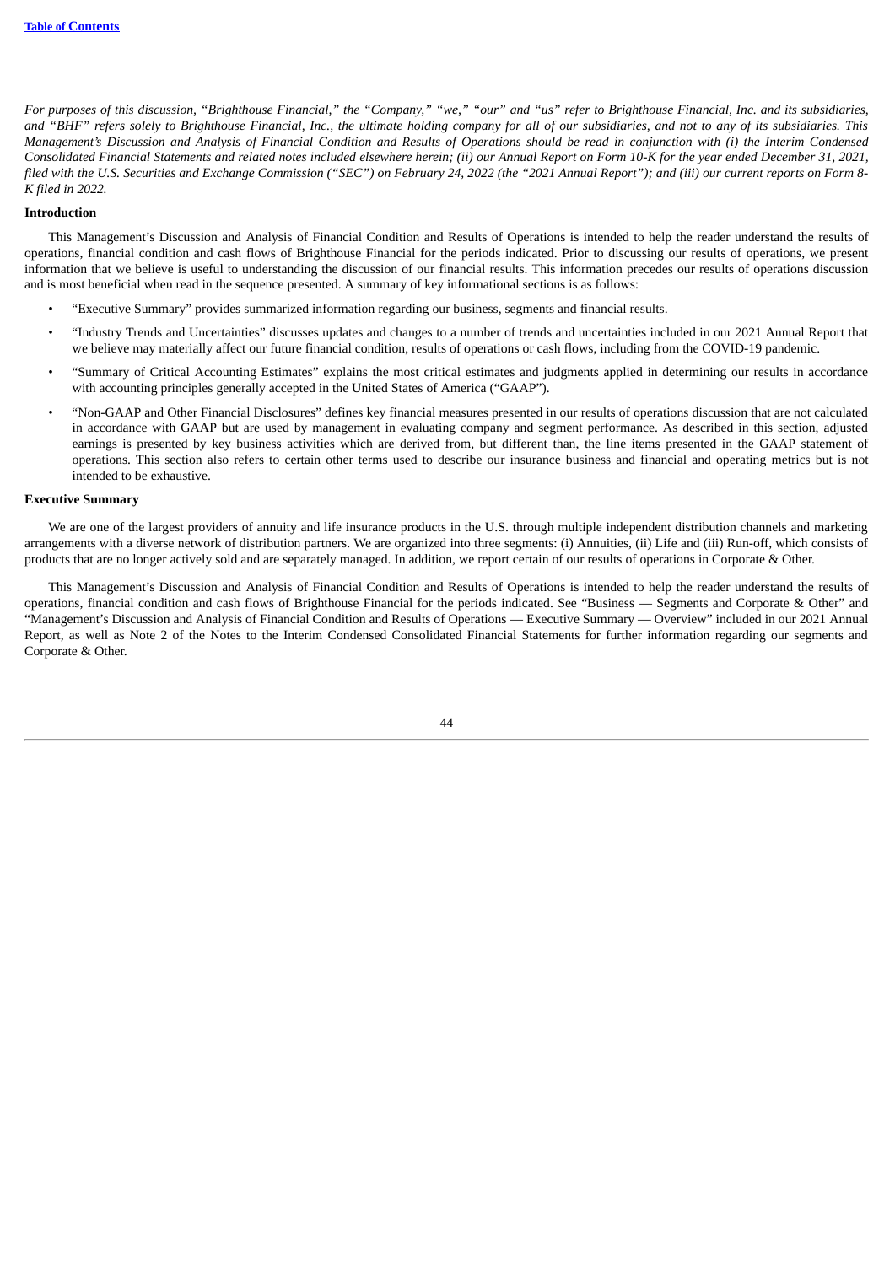For purposes of this discussion, "Brighthouse Financial," the "Company," "we," "our" and "us" refer to Brighthouse Financial, Inc. and its subsidiaries, and "BHF" refers solely to Brighthouse Financial. Inc., the ultimate holding company for all of our subsidiaries, and not to any of its subsidiaries. This Management's Discussion and Analysis of Financial Condition and Results of Operations should be read in conjunction with (i) the Interim Condensed Consolidated Financial Statements and related notes included elsewhere herein; (ii) our Annual Report on Form 10-K for the year ended December 31, 2021, filed with the U.S. Securities and Exchange Commission ("SEC") on February 24, 2022 (the "2021 Annual Report"); and (iii) our current reports on Form 8-*K filed in 2022.*

# **Introduction**

This Management's Discussion and Analysis of Financial Condition and Results of Operations is intended to help the reader understand the results of operations, financial condition and cash flows of Brighthouse Financial for the periods indicated. Prior to discussing our results of operations, we present information that we believe is useful to understanding the discussion of our financial results. This information precedes our results of operations discussion and is most beneficial when read in the sequence presented. A summary of key informational sections is as follows:

- "Executive Summary" provides summarized information regarding our business, segments and financial results.
- "Industry Trends and Uncertainties" discusses updates and changes to a number of trends and uncertainties included in our 2021 Annual Report that we believe may materially affect our future financial condition, results of operations or cash flows, including from the COVID-19 pandemic.
- "Summary of Critical Accounting Estimates" explains the most critical estimates and judgments applied in determining our results in accordance with accounting principles generally accepted in the United States of America ("GAAP").
- "Non-GAAP and Other Financial Disclosures" defines key financial measures presented in our results of operations discussion that are not calculated in accordance with GAAP but are used by management in evaluating company and segment performance. As described in this section, adjusted earnings is presented by key business activities which are derived from, but different than, the line items presented in the GAAP statement of operations. This section also refers to certain other terms used to describe our insurance business and financial and operating metrics but is not intended to be exhaustive.

#### <span id="page-45-0"></span>**Executive Summary**

We are one of the largest providers of annuity and life insurance products in the U.S. through multiple independent distribution channels and marketing arrangements with a diverse network of distribution partners. We are organized into three segments: (i) Annuities, (ii) Life and (iii) Run-off, which consists of products that are no longer actively sold and are separately managed. In addition, we report certain of our results of operations in Corporate & Other.

This Management's Discussion and Analysis of Financial Condition and Results of Operations is intended to help the reader understand the results of operations, financial condition and cash flows of Brighthouse Financial for the periods indicated. See "Business — Segments and Corporate & Other" and "Management's Discussion and Analysis of Financial Condition and Results of Operations — Executive Summary — Overview" included in our 2021 Annual Report, as well as Note 2 of the Notes to the Interim Condensed Consolidated Financial Statements for further information regarding our segments and Corporate & Other.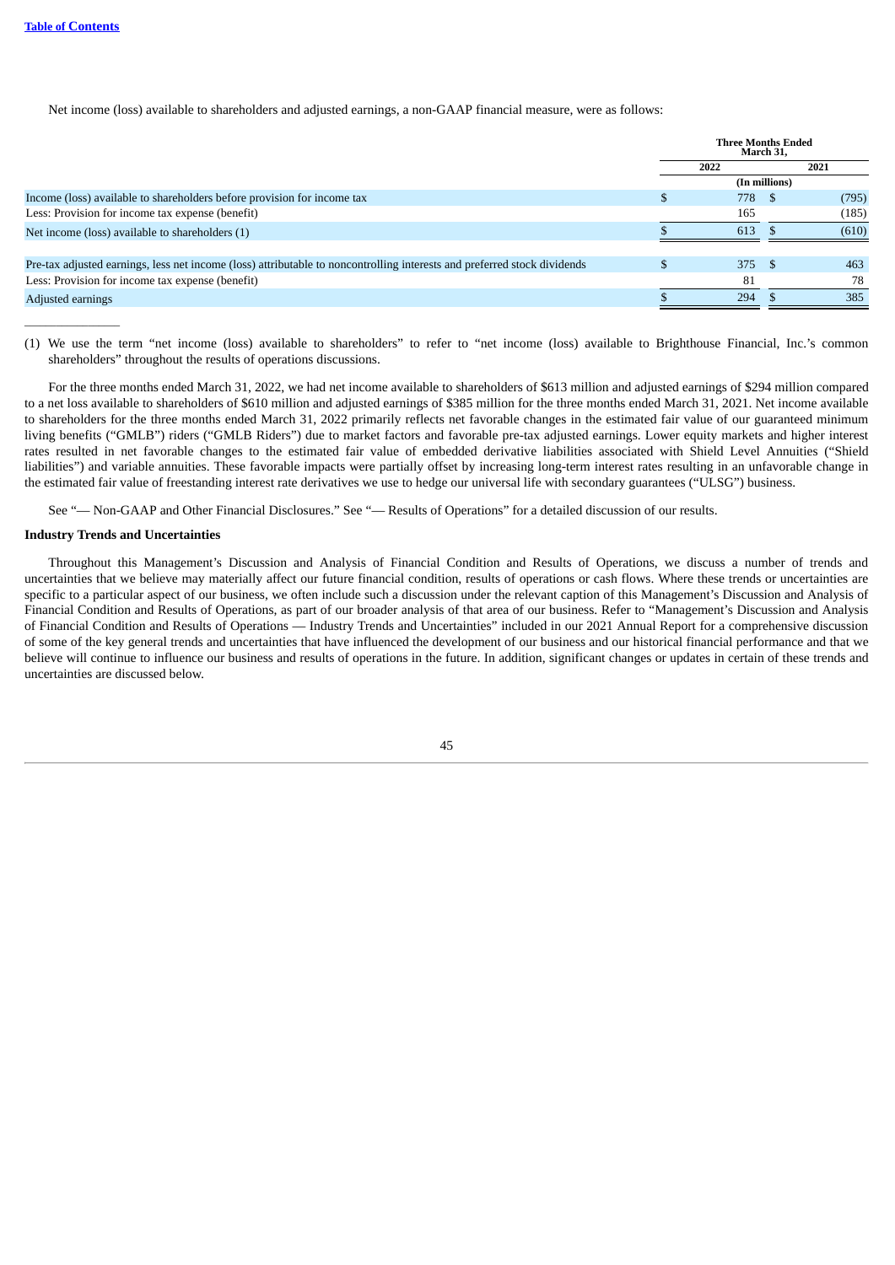$\_$ 

Net income (loss) available to shareholders and adjusted earnings, a non-GAAP financial measure, were as follows:

|                                                                                                                          | <b>Three Months Ended</b> | March 31.     |       |
|--------------------------------------------------------------------------------------------------------------------------|---------------------------|---------------|-------|
|                                                                                                                          | 2022                      |               | 2021  |
|                                                                                                                          |                           | (In millions) |       |
| Income (loss) available to shareholders before provision for income tax                                                  | 778                       | -56           | (795) |
| Less: Provision for income tax expense (benefit)                                                                         | 165                       |               | (185) |
| Net income (loss) available to shareholders (1)                                                                          | 613                       |               | (610) |
|                                                                                                                          |                           |               |       |
| Pre-tax adjusted earnings, less net income (loss) attributable to noncontrolling interests and preferred stock dividends | 375                       | - \$          | 463   |
| Less: Provision for income tax expense (benefit)                                                                         | 81                        |               | 78    |
| Adjusted earnings                                                                                                        | 294                       |               | 385   |
|                                                                                                                          |                           |               |       |

(1) We use the term "net income (loss) available to shareholders" to refer to "net income (loss) available to Brighthouse Financial, Inc.'s common shareholders" throughout the results of operations discussions.

For the three months ended March 31, 2022, we had net income available to shareholders of \$613 million and adjusted earnings of \$294 million compared to a net loss available to shareholders of \$610 million and adjusted earnings of \$385 million for the three months ended March 31, 2021. Net income available to shareholders for the three months ended March 31, 2022 primarily reflects net favorable changes in the estimated fair value of our guaranteed minimum living benefits ("GMLB") riders ("GMLB Riders") due to market factors and favorable pre-tax adjusted earnings. Lower equity markets and higher interest rates resulted in net favorable changes to the estimated fair value of embedded derivative liabilities associated with Shield Level Annuities ("Shield liabilities") and variable annuities. These favorable impacts were partially offset by increasing long-term interest rates resulting in an unfavorable change in the estimated fair value of freestanding interest rate derivatives we use to hedge our universal life with secondary guarantees ("ULSG") business.

See "— Non-GAAP and Other Financial Disclosures." See "— Results of Operations" for a detailed discussion of our results.

## <span id="page-46-0"></span>**Industry Trends and Uncertainties**

Throughout this Management's Discussion and Analysis of Financial Condition and Results of Operations, we discuss a number of trends and uncertainties that we believe may materially affect our future financial condition, results of operations or cash flows. Where these trends or uncertainties are specific to a particular aspect of our business, we often include such a discussion under the relevant caption of this Management's Discussion and Analysis of Financial Condition and Results of Operations, as part of our broader analysis of that area of our business. Refer to "Management's Discussion and Analysis of Financial Condition and Results of Operations — Industry Trends and Uncertainties" included in our 2021 Annual Report for a comprehensive discussion of some of the key general trends and uncertainties that have influenced the development of our business and our historical financial performance and that we believe will continue to influence our business and results of operations in the future. In addition, significant changes or updates in certain of these trends and uncertainties are discussed below.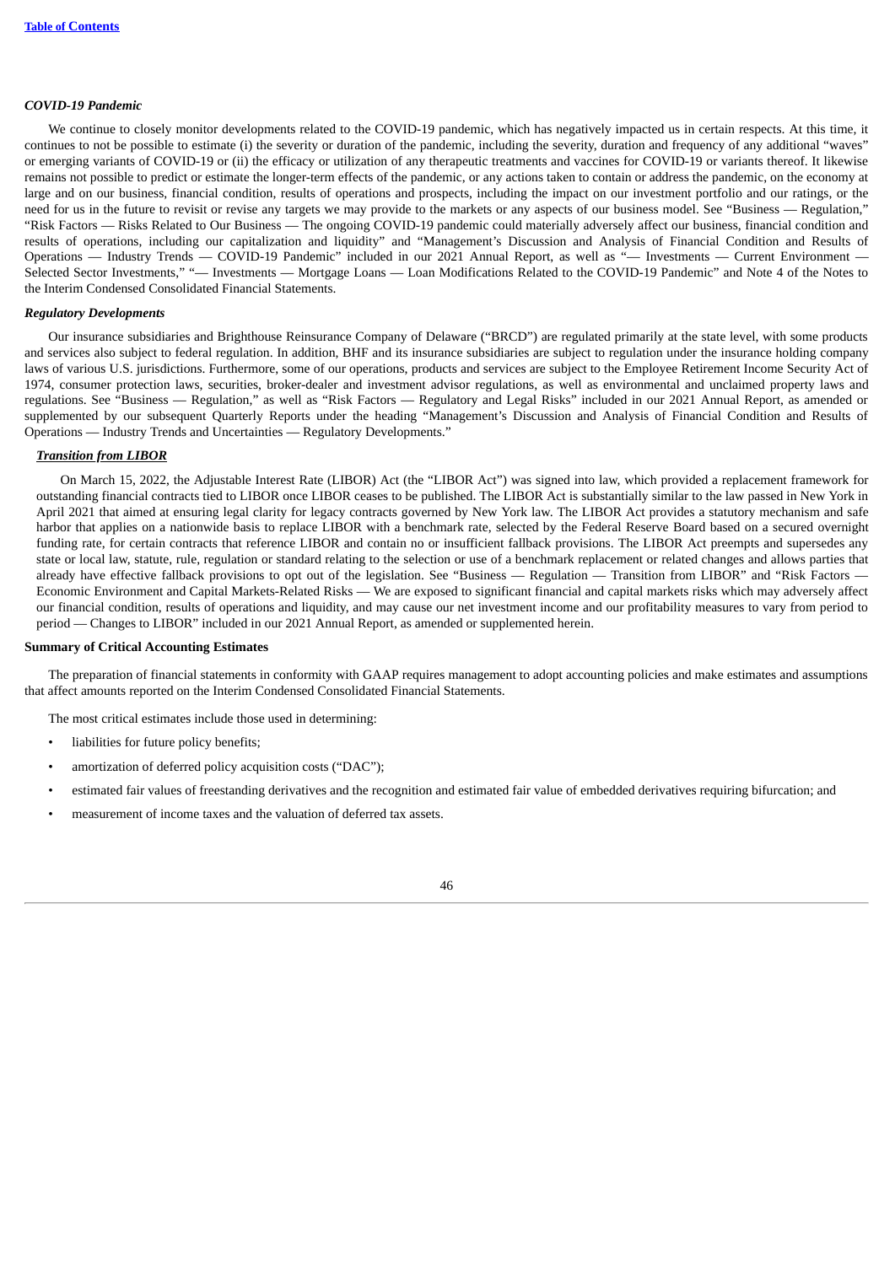### *COVID-19 Pandemic*

We continue to closely monitor developments related to the COVID-19 pandemic, which has negatively impacted us in certain respects. At this time, it continues to not be possible to estimate (i) the severity or duration of the pandemic, including the severity, duration and frequency of any additional "waves" or emerging variants of COVID-19 or (ii) the efficacy or utilization of any therapeutic treatments and vaccines for COVID-19 or variants thereof. It likewise remains not possible to predict or estimate the longer-term effects of the pandemic, or any actions taken to contain or address the pandemic, on the economy at large and on our business, financial condition, results of operations and prospects, including the impact on our investment portfolio and our ratings, or the need for us in the future to revisit or revise any targets we may provide to the markets or any aspects of our business model. See "Business — Regulation," "Risk Factors — Risks Related to Our Business — The ongoing COVID-19 pandemic could materially adversely affect our business, financial condition and results of operations, including our capitalization and liquidity" and "Management's Discussion and Analysis of Financial Condition and Results of Operations — Industry Trends — COVID-19 Pandemic" included in our 2021 Annual Report, as well as "— Investments — Current Environment — Selected Sector Investments," "— Investments — Mortgage Loans — Loan Modifications Related to the COVID-19 Pandemic" and Note 4 of the Notes to the Interim Condensed Consolidated Financial Statements.

#### *Regulatory Developments*

Our insurance subsidiaries and Brighthouse Reinsurance Company of Delaware ("BRCD") are regulated primarily at the state level, with some products and services also subject to federal regulation. In addition, BHF and its insurance subsidiaries are subject to regulation under the insurance holding company laws of various U.S. jurisdictions. Furthermore, some of our operations, products and services are subject to the Employee Retirement Income Security Act of 1974, consumer protection laws, securities, broker-dealer and investment advisor regulations, as well as environmental and unclaimed property laws and regulations. See "Business — Regulation," as well as "Risk Factors — Regulatory and Legal Risks" included in our 2021 Annual Report, as amended or supplemented by our subsequent Quarterly Reports under the heading "Management's Discussion and Analysis of Financial Condition and Results of Operations — Industry Trends and Uncertainties — Regulatory Developments."

### *Transition from LIBOR*

On March 15, 2022, the Adjustable Interest Rate (LIBOR) Act (the "LIBOR Act") was signed into law, which provided a replacement framework for outstanding financial contracts tied to LIBOR once LIBOR ceases to be published. The LIBOR Act is substantially similar to the law passed in New York in April 2021 that aimed at ensuring legal clarity for legacy contracts governed by New York law. The LIBOR Act provides a statutory mechanism and safe harbor that applies on a nationwide basis to replace LIBOR with a benchmark rate, selected by the Federal Reserve Board based on a secured overnight funding rate, for certain contracts that reference LIBOR and contain no or insufficient fallback provisions. The LIBOR Act preempts and supersedes any state or local law, statute, rule, regulation or standard relating to the selection or use of a benchmark replacement or related changes and allows parties that already have effective fallback provisions to opt out of the legislation. See "Business — Regulation — Transition from LIBOR" and "Risk Factors — Economic Environment and Capital Markets-Related Risks — We are exposed to significant financial and capital markets risks which may adversely affect our financial condition, results of operations and liquidity, and may cause our net investment income and our profitability measures to vary from period to period — Changes to LIBOR" included in our 2021 Annual Report, as amended or supplemented herein.

## <span id="page-47-0"></span>**Summary of Critical Accounting Estimates**

The preparation of financial statements in conformity with GAAP requires management to adopt accounting policies and make estimates and assumptions that affect amounts reported on the Interim Condensed Consolidated Financial Statements.

The most critical estimates include those used in determining:

- liabilities for future policy benefits:
- amortization of deferred policy acquisition costs ("DAC"):
- estimated fair values of freestanding derivatives and the recognition and estimated fair value of embedded derivatives requiring bifurcation; and
- measurement of income taxes and the valuation of deferred tax assets.

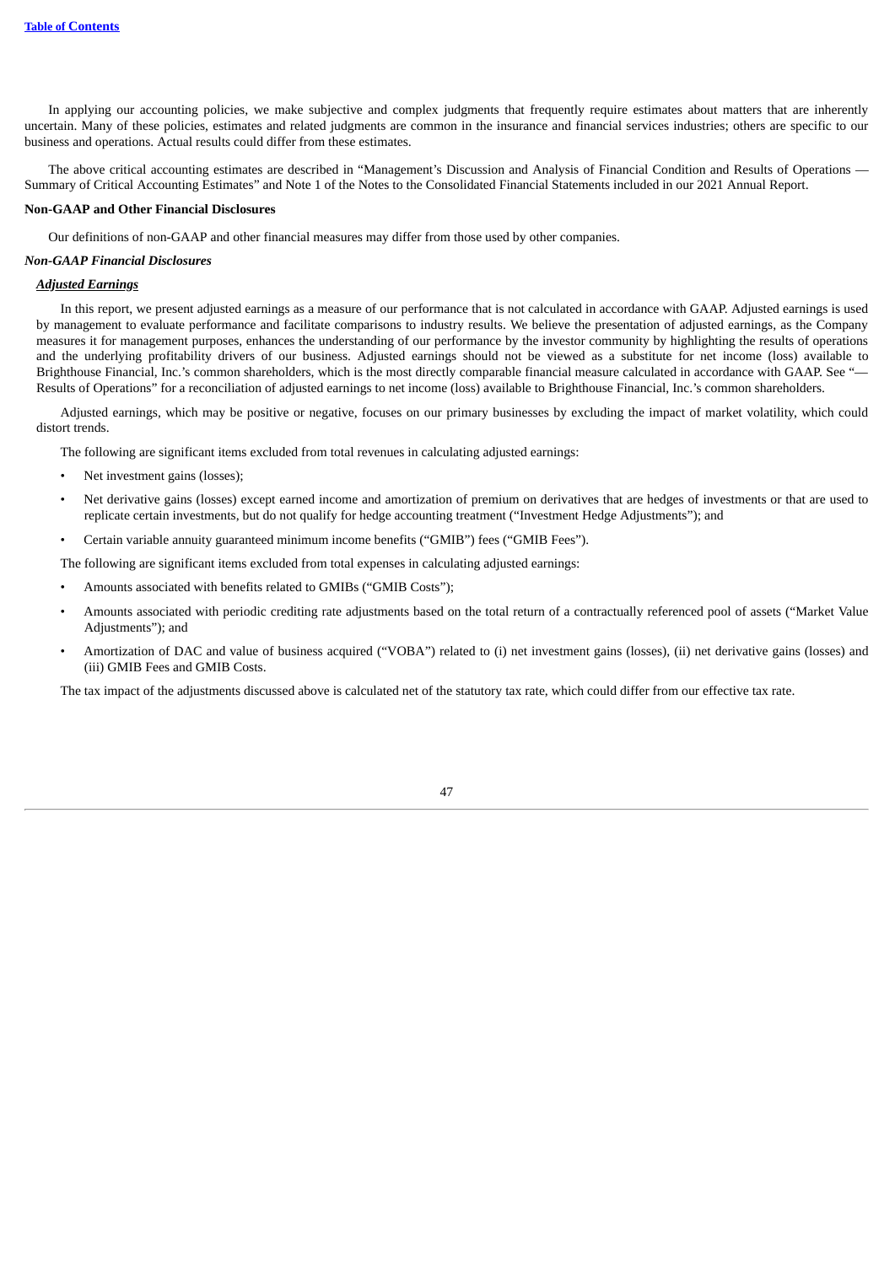In applying our accounting policies, we make subjective and complex judgments that frequently require estimates about matters that are inherently uncertain. Many of these policies, estimates and related judgments are common in the insurance and financial services industries; others are specific to our business and operations. Actual results could differ from these estimates.

The above critical accounting estimates are described in "Management's Discussion and Analysis of Financial Condition and Results of Operations — Summary of Critical Accounting Estimates" and Note 1 of the Notes to the Consolidated Financial Statements included in our 2021 Annual Report.

### <span id="page-48-0"></span>**Non-GAAP and Other Financial Disclosures**

Our definitions of non-GAAP and other financial measures may differ from those used by other companies.

#### *Non-GAAP Financial Disclosures*

## *Adjusted Earnings*

In this report, we present adjusted earnings as a measure of our performance that is not calculated in accordance with GAAP. Adjusted earnings is used by management to evaluate performance and facilitate comparisons to industry results. We believe the presentation of adjusted earnings, as the Company measures it for management purposes, enhances the understanding of our performance by the investor community by highlighting the results of operations and the underlying profitability drivers of our business. Adjusted earnings should not be viewed as a substitute for net income (loss) available to Brighthouse Financial, Inc.'s common shareholders, which is the most directly comparable financial measure calculated in accordance with GAAP. See "— Results of Operations" for a reconciliation of adjusted earnings to net income (loss) available to Brighthouse Financial, Inc.'s common shareholders.

Adjusted earnings, which may be positive or negative, focuses on our primary businesses by excluding the impact of market volatility, which could distort trends.

The following are significant items excluded from total revenues in calculating adjusted earnings:

- Net investment gains (losses);
- Net derivative gains (losses) except earned income and amortization of premium on derivatives that are hedges of investments or that are used to replicate certain investments, but do not qualify for hedge accounting treatment ("Investment Hedge Adjustments"); and
- Certain variable annuity guaranteed minimum income benefits ("GMIB") fees ("GMIB Fees").

The following are significant items excluded from total expenses in calculating adjusted earnings:

- Amounts associated with benefits related to GMIBs ("GMIB Costs");
- Amounts associated with periodic crediting rate adjustments based on the total return of a contractually referenced pool of assets ("Market Value Adjustments"); and
- Amortization of DAC and value of business acquired ("VOBA") related to (i) net investment gains (losses), (ii) net derivative gains (losses) and (iii) GMIB Fees and GMIB Costs.

The tax impact of the adjustments discussed above is calculated net of the statutory tax rate, which could differ from our effective tax rate.

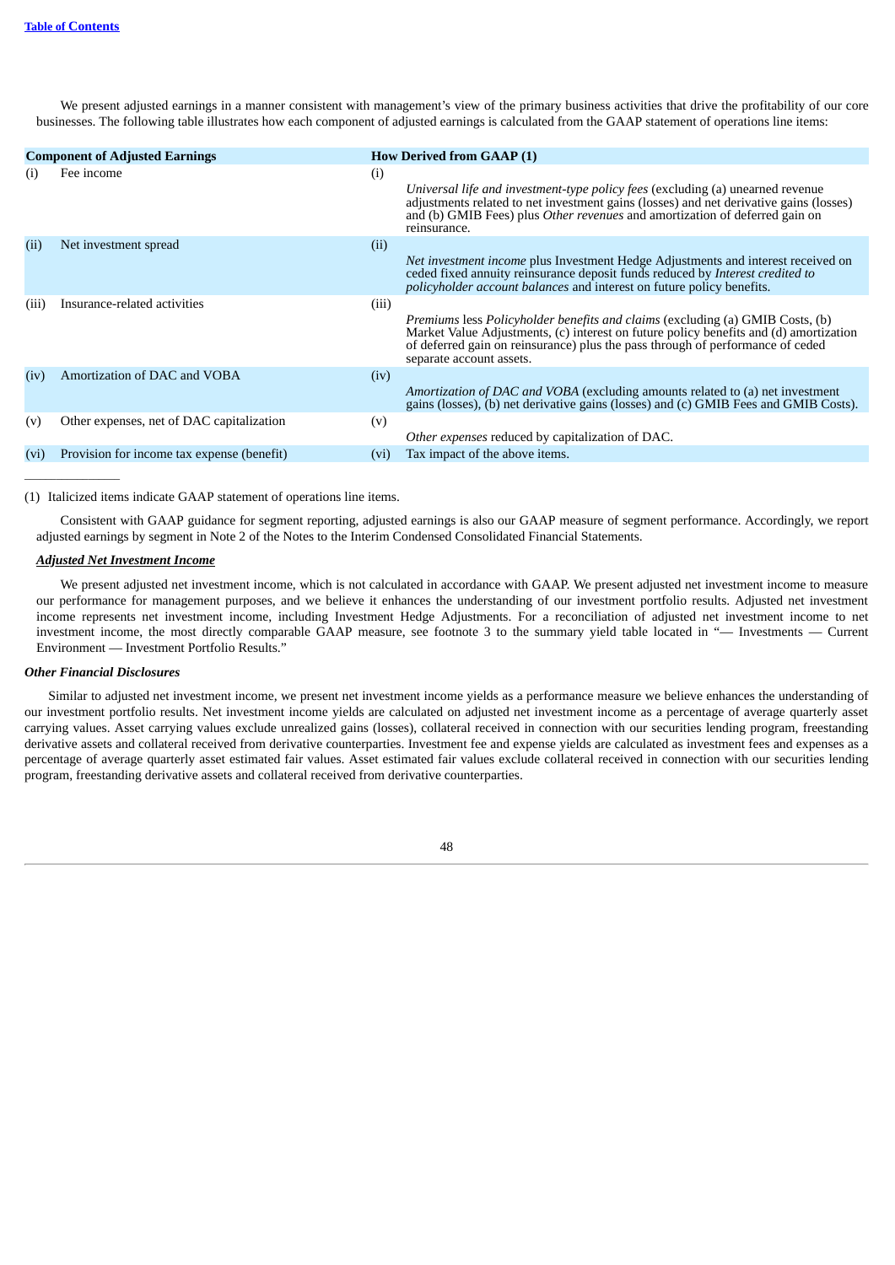We present adjusted earnings in a manner consistent with management's view of the primary business activities that drive the profitability of our core businesses. The following table illustrates how each component of adjusted earnings is calculated from the GAAP statement of operations line items:

|       | <b>Component of Adjusted Earnings</b>      |       | <b>How Derived from GAAP (1)</b>                                                                                                                                                                                                                                                            |
|-------|--------------------------------------------|-------|---------------------------------------------------------------------------------------------------------------------------------------------------------------------------------------------------------------------------------------------------------------------------------------------|
| (i)   | Fee income                                 | (i)   | Universal life and investment-type policy fees (excluding (a) unearned revenue<br>adjustments related to net investment gains (losses) and net derivative gains (losses)<br>and (b) GMIB Fees) plus Other revenues and amortization of deferred gain on<br>reinsurance.                     |
| (ii)  | Net investment spread                      | (ii)  | <i>Net investment income plus Investment Hedge Adjustments and interest received on</i><br>ceded fixed annuity reinsurance deposit funds reduced by Interest credited to<br>policyholder account balances and interest on future policy benefits.                                           |
| (iii) | Insurance-related activities               | (iii) | <i>Premiums less Policyholder benefits and claims (excluding (a) GMIB Costs, (b)</i><br>Market Value Adjustments, (c) interest on future policy benefits and (d) amortization<br>of deferred gain on reinsurance) plus the pass through of performance of ceded<br>separate account assets. |
| (iv)  | Amortization of DAC and VOBA               | (iv)  | Amortization of DAC and VOBA (excluding amounts related to (a) net investment<br>gains (losses), (b) net derivative gains (losses) and (c) GMIB Fees and GMIB Costs).                                                                                                                       |
| (v)   | Other expenses, net of DAC capitalization  | (v)   | Other expenses reduced by capitalization of DAC.                                                                                                                                                                                                                                            |
| (vi)  | Provision for income tax expense (benefit) | (vi)  | Tax impact of the above items.                                                                                                                                                                                                                                                              |

(1) Italicized items indicate GAAP statement of operations line items.

Consistent with GAAP guidance for segment reporting, adjusted earnings is also our GAAP measure of segment performance. Accordingly, we report adjusted earnings by segment in Note 2 of the Notes to the Interim Condensed Consolidated Financial Statements.

### *Adjusted Net Investment Income*

We present adjusted net investment income, which is not calculated in accordance with GAAP. We present adjusted net investment income to measure our performance for management purposes, and we believe it enhances the understanding of our investment portfolio results. Adjusted net investment income represents net investment income, including Investment Hedge Adjustments. For a reconciliation of adjusted net investment income to net investment income, the most directly comparable GAAP measure, see footnote 3 to the summary yield table located in "— Investments — Current Environment — Investment Portfolio Results."

### *Other Financial Disclosures*

 $\_$ 

<span id="page-49-0"></span>Similar to adjusted net investment income, we present net investment income yields as a performance measure we believe enhances the understanding of our investment portfolio results. Net investment income yields are calculated on adjusted net investment income as a percentage of average quarterly asset carrying values. Asset carrying values exclude unrealized gains (losses), collateral received in connection with our securities lending program, freestanding derivative assets and collateral received from derivative counterparties. Investment fee and expense yields are calculated as investment fees and expenses as a percentage of average quarterly asset estimated fair values. Asset estimated fair values exclude collateral received in connection with our securities lending program, freestanding derivative assets and collateral received from derivative counterparties.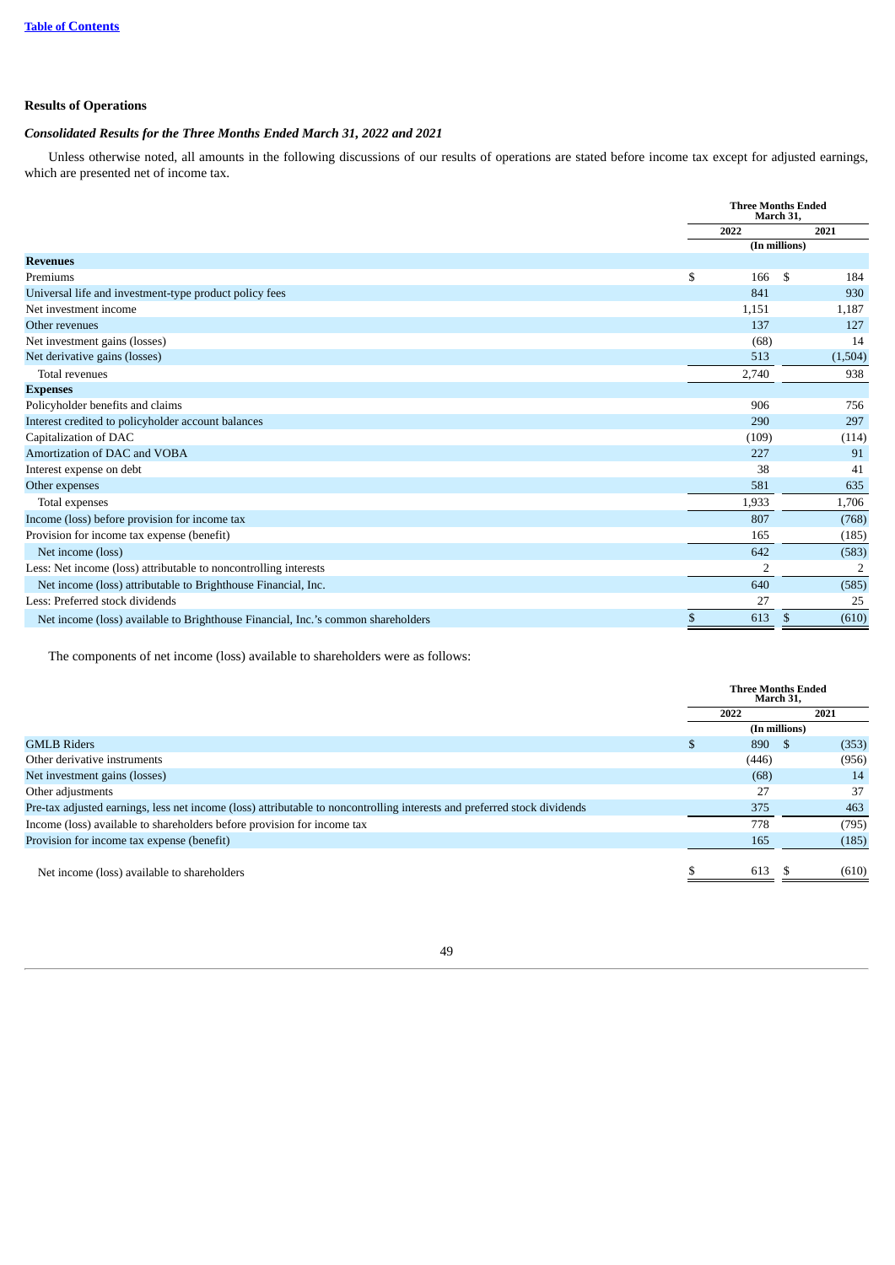# **Results of Operations**

# *Consolidated Results for the Three Months Ended March 31, 2022 and 2021*

Unless otherwise noted, all amounts in the following discussions of our results of operations are stated before income tax except for adjusted earnings, which are presented net of income tax.

|                                                                                  |           | <b>Three Months Ended</b><br>March 31, |
|----------------------------------------------------------------------------------|-----------|----------------------------------------|
|                                                                                  | 2022      | 2021                                   |
|                                                                                  |           | (In millions)                          |
| <b>Revenues</b>                                                                  |           |                                        |
| Premiums                                                                         | \$<br>166 | \$.<br>184                             |
| Universal life and investment-type product policy fees                           | 841       | 930                                    |
| Net investment income                                                            | 1,151     | 1,187                                  |
| Other revenues                                                                   | 137       | 127                                    |
| Net investment gains (losses)                                                    | (68)      | 14                                     |
| Net derivative gains (losses)                                                    | 513       | (1,504)                                |
| <b>Total revenues</b>                                                            | 2,740     | 938                                    |
| <b>Expenses</b>                                                                  |           |                                        |
| Policyholder benefits and claims                                                 | 906       | 756                                    |
| Interest credited to policyholder account balances                               | 290       | 297                                    |
| Capitalization of DAC                                                            | (109)     | (114)                                  |
| Amortization of DAC and VOBA                                                     | 227       | 91                                     |
| Interest expense on debt                                                         | 38        | 41                                     |
| Other expenses                                                                   | 581       | 635                                    |
| Total expenses                                                                   | 1,933     | 1,706                                  |
| Income (loss) before provision for income tax                                    | 807       | (768)                                  |
| Provision for income tax expense (benefit)                                       | 165       | (185)                                  |
| Net income (loss)                                                                | 642       | (583)                                  |
| Less: Net income (loss) attributable to noncontrolling interests                 | 2         | 2                                      |
| Net income (loss) attributable to Brighthouse Financial, Inc.                    | 640       | (585)                                  |
| Less: Preferred stock dividends                                                  | 27        | 25                                     |
| Net income (loss) available to Brighthouse Financial, Inc.'s common shareholders | \$<br>613 | (610)<br>\$                            |

The components of net income (loss) available to shareholders were as follows:

|                                                                                                                          | <b>Three Months Ended</b><br>March 31, |       |               |       |
|--------------------------------------------------------------------------------------------------------------------------|----------------------------------------|-------|---------------|-------|
|                                                                                                                          | 2022                                   |       |               | 2021  |
|                                                                                                                          |                                        |       | (In millions) |       |
| <b>GMLB Riders</b>                                                                                                       | æ                                      | 890   | .S            | (353) |
| Other derivative instruments                                                                                             |                                        | (446) |               | (956) |
| Net investment gains (losses)                                                                                            |                                        | (68)  |               | 14    |
| Other adjustments                                                                                                        |                                        | 27    |               | 37    |
| Pre-tax adjusted earnings, less net income (loss) attributable to noncontrolling interests and preferred stock dividends |                                        | 375   |               | 463   |
| Income (loss) available to shareholders before provision for income tax                                                  |                                        | 778   |               | (795) |
| Provision for income tax expense (benefit)                                                                               |                                        | 165   |               | (185) |
| Net income (loss) available to shareholders                                                                              |                                        | 613   |               | (610) |

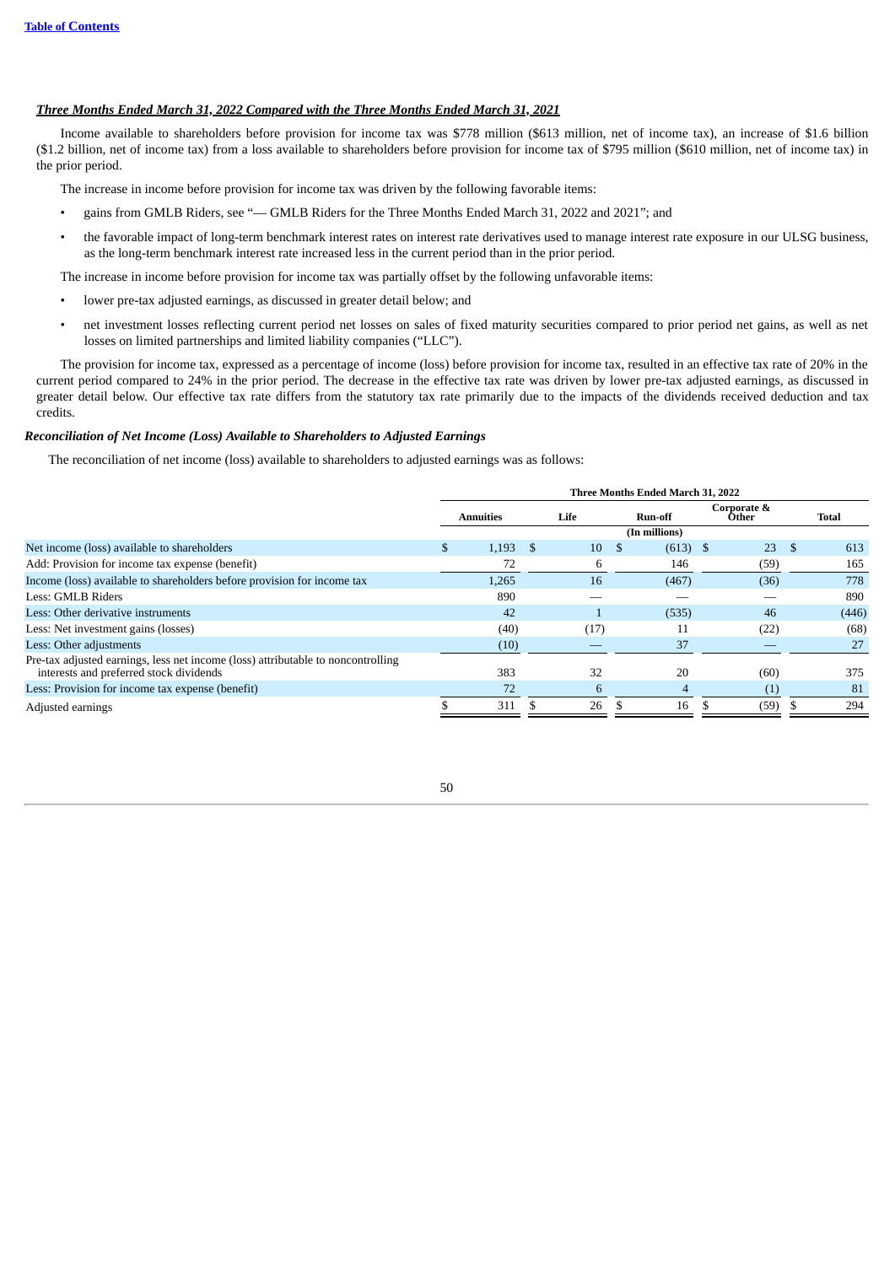# *Three Months Ended March 31, 2022 Compared with the Three Months Ended March 31, 2021*

Income available to shareholders before provision for income tax was \$778 million (\$613 million, net of income tax), an increase of \$1.6 billion (\$1.2 billion, net of income tax) from a loss available to shareholders before provision for income tax of \$795 million (\$610 million, net of income tax) in the prior period.

The increase in income before provision for income tax was driven by the following favorable items:

- gains from GMLB Riders, see "— GMLB Riders for the Three Months Ended March 31, 2022 and 2021"; and
- the favorable impact of long-term benchmark interest rates on interest rate derivatives used to manage interest rate exposure in our ULSG business, as the long-term benchmark interest rate increased less in the current period than in the prior period.

The increase in income before provision for income tax was partially offset by the following unfavorable items:

- lower pre-tax adjusted earnings, as discussed in greater detail below; and
- net investment losses reflecting current period net losses on sales of fixed maturity securities compared to prior period net gains, as well as net losses on limited partnerships and limited liability companies ("LLC").

The provision for income tax, expressed as a percentage of income (loss) before provision for income tax, resulted in an effective tax rate of 20% in the current period compared to 24% in the prior period. The decrease in the effective tax rate was driven by lower pre-tax adjusted earnings, as discussed in greater detail below. Our effective tax rate differs from the statutory tax rate primarily due to the impacts of the dividends received deduction and tax credits.

### *Reconciliation of Net Income (Loss) Available to Shareholders to Adjusted Earnings*

The reconciliation of net income (loss) available to shareholders to adjusted earnings was as follows:

|                                                                                                                             | Three Months Ended March 31, 2022 |                          |    |         |                             |                     |    |       |
|-----------------------------------------------------------------------------------------------------------------------------|-----------------------------------|--------------------------|----|---------|-----------------------------|---------------------|----|-------|
|                                                                                                                             |                                   | Life<br><b>Annuities</b> |    | Run-off | Corporate &<br><b>Other</b> |                     |    |       |
|                                                                                                                             |                                   |                          |    |         | (In millions)               |                     |    |       |
| Net income (loss) available to shareholders                                                                                 | \$.                               | 1,193                    | -S | 10      | $(613)$ \$<br>- \$          | 23                  | -S | 613   |
| Add: Provision for income tax expense (benefit)                                                                             |                                   | 72                       |    | b       | 146                         | (59)                |    | 165   |
| Income (loss) available to shareholders before provision for income tax                                                     |                                   | 1,265                    |    | 16      | (467)                       | (36)                |    | 778   |
| Less: GMLB Riders                                                                                                           |                                   | 890                      |    |         |                             |                     |    | 890   |
| Less: Other derivative instruments                                                                                          |                                   | 42                       |    |         | (535)                       | 46                  |    | (446) |
| Less: Net investment gains (losses)                                                                                         |                                   | (40)                     |    | (17)    | 11                          | (22)                |    | (68)  |
| Less: Other adjustments                                                                                                     |                                   | (10)                     |    |         | 37                          |                     |    | 27    |
| Pre-tax adjusted earnings, less net income (loss) attributable to noncontrolling<br>interests and preferred stock dividends |                                   | 383                      |    | 32      | 20                          | (60)                |    | 375   |
| Less: Provision for income tax expense (benefit)                                                                            |                                   | 72                       |    | 6       | 4                           | $\scriptstyle{(1)}$ |    | 81    |
| Adjusted earnings                                                                                                           |                                   | 311                      |    | 26      | 16                          | (59)                |    | 294   |
|                                                                                                                             |                                   |                          |    |         |                             |                     |    |       |

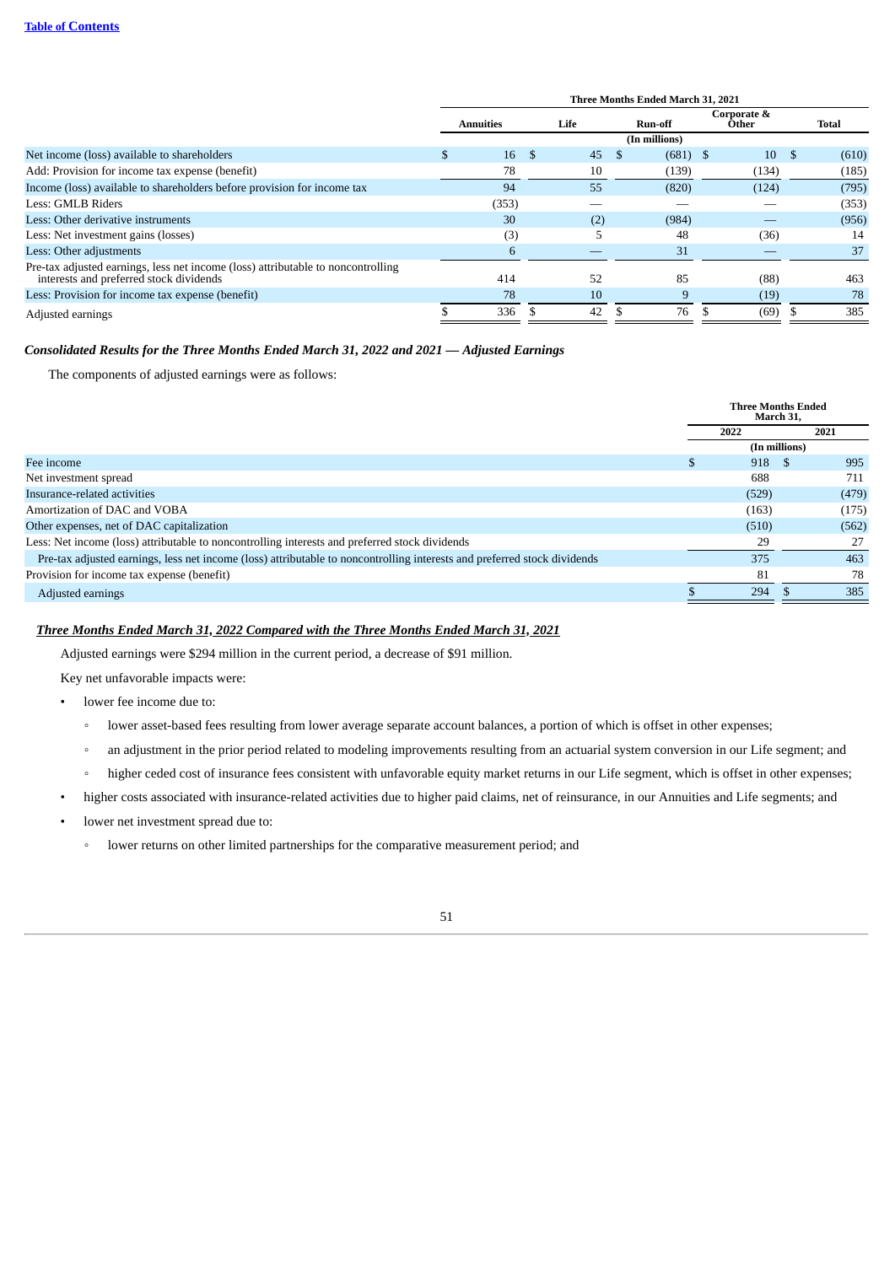|                                                                                                                             | Three Months Ended March 31, 2021 |       |  |         |                      |               |       |  |       |
|-----------------------------------------------------------------------------------------------------------------------------|-----------------------------------|-------|--|---------|----------------------|---------------|-------|--|-------|
|                                                                                                                             | Life<br>Annuities                 |       |  | Run-off | Corporate &<br>Òther |               |       |  |       |
|                                                                                                                             |                                   |       |  |         |                      | (In millions) |       |  |       |
| Net income (loss) available to shareholders                                                                                 | \$.                               | 16S   |  | 45      | - \$                 | $(681)$ \$    | 10S   |  | (610) |
| Add: Provision for income tax expense (benefit)                                                                             |                                   | 78    |  | 10      |                      | (139)         | (134) |  | (185) |
| Income (loss) available to shareholders before provision for income tax                                                     |                                   | 94    |  | 55      |                      | (820)         | (124) |  | (795) |
| Less: GMLB Riders                                                                                                           |                                   | (353) |  |         |                      |               |       |  | (353) |
| Less: Other derivative instruments                                                                                          |                                   | 30    |  | (2)     |                      | (984)         |       |  | (956) |
| Less: Net investment gains (losses)                                                                                         |                                   | (3)   |  |         |                      | 48            | (36)  |  | 14    |
| Less: Other adjustments                                                                                                     |                                   | 6     |  |         |                      | 31            |       |  | 37    |
| Pre-tax adjusted earnings, less net income (loss) attributable to noncontrolling<br>interests and preferred stock dividends |                                   | 414   |  | 52      |                      | 85            | (88)  |  | 463   |
| Less: Provision for income tax expense (benefit)                                                                            |                                   | 78    |  | 10      |                      | 9             | (19)  |  | 78    |
| Adjusted earnings                                                                                                           |                                   | 336   |  | 42      |                      | 76            | (69)  |  | 385   |

## *Consolidated Results for the Three Months Ended March 31, 2022 and 2021 — Adjusted Earnings*

The components of adjusted earnings were as follows:

|                                                                                                                          | <b>Three Months Ended</b><br>March 31. |       |     |       |
|--------------------------------------------------------------------------------------------------------------------------|----------------------------------------|-------|-----|-------|
|                                                                                                                          | 2022                                   |       |     | 2021  |
|                                                                                                                          | (In millions)                          |       |     |       |
| Fee income                                                                                                               |                                        | 918   | - S | 995   |
| Net investment spread                                                                                                    |                                        | 688   |     | 711   |
| Insurance-related activities                                                                                             |                                        | (529) |     | (479) |
| Amortization of DAC and VOBA                                                                                             |                                        | (163) |     | (175) |
| Other expenses, net of DAC capitalization                                                                                |                                        | (510) |     | (562) |
| Less: Net income (loss) attributable to noncontrolling interests and preferred stock dividends                           |                                        | 29    |     | 27    |
| Pre-tax adjusted earnings, less net income (loss) attributable to noncontrolling interests and preferred stock dividends |                                        | 375   |     | 463   |
| Provision for income tax expense (benefit)                                                                               |                                        | 81    |     | 78    |
| Adjusted earnings                                                                                                        |                                        | 294   |     | 385   |
|                                                                                                                          |                                        |       |     |       |

# *Three Months Ended March 31, 2022 Compared with the Three Months Ended March 31, 2021*

Adjusted earnings were \$294 million in the current period, a decrease of \$91 million.

Key net unfavorable impacts were:

- lower fee income due to:
	- lower asset-based fees resulting from lower average separate account balances, a portion of which is offset in other expenses;
	- an adjustment in the prior period related to modeling improvements resulting from an actuarial system conversion in our Life segment; and
	- higher ceded cost of insurance fees consistent with unfavorable equity market returns in our Life segment, which is offset in other expenses;
- higher costs associated with insurance-related activities due to higher paid claims, net of reinsurance, in our Annuities and Life segments; and
- lower net investment spread due to:
	- lower returns on other limited partnerships for the comparative measurement period; and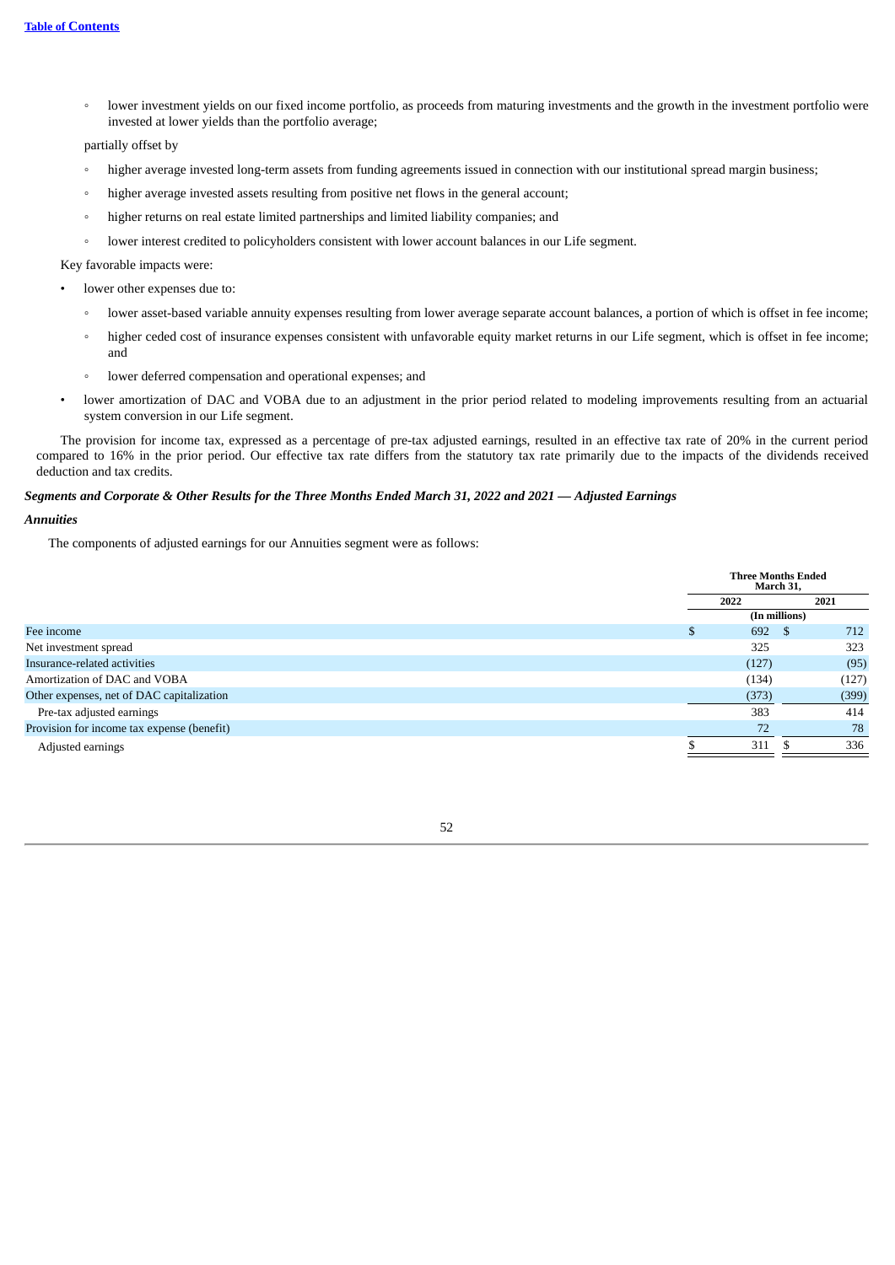lower investment yields on our fixed income portfolio, as proceeds from maturing investments and the growth in the investment portfolio were invested at lower yields than the portfolio average;

partially offset by

- higher average invested long-term assets from funding agreements issued in connection with our institutional spread margin business;
- higher average invested assets resulting from positive net flows in the general account;
- higher returns on real estate limited partnerships and limited liability companies; and
- lower interest credited to policyholders consistent with lower account balances in our Life segment.

Key favorable impacts were:

- lower other expenses due to:
	- lower asset-based variable annuity expenses resulting from lower average separate account balances, a portion of which is offset in fee income;
	- higher ceded cost of insurance expenses consistent with unfavorable equity market returns in our Life segment, which is offset in fee income; and
	- lower deferred compensation and operational expenses; and
- lower amortization of DAC and VOBA due to an adjustment in the prior period related to modeling improvements resulting from an actuarial system conversion in our Life segment.

The provision for income tax, expressed as a percentage of pre-tax adjusted earnings, resulted in an effective tax rate of 20% in the current period compared to 16% in the prior period. Our effective tax rate differs from the statutory tax rate primarily due to the impacts of the dividends received deduction and tax credits.

#### Segments and Corporate & Other Results for the Three Months Ended March 31, 2022 and 2021 - Adjusted Earnings

# *Annuities*

The components of adjusted earnings for our Annuities segment were as follows:

|                                            |       | <b>Three Months Ended</b><br>March 31. |
|--------------------------------------------|-------|----------------------------------------|
|                                            | 2022  | 2021                                   |
|                                            |       | (In millions)                          |
| Fee income                                 | 692   | 712<br>-S                              |
| Net investment spread                      | 325   | 323                                    |
| Insurance-related activities               | (127) | (95)                                   |
| Amortization of DAC and VOBA               | (134) | (127)                                  |
| Other expenses, net of DAC capitalization  | (373) | (399)                                  |
| Pre-tax adjusted earnings                  | 383   | 414                                    |
| Provision for income tax expense (benefit) | 72    | 78                                     |
| Adjusted earnings                          | 311   | 336                                    |
|                                            |       |                                        |

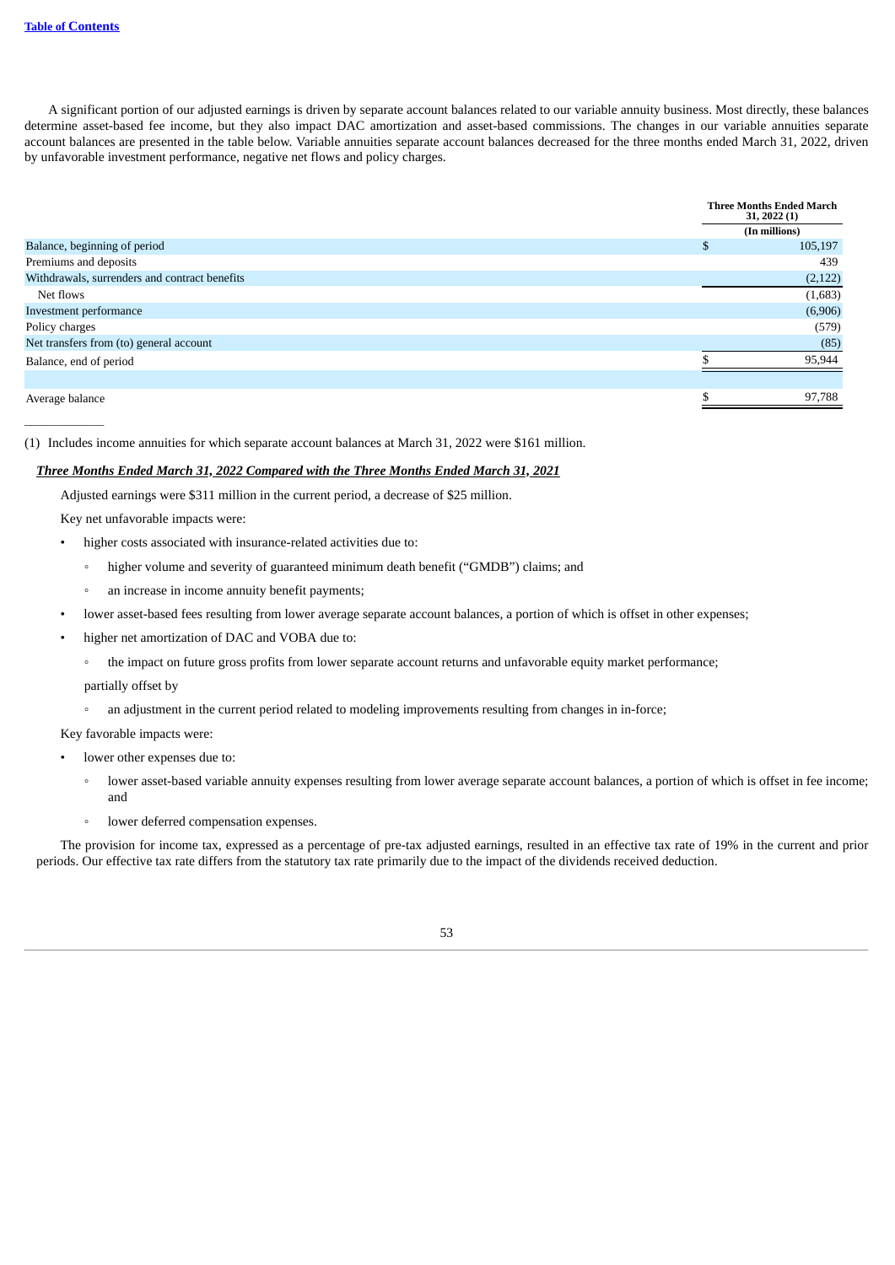$\overline{\phantom{a}}$ 

A significant portion of our adjusted earnings is driven by separate account balances related to our variable annuity business. Most directly, these balances determine asset-based fee income, but they also impact DAC amortization and asset-based commissions. The changes in our variable annuities separate account balances are presented in the table below. Variable annuities separate account balances decreased for the three months ended March 31, 2022, driven by unfavorable investment performance, negative net flows and policy charges.

|                                               |   | <b>Three Months Ended March</b><br>31, 2022(1) |
|-----------------------------------------------|---|------------------------------------------------|
|                                               |   | (In millions)                                  |
| Balance, beginning of period                  | æ | 105,197                                        |
| Premiums and deposits                         |   | 439                                            |
| Withdrawals, surrenders and contract benefits |   | (2,122)                                        |
| Net flows                                     |   | (1,683)                                        |
| Investment performance                        |   | (6,906)                                        |
| Policy charges                                |   | (579)                                          |
| Net transfers from (to) general account       |   | (85)                                           |
| Balance, end of period                        |   | 95,944                                         |
|                                               |   |                                                |
| Average balance                               |   | 97,788                                         |

(1) Includes income annuities for which separate account balances at March 31, 2022 were \$161 million.

#### *Three Months Ended March 31, 2022 Compared with the Three Months Ended March 31, 2021*

Adjusted earnings were \$311 million in the current period, a decrease of \$25 million.

Key net unfavorable impacts were:

- higher costs associated with insurance-related activities due to:
	- higher volume and severity of guaranteed minimum death benefit ("GMDB") claims; and
	- an increase in income annuity benefit payments;
- lower asset-based fees resulting from lower average separate account balances, a portion of which is offset in other expenses;
- higher net amortization of DAC and VOBA due to:
	- the impact on future gross profits from lower separate account returns and unfavorable equity market performance;
	- partially offset by
	- an adjustment in the current period related to modeling improvements resulting from changes in in-force;
- Key favorable impacts were:
- lower other expenses due to:
	- lower asset-based variable annuity expenses resulting from lower average separate account balances, a portion of which is offset in fee income; and
	- lower deferred compensation expenses.

The provision for income tax, expressed as a percentage of pre-tax adjusted earnings, resulted in an effective tax rate of 19% in the current and prior periods. Our effective tax rate differs from the statutory tax rate primarily due to the impact of the dividends received deduction.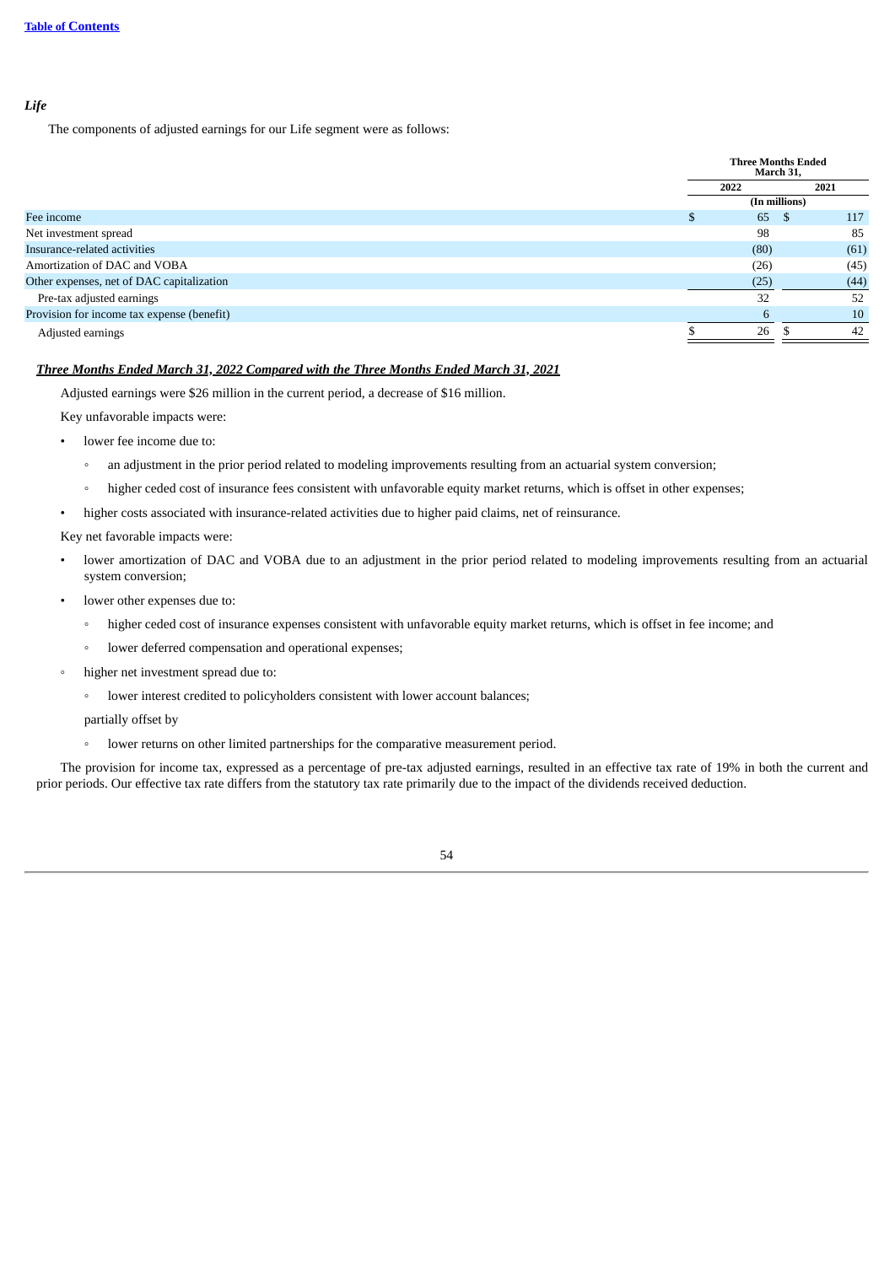# *Life*

The components of adjusted earnings for our Life segment were as follows:

|                                            |      | <b>Three Months Ended</b><br>March 31, |
|--------------------------------------------|------|----------------------------------------|
|                                            | 2022 | 2021                                   |
|                                            |      | (In millions)                          |
| Fee income                                 |      | 65<br>117<br>- 56                      |
| Net investment spread                      |      | 98<br>85                               |
| Insurance-related activities               |      | (61)<br>(80)                           |
| Amortization of DAC and VOBA               |      | (45)<br>(26)                           |
| Other expenses, net of DAC capitalization  |      | (25)<br>(44)                           |
| Pre-tax adjusted earnings                  |      | 32<br>52                               |
| Provision for income tax expense (benefit) |      | 10<br>6                                |
| Adjusted earnings                          |      | 26<br>42                               |
|                                            |      |                                        |

# *Three Months Ended March 31, 2022 Compared with the Three Months Ended March 31, 2021*

Adjusted earnings were \$26 million in the current period, a decrease of \$16 million.

Key unfavorable impacts were:

- lower fee income due to:
	- an adjustment in the prior period related to modeling improvements resulting from an actuarial system conversion;
	- higher ceded cost of insurance fees consistent with unfavorable equity market returns, which is offset in other expenses;
- higher costs associated with insurance-related activities due to higher paid claims, net of reinsurance.

Key net favorable impacts were:

- lower amortization of DAC and VOBA due to an adjustment in the prior period related to modeling improvements resulting from an actuarial system conversion;
- lower other expenses due to:
	- higher ceded cost of insurance expenses consistent with unfavorable equity market returns, which is offset in fee income; and
	- lower deferred compensation and operational expenses;
- higher net investment spread due to:
	- lower interest credited to policyholders consistent with lower account balances;

partially offset by

lower returns on other limited partnerships for the comparative measurement period.

The provision for income tax, expressed as a percentage of pre-tax adjusted earnings, resulted in an effective tax rate of 19% in both the current and prior periods. Our effective tax rate differs from the statutory tax rate primarily due to the impact of the dividends received deduction.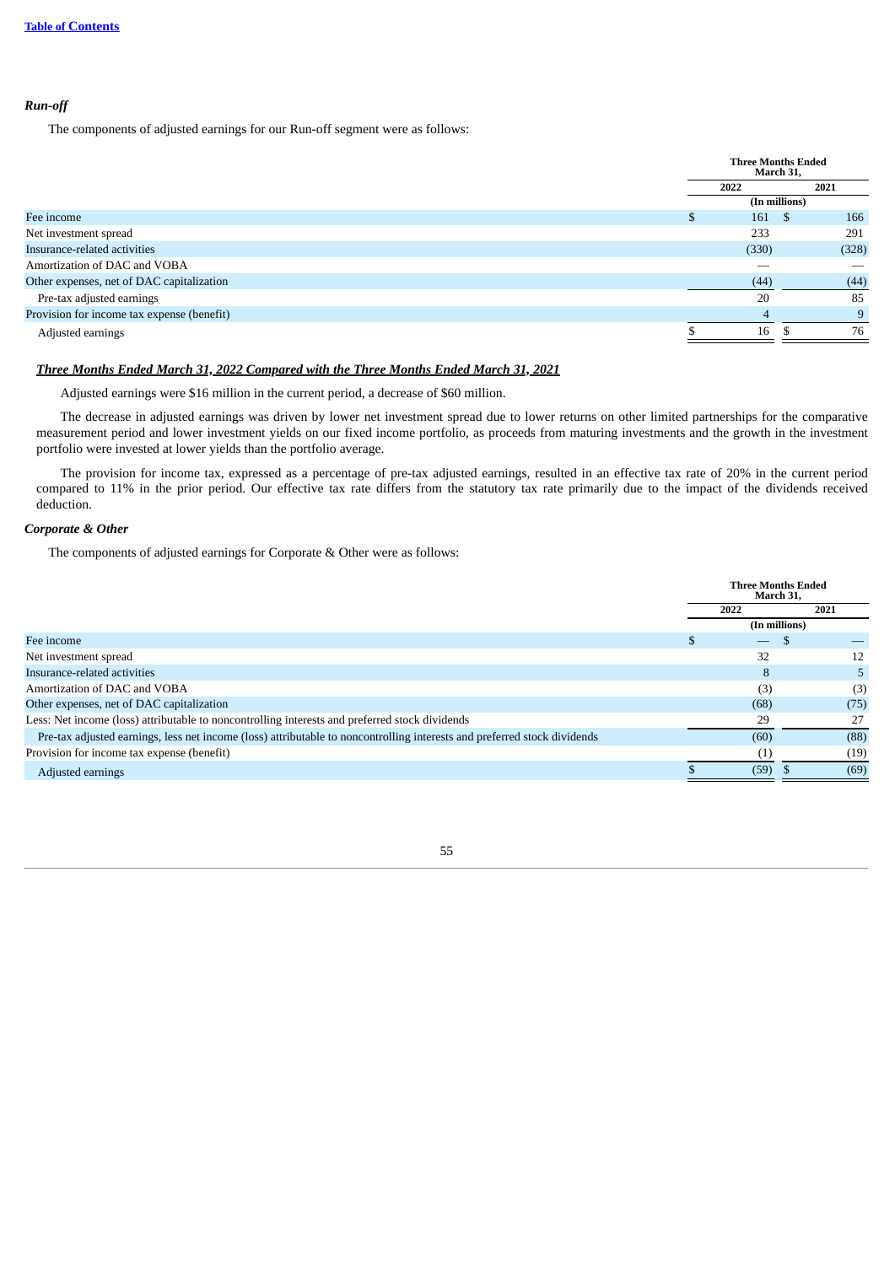# *Run-off*

The components of adjusted earnings for our Run-off segment were as follows:

|                                            |          | <b>Three Months Ended</b><br>March 31, |
|--------------------------------------------|----------|----------------------------------------|
|                                            | 2022     | 2021                                   |
|                                            |          | (In millions)                          |
| Fee income                                 | 161<br>æ | 166<br>- \$                            |
| Net investment spread                      | 233      | 291                                    |
| Insurance-related activities               | (330)    | (328)                                  |
| Amortization of DAC and VOBA               |          |                                        |
| Other expenses, net of DAC capitalization  | (44)     | (44)                                   |
| Pre-tax adjusted earnings                  | 20       | 85                                     |
| Provision for income tax expense (benefit) |          | 9<br>4                                 |
| Adjusted earnings                          |          | 76<br>16                               |
|                                            |          |                                        |

# *Three Months Ended March 31, 2022 Compared with the Three Months Ended March 31, 2021*

Adjusted earnings were \$16 million in the current period, a decrease of \$60 million.

The decrease in adjusted earnings was driven by lower net investment spread due to lower returns on other limited partnerships for the comparative measurement period and lower investment yields on our fixed income portfolio, as proceeds from maturing investments and the growth in the investment portfolio were invested at lower yields than the portfolio average.

The provision for income tax, expressed as a percentage of pre-tax adjusted earnings, resulted in an effective tax rate of 20% in the current period compared to 11% in the prior period. Our effective tax rate differs from the statutory tax rate primarily due to the impact of the dividends received deduction.

# *Corporate & Other*

The components of adjusted earnings for Corporate & Other were as follows:

|                                                                                                                          |      | <b>Three Months Ended</b><br>March 31, |      |  |
|--------------------------------------------------------------------------------------------------------------------------|------|----------------------------------------|------|--|
|                                                                                                                          | 2022 |                                        | 2021 |  |
|                                                                                                                          |      | (In millions)                          |      |  |
| Fee income                                                                                                               |      |                                        |      |  |
| Net investment spread                                                                                                    |      | 32                                     | 12   |  |
| Insurance-related activities                                                                                             |      | 8                                      |      |  |
| Amortization of DAC and VOBA                                                                                             |      | (3)                                    | (3)  |  |
| Other expenses, net of DAC capitalization                                                                                |      | (68)                                   | (75) |  |
| Less: Net income (loss) attributable to noncontrolling interests and preferred stock dividends                           |      | 29                                     | 27   |  |
| Pre-tax adjusted earnings, less net income (loss) attributable to noncontrolling interests and preferred stock dividends |      | (60)                                   | (88) |  |
| Provision for income tax expense (benefit)                                                                               |      | (1)                                    | (19) |  |
| Adjusted earnings                                                                                                        |      | (59)                                   | (69) |  |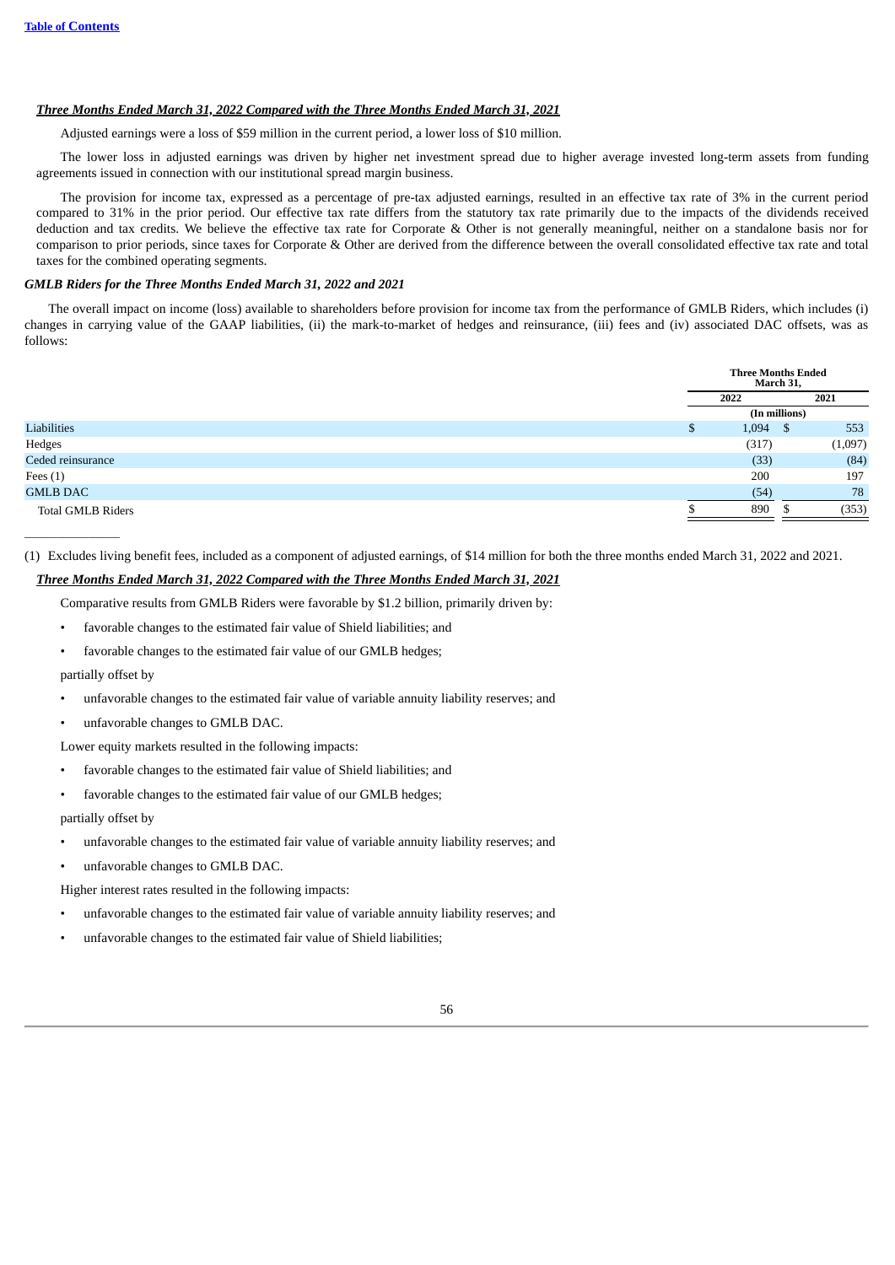### *Three Months Ended March 31, 2022 Compared with the Three Months Ended March 31, 2021*

Adjusted earnings were a loss of \$59 million in the current period, a lower loss of \$10 million.

The lower loss in adjusted earnings was driven by higher net investment spread due to higher average invested long-term assets from funding agreements issued in connection with our institutional spread margin business.

The provision for income tax, expressed as a percentage of pre-tax adjusted earnings, resulted in an effective tax rate of 3% in the current period compared to 31% in the prior period. Our effective tax rate differs from the statutory tax rate primarily due to the impacts of the dividends received deduction and tax credits. We believe the effective tax rate for Corporate & Other is not generally meaningful, neither on a standalone basis nor for comparison to prior periods, since taxes for Corporate & Other are derived from the difference between the overall consolidated effective tax rate and total taxes for the combined operating segments.

## *GMLB Riders for the Three Months Ended March 31, 2022 and 2021*

The overall impact on income (loss) available to shareholders before provision for income tax from the performance of GMLB Riders, which includes (i) changes in carrying value of the GAAP liabilities, (ii) the mark-to-market of hedges and reinsurance, (iii) fees and (iv) associated DAC offsets, was as follows:

|                          |      | <b>Three Months Ended</b><br>March 31, |         |  |
|--------------------------|------|----------------------------------------|---------|--|
|                          | 2022 | 2021                                   |         |  |
|                          |      | (In millions)                          |         |  |
| Liabilities              |      | 1,094<br>-\$                           | 553     |  |
| Hedges                   |      | (317)                                  | (1,097) |  |
| Ceded reinsurance        |      | (33)                                   | (84)    |  |
| Fees $(1)$               |      | 200                                    | 197     |  |
| <b>GMLB DAC</b>          |      | (54)                                   | 78      |  |
| <b>Total GMLB Riders</b> |      | 890                                    | (353)   |  |
|                          |      |                                        |         |  |

(1) Excludes living benefit fees, included as a component of adjusted earnings, of \$14 million for both the three months ended March 31, 2022 and 2021.

## *Three Months Ended March 31, 2022 Compared with the Three Months Ended March 31, 2021*

Comparative results from GMLB Riders were favorable by \$1.2 billion, primarily driven by:

- favorable changes to the estimated fair value of Shield liabilities; and
- favorable changes to the estimated fair value of our GMLB hedges;

### partially offset by

 $\frac{1}{2}$  ,  $\frac{1}{2}$  ,  $\frac{1}{2}$  ,  $\frac{1}{2}$  ,  $\frac{1}{2}$  ,  $\frac{1}{2}$  ,  $\frac{1}{2}$  ,  $\frac{1}{2}$  ,  $\frac{1}{2}$  ,  $\frac{1}{2}$  ,  $\frac{1}{2}$  ,  $\frac{1}{2}$  ,  $\frac{1}{2}$  ,  $\frac{1}{2}$  ,  $\frac{1}{2}$  ,  $\frac{1}{2}$  ,  $\frac{1}{2}$  ,  $\frac{1}{2}$  ,  $\frac{1$ 

- unfavorable changes to the estimated fair value of variable annuity liability reserves; and
- unfavorable changes to GMLB DAC.

Lower equity markets resulted in the following impacts:

- favorable changes to the estimated fair value of Shield liabilities; and
- favorable changes to the estimated fair value of our GMLB hedges;

partially offset by

- unfavorable changes to the estimated fair value of variable annuity liability reserves; and
- unfavorable changes to GMLB DAC.
- Higher interest rates resulted in the following impacts:
- unfavorable changes to the estimated fair value of variable annuity liability reserves; and
- unfavorable changes to the estimated fair value of Shield liabilities;

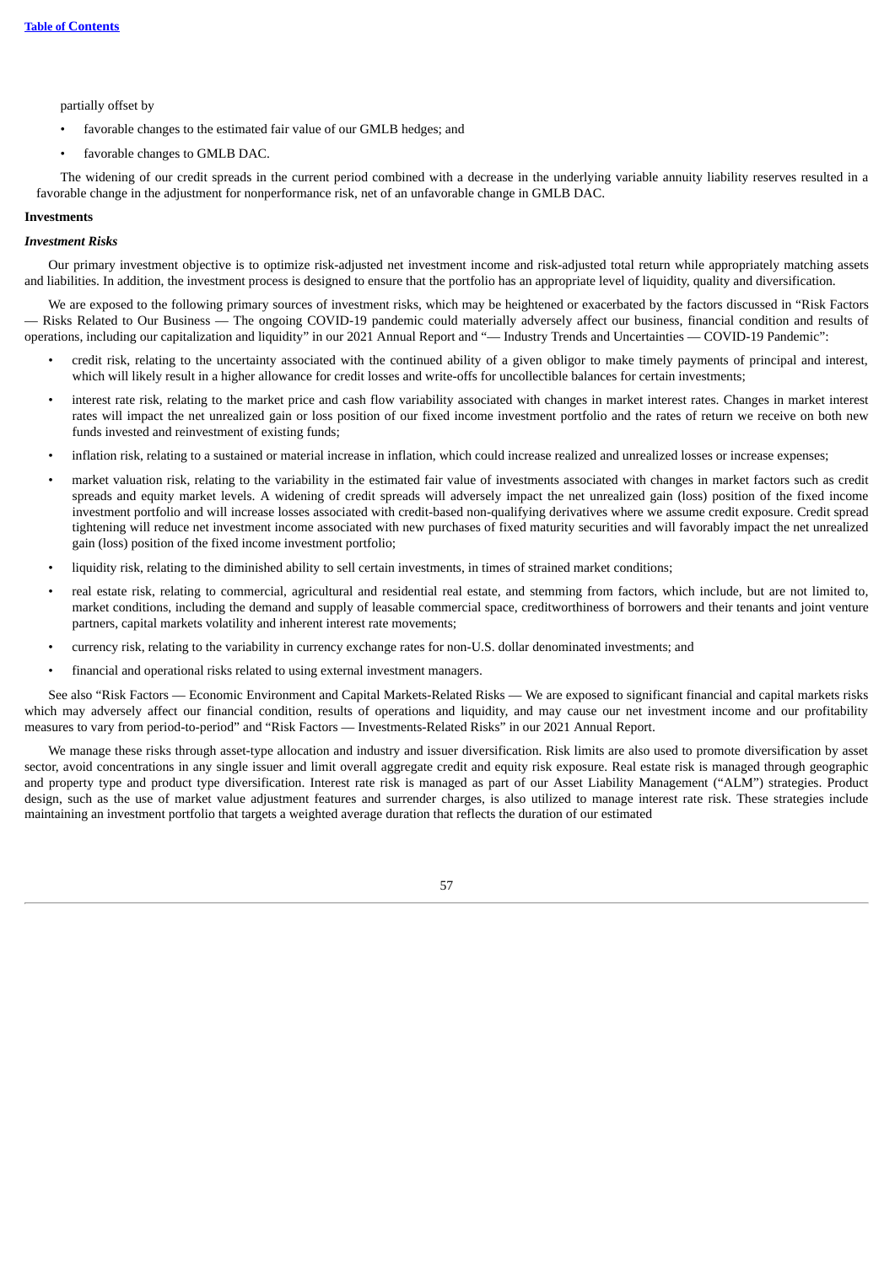partially offset by

- favorable changes to the estimated fair value of our GMLB hedges; and
- favorable changes to GMLB DAC.

The widening of our credit spreads in the current period combined with a decrease in the underlying variable annuity liability reserves resulted in a favorable change in the adjustment for nonperformance risk, net of an unfavorable change in GMLB DAC.

#### <span id="page-58-0"></span>**Investments**

## *Investment Risks*

Our primary investment objective is to optimize risk-adjusted net investment income and risk-adjusted total return while appropriately matching assets and liabilities. In addition, the investment process is designed to ensure that the portfolio has an appropriate level of liquidity, quality and diversification.

We are exposed to the following primary sources of investment risks, which may be heightened or exacerbated by the factors discussed in "Risk Factors — Risks Related to Our Business — The ongoing COVID-19 pandemic could materially adversely affect our business, financial condition and results of operations, including our capitalization and liquidity" in our 2021 Annual Report and "— Industry Trends and Uncertainties — COVID-19 Pandemic":

- credit risk, relating to the uncertainty associated with the continued ability of a given obligor to make timely payments of principal and interest, which will likely result in a higher allowance for credit losses and write-offs for uncollectible balances for certain investments;
- interest rate risk, relating to the market price and cash flow variability associated with changes in market interest rates. Changes in market interest rates will impact the net unrealized gain or loss position of our fixed income investment portfolio and the rates of return we receive on both new funds invested and reinvestment of existing funds;
- inflation risk, relating to a sustained or material increase in inflation, which could increase realized and unrealized losses or increase expenses;
- market valuation risk, relating to the variability in the estimated fair value of investments associated with changes in market factors such as credit spreads and equity market levels. A widening of credit spreads will adversely impact the net unrealized gain (loss) position of the fixed income investment portfolio and will increase losses associated with credit-based non-qualifying derivatives where we assume credit exposure. Credit spread tightening will reduce net investment income associated with new purchases of fixed maturity securities and will favorably impact the net unrealized gain (loss) position of the fixed income investment portfolio;
- liquidity risk, relating to the diminished ability to sell certain investments, in times of strained market conditions;
- real estate risk, relating to commercial, agricultural and residential real estate, and stemming from factors, which include, but are not limited to, market conditions, including the demand and supply of leasable commercial space, creditworthiness of borrowers and their tenants and joint venture partners, capital markets volatility and inherent interest rate movements;
- currency risk, relating to the variability in currency exchange rates for non-U.S. dollar denominated investments; and
- financial and operational risks related to using external investment managers.

See also "Risk Factors — Economic Environment and Capital Markets-Related Risks — We are exposed to significant financial and capital markets risks which may adversely affect our financial condition, results of operations and liquidity, and may cause our net investment income and our profitability measures to vary from period-to-period" and "Risk Factors — Investments-Related Risks" in our 2021 Annual Report.

We manage these risks through asset-type allocation and industry and issuer diversification. Risk limits are also used to promote diversification by asset sector, avoid concentrations in any single issuer and limit overall aggregate credit and equity risk exposure. Real estate risk is managed through geographic and property type and product type diversification. Interest rate risk is managed as part of our Asset Liability Management ("ALM") strategies. Product design, such as the use of market value adjustment features and surrender charges, is also utilized to manage interest rate risk. These strategies include maintaining an investment portfolio that targets a weighted average duration that reflects the duration of our estimated

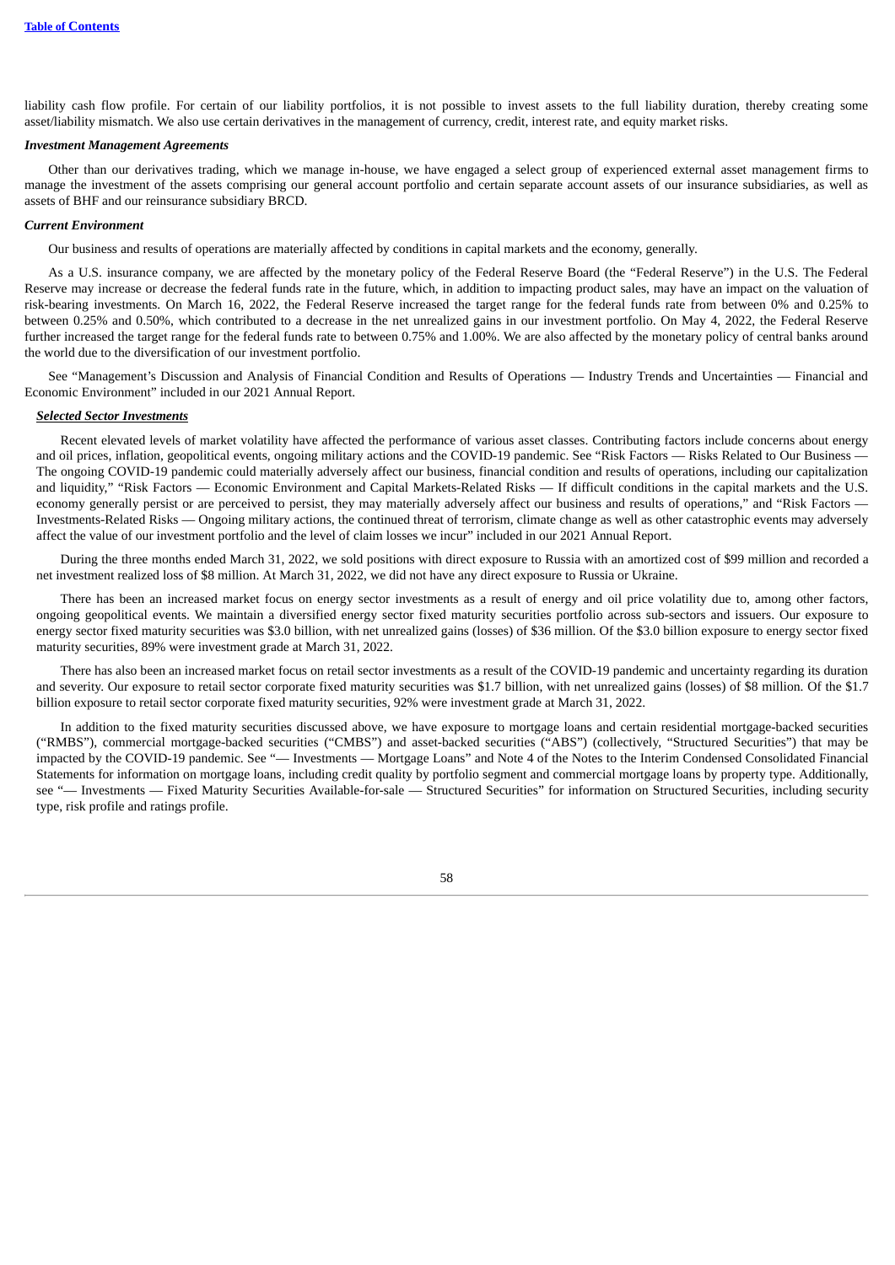liability cash flow profile. For certain of our liability portfolios, it is not possible to invest assets to the full liability duration, thereby creating some asset/liability mismatch. We also use certain derivatives in the management of currency, credit, interest rate, and equity market risks.

### *Investment Management Agreements*

Other than our derivatives trading, which we manage in-house, we have engaged a select group of experienced external asset management firms to manage the investment of the assets comprising our general account portfolio and certain separate account assets of our insurance subsidiaries, as well as assets of BHF and our reinsurance subsidiary BRCD.

#### *Current Environment*

Our business and results of operations are materially affected by conditions in capital markets and the economy, generally.

As a U.S. insurance company, we are affected by the monetary policy of the Federal Reserve Board (the "Federal Reserve") in the U.S. The Federal Reserve may increase or decrease the federal funds rate in the future, which, in addition to impacting product sales, may have an impact on the valuation of risk-bearing investments. On March 16, 2022, the Federal Reserve increased the target range for the federal funds rate from between 0% and 0.25% to between 0.25% and 0.50%, which contributed to a decrease in the net unrealized gains in our investment portfolio. On May 4, 2022, the Federal Reserve further increased the target range for the federal funds rate to between 0.75% and 1.00%. We are also affected by the monetary policy of central banks around the world due to the diversification of our investment portfolio.

See "Management's Discussion and Analysis of Financial Condition and Results of Operations — Industry Trends and Uncertainties — Financial and Economic Environment" included in our 2021 Annual Report.

### *Selected Sector Investments*

Recent elevated levels of market volatility have affected the performance of various asset classes. Contributing factors include concerns about energy and oil prices, inflation, geopolitical events, ongoing military actions and the COVID-19 pandemic. See "Risk Factors — Risks Related to Our Business — The ongoing COVID-19 pandemic could materially adversely affect our business, financial condition and results of operations, including our capitalization and liquidity," "Risk Factors — Economic Environment and Capital Markets-Related Risks — If difficult conditions in the capital markets and the U.S. economy generally persist or are perceived to persist, they may materially adversely affect our business and results of operations," and "Risk Factors — Investments-Related Risks — Ongoing military actions, the continued threat of terrorism, climate change as well as other catastrophic events may adversely affect the value of our investment portfolio and the level of claim losses we incur" included in our 2021 Annual Report.

During the three months ended March 31, 2022, we sold positions with direct exposure to Russia with an amortized cost of \$99 million and recorded a net investment realized loss of \$8 million. At March 31, 2022, we did not have any direct exposure to Russia or Ukraine.

There has been an increased market focus on energy sector investments as a result of energy and oil price volatility due to, among other factors, ongoing geopolitical events. We maintain a diversified energy sector fixed maturity securities portfolio across sub-sectors and issuers. Our exposure to energy sector fixed maturity securities was \$3.0 billion, with net unrealized gains (losses) of \$36 million. Of the \$3.0 billion exposure to energy sector fixed maturity securities, 89% were investment grade at March 31, 2022.

There has also been an increased market focus on retail sector investments as a result of the COVID-19 pandemic and uncertainty regarding its duration and severity. Our exposure to retail sector corporate fixed maturity securities was \$1.7 billion, with net unrealized gains (losses) of \$8 million. Of the \$1.7 billion exposure to retail sector corporate fixed maturity securities, 92% were investment grade at March 31, 2022.

In addition to the fixed maturity securities discussed above, we have exposure to mortgage loans and certain residential mortgage-backed securities ("RMBS"), commercial mortgage-backed securities ("CMBS") and asset-backed securities ("ABS") (collectively, "Structured Securities") that may be impacted by the COVID-19 pandemic. See "— Investments — Mortgage Loans" and Note 4 of the Notes to the Interim Condensed Consolidated Financial Statements for information on mortgage loans, including credit quality by portfolio segment and commercial mortgage loans by property type. Additionally, see "- Investments - Fixed Maturity Securities Available-for-sale - Structured Securities" for information on Structured Securities, including security type, risk profile and ratings profile.

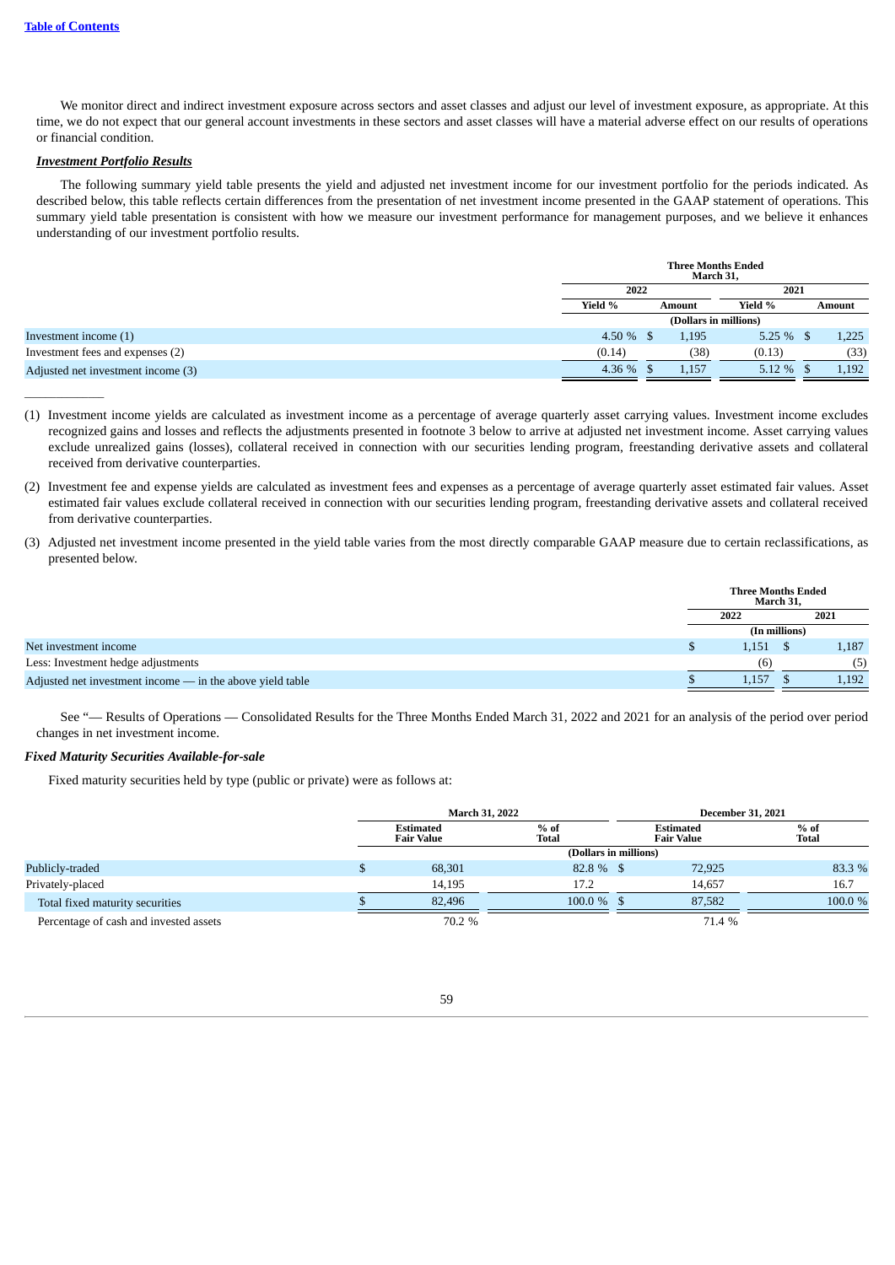$\overline{\phantom{a}}$ 

We monitor direct and indirect investment exposure across sectors and asset classes and adjust our level of investment exposure, as appropriate. At this time, we do not expect that our general account investments in these sectors and asset classes will have a material adverse effect on our results of operations or financial condition.

# *Investment Portfolio Results*

The following summary yield table presents the yield and adjusted net investment income for our investment portfolio for the periods indicated. As described below, this table reflects certain differences from the presentation of net investment income presented in the GAAP statement of operations. This summary yield table presentation is consistent with how we measure our investment performance for management purposes, and we believe it enhances understanding of our investment portfolio results.

| 2022<br>2021      |  |                            |                                                                                           |                        |  |  |
|-------------------|--|----------------------------|-------------------------------------------------------------------------------------------|------------------------|--|--|
| Yield %<br>Amount |  | Yield %                    | Amount                                                                                    |                        |  |  |
|                   |  |                            |                                                                                           |                        |  |  |
|                   |  |                            |                                                                                           | 1,225                  |  |  |
| (0.14)            |  | (0.13)                     |                                                                                           | (33)                   |  |  |
|                   |  |                            |                                                                                           | 1,192                  |  |  |
|                   |  | $4.50\%$ \$<br>$4.36\%$ \$ | <b>Three Months Ended</b><br>March 31,<br>(Dollars in millions)<br>1,195<br>(38)<br>1,157 | $5.25 \%$ \$<br>5.12 % |  |  |

(1) Investment income yields are calculated as investment income as a percentage of average quarterly asset carrying values. Investment income excludes recognized gains and losses and reflects the adjustments presented in footnote 3 below to arrive at adjusted net investment income. Asset carrying values exclude unrealized gains (losses), collateral received in connection with our securities lending program, freestanding derivative assets and collateral received from derivative counterparties.

(2) Investment fee and expense yields are calculated as investment fees and expenses as a percentage of average quarterly asset estimated fair values. Asset estimated fair values exclude collateral received in connection with our securities lending program, freestanding derivative assets and collateral received from derivative counterparties.

(3) Adjusted net investment income presented in the yield table varies from the most directly comparable GAAP measure due to certain reclassifications, as presented below.

|                                                           | <b>Three Months Ended</b> | March 31,     |       |
|-----------------------------------------------------------|---------------------------|---------------|-------|
|                                                           | 2022                      | 2021          |       |
|                                                           |                           | (In millions) |       |
| Net investment income                                     | 1,151                     |               | 1,187 |
| Less: Investment hedge adjustments                        | (6)                       |               | (5)   |
| Adjusted net investment income — in the above yield table | 1,157                     |               | 1,192 |

See "— Results of Operations — Consolidated Results for the Three Months Ended March 31, 2022 and 2021 for an analysis of the period over period changes in net investment income.

#### *Fixed Maturity Securities Available-for-sale*

Fixed maturity securities held by type (public or private) were as follows at:

|                                        | <b>March 31, 2022</b>          |                        | <b>December 31, 2021</b>              |                        |  |  |  |
|----------------------------------------|--------------------------------|------------------------|---------------------------------------|------------------------|--|--|--|
|                                        | Estimated<br><b>Fair Value</b> | $%$ of<br><b>Total</b> | <b>Estimated</b><br><b>Fair Value</b> | $%$ of<br><b>Total</b> |  |  |  |
|                                        |                                |                        | (Dollars in millions)                 |                        |  |  |  |
| Publicly-traded                        | 68,301                         | $82.8\%$ \$            | 72,925                                | 83.3 %                 |  |  |  |
| Privately-placed                       | 14,195                         | 17.2                   | 14.657                                | 16.7                   |  |  |  |
| Total fixed maturity securities        | 82,496                         | $100.0\%$ \$           | 87,582                                | 100.0 %                |  |  |  |
| Percentage of cash and invested assets | 70.2 %                         |                        | 71.4 %                                |                        |  |  |  |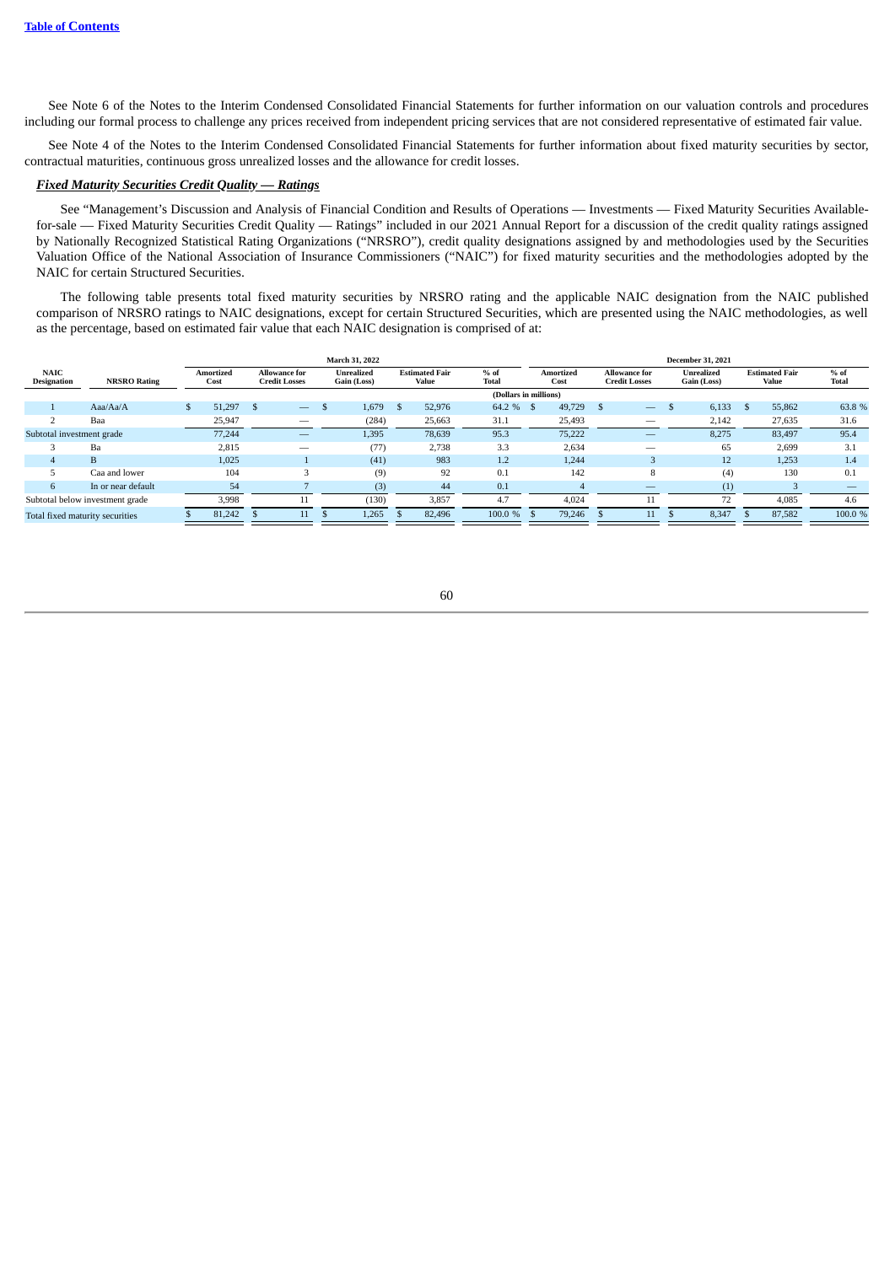See Note 6 of the Notes to the Interim Condensed Consolidated Financial Statements for further information on our valuation controls and procedures including our formal process to challenge any prices received from independent pricing services that are not considered representative of estimated fair value.

See Note 4 of the Notes to the Interim Condensed Consolidated Financial Statements for further information about fixed maturity securities by sector, contractual maturities, continuous gross unrealized losses and the allowance for credit losses.

### *Fixed Maturity Securities Credit Quality — Ratings*

See "Management's Discussion and Analysis of Financial Condition and Results of Operations — Investments — Fixed Maturity Securities Availablefor-sale — Fixed Maturity Securities Credit Quality — Ratings" included in our 2021 Annual Report for a discussion of the credit quality ratings assigned by Nationally Recognized Statistical Rating Organizations ("NRSRO"), credit quality designations assigned by and methodologies used by the Securities Valuation Office of the National Association of Insurance Commissioners ("NAIC") for fixed maturity securities and the methodologies adopted by the NAIC for certain Structured Securities.

The following table presents total fixed maturity securities by NRSRO rating and the applicable NAIC designation from the NAIC published comparison of NRSRO ratings to NAIC designations, except for certain Structured Securities, which are presented using the NAIC methodologies, as well as the percentage, based on estimated fair value that each NAIC designation is comprised of at:

|                                   |                                 |    | <b>March 31, 2022</b>    |               |                                              |      |                                  |   |                                |                       | <b>December 31, 2021</b> |                                              |                          |                                  |                   |                                |        |                 |        |
|-----------------------------------|---------------------------------|----|--------------------------|---------------|----------------------------------------------|------|----------------------------------|---|--------------------------------|-----------------------|--------------------------|----------------------------------------------|--------------------------|----------------------------------|-------------------|--------------------------------|--------|-----------------|--------|
| <b>NAIC</b><br><b>Designation</b> | <b>NRSRO Rating</b>             |    | <b>Amortized</b><br>Cost |               | <b>Allowance for</b><br><b>Credit Losses</b> |      | <b>Unrealized</b><br>Gain (Loss) |   | <b>Estimated Fair</b><br>Value | $%$ of<br>Total       | <b>Amortized</b><br>Cost | <b>Allowance for</b><br><b>Credit Losses</b> |                          | <b>Unrealized</b><br>Gain (Loss) |                   | <b>Estimated Fair</b><br>Value |        | $%$ of<br>Total |        |
|                                   |                                 |    |                          |               |                                              |      |                                  |   |                                | (Dollars in millions) |                          |                                              |                          |                                  |                   |                                |        |                 |        |
|                                   | Aaa/Aa/A                        | -S | 51,297                   | <sup>\$</sup> |                                              | - \$ | 1,679                            | S | 52,976                         | 64.2 % \$             | 49,729                   |                                              |                          |                                  | 6,133             |                                | 55,862 |                 | 63.8 % |
|                                   | Baa                             |    | 25,947                   |               | -                                            |      | (284)                            |   | 25,663                         | 31.1                  | 25,493                   |                                              | $\overline{\phantom{a}}$ |                                  | 2,142             |                                | 27,635 |                 | 31.6   |
| Subtotal investment grade         |                                 |    | 77,244                   |               |                                              |      | 1,395                            |   | 78,639                         | 95.3                  | 75,222                   |                                              |                          |                                  | 8,275             |                                | 83,497 |                 | 95.4   |
|                                   | Ba                              |    | 2,815                    |               | -                                            |      | (77)                             |   | 2,738                          | 3.3                   | 2,634                    |                                              | $\overline{\phantom{a}}$ |                                  | 65                |                                | 2,699  |                 | 3.1    |
| 4                                 | B                               |    | 1.025                    |               |                                              |      | (41)                             |   | 983                            | 1.2                   | 1,244                    |                                              |                          |                                  | 12                |                                | 1,253  |                 | 1.4    |
| $\overline{a}$                    | Caa and lower                   |    | 104                      |               |                                              |      | (9)                              |   | 92                             | 0.1                   | 142                      |                                              | 8                        |                                  | (4)               |                                | 130    |                 | 0.1    |
| 6                                 | In or near default              |    | 54                       |               |                                              |      | (3)                              |   | 44                             | 0.1                   |                          |                                              | $\overline{\phantom{a}}$ |                                  | $\left( 1\right)$ |                                |        |                 |        |
|                                   | Subtotal below investment grade |    | 3.998                    |               |                                              |      | (130)                            |   | 3,857                          | 4.7                   | 4,024                    |                                              |                          |                                  | 72                |                                | 4,085  |                 | 4.6    |
| Total fixed maturity securities   |                                 |    | 81,242                   |               | 11                                           |      | 1,265                            |   | 82,496                         | 100.0 %               | 79,246                   |                                              |                          |                                  | 8,347             |                                | 87,582 |                 | 100.0% |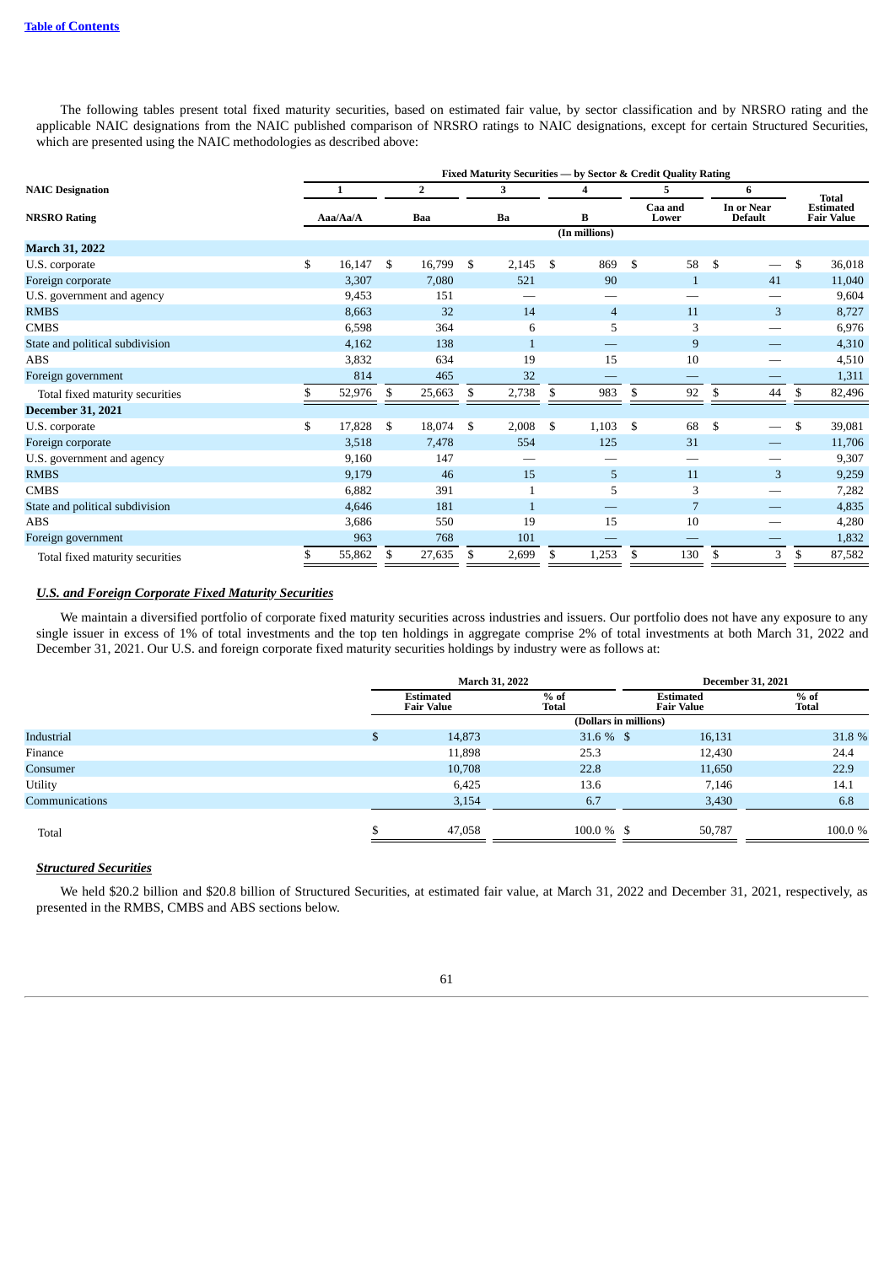The following tables present total fixed maturity securities, based on estimated fair value, by sector classification and by NRSRO rating and the applicable NAIC designations from the NAIC published comparison of NRSRO ratings to NAIC designations, except for certain Structured Securities, which are presented using the NAIC methodologies as described above:

|                                 | <b>Fixed Maturity Securities — by Sector &amp; Credit Quality Rating</b> |              |    |                |    |              |    |                |     |                  |    |                              |    |                                       |
|---------------------------------|--------------------------------------------------------------------------|--------------|----|----------------|----|--------------|----|----------------|-----|------------------|----|------------------------------|----|---------------------------------------|
| <b>NAIC Designation</b>         |                                                                          | $\mathbf{1}$ |    | $\overline{2}$ |    | 3            |    | 4              |     | 5.               | 6  |                              |    | <b>Total</b>                          |
| <b>NRSRO Rating</b>             |                                                                          | Aaa/Aa/A     |    | Baa            |    | Ba           |    | в              |     | Caa and<br>Lower |    | In or Near<br><b>Default</b> |    | <b>Estimated</b><br><b>Fair Value</b> |
|                                 |                                                                          |              |    |                |    |              |    | (In millions)  |     |                  |    |                              |    |                                       |
| <b>March 31, 2022</b>           |                                                                          |              |    |                |    |              |    |                |     |                  |    |                              |    |                                       |
| U.S. corporate                  | \$                                                                       | 16,147       | \$ | 16,799         | S. | 2,145        | \$ | 869            | \$  | 58               | \$ | $\overline{\phantom{0}}$     | \$ | 36,018                                |
| Foreign corporate               |                                                                          | 3,307        |    | 7,080          |    | 521          |    | 90             |     | $\mathbf{1}$     |    | 41                           |    | 11,040                                |
| U.S. government and agency      |                                                                          | 9,453        |    | 151            |    |              |    |                |     |                  |    |                              |    | 9,604                                 |
| <b>RMBS</b>                     |                                                                          | 8,663        |    | 32             |    | 14           |    | $\overline{4}$ |     | 11               |    | 3                            |    | 8,727                                 |
| <b>CMBS</b>                     |                                                                          | 6,598        |    | 364            |    | 6            |    | 5              |     | 3                |    |                              |    | 6,976                                 |
| State and political subdivision |                                                                          | 4,162        |    | 138            |    | $\mathbf{1}$ |    |                |     | 9                |    |                              |    | 4,310                                 |
| ABS                             |                                                                          | 3,832        |    | 634            |    | 19           |    | 15             |     | 10               |    | --                           |    | 4,510                                 |
| Foreign government              |                                                                          | 814          |    | 465            |    | 32           |    |                |     |                  |    |                              |    | 1,311                                 |
| Total fixed maturity securities |                                                                          | 52,976       | S. | 25,663         | S. | 2,738        | \$ | 983            | \$  | 92               | \$ | 44                           | \$ | 82,496                                |
| <b>December 31, 2021</b>        |                                                                          |              |    |                |    |              |    |                |     |                  |    |                              |    |                                       |
| U.S. corporate                  | \$                                                                       | 17,828       | \$ | 18,074         | \$ | 2,008        | \$ | 1,103          | -\$ | 68               | \$ | $\overline{\phantom{0}}$     | \$ | 39,081                                |
| Foreign corporate               |                                                                          | 3,518        |    | 7,478          |    | 554          |    | 125            |     | 31               |    |                              |    | 11,706                                |
| U.S. government and agency      |                                                                          | 9,160        |    | 147            |    |              |    |                |     |                  |    |                              |    | 9,307                                 |
| <b>RMBS</b>                     |                                                                          | 9,179        |    | 46             |    | 15           |    | 5              |     | 11               |    | 3                            |    | 9,259                                 |
| <b>CMBS</b>                     |                                                                          | 6,882        |    | 391            |    |              |    | 5              |     | 3                |    |                              |    | 7,282                                 |
| State and political subdivision |                                                                          | 4,646        |    | 181            |    | $\mathbf{1}$ |    |                |     | 7                |    |                              |    | 4,835                                 |
| <b>ABS</b>                      |                                                                          | 3,686        |    | 550            |    | 19           |    | 15             |     | 10               |    |                              |    | 4,280                                 |
| Foreign government              |                                                                          | 963          |    | 768            |    | 101          |    |                |     |                  |    |                              |    | 1,832                                 |
| Total fixed maturity securities |                                                                          | 55,862       | \$ | 27,635         | \$ | 2,699        | \$ | 1,253          | \$  | 130              | \$ | 3                            | \$ | 87,582                                |

### *U.S. and Foreign Corporate Fixed Maturity Securities*

We maintain a diversified portfolio of corporate fixed maturity securities across industries and issuers. Our portfolio does not have any exposure to any single issuer in excess of 1% of total investments and the top ten holdings in aggregate comprise 2% of total investments at both March 31, 2022 and December 31, 2021. Our U.S. and foreign corporate fixed maturity securities holdings by industry were as follows at:

|                       |        |                                | <b>December 31, 2021</b>              |                        |  |  |  |  |  |  |
|-----------------------|--------|--------------------------------|---------------------------------------|------------------------|--|--|--|--|--|--|
|                       |        | $%$ of<br><b>Total</b>         | <b>Estimated</b><br><b>Fair Value</b> | $%$ of<br><b>Total</b> |  |  |  |  |  |  |
| (Dollars in millions) |        |                                |                                       |                        |  |  |  |  |  |  |
| æ                     | 14,873 | 31.6 $%$ \$                    | 16,131                                | 31.8 %                 |  |  |  |  |  |  |
|                       | 11,898 | 25.3                           | 12,430                                | 24.4                   |  |  |  |  |  |  |
|                       | 10,708 | 22.8                           | 11,650                                | 22.9                   |  |  |  |  |  |  |
|                       | 6,425  | 13.6                           | 7,146                                 | 14.1                   |  |  |  |  |  |  |
|                       | 3,154  | 6.7                            | 3,430                                 | 6.8                    |  |  |  |  |  |  |
|                       | 47,058 | $100.0 \%$ \$                  | 50,787                                | 100.0%                 |  |  |  |  |  |  |
|                       |        | Estimated<br><b>Fair Value</b> | <b>March 31, 2022</b>                 |                        |  |  |  |  |  |  |

#### *Structured Securities*

We held \$20.2 billion and \$20.8 billion of Structured Securities, at estimated fair value, at March 31, 2022 and December 31, 2021, respectively, as presented in the RMBS, CMBS and ABS sections below.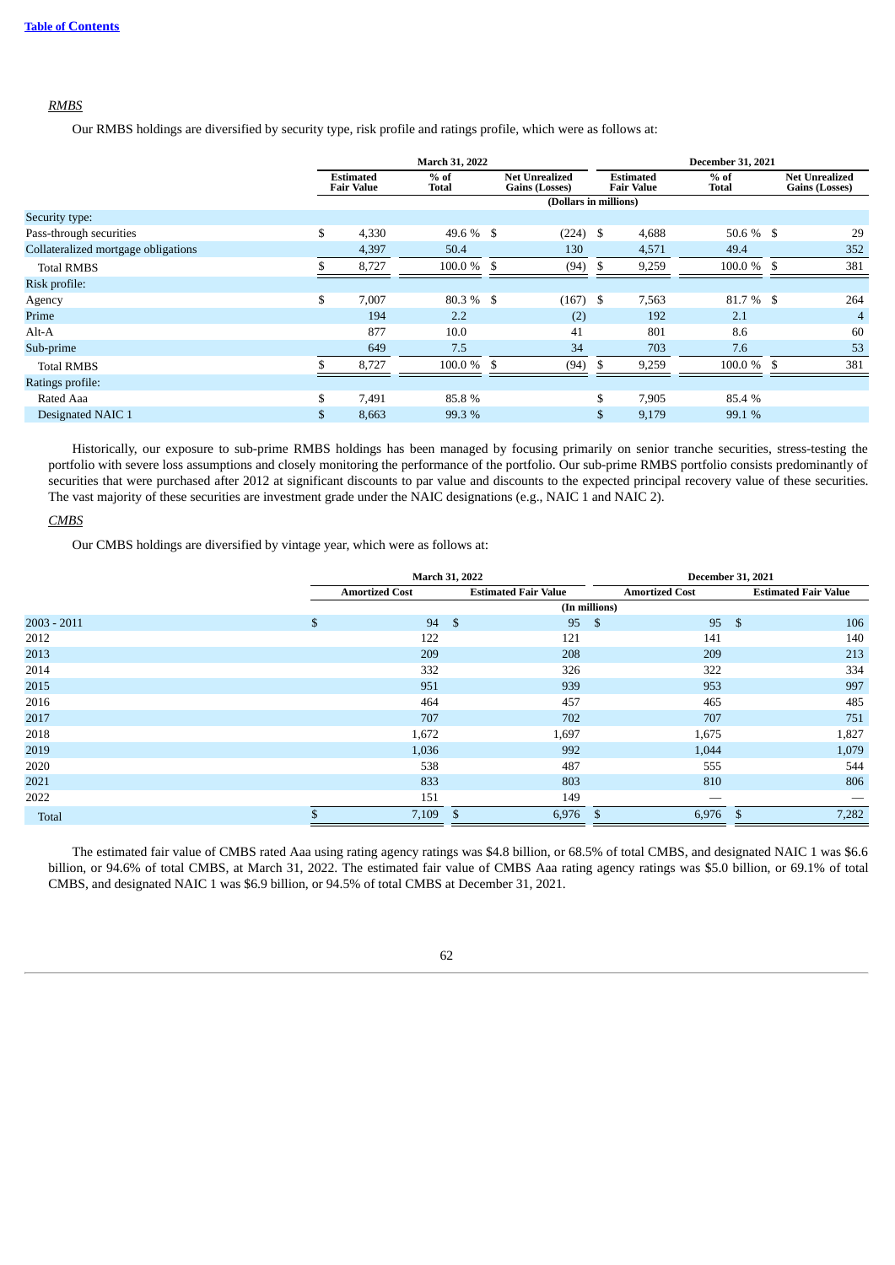# *RMBS*

Our RMBS holdings are diversified by security type, risk profile and ratings profile, which were as follows at:

|                                     | <b>March 31, 2022</b>                 |       |                 |  |                                         |                                       | <b>December 31, 2021</b> |                 |  |                                         |  |  |
|-------------------------------------|---------------------------------------|-------|-----------------|--|-----------------------------------------|---------------------------------------|--------------------------|-----------------|--|-----------------------------------------|--|--|
|                                     | <b>Estimated</b><br><b>Fair Value</b> |       | $%$ of<br>Total |  | <b>Net Unrealized</b><br>Gains (Losses) | <b>Estimated</b><br><b>Fair Value</b> |                          | $%$ of<br>Total |  | <b>Net Unrealized</b><br>Gains (Losses) |  |  |
|                                     |                                       |       |                 |  | (Dollars in millions)                   |                                       |                          |                 |  |                                         |  |  |
| Security type:                      |                                       |       |                 |  |                                         |                                       |                          |                 |  |                                         |  |  |
| Pass-through securities             | \$                                    | 4,330 | 49.6 $%$ \$     |  | $(224)$ \$                              |                                       | 4,688                    | 50.6 $%$ \$     |  | 29                                      |  |  |
| Collateralized mortgage obligations |                                       | 4,397 | 50.4            |  | 130                                     |                                       | 4,571                    | 49.4            |  | 352                                     |  |  |
| <b>Total RMBS</b>                   |                                       | 8,727 | $100.0 \%$ \$   |  | (94)                                    | \$.                                   | 9,259                    | $100.0 \%$ \$   |  | 381                                     |  |  |
| Risk profile:                       |                                       |       |                 |  |                                         |                                       |                          |                 |  |                                         |  |  |
| Agency                              | \$                                    | 7,007 | $80.3\%$ \$     |  | (167)                                   | <b>S</b>                              | 7,563                    | 81.7 % \$       |  | 264                                     |  |  |
| Prime                               |                                       | 194   | 2.2             |  | (2)                                     |                                       | 192                      | 2.1             |  | $\overline{4}$                          |  |  |
| Alt-A                               |                                       | 877   | 10.0            |  | 41                                      |                                       | 801                      | 8.6             |  | 60                                      |  |  |
| Sub-prime                           |                                       | 649   | 7.5             |  | 34                                      |                                       | 703                      | 7.6             |  | 53                                      |  |  |
| <b>Total RMBS</b>                   |                                       | 8,727 | $100.0 \%$ \$   |  | (94)                                    |                                       | 9,259                    | $100.0 \%$ \$   |  | 381                                     |  |  |
| Ratings profile:                    |                                       |       |                 |  |                                         |                                       |                          |                 |  |                                         |  |  |
| Rated Aaa                           | \$                                    | 7,491 | 85.8%           |  |                                         | \$                                    | 7,905                    | 85.4 %          |  |                                         |  |  |
| Designated NAIC 1                   | \$                                    | 8,663 | 99.3 %          |  |                                         | \$                                    | 9,179                    | 99.1 %          |  |                                         |  |  |

Historically, our exposure to sub-prime RMBS holdings has been managed by focusing primarily on senior tranche securities, stress-testing the portfolio with severe loss assumptions and closely monitoring the performance of the portfolio. Our sub-prime RMBS portfolio consists predominantly of securities that were purchased after 2012 at significant discounts to par value and discounts to the expected principal recovery value of these securities. The vast majority of these securities are investment grade under the NAIC designations (e.g., NAIC 1 and NAIC 2).

# *CMBS*

Our CMBS holdings are diversified by vintage year, which were as follows at:

|             |                       | March 31, 2022              |                       | <b>December 31, 2021</b>    |  |  |
|-------------|-----------------------|-----------------------------|-----------------------|-----------------------------|--|--|
|             | <b>Amortized Cost</b> | <b>Estimated Fair Value</b> | <b>Amortized Cost</b> | <b>Estimated Fair Value</b> |  |  |
|             |                       |                             | (In millions)         |                             |  |  |
| 2003 - 2011 | \$<br>94              | 95<br>- \$                  | 95<br>- \$            | 106<br>\$                   |  |  |
| 2012        | 122                   | 121                         | 141                   | 140                         |  |  |
| 2013        | 209                   | 208                         | 209                   | 213                         |  |  |
| 2014        | 332                   | 326                         | 322                   | 334                         |  |  |
| 2015        | 951                   | 939                         | 953                   | 997                         |  |  |
| 2016        | 464                   | 457                         | 465                   | 485                         |  |  |
| 2017        | 707                   | 702                         | 707                   | 751                         |  |  |
| 2018        | 1,672                 | 1,697                       | 1,675                 | 1,827                       |  |  |
| 2019        | 1,036                 | 992                         | 1,044                 | 1,079                       |  |  |
| 2020        | 538                   | 487                         | 555                   | 544                         |  |  |
| 2021        | 833                   | 803                         | 810                   | 806                         |  |  |
| 2022        | 151                   | 149                         | __                    | $\qquad \qquad$             |  |  |
| Total       | 7,109                 | 6,976 \$<br>- S             | 6,976                 | 7,282<br>-\$                |  |  |

The estimated fair value of CMBS rated Aaa using rating agency ratings was \$4.8 billion, or 68.5% of total CMBS, and designated NAIC 1 was \$6.6 billion, or 94.6% of total CMBS, at March 31, 2022. The estimated fair value of CMBS Aaa rating agency ratings was \$5.0 billion, or 69.1% of total CMBS, and designated NAIC 1 was \$6.9 billion, or 94.5% of total CMBS at December 31, 2021.

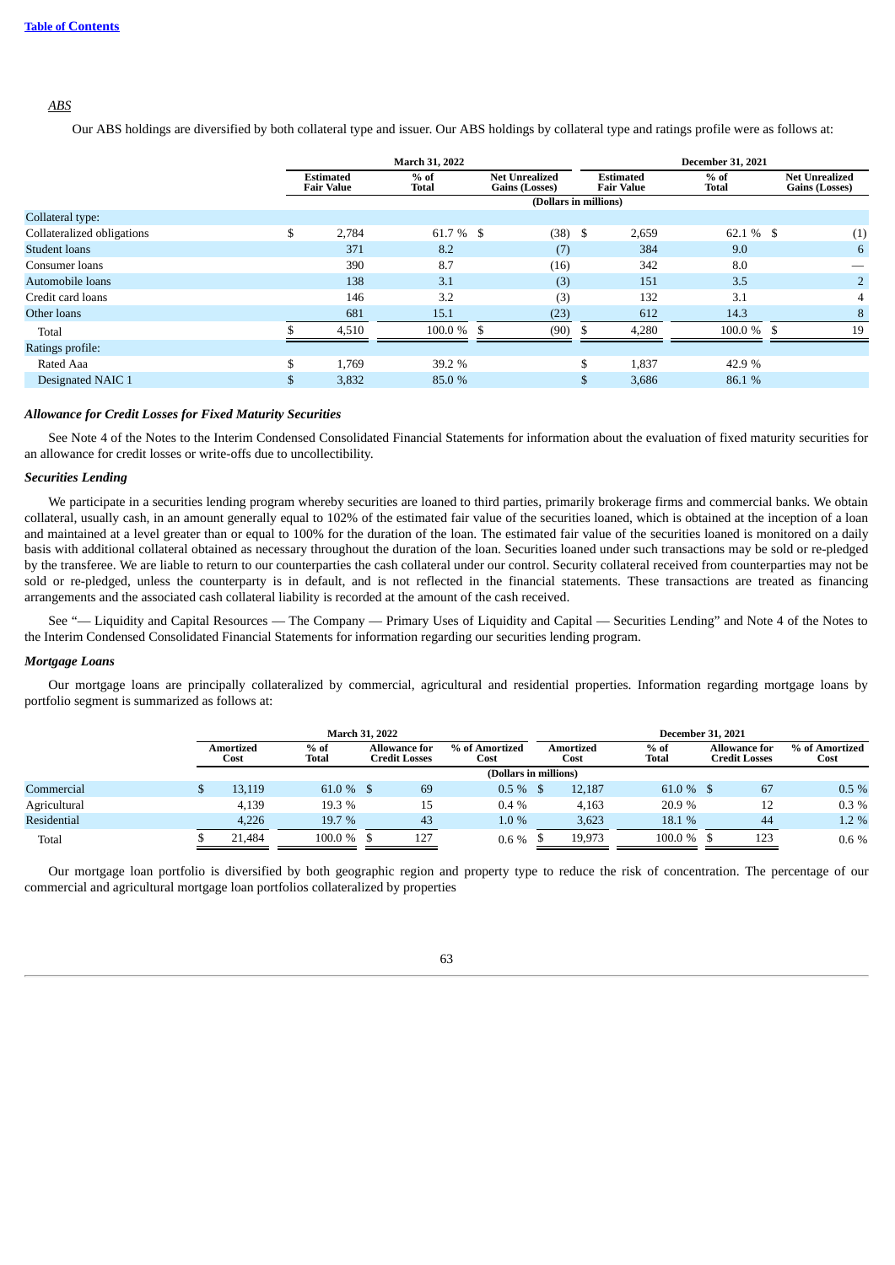## *ABS*

Our ABS holdings are diversified by both collateral type and issuer. Our ABS holdings by collateral type and ratings profile were as follows at:

|                            |                                | March 31, 2022  |  | <b>December 31, 2021</b>                |      |                                       |                 |      |                                         |  |
|----------------------------|--------------------------------|-----------------|--|-----------------------------------------|------|---------------------------------------|-----------------|------|-----------------------------------------|--|
|                            | Estimated<br><b>Fair Value</b> | $%$ of<br>Total |  | <b>Net Unrealized</b><br>Gains (Losses) |      | <b>Estimated</b><br><b>Fair Value</b> | $%$ of<br>Total |      | <b>Net Unrealized</b><br>Gains (Losses) |  |
|                            |                                |                 |  | (Dollars in millions)                   |      |                                       |                 |      |                                         |  |
| Collateral type:           |                                |                 |  |                                         |      |                                       |                 |      |                                         |  |
| Collateralized obligations | \$<br>2,784                    | 61.7 % \$       |  | (38)                                    | - \$ | 2,659                                 | 62.1 % \$       |      | (1)                                     |  |
| <b>Student loans</b>       | 371                            | 8.2             |  | (7)                                     |      | 384                                   | 9.0             |      | 6                                       |  |
| Consumer loans             | 390                            | 8.7             |  | (16)                                    |      | 342                                   | 8.0             |      |                                         |  |
| Automobile loans           | 138                            | 3.1             |  | (3)                                     |      | 151                                   | 3.5             |      | 2                                       |  |
| Credit card loans          | 146                            | 3.2             |  | (3)                                     |      | 132                                   | 3.1             |      | 4                                       |  |
| Other loans                | 681                            | 15.1            |  | (23)                                    |      | 612                                   | 14.3            |      | 8                                       |  |
| Total                      | 4,510                          | $100.0 \%$ \$   |  | (90)                                    |      | 4,280                                 | 100.0 %         | - \$ | 19                                      |  |
| Ratings profile:           |                                |                 |  |                                         |      |                                       |                 |      |                                         |  |
| Rated Aaa                  | \$<br>1,769                    | 39.2 %          |  |                                         | ــه  | 1,837                                 | 42.9 %          |      |                                         |  |
| Designated NAIC 1          | \$<br>3,832                    | 85.0 %          |  |                                         | æ    | 3,686                                 | 86.1 %          |      |                                         |  |

### *Allowance for Credit Losses for Fixed Maturity Securities*

See Note 4 of the Notes to the Interim Condensed Consolidated Financial Statements for information about the evaluation of fixed maturity securities for an allowance for credit losses or write-offs due to uncollectibility.

### *Securities Lending*

We participate in a securities lending program whereby securities are loaned to third parties, primarily brokerage firms and commercial banks. We obtain collateral, usually cash, in an amount generally equal to 102% of the estimated fair value of the securities loaned, which is obtained at the inception of a loan and maintained at a level greater than or equal to 100% for the duration of the loan. The estimated fair value of the securities loaned is monitored on a daily basis with additional collateral obtained as necessary throughout the duration of the loan. Securities loaned under such transactions may be sold or re-pledged by the transferee. We are liable to return to our counterparties the cash collateral under our control. Security collateral received from counterparties may not be sold or re-pledged, unless the counterparty is in default, and is not reflected in the financial statements. These transactions are treated as financing arrangements and the associated cash collateral liability is recorded at the amount of the cash received.

See "— Liquidity and Capital Resources — The Company — Primary Uses of Liquidity and Capital — Securities Lending" and Note 4 of the Notes to the Interim Condensed Consolidated Financial Statements for information regarding our securities lending program.

### *Mortgage Loans*

Our mortgage loans are principally collateralized by commercial, agricultural and residential properties. Information regarding mortgage loans by portfolio segment is summarized as follows at:

|              |                   | <b>March 31, 2022</b> |                                |                        | <b>December 31, 2021</b> |                 |                                       |                        |  |  |  |  |  |  |
|--------------|-------------------|-----------------------|--------------------------------|------------------------|--------------------------|-----------------|---------------------------------------|------------------------|--|--|--|--|--|--|
|              | Amortized<br>Cost | $%$ of<br>Total       | Allowance for<br>Credit Losses | % of Amortized<br>Cost | Amortized<br>Cost        | $%$ of<br>Total | <b>Allowance for</b><br>Credit Losses | % of Amortized<br>Cost |  |  |  |  |  |  |
|              |                   |                       |                                | (Dollars in millions)  |                          |                 |                                       |                        |  |  |  |  |  |  |
| Commercial   | 13,119            | 61.0 $%$ \$           | 69                             | $0.5 \%$ \$            | 12,187                   | 61.0 $%$ \$     | 67                                    | $0.5\%$                |  |  |  |  |  |  |
| Agricultural | 4.139             | 19.3 %                | 15                             | $0.4\%$                | 4,163                    | 20.9 %          | 12                                    | $0.3\%$                |  |  |  |  |  |  |
| Residential  | 4.226             | 19.7 %                | 43                             | $1.0\%$                | 3.623                    | 18.1 %          | 44                                    | 1.2 %                  |  |  |  |  |  |  |
| Total        | 21.484            | $100.0\%$ \$          | 127                            | $0.6\%$                | 19,973                   | 100.0 %         | 123                                   | $0.6\%$                |  |  |  |  |  |  |

Our mortgage loan portfolio is diversified by both geographic region and property type to reduce the risk of concentration. The percentage of our commercial and agricultural mortgage loan portfolios collateralized by properties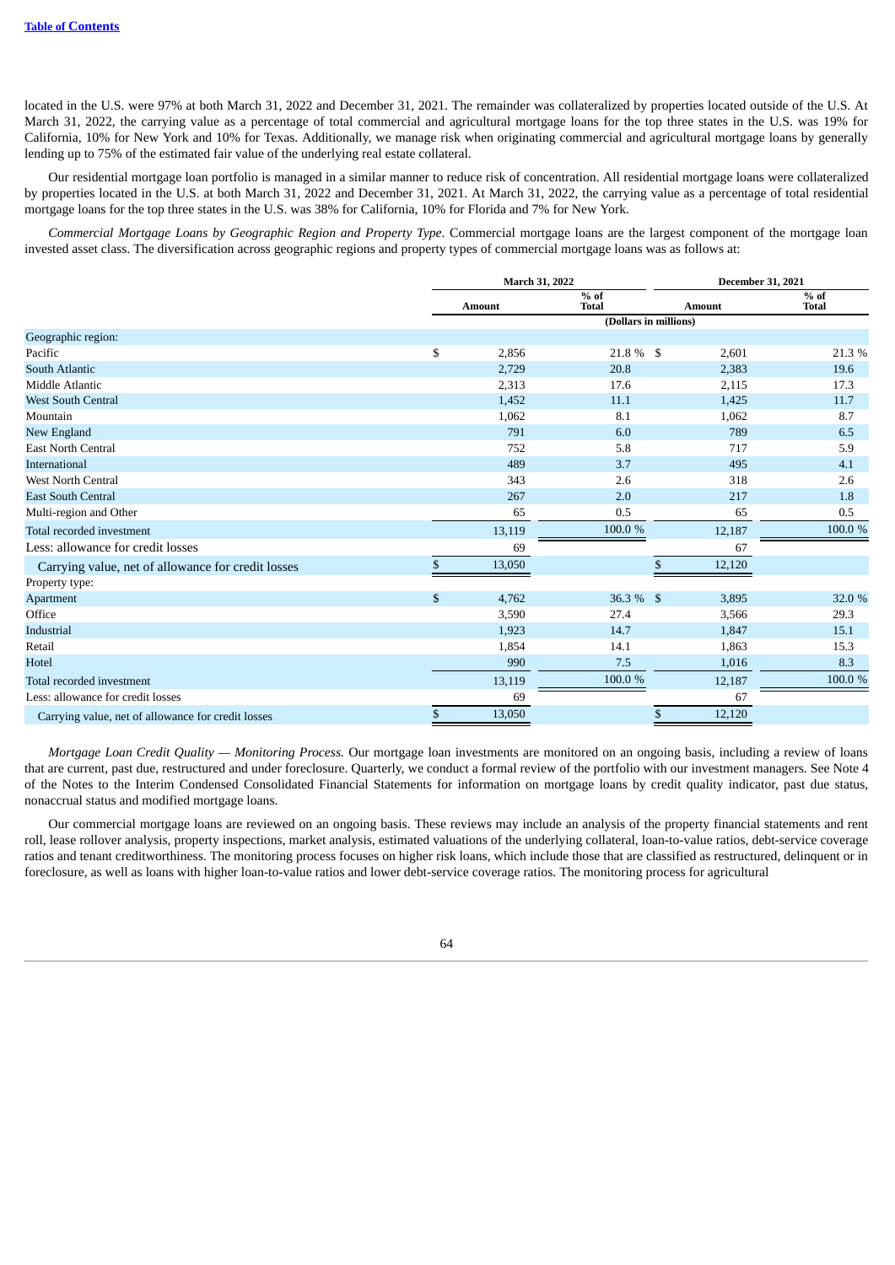located in the U.S. were 97% at both March 31, 2022 and December 31, 2021. The remainder was collateralized by properties located outside of the U.S. At March 31, 2022, the carrying value as a percentage of total commercial and agricultural mortgage loans for the top three states in the U.S. was 19% for California, 10% for New York and 10% for Texas. Additionally, we manage risk when originating commercial and agricultural mortgage loans by generally lending up to 75% of the estimated fair value of the underlying real estate collateral.

Our residential mortgage loan portfolio is managed in a similar manner to reduce risk of concentration. All residential mortgage loans were collateralized by properties located in the U.S. at both March 31, 2022 and December 31, 2021. At March 31, 2022, the carrying value as a percentage of total residential mortgage loans for the top three states in the U.S. was 38% for California, 10% for Florida and 7% for New York.

*Commercial Mortgage Loans by Geographic Region and Property Type*. Commercial mortgage loans are the largest component of the mortgage loan invested asset class. The diversification across geographic regions and property types of commercial mortgage loans was as follows at:

|                                                    |              | March 31, 2022 |                        | <b>December 31, 2021</b> |                        |  |  |
|----------------------------------------------------|--------------|----------------|------------------------|--------------------------|------------------------|--|--|
|                                                    |              | <b>Amount</b>  | $%$ of<br><b>Total</b> | <b>Amount</b>            | $%$ of<br><b>Total</b> |  |  |
|                                                    |              |                | (Dollars in millions)  |                          |                        |  |  |
| Geographic region:                                 |              |                |                        |                          |                        |  |  |
| Pacific                                            | \$           | 2,856          | 21.8 % \$              | 2,601                    | 21.3 %                 |  |  |
| South Atlantic                                     |              | 2,729          | 20.8                   | 2,383                    | 19.6                   |  |  |
| Middle Atlantic                                    |              | 2,313          | 17.6                   | 2,115                    | 17.3                   |  |  |
| <b>West South Central</b>                          |              | 1,452          | 11.1                   | 1,425                    | 11.7                   |  |  |
| Mountain                                           |              | 1,062          | 8.1                    | 1,062                    | 8.7                    |  |  |
| New England                                        |              | 791            | 6.0                    | 789                      | 6.5                    |  |  |
| <b>East North Central</b>                          |              | 752            | 5.8                    | 717                      | 5.9                    |  |  |
| International                                      |              | 489            | 3.7                    | 495                      | 4.1                    |  |  |
| <b>West North Central</b>                          |              | 343            | 2.6                    | 318                      | 2.6                    |  |  |
| <b>East South Central</b>                          |              | 267            | 2.0                    | 217                      | 1.8                    |  |  |
| Multi-region and Other                             |              | 65             | 0.5                    | 65                       | 0.5                    |  |  |
| Total recorded investment                          |              | 13,119         | 100.0%                 | 12,187                   | 100.0 %                |  |  |
| Less: allowance for credit losses                  |              | 69             |                        | 67                       |                        |  |  |
| Carrying value, net of allowance for credit losses | $\mathbb{S}$ | 13,050         |                        | \$<br>12,120             |                        |  |  |
| Property type:                                     |              |                |                        |                          |                        |  |  |
| Apartment                                          | \$           | 4,762          | 36.3 % \$              | 3,895                    | 32.0 %                 |  |  |
| Office                                             |              | 3,590          | 27.4                   | 3,566                    | 29.3                   |  |  |
| Industrial                                         |              | 1,923          | 14.7                   | 1,847                    | 15.1                   |  |  |
| Retail                                             |              | 1,854          | 14.1                   | 1,863                    | 15.3                   |  |  |
| Hotel                                              |              | 990            | 7.5                    | 1,016                    | 8.3                    |  |  |
| Total recorded investment                          |              | 13,119         | 100.0%                 | 12,187                   | 100.0 %                |  |  |
| Less: allowance for credit losses                  |              | 69             |                        | 67                       |                        |  |  |
| Carrying value, net of allowance for credit losses | \$           | 13,050         |                        | \$<br>12,120             |                        |  |  |

*Mortgage Loan Credit Quality — Monitoring Process.* Our mortgage loan investments are monitored on an ongoing basis, including a review of loans that are current, past due, restructured and under foreclosure. Quarterly, we conduct a formal review of the portfolio with our investment managers. See Note 4 of the Notes to the Interim Condensed Consolidated Financial Statements for information on mortgage loans by credit quality indicator, past due status, nonaccrual status and modified mortgage loans.

Our commercial mortgage loans are reviewed on an ongoing basis. These reviews may include an analysis of the property financial statements and rent roll, lease rollover analysis, property inspections, market analysis, estimated valuations of the underlying collateral, loan-to-value ratios, debt-service coverage ratios and tenant creditworthiness. The monitoring process focuses on higher risk loans, which include those that are classified as restructured, delinquent or in foreclosure, as well as loans with higher loan-to-value ratios and lower debt-service coverage ratios. The monitoring process for agricultural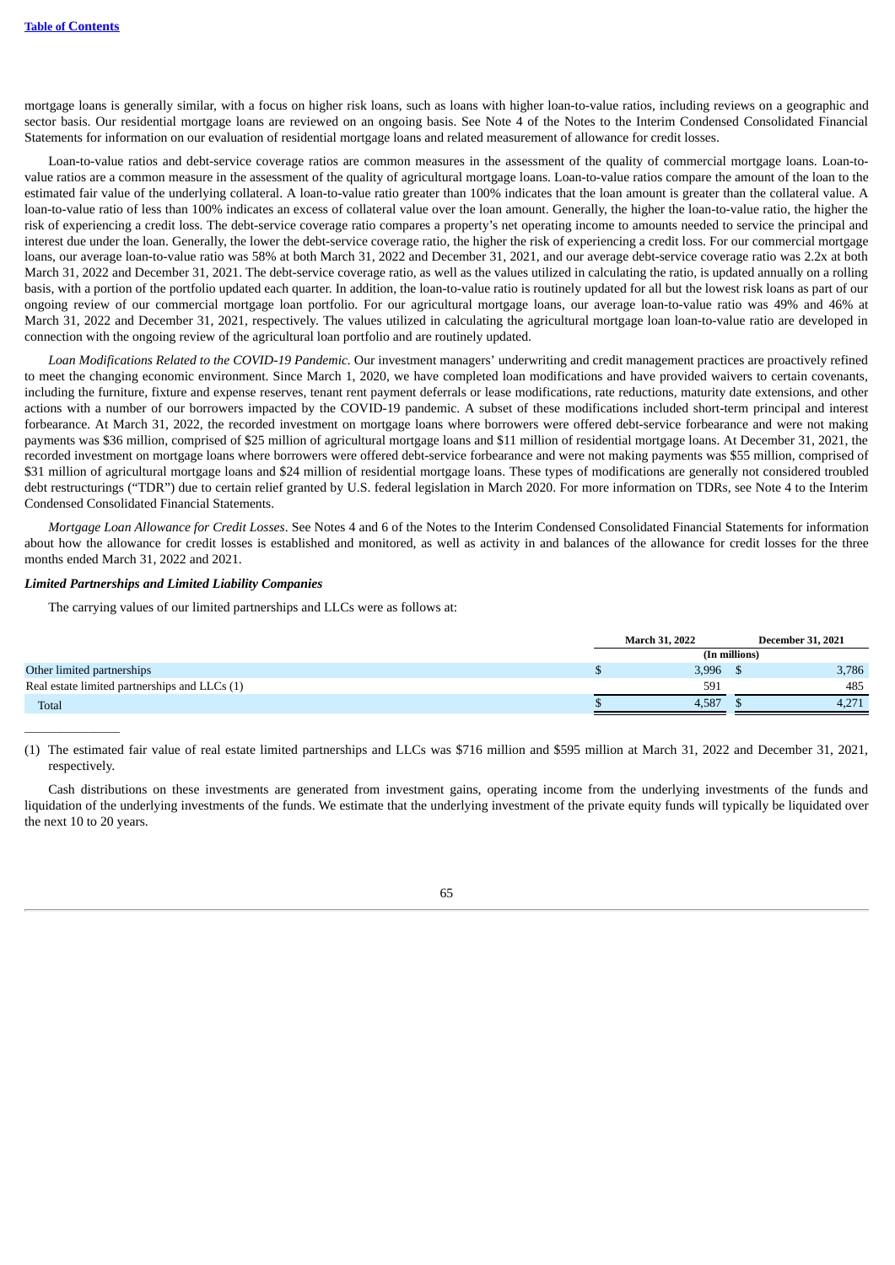mortgage loans is generally similar, with a focus on higher risk loans, such as loans with higher loan-to-value ratios, including reviews on a geographic and sector basis. Our residential mortgage loans are reviewed on an ongoing basis. See Note 4 of the Notes to the Interim Condensed Consolidated Financial Statements for information on our evaluation of residential mortgage loans and related measurement of allowance for credit losses.

Loan-to-value ratios and debt-service coverage ratios are common measures in the assessment of the quality of commercial mortgage loans. Loan-tovalue ratios are a common measure in the assessment of the quality of agricultural mortgage loans. Loan-to-value ratios compare the amount of the loan to the estimated fair value of the underlying collateral. A loan-to-value ratio greater than 100% indicates that the loan amount is greater than the collateral value. A loan-to-value ratio of less than 100% indicates an excess of collateral value over the loan amount. Generally, the higher the loan-to-value ratio, the higher the risk of experiencing a credit loss. The debt-service coverage ratio compares a property's net operating income to amounts needed to service the principal and interest due under the loan. Generally, the lower the debt-service coverage ratio, the higher the risk of experiencing a credit loss. For our commercial mortgage loans, our average loan-to-value ratio was 58% at both March 31, 2022 and December 31, 2021, and our average debt-service coverage ratio was 2.2x at both March 31, 2022 and December 31, 2021. The debt-service coverage ratio, as well as the values utilized in calculating the ratio, is updated annually on a rolling basis, with a portion of the portfolio updated each quarter. In addition, the loan-to-value ratio is routinely updated for all but the lowest risk loans as part of our ongoing review of our commercial mortgage loan portfolio. For our agricultural mortgage loans, our average loan-to-value ratio was 49% and 46% at March 31, 2022 and December 31, 2021, respectively. The values utilized in calculating the agricultural mortgage loan loan-to-value ratio are developed in connection with the ongoing review of the agricultural loan portfolio and are routinely updated.

*Loan Modifications Related to the COVID-19 Pandemic.* Our investment managers' underwriting and credit management practices are proactively refined to meet the changing economic environment. Since March 1, 2020, we have completed loan modifications and have provided waivers to certain covenants, including the furniture, fixture and expense reserves, tenant rent payment deferrals or lease modifications, rate reductions, maturity date extensions, and other actions with a number of our borrowers impacted by the COVID-19 pandemic. A subset of these modifications included short-term principal and interest forbearance. At March 31, 2022, the recorded investment on mortgage loans where borrowers were offered debt-service forbearance and were not making payments was \$36 million, comprised of \$25 million of agricultural mortgage loans and \$11 million of residential mortgage loans. At December 31, 2021, the recorded investment on mortgage loans where borrowers were offered debt-service forbearance and were not making payments was \$55 million, comprised of \$31 million of agricultural mortgage loans and \$24 million of residential mortgage loans. These types of modifications are generally not considered troubled debt restructurings ("TDR") due to certain relief granted by U.S. federal legislation in March 2020. For more information on TDRs, see Note 4 to the Interim Condensed Consolidated Financial Statements.

*Mortgage Loan Allowance for Credit Losses*. See Notes 4 and 6 of the Notes to the Interim Condensed Consolidated Financial Statements for information about how the allowance for credit losses is established and monitored, as well as activity in and balances of the allowance for credit losses for the three months ended March 31, 2022 and 2021.

### *Limited Partnerships and Limited Liability Companies*

 $\_$ 

The carrying values of our limited partnerships and LLCs were as follows at:

|                                               | <b>March 31, 2022</b> | <b>December 31, 2021</b> |
|-----------------------------------------------|-----------------------|--------------------------|
|                                               | (In millions)         |                          |
| Other limited partnerships                    | 3,996                 | 3,786                    |
| Real estate limited partnerships and LLCs (1) | 591                   | 485                      |
| Total                                         | 4,587                 | 4.271                    |

(1) The estimated fair value of real estate limited partnerships and LLCs was \$716 million and \$595 million at March 31, 2022 and December 31, 2021, respectively.

Cash distributions on these investments are generated from investment gains, operating income from the underlying investments of the funds and liquidation of the underlying investments of the funds. We estimate that the underlying investment of the private equity funds will typically be liquidated over the next 10 to 20 years.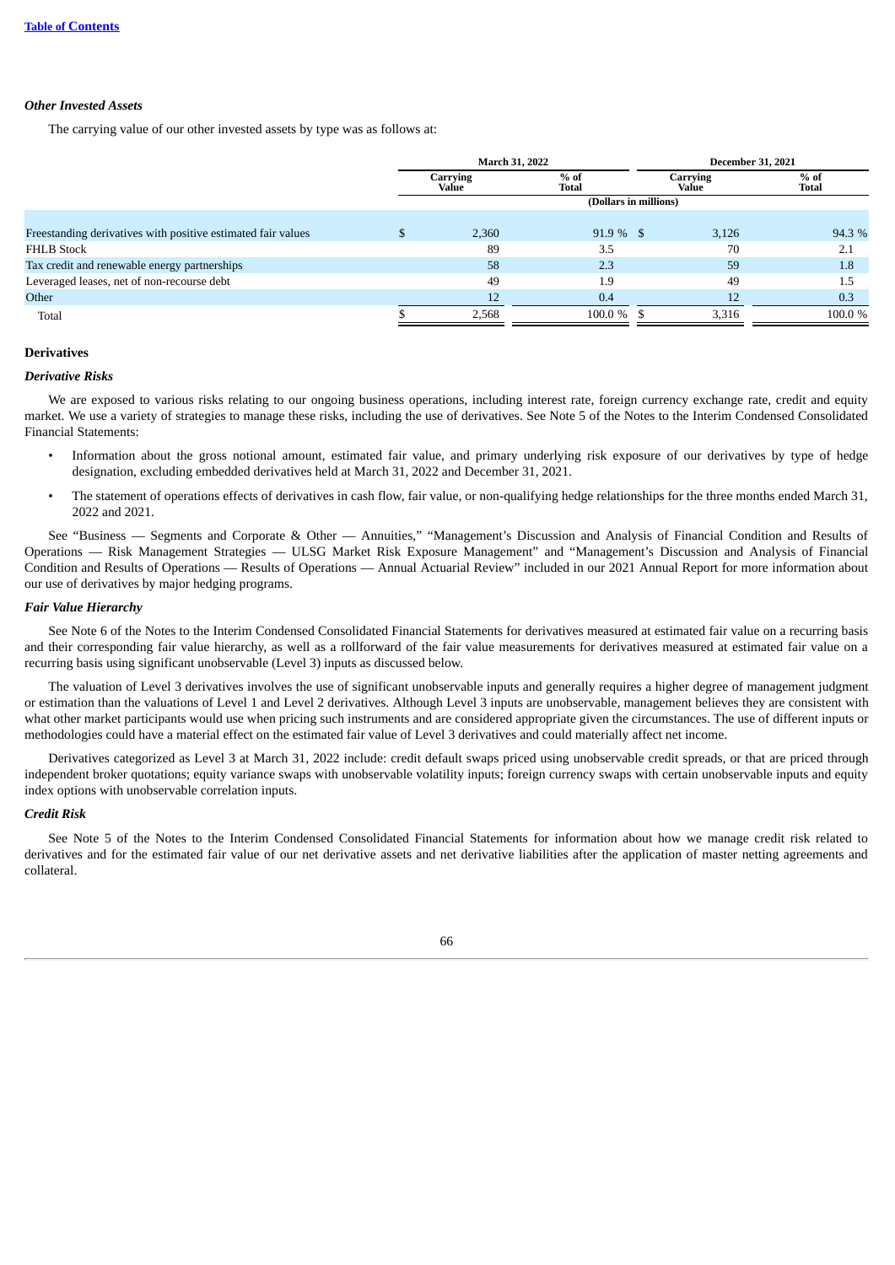# *Other Invested Assets*

The carrying value of our other invested assets by type was as follows at:

|                                                              |                   | <b>March 31, 2022</b> |                 | <b>December 31, 2021</b> |                 |  |  |  |
|--------------------------------------------------------------|-------------------|-----------------------|-----------------|--------------------------|-----------------|--|--|--|
|                                                              | Carrying<br>Value |                       | $%$ of<br>Total | Carrying<br>Value        | $%$ of<br>Total |  |  |  |
|                                                              |                   | (Dollars in millions) |                 |                          |                 |  |  |  |
|                                                              |                   |                       |                 |                          |                 |  |  |  |
| Freestanding derivatives with positive estimated fair values |                   | 2,360                 | $91.9\%$ \$     | 3,126                    | 94.3 %          |  |  |  |
| <b>FHLB</b> Stock                                            |                   | 89                    | 3.5             | 70                       | 2.1             |  |  |  |
| Tax credit and renewable energy partnerships                 |                   | 58                    | 2.3             | 59                       | 1.8             |  |  |  |
| Leveraged leases, net of non-recourse debt                   |                   | 49                    | 1.9             | 49                       | 1.5             |  |  |  |
| Other                                                        |                   | 12                    | 0.4             | 12                       | 0.3             |  |  |  |
| Total                                                        |                   | 2,568                 | $100.0 \%$ \$   | 3,316                    | 100.0 %         |  |  |  |

# <span id="page-67-0"></span>**Derivatives**

#### *Derivative Risks*

We are exposed to various risks relating to our ongoing business operations, including interest rate, foreign currency exchange rate, credit and equity market. We use a variety of strategies to manage these risks, including the use of derivatives. See Note 5 of the Notes to the Interim Condensed Consolidated Financial Statements:

- Information about the gross notional amount, estimated fair value, and primary underlying risk exposure of our derivatives by type of hedge designation, excluding embedded derivatives held at March 31, 2022 and December 31, 2021.
- The statement of operations effects of derivatives in cash flow, fair value, or non-qualifying hedge relationships for the three months ended March 31, 2022 and 2021.

See "Business — Segments and Corporate & Other — Annuities," "Management's Discussion and Analysis of Financial Condition and Results of Operations — Risk Management Strategies — ULSG Market Risk Exposure Management" and "Management's Discussion and Analysis of Financial Condition and Results of Operations — Results of Operations — Annual Actuarial Review" included in our 2021 Annual Report for more information about our use of derivatives by major hedging programs.

### *Fair Value Hierarchy*

See Note 6 of the Notes to the Interim Condensed Consolidated Financial Statements for derivatives measured at estimated fair value on a recurring basis and their corresponding fair value hierarchy, as well as a rollforward of the fair value measurements for derivatives measured at estimated fair value on a recurring basis using significant unobservable (Level 3) inputs as discussed below.

The valuation of Level 3 derivatives involves the use of significant unobservable inputs and generally requires a higher degree of management judgment or estimation than the valuations of Level 1 and Level 2 derivatives. Although Level 3 inputs are unobservable, management believes they are consistent with what other market participants would use when pricing such instruments and are considered appropriate given the circumstances. The use of different inputs or methodologies could have a material effect on the estimated fair value of Level 3 derivatives and could materially affect net income.

Derivatives categorized as Level 3 at March 31, 2022 include: credit default swaps priced using unobservable credit spreads, or that are priced through independent broker quotations; equity variance swaps with unobservable volatility inputs; foreign currency swaps with certain unobservable inputs and equity index options with unobservable correlation inputs.

### *Credit Risk*

See Note 5 of the Notes to the Interim Condensed Consolidated Financial Statements for information about how we manage credit risk related to derivatives and for the estimated fair value of our net derivative assets and net derivative liabilities after the application of master netting agreements and collateral.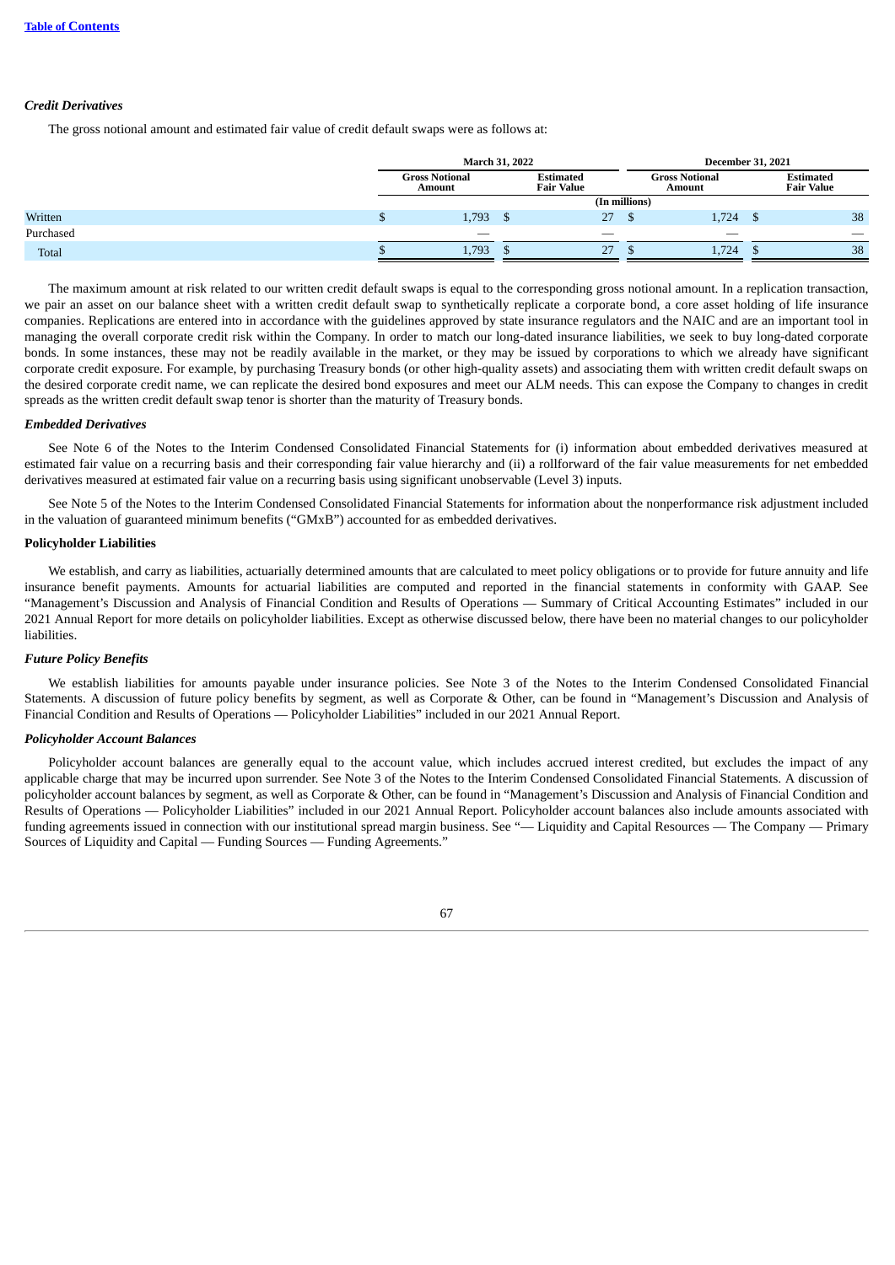# *Credit Derivatives*

The gross notional amount and estimated fair value of credit default swaps were as follows at:

|           | <b>March 31, 2022</b> |                                 |      |                                       |      | <b>December 31, 2021</b>        |     |                                       |  |  |
|-----------|-----------------------|---------------------------------|------|---------------------------------------|------|---------------------------------|-----|---------------------------------------|--|--|
|           |                       | <b>Gross Notional</b><br>Amount |      | <b>Estimated</b><br><b>Fair Value</b> |      | <b>Gross Notional</b><br>Amount |     | <b>Estimated</b><br><b>Fair Value</b> |  |  |
|           |                       |                                 |      | (In millions)                         |      |                                 |     |                                       |  |  |
| Written   |                       | 1,793                           | - \$ | 27                                    | - \$ | 1,724                           | - S | 38                                    |  |  |
| Purchased |                       | $\overline{\phantom{a}}$        |      |                                       |      |                                 |     | $\overline{\phantom{a}}$              |  |  |
| Total     |                       | 1,793                           |      | 27                                    |      | 1,724                           | ۰D  | 38                                    |  |  |

The maximum amount at risk related to our written credit default swaps is equal to the corresponding gross notional amount. In a replication transaction, we pair an asset on our balance sheet with a written credit default swap to synthetically replicate a corporate bond, a core asset holding of life insurance companies. Replications are entered into in accordance with the guidelines approved by state insurance regulators and the NAIC and are an important tool in managing the overall corporate credit risk within the Company. In order to match our long-dated insurance liabilities, we seek to buy long-dated corporate bonds. In some instances, these may not be readily available in the market, or they may be issued by corporations to which we already have significant corporate credit exposure. For example, by purchasing Treasury bonds (or other high-quality assets) and associating them with written credit default swaps on the desired corporate credit name, we can replicate the desired bond exposures and meet our ALM needs. This can expose the Company to changes in credit spreads as the written credit default swap tenor is shorter than the maturity of Treasury bonds.

## *Embedded Derivatives*

See Note 6 of the Notes to the Interim Condensed Consolidated Financial Statements for (i) information about embedded derivatives measured at estimated fair value on a recurring basis and their corresponding fair value hierarchy and (ii) a rollforward of the fair value measurements for net embedded derivatives measured at estimated fair value on a recurring basis using significant unobservable (Level 3) inputs.

See Note 5 of the Notes to the Interim Condensed Consolidated Financial Statements for information about the nonperformance risk adjustment included in the valuation of guaranteed minimum benefits ("GMxB") accounted for as embedded derivatives.

#### <span id="page-68-0"></span>**Policyholder Liabilities**

We establish, and carry as liabilities, actuarially determined amounts that are calculated to meet policy obligations or to provide for future annuity and life insurance benefit payments. Amounts for actuarial liabilities are computed and reported in the financial statements in conformity with GAAP. See "Management's Discussion and Analysis of Financial Condition and Results of Operations — Summary of Critical Accounting Estimates" included in our 2021 Annual Report for more details on policyholder liabilities. Except as otherwise discussed below, there have been no material changes to our policyholder liabilities.

## *Future Policy Benefits*

We establish liabilities for amounts payable under insurance policies. See Note 3 of the Notes to the Interim Condensed Consolidated Financial Statements. A discussion of future policy benefits by segment, as well as Corporate & Other, can be found in "Management's Discussion and Analysis of Financial Condition and Results of Operations — Policyholder Liabilities" included in our 2021 Annual Report.

### *Policyholder Account Balances*

Policyholder account balances are generally equal to the account value, which includes accrued interest credited, but excludes the impact of any applicable charge that may be incurred upon surrender. See Note 3 of the Notes to the Interim Condensed Consolidated Financial Statements. A discussion of policyholder account balances by segment, as well as Corporate & Other, can be found in "Management's Discussion and Analysis of Financial Condition and Results of Operations — Policyholder Liabilities" included in our 2021 Annual Report. Policyholder account balances also include amounts associated with funding agreements issued in connection with our institutional spread margin business. See "— Liquidity and Capital Resources — The Company — Primary Sources of Liquidity and Capital — Funding Sources — Funding Agreements."

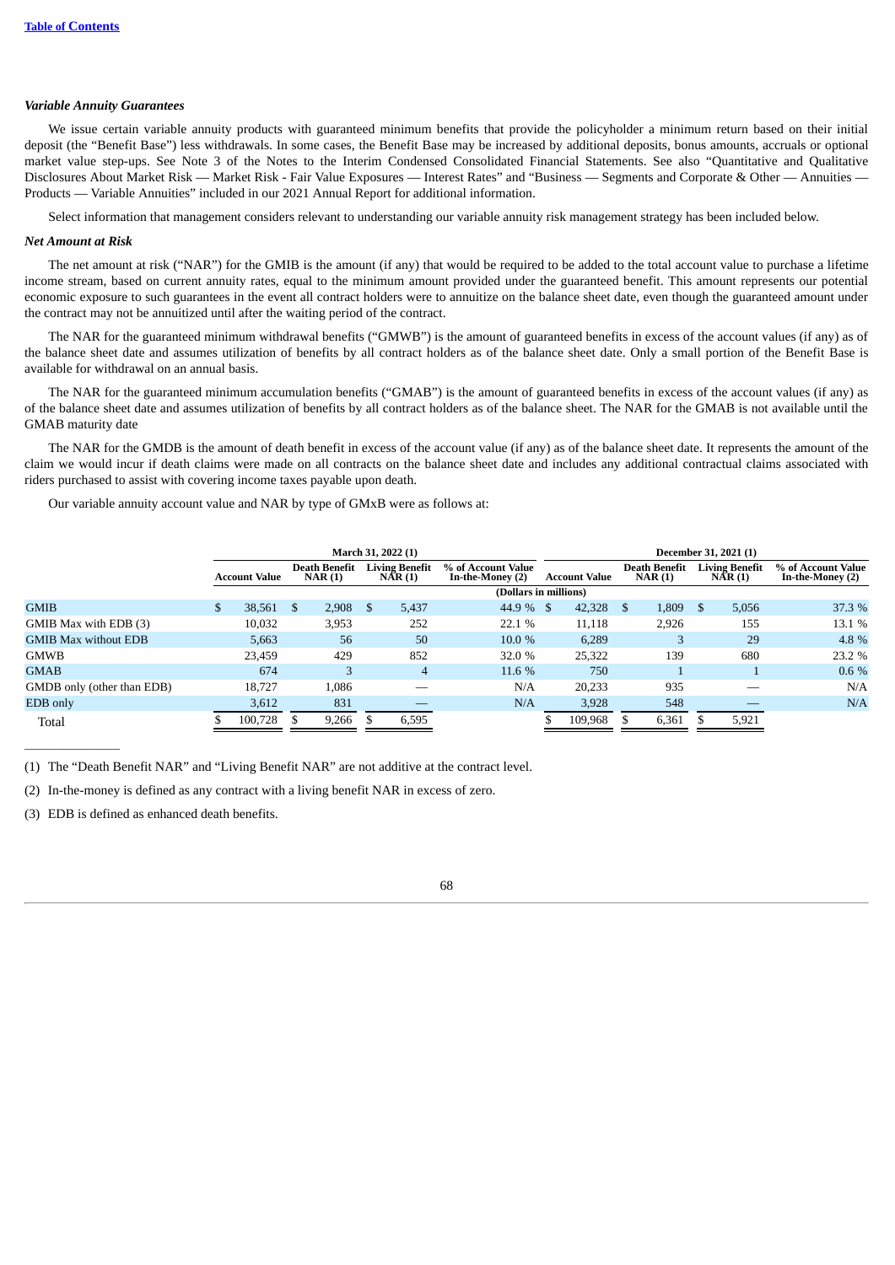## *Variable Annuity Guarantees*

We issue certain variable annuity products with guaranteed minimum benefits that provide the policyholder a minimum return based on their initial deposit (the "Benefit Base") less withdrawals. In some cases, the Benefit Base may be increased by additional deposits, bonus amounts, accruals or optional market value step-ups. See Note 3 of the Notes to the Interim Condensed Consolidated Financial Statements. See also "Quantitative and Qualitative Disclosures About Market Risk — Market Risk - Fair Value Exposures — Interest Rates" and "Business — Segments and Corporate & Other — Annuities — Products — Variable Annuities" included in our 2021 Annual Report for additional information.

Select information that management considers relevant to understanding our variable annuity risk management strategy has been included below.

### *Net Amount at Risk*

The net amount at risk ("NAR") for the GMIB is the amount (if any) that would be required to be added to the total account value to purchase a lifetime income stream, based on current annuity rates, equal to the minimum amount provided under the guaranteed benefit. This amount represents our potential economic exposure to such guarantees in the event all contract holders were to annuitize on the balance sheet date, even though the guaranteed amount under the contract may not be annuitized until after the waiting period of the contract.

The NAR for the guaranteed minimum withdrawal benefits ("GMWB") is the amount of guaranteed benefits in excess of the account values (if any) as of the balance sheet date and assumes utilization of benefits by all contract holders as of the balance sheet date. Only a small portion of the Benefit Base is available for withdrawal on an annual basis.

The NAR for the guaranteed minimum accumulation benefits ("GMAB") is the amount of guaranteed benefits in excess of the account values (if any) as of the balance sheet date and assumes utilization of benefits by all contract holders as of the balance sheet. The NAR for the GMAB is not available until the GMAB maturity date

The NAR for the GMDB is the amount of death benefit in excess of the account value (if any) as of the balance sheet date. It represents the amount of the claim we would incur if death claims were made on all contracts on the balance sheet date and includes any additional contractual claims associated with riders purchased to assist with covering income taxes payable upon death.

Our variable annuity account value and NAR by type of GMxB were as follows at:

|                             | March 31, 2022 (1)   |         |                                |       |                          |       |                                        |    | December 31, 2021 (1) |     |                                |      |                                 |                                        |  |  |  |  |
|-----------------------------|----------------------|---------|--------------------------------|-------|--------------------------|-------|----------------------------------------|----|-----------------------|-----|--------------------------------|------|---------------------------------|----------------------------------------|--|--|--|--|
|                             | <b>Account Value</b> |         | <b>Death Benefit</b><br>NAR(1) |       | Living Benefit<br>NAR(1) |       | % of Account Value<br>In-the-Money (2) |    | <b>Account Value</b>  |     | <b>Death Benefit</b><br>NAR(1) |      | <b>Living Benefit</b><br>NAR(1) | % of Account Value<br>In-the-Money (2) |  |  |  |  |
|                             |                      |         |                                |       | (Dollars in millions)    |       |                                        |    |                       |     |                                |      |                                 |                                        |  |  |  |  |
| <b>GMIB</b>                 |                      | 38,561  | -S                             | 2,908 | \$.                      | 5,437 | 44.9 %                                 | \$ | 42,328                | \$. | 1,809                          | - \$ | 5,056                           | 37.3 %                                 |  |  |  |  |
| GMIB Max with EDB (3)       |                      | 10,032  |                                | 3,953 |                          | 252   | 22.1 %                                 |    | 11,118                |     | 2,926                          |      | 155                             | 13.1 %                                 |  |  |  |  |
| <b>GMIB Max without EDB</b> |                      | 5,663   |                                | 56    |                          | 50    | 10.0 %                                 |    | 6,289                 |     |                                |      | 29                              | 4.8 %                                  |  |  |  |  |
| GMWB                        |                      | 23,459  |                                | 429   |                          | 852   | 32.0 %                                 |    | 25,322                |     | 139                            |      | 680                             | 23.2 %                                 |  |  |  |  |
| <b>GMAB</b>                 |                      | 674     |                                | 3     |                          | 4     | 11.6 %                                 |    | 750                   |     |                                |      |                                 | $0.6\%$                                |  |  |  |  |
| GMDB only (other than EDB)  |                      | 18.727  |                                | 1,086 |                          |       | N/A                                    |    | 20,233                |     | 935                            |      |                                 | N/A                                    |  |  |  |  |
| EDB only                    |                      | 3,612   |                                | 831   |                          |       | N/A                                    |    | 3,928                 |     | 548                            |      |                                 | N/A                                    |  |  |  |  |
| Total                       |                      | 100,728 |                                | 9,266 |                          | 6,595 |                                        |    | 109,968               |     | 6,361                          |      | 5,921                           |                                        |  |  |  |  |

(1) The "Death Benefit NAR" and "Living Benefit NAR" are not additive at the contract level.

(2) In-the-money is defined as any contract with a living benefit NAR in excess of zero.

(3) EDB is defined as enhanced death benefits.

 $\_$ 

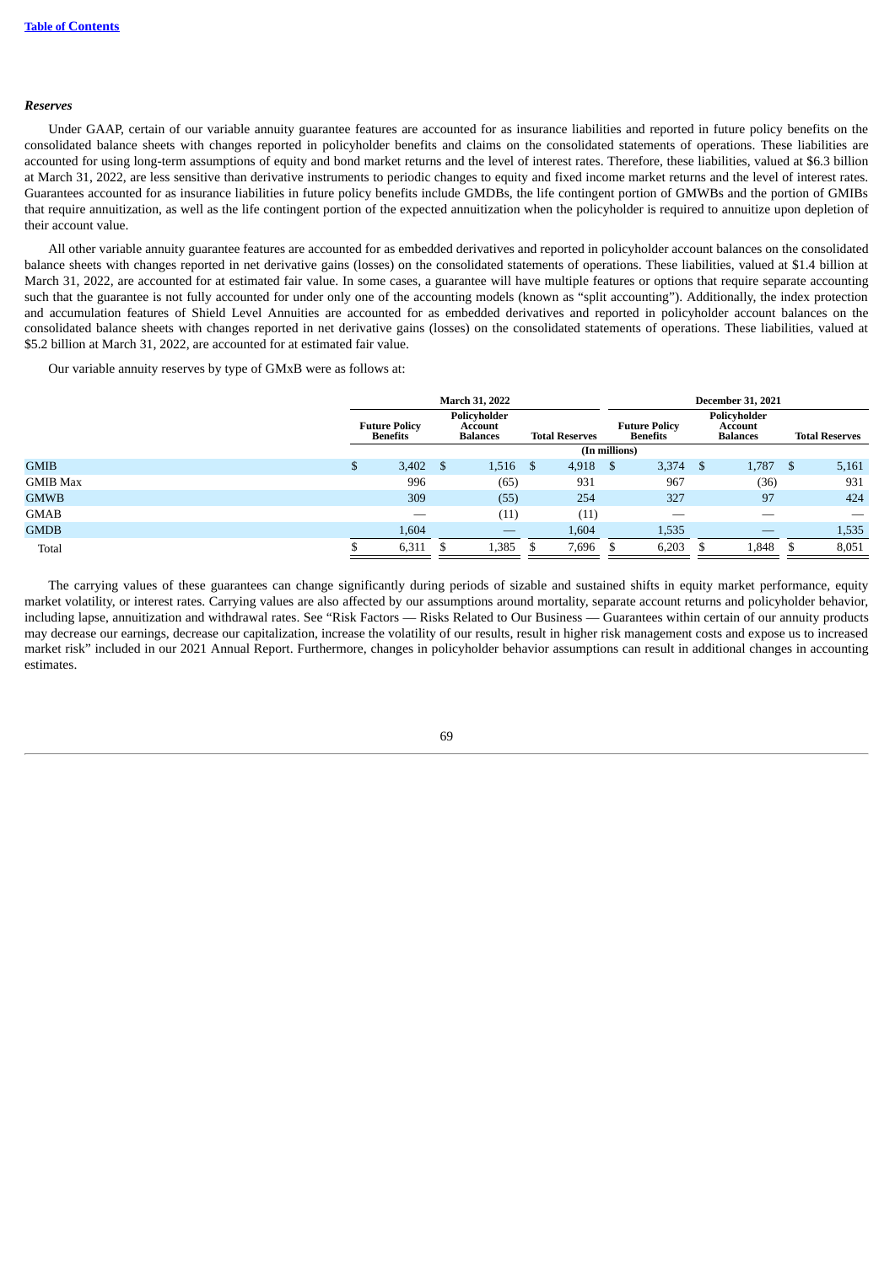### *Reserves*

Under GAAP, certain of our variable annuity guarantee features are accounted for as insurance liabilities and reported in future policy benefits on the consolidated balance sheets with changes reported in policyholder benefits and claims on the consolidated statements of operations. These liabilities are accounted for using long-term assumptions of equity and bond market returns and the level of interest rates. Therefore, these liabilities, valued at \$6.3 billion at March 31, 2022, are less sensitive than derivative instruments to periodic changes to equity and fixed income market returns and the level of interest rates. Guarantees accounted for as insurance liabilities in future policy benefits include GMDBs, the life contingent portion of GMWBs and the portion of GMIBs that require annuitization, as well as the life contingent portion of the expected annuitization when the policyholder is required to annuitize upon depletion of their account value.

All other variable annuity guarantee features are accounted for as embedded derivatives and reported in policyholder account balances on the consolidated balance sheets with changes reported in net derivative gains (losses) on the consolidated statements of operations. These liabilities, valued at \$1.4 billion at March 31, 2022, are accounted for at estimated fair value. In some cases, a guarantee will have multiple features or options that require separate accounting such that the guarantee is not fully accounted for under only one of the accounting models (known as "split accounting"). Additionally, the index protection and accumulation features of Shield Level Annuities are accounted for as embedded derivatives and reported in policyholder account balances on the consolidated balance sheets with changes reported in net derivative gains (losses) on the consolidated statements of operations. These liabilities, valued at \$5.2 billion at March 31, 2022, are accounted for at estimated fair value.

Our variable annuity reserves by type of GMxB were as follows at:

|                 |                                         | March 31, 2022                             | <b>December 31, 2021</b> |                       |       |                                         |       |                                                   |       |    |                       |
|-----------------|-----------------------------------------|--------------------------------------------|--------------------------|-----------------------|-------|-----------------------------------------|-------|---------------------------------------------------|-------|----|-----------------------|
|                 | <b>Future Policy</b><br><b>Benefits</b> | Policyholder<br>Account<br><b>Balances</b> |                          | <b>Total Reserves</b> |       | <b>Future Policy</b><br><b>Benefits</b> |       | Policyholder<br><b>Account</b><br><b>Balances</b> |       |    | <b>Total Reserves</b> |
|                 |                                         |                                            |                          |                       |       | (In millions)                           |       |                                                   |       |    |                       |
| <b>GMIB</b>     | 3,402<br>ъ                              | \$                                         | 1,516                    | -S                    | 4,918 | \$                                      | 3,374 | <sup>\$</sup>                                     | 1,787 | -S | 5,161                 |
| <b>GMIB Max</b> | 996                                     |                                            | (65)                     |                       | 931   |                                         | 967   |                                                   | (36)  |    | 931                   |
| <b>GMWB</b>     | 309                                     |                                            | (55)                     |                       | 254   |                                         | 327   |                                                   | 97    |    | 424                   |
| GMAB            | _                                       |                                            | (11)                     |                       | (11)  |                                         | __    |                                                   | __    |    |                       |
| <b>GMDB</b>     | 1,604                                   |                                            |                          |                       | 1,604 |                                         | 1,535 |                                                   |       |    | 1,535                 |
| Total           | 6,311                                   |                                            | 1,385                    |                       | 7,696 |                                         | 6,203 |                                                   | 1,848 |    | 8,051                 |

The carrying values of these guarantees can change significantly during periods of sizable and sustained shifts in equity market performance, equity market volatility, or interest rates. Carrying values are also affected by our assumptions around mortality, separate account returns and policyholder behavior, including lapse, annuitization and withdrawal rates. See "Risk Factors — Risks Related to Our Business — Guarantees within certain of our annuity products may decrease our earnings, decrease our capitalization, increase the volatility of our results, result in higher risk management costs and expose us to increased market risk" included in our 2021 Annual Report. Furthermore, changes in policyholder behavior assumptions can result in additional changes in accounting estimates.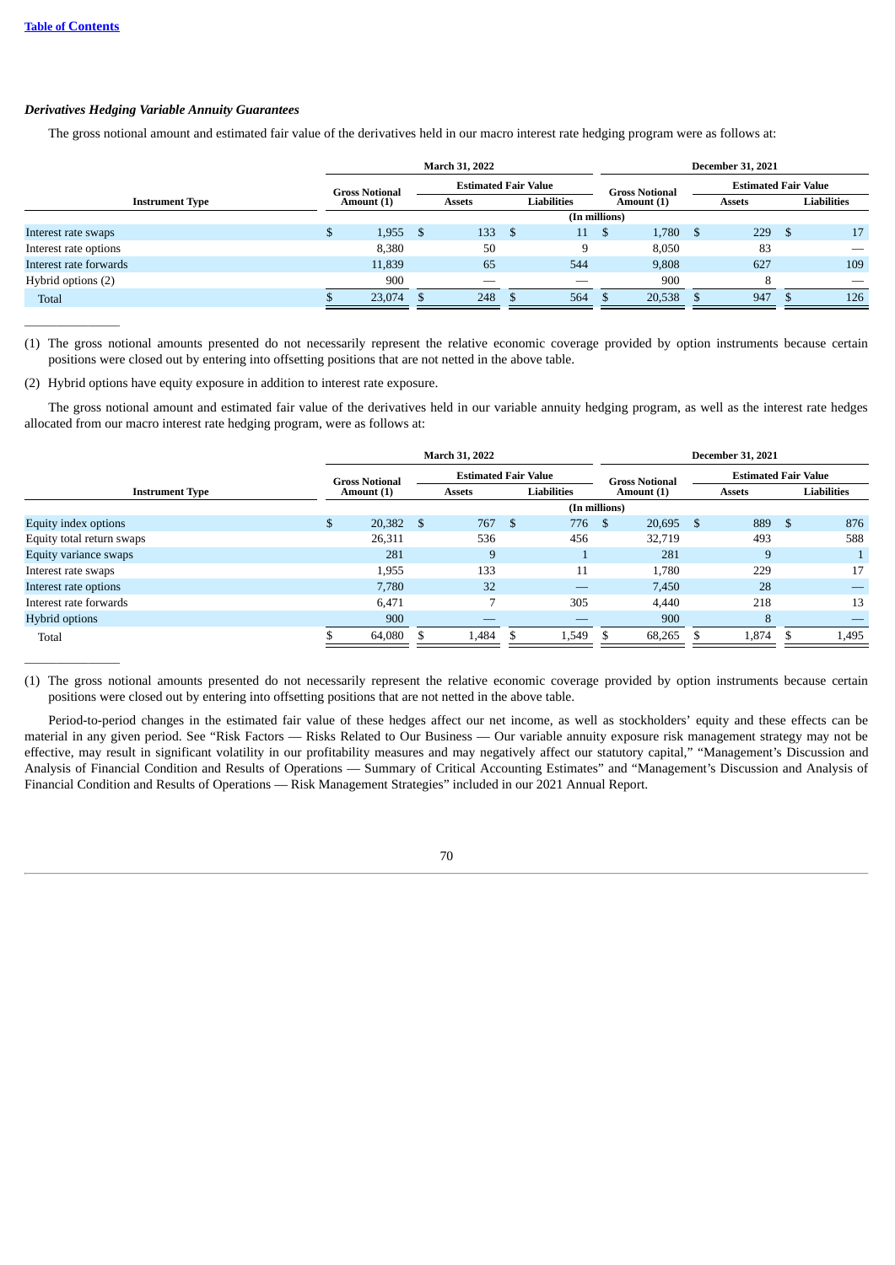$\overline{\phantom{a}}$  ,  $\overline{\phantom{a}}$  ,  $\overline{\phantom{a}}$  ,  $\overline{\phantom{a}}$  ,  $\overline{\phantom{a}}$  ,  $\overline{\phantom{a}}$  ,  $\overline{\phantom{a}}$  ,  $\overline{\phantom{a}}$  ,  $\overline{\phantom{a}}$  ,  $\overline{\phantom{a}}$  ,  $\overline{\phantom{a}}$  ,  $\overline{\phantom{a}}$  ,  $\overline{\phantom{a}}$  ,  $\overline{\phantom{a}}$  ,  $\overline{\phantom{a}}$  ,  $\overline{\phantom{a}}$ 

 $\_$ 

## *Derivatives Hedging Variable Annuity Guarantees*

The gross notional amount and estimated fair value of the derivatives held in our macro interest rate hedging program were as follows at:

|                        |  |                       |   | <b>March 31, 2022</b>       |             |               |                       | <b>December 31, 2021</b>    |     |               |      |                          |  |
|------------------------|--|-----------------------|---|-----------------------------|-------------|---------------|-----------------------|-----------------------------|-----|---------------|------|--------------------------|--|
|                        |  | <b>Gross Notional</b> |   | <b>Estimated Fair Value</b> |             |               | <b>Gross Notional</b> | <b>Estimated Fair Value</b> |     |               |      |                          |  |
| <b>Instrument Type</b> |  | Amount (1)            |   | Assets                      | Liabilities |               | Amount (1)            |                             |     | <b>Assets</b> |      | <b>Liabilities</b>       |  |
|                        |  |                       |   |                             |             | (In millions) |                       |                             |     |               |      |                          |  |
| Interest rate swaps    |  | 1,955                 | S | 133                         | - \$        | 11            | -\$                   | 1,780                       | - S | 229           | - \$ | 17                       |  |
| Interest rate options  |  | 8,380                 |   | 50                          |             | 9             |                       | 8,050                       |     | 83            |      |                          |  |
| Interest rate forwards |  | 11,839                |   | 65                          |             | 544           |                       | 9,808                       |     | 627           |      | 109                      |  |
| Hybrid options (2)     |  | 900                   |   | __                          |             | __            |                       | 900                         |     | 8             |      | $\overline{\phantom{a}}$ |  |
| <b>Total</b>           |  | 23,074                |   | 248                         |             | 564           | - 55                  | 20,538                      |     | 947           |      | 126                      |  |
|                        |  |                       |   |                             |             |               |                       |                             |     |               |      |                          |  |

(1) The gross notional amounts presented do not necessarily represent the relative economic coverage provided by option instruments because certain positions were closed out by entering into offsetting positions that are not netted in the above table.

(2) Hybrid options have equity exposure in addition to interest rate exposure.

The gross notional amount and estimated fair value of the derivatives held in our variable annuity hedging program, as well as the interest rate hedges allocated from our macro interest rate hedging program, were as follows at:

|                                     |        |    |        |                |                    | <b>December 31, 2021</b>    |                             |                       |       |      |             |  |
|-------------------------------------|--------|----|--------|----------------|--------------------|-----------------------------|-----------------------------|-----------------------|-------|------|-------------|--|
| <b>Gross Notional</b><br>Amount (1) |        |    |        |                |                    |                             | <b>Estimated Fair Value</b> |                       |       |      |             |  |
|                                     |        |    | Assets |                | <b>Liabilities</b> | Amount (1)                  |                             | <b>Assets</b>         |       |      | Liabilities |  |
|                                     |        |    |        |                |                    |                             |                             |                       |       |      |             |  |
| ЭD.                                 | 20,382 | \$ | 767    | \$             | 776                | \$                          | 20,695                      | - \$                  | 889   | - \$ | 876         |  |
|                                     | 26,311 |    | 536    |                | 456                |                             | 32,719                      |                       | 493   |      | 588         |  |
|                                     | 281    |    | 9      |                |                    |                             | 281                         |                       | 9     |      |             |  |
|                                     | 1,955  |    | 133    |                | 11                 |                             | 1,780                       |                       | 229   |      | 17          |  |
|                                     | 7,780  |    | 32     |                |                    |                             | 7,450                       |                       | 28    |      |             |  |
|                                     | 6,471  |    | -      |                | 305                |                             | 4,440                       |                       | 218   |      | 13          |  |
|                                     | 900    |    |        |                |                    |                             | 900                         |                       | 8     |      |             |  |
|                                     | 64,080 |    | 1,484  | \$.            | 1,549              |                             | 68,265                      |                       | 1,874 |      | 1,495       |  |
|                                     |        |    |        | March 31, 2022 |                    | <b>Estimated Fair Value</b> | (In millions)               | <b>Gross Notional</b> |       |      |             |  |

(1) The gross notional amounts presented do not necessarily represent the relative economic coverage provided by option instruments because certain positions were closed out by entering into offsetting positions that are not netted in the above table.

<span id="page-71-0"></span>Period-to-period changes in the estimated fair value of these hedges affect our net income, as well as stockholders' equity and these effects can be material in any given period. See "Risk Factors — Risks Related to Our Business — Our variable annuity exposure risk management strategy may not be effective, may result in significant volatility in our profitability measures and may negatively affect our statutory capital," "Management's Discussion and Analysis of Financial Condition and Results of Operations — Summary of Critical Accounting Estimates" and "Management's Discussion and Analysis of Financial Condition and Results of Operations — Risk Management Strategies" included in our 2021 Annual Report.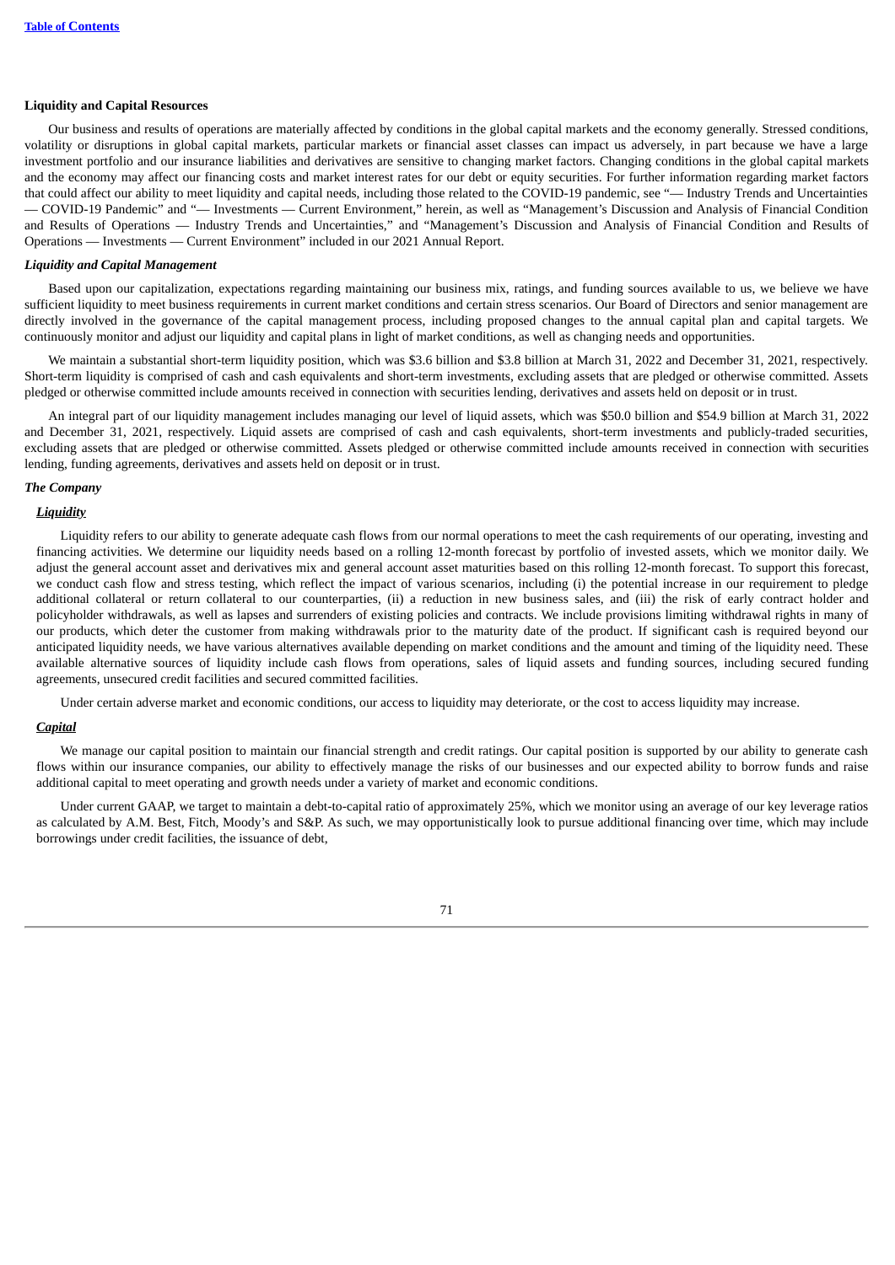## **Liquidity and Capital Resources**

Our business and results of operations are materially affected by conditions in the global capital markets and the economy generally. Stressed conditions, volatility or disruptions in global capital markets, particular markets or financial asset classes can impact us adversely, in part because we have a large investment portfolio and our insurance liabilities and derivatives are sensitive to changing market factors. Changing conditions in the global capital markets and the economy may affect our financing costs and market interest rates for our debt or equity securities. For further information regarding market factors that could affect our ability to meet liquidity and capital needs, including those related to the COVID-19 pandemic, see "— Industry Trends and Uncertainties — COVID-19 Pandemic" and "— Investments — Current Environment," herein, as well as "Management's Discussion and Analysis of Financial Condition and Results of Operations — Industry Trends and Uncertainties," and "Management's Discussion and Analysis of Financial Condition and Results of Operations — Investments — Current Environment" included in our 2021 Annual Report.

### *Liquidity and Capital Management*

Based upon our capitalization, expectations regarding maintaining our business mix, ratings, and funding sources available to us, we believe we have sufficient liquidity to meet business requirements in current market conditions and certain stress scenarios. Our Board of Directors and senior management are directly involved in the governance of the capital management process, including proposed changes to the annual capital plan and capital targets. We continuously monitor and adjust our liquidity and capital plans in light of market conditions, as well as changing needs and opportunities.

We maintain a substantial short-term liquidity position, which was \$3.6 billion and \$3.8 billion at March 31, 2022 and December 31, 2021, respectively. Short-term liquidity is comprised of cash and cash equivalents and short-term investments, excluding assets that are pledged or otherwise committed. Assets pledged or otherwise committed include amounts received in connection with securities lending, derivatives and assets held on deposit or in trust.

An integral part of our liquidity management includes managing our level of liquid assets, which was \$50.0 billion and \$54.9 billion at March 31, 2022 and December 31, 2021, respectively. Liquid assets are comprised of cash and cash equivalents, short-term investments and publicly-traded securities, excluding assets that are pledged or otherwise committed. Assets pledged or otherwise committed include amounts received in connection with securities lending, funding agreements, derivatives and assets held on deposit or in trust.

### *The Company*

#### *Liquidity*

Liquidity refers to our ability to generate adequate cash flows from our normal operations to meet the cash requirements of our operating, investing and financing activities. We determine our liquidity needs based on a rolling 12-month forecast by portfolio of invested assets, which we monitor daily. We adjust the general account asset and derivatives mix and general account asset maturities based on this rolling 12-month forecast. To support this forecast, we conduct cash flow and stress testing, which reflect the impact of various scenarios, including (i) the potential increase in our requirement to pledge additional collateral or return collateral to our counterparties, (ii) a reduction in new business sales, and (iii) the risk of early contract holder and policyholder withdrawals, as well as lapses and surrenders of existing policies and contracts. We include provisions limiting withdrawal rights in many of our products, which deter the customer from making withdrawals prior to the maturity date of the product. If significant cash is required beyond our anticipated liquidity needs, we have various alternatives available depending on market conditions and the amount and timing of the liquidity need. These available alternative sources of liquidity include cash flows from operations, sales of liquid assets and funding sources, including secured funding agreements, unsecured credit facilities and secured committed facilities.

Under certain adverse market and economic conditions, our access to liquidity may deteriorate, or the cost to access liquidity may increase.

#### *Capital*

We manage our capital position to maintain our financial strength and credit ratings. Our capital position is supported by our ability to generate cash flows within our insurance companies, our ability to effectively manage the risks of our businesses and our expected ability to borrow funds and raise additional capital to meet operating and growth needs under a variety of market and economic conditions.

Under current GAAP, we target to maintain a debt-to-capital ratio of approximately 25%, which we monitor using an average of our key leverage ratios as calculated by A.M. Best, Fitch, Moody's and S&P. As such, we may opportunistically look to pursue additional financing over time, which may include borrowings under credit facilities, the issuance of debt,

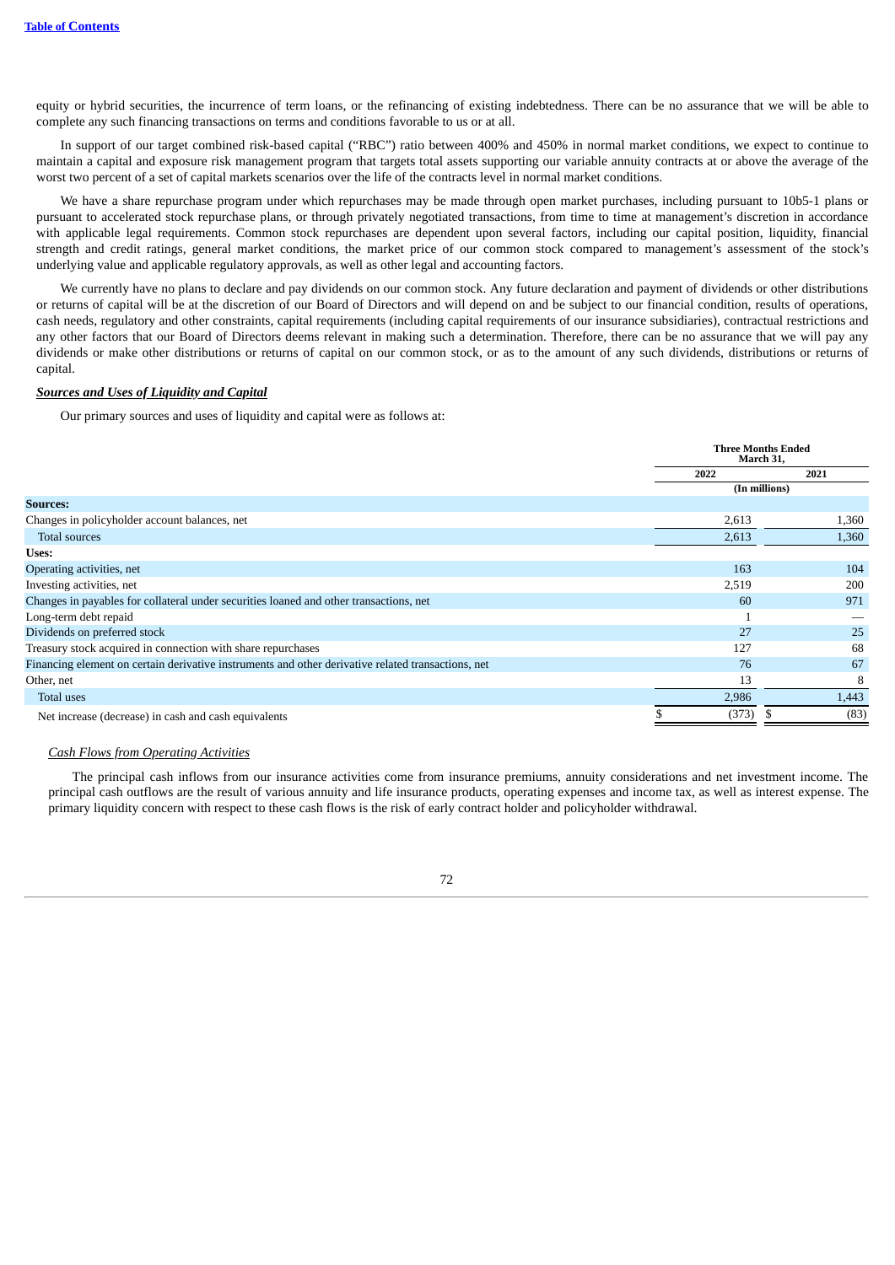equity or hybrid securities, the incurrence of term loans, or the refinancing of existing indebtedness. There can be no assurance that we will be able to complete any such financing transactions on terms and conditions favorable to us or at all.

In support of our target combined risk-based capital ("RBC") ratio between 400% and 450% in normal market conditions, we expect to continue to maintain a capital and exposure risk management program that targets total assets supporting our variable annuity contracts at or above the average of the worst two percent of a set of capital markets scenarios over the life of the contracts level in normal market conditions.

We have a share repurchase program under which repurchases may be made through open market purchases, including pursuant to 10b5-1 plans or pursuant to accelerated stock repurchase plans, or through privately negotiated transactions, from time to time at management's discretion in accordance with applicable legal requirements. Common stock repurchases are dependent upon several factors, including our capital position, liquidity, financial strength and credit ratings, general market conditions, the market price of our common stock compared to management's assessment of the stock's underlying value and applicable regulatory approvals, as well as other legal and accounting factors.

We currently have no plans to declare and pay dividends on our common stock. Any future declaration and payment of dividends or other distributions or returns of capital will be at the discretion of our Board of Directors and will depend on and be subject to our financial condition, results of operations, cash needs, regulatory and other constraints, capital requirements (including capital requirements of our insurance subsidiaries), contractual restrictions and any other factors that our Board of Directors deems relevant in making such a determination. Therefore, there can be no assurance that we will pay any dividends or make other distributions or returns of capital on our common stock, or as to the amount of any such dividends, distributions or returns of capital.

### *Sources and Uses of Liquidity and Capital*

Our primary sources and uses of liquidity and capital were as follows at:

|                                                                                                    |       | <b>Three Months Ended</b><br>March 31, |       |
|----------------------------------------------------------------------------------------------------|-------|----------------------------------------|-------|
|                                                                                                    | 2022  | 2021<br>(In millions)                  |       |
|                                                                                                    |       |                                        |       |
| <b>Sources:</b>                                                                                    |       |                                        |       |
| Changes in policyholder account balances, net                                                      | 2,613 |                                        | 1,360 |
| Total sources                                                                                      | 2,613 |                                        | 1,360 |
| Uses:                                                                                              |       |                                        |       |
| Operating activities, net                                                                          |       | 163                                    | 104   |
| Investing activities, net                                                                          | 2,519 |                                        | 200   |
| Changes in payables for collateral under securities loaned and other transactions, net             |       | 60                                     | 971   |
| Long-term debt repaid                                                                              |       |                                        |       |
| Dividends on preferred stock                                                                       |       | 27                                     | 25    |
| Treasury stock acquired in connection with share repurchases                                       |       | 127                                    | 68    |
| Financing element on certain derivative instruments and other derivative related transactions, net |       | 76                                     | 67    |
| Other, net                                                                                         |       | 13                                     | 8     |
| Total uses                                                                                         | 2,986 |                                        | 1,443 |
| Net increase (decrease) in cash and cash equivalents                                               |       | (373)                                  | (83)  |

#### *Cash Flows from Operating Activities*

The principal cash inflows from our insurance activities come from insurance premiums, annuity considerations and net investment income. The principal cash outflows are the result of various annuity and life insurance products, operating expenses and income tax, as well as interest expense. The primary liquidity concern with respect to these cash flows is the risk of early contract holder and policyholder withdrawal.

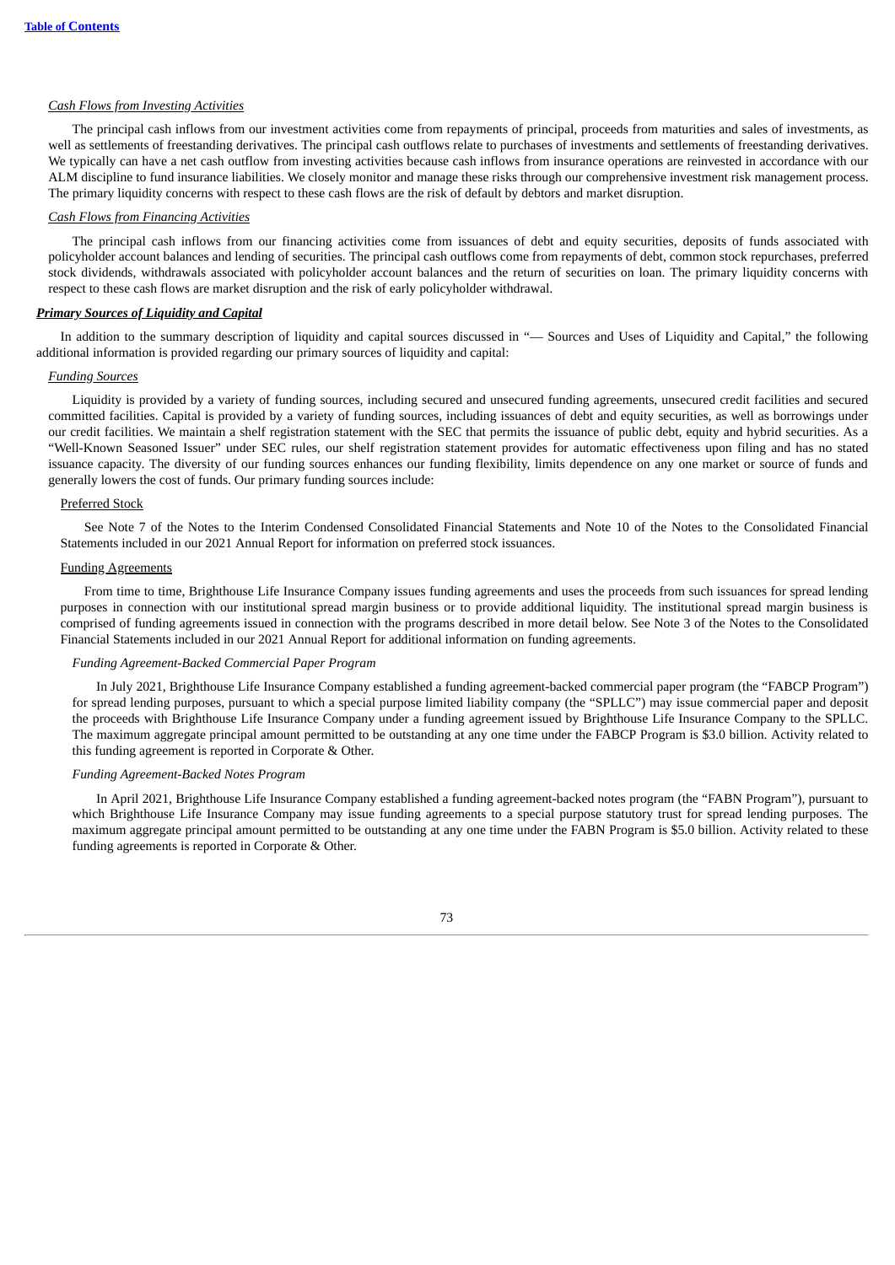# *Cash Flows from Investing Activities*

The principal cash inflows from our investment activities come from repayments of principal, proceeds from maturities and sales of investments, as well as settlements of freestanding derivatives. The principal cash outflows relate to purchases of investments and settlements of freestanding derivatives. We typically can have a net cash outflow from investing activities because cash inflows from insurance operations are reinvested in accordance with our ALM discipline to fund insurance liabilities. We closely monitor and manage these risks through our comprehensive investment risk management process. The primary liquidity concerns with respect to these cash flows are the risk of default by debtors and market disruption.

#### *Cash Flows from Financing Activities*

The principal cash inflows from our financing activities come from issuances of debt and equity securities, deposits of funds associated with policyholder account balances and lending of securities. The principal cash outflows come from repayments of debt, common stock repurchases, preferred stock dividends, withdrawals associated with policyholder account balances and the return of securities on loan. The primary liquidity concerns with respect to these cash flows are market disruption and the risk of early policyholder withdrawal.

### *Primary Sources of Liquidity and Capital*

In addition to the summary description of liquidity and capital sources discussed in "— Sources and Uses of Liquidity and Capital," the following additional information is provided regarding our primary sources of liquidity and capital:

#### *Funding Sources*

Liquidity is provided by a variety of funding sources, including secured and unsecured funding agreements, unsecured credit facilities and secured committed facilities. Capital is provided by a variety of funding sources, including issuances of debt and equity securities, as well as borrowings under our credit facilities. We maintain a shelf registration statement with the SEC that permits the issuance of public debt, equity and hybrid securities. As a "Well-Known Seasoned Issuer" under SEC rules, our shelf registration statement provides for automatic effectiveness upon filing and has no stated issuance capacity. The diversity of our funding sources enhances our funding flexibility, limits dependence on any one market or source of funds and generally lowers the cost of funds. Our primary funding sources include:

### Preferred Stock

See Note 7 of the Notes to the Interim Condensed Consolidated Financial Statements and Note 10 of the Notes to the Consolidated Financial Statements included in our 2021 Annual Report for information on preferred stock issuances.

#### Funding Agreements

From time to time, Brighthouse Life Insurance Company issues funding agreements and uses the proceeds from such issuances for spread lending purposes in connection with our institutional spread margin business or to provide additional liquidity. The institutional spread margin business is comprised of funding agreements issued in connection with the programs described in more detail below. See Note 3 of the Notes to the Consolidated Financial Statements included in our 2021 Annual Report for additional information on funding agreements.

# *Funding Agreement-Backed Commercial Paper Program*

In July 2021, Brighthouse Life Insurance Company established a funding agreement-backed commercial paper program (the "FABCP Program") for spread lending purposes, pursuant to which a special purpose limited liability company (the "SPLLC") may issue commercial paper and deposit the proceeds with Brighthouse Life Insurance Company under a funding agreement issued by Brighthouse Life Insurance Company to the SPLLC. The maximum aggregate principal amount permitted to be outstanding at any one time under the FABCP Program is \$3.0 billion. Activity related to this funding agreement is reported in Corporate & Other.

### *Funding Agreement-Backed Notes Program*

In April 2021, Brighthouse Life Insurance Company established a funding agreement-backed notes program (the "FABN Program"), pursuant to which Brighthouse Life Insurance Company may issue funding agreements to a special purpose statutory trust for spread lending purposes. The maximum aggregate principal amount permitted to be outstanding at any one time under the FABN Program is \$5.0 billion. Activity related to these funding agreements is reported in Corporate & Other.

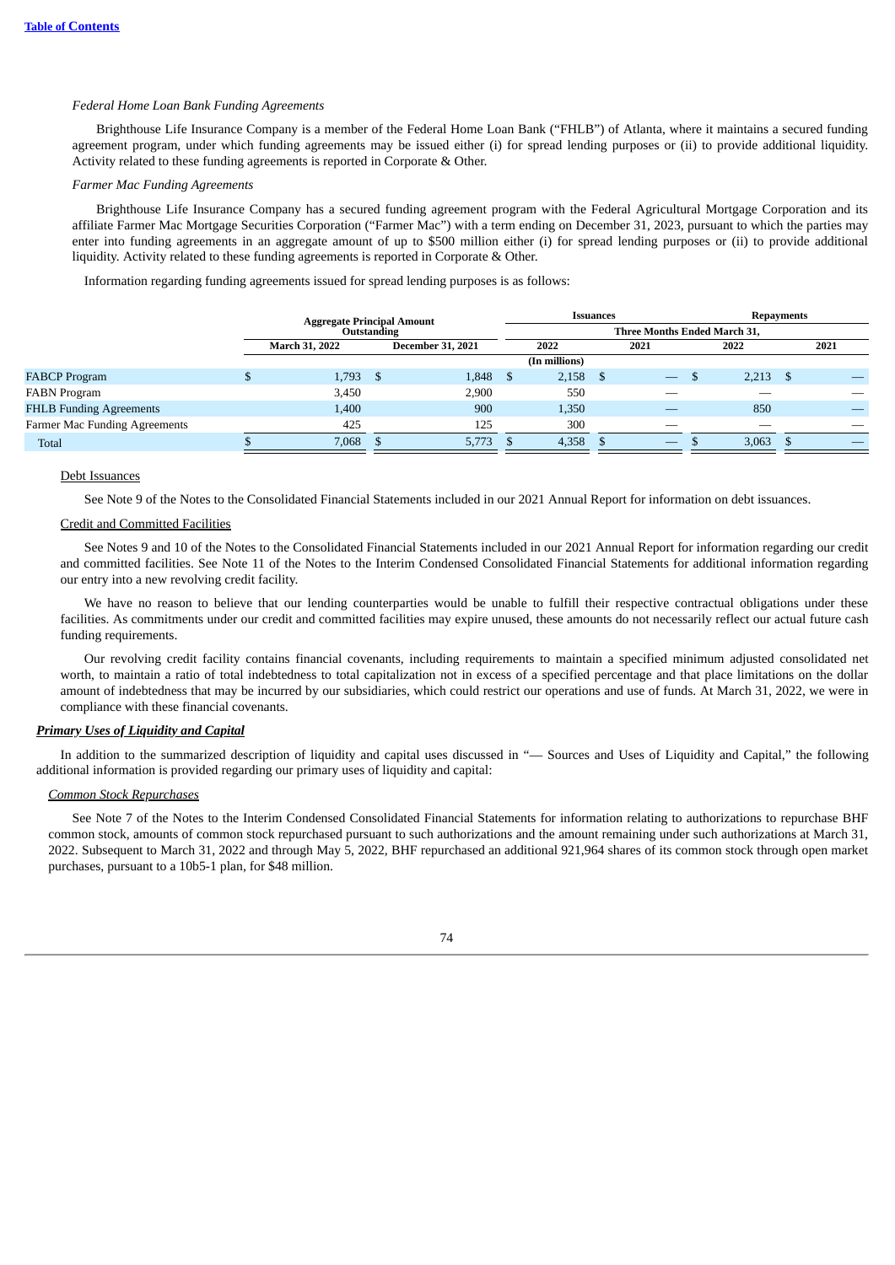## *Federal Home Loan Bank Funding Agreements*

Brighthouse Life Insurance Company is a member of the Federal Home Loan Bank ("FHLB") of Atlanta, where it maintains a secured funding agreement program, under which funding agreements may be issued either (i) for spread lending purposes or (ii) to provide additional liquidity. Activity related to these funding agreements is reported in Corporate & Other.

#### *Farmer Mac Funding Agreements*

Brighthouse Life Insurance Company has a secured funding agreement program with the Federal Agricultural Mortgage Corporation and its affiliate Farmer Mac Mortgage Securities Corporation ("Farmer Mac") with a term ending on December 31, 2023, pursuant to which the parties may enter into funding agreements in an aggregate amount of up to \$500 million either (i) for spread lending purposes or (ii) to provide additional liquidity. Activity related to these funding agreements is reported in Corporate & Other.

Information regarding funding agreements issued for spread lending purposes is as follows:

|                                | <b>Aggregate Principal Amount</b><br>Outstanding |                          |                              | <b>Issuances</b>         | <b>Repayments</b> |      |  |
|--------------------------------|--------------------------------------------------|--------------------------|------------------------------|--------------------------|-------------------|------|--|
|                                |                                                  |                          | Three Months Ended March 31, |                          |                   |      |  |
|                                | March 31, 2022                                   | <b>December 31, 2021</b> | 2022                         | 2021                     | 2022              | 2021 |  |
|                                |                                                  |                          | (In millions)                |                          |                   |      |  |
| <b>FABCP</b> Program           | 1,793                                            | 1,848<br>- 5             | 2,158<br>P.                  | $\overline{\phantom{0}}$ | 2,213             | - \$ |  |
| <b>FABN</b> Program            | 3,450                                            | 2,900                    | 550                          |                          |                   |      |  |
| <b>FHLB Funding Agreements</b> | 1,400                                            | 900                      | 1,350                        |                          | 850               |      |  |
| Farmer Mac Funding Agreements  | 425                                              | 125                      | 300                          |                          | ---               |      |  |
| Total                          | 7,068                                            | 5,773                    | 4,358                        |                          | 3,063             |      |  |

### Debt Issuances

See Note 9 of the Notes to the Consolidated Financial Statements included in our 2021 Annual Report for information on debt issuances.

### Credit and Committed Facilities

See Notes 9 and 10 of the Notes to the Consolidated Financial Statements included in our 2021 Annual Report for information regarding our credit and committed facilities. See Note 11 of the Notes to the Interim Condensed Consolidated Financial Statements for additional information regarding our entry into a new revolving credit facility.

We have no reason to believe that our lending counterparties would be unable to fulfill their respective contractual obligations under these facilities. As commitments under our credit and committed facilities may expire unused, these amounts do not necessarily reflect our actual future cash funding requirements.

Our revolving credit facility contains financial covenants, including requirements to maintain a specified minimum adjusted consolidated net worth, to maintain a ratio of total indebtedness to total capitalization not in excess of a specified percentage and that place limitations on the dollar amount of indebtedness that may be incurred by our subsidiaries, which could restrict our operations and use of funds. At March 31, 2022, we were in compliance with these financial covenants.

### *Primary Uses of Liquidity and Capital*

In addition to the summarized description of liquidity and capital uses discussed in "— Sources and Uses of Liquidity and Capital," the following additional information is provided regarding our primary uses of liquidity and capital:

## *Common Stock Repurchases*

See Note 7 of the Notes to the Interim Condensed Consolidated Financial Statements for information relating to authorizations to repurchase BHF common stock, amounts of common stock repurchased pursuant to such authorizations and the amount remaining under such authorizations at March 31, 2022. Subsequent to March 31, 2022 and through May 5, 2022, BHF repurchased an additional 921,964 shares of its common stock through open market purchases, pursuant to a 10b5-1 plan, for \$48 million.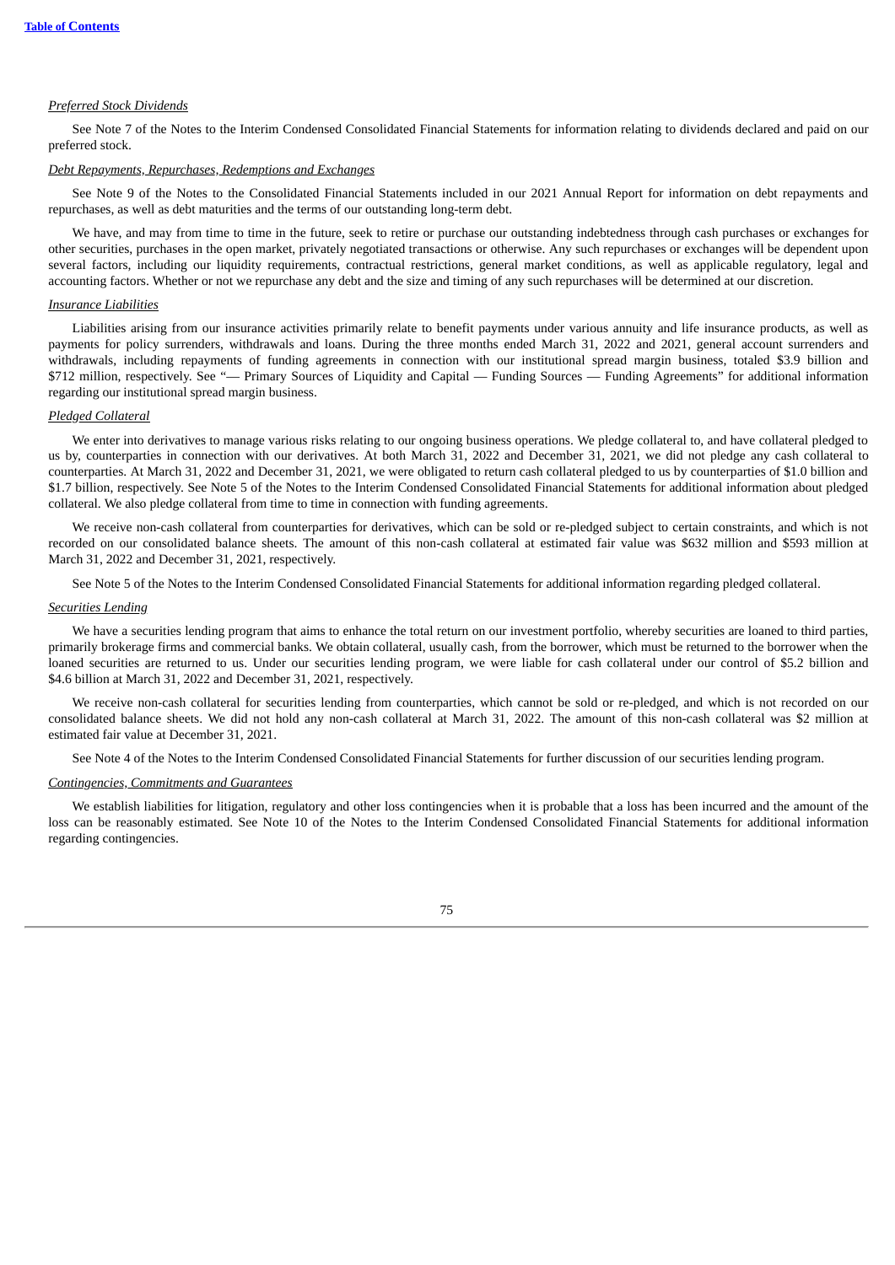## *Preferred Stock Dividends*

See Note 7 of the Notes to the Interim Condensed Consolidated Financial Statements for information relating to dividends declared and paid on our preferred stock.

#### *Debt Repayments, Repurchases, Redemptions and Exchanges*

See Note 9 of the Notes to the Consolidated Financial Statements included in our 2021 Annual Report for information on debt repayments and repurchases, as well as debt maturities and the terms of our outstanding long-term debt.

We have, and may from time to time in the future, seek to retire or purchase our outstanding indebtedness through cash purchases or exchanges for other securities, purchases in the open market, privately negotiated transactions or otherwise. Any such repurchases or exchanges will be dependent upon several factors, including our liquidity requirements, contractual restrictions, general market conditions, as well as applicable regulatory, legal and accounting factors. Whether or not we repurchase any debt and the size and timing of any such repurchases will be determined at our discretion.

### *Insurance Liabilities*

Liabilities arising from our insurance activities primarily relate to benefit payments under various annuity and life insurance products, as well as payments for policy surrenders, withdrawals and loans. During the three months ended March 31, 2022 and 2021, general account surrenders and withdrawals, including repayments of funding agreements in connection with our institutional spread margin business, totaled \$3.9 billion and \$712 million, respectively. See "— Primary Sources of Liquidity and Capital — Funding Sources — Funding Agreements" for additional information regarding our institutional spread margin business.

#### *Pledged Collateral*

We enter into derivatives to manage various risks relating to our ongoing business operations. We pledge collateral to, and have collateral pledged to us by, counterparties in connection with our derivatives. At both March 31, 2022 and December 31, 2021, we did not pledge any cash collateral to counterparties. At March 31, 2022 and December 31, 2021, we were obligated to return cash collateral pledged to us by counterparties of \$1.0 billion and \$1.7 billion, respectively. See Note 5 of the Notes to the Interim Condensed Consolidated Financial Statements for additional information about pledged collateral. We also pledge collateral from time to time in connection with funding agreements.

We receive non-cash collateral from counterparties for derivatives, which can be sold or re-pledged subject to certain constraints, and which is not recorded on our consolidated balance sheets. The amount of this non-cash collateral at estimated fair value was \$632 million and \$593 million at March 31, 2022 and December 31, 2021, respectively.

See Note 5 of the Notes to the Interim Condensed Consolidated Financial Statements for additional information regarding pledged collateral.

# *Securities Lending*

We have a securities lending program that aims to enhance the total return on our investment portfolio, whereby securities are loaned to third parties, primarily brokerage firms and commercial banks. We obtain collateral, usually cash, from the borrower, which must be returned to the borrower when the loaned securities are returned to us. Under our securities lending program, we were liable for cash collateral under our control of \$5.2 billion and \$4.6 billion at March 31, 2022 and December 31, 2021, respectively.

We receive non-cash collateral for securities lending from counterparties, which cannot be sold or re-pledged, and which is not recorded on our consolidated balance sheets. We did not hold any non-cash collateral at March 31, 2022. The amount of this non-cash collateral was \$2 million at estimated fair value at December 31, 2021.

See Note 4 of the Notes to the Interim Condensed Consolidated Financial Statements for further discussion of our securities lending program.

#### *Contingencies, Commitments and Guarantees*

We establish liabilities for litigation, regulatory and other loss contingencies when it is probable that a loss has been incurred and the amount of the loss can be reasonably estimated. See Note 10 of the Notes to the Interim Condensed Consolidated Financial Statements for additional information regarding contingencies.

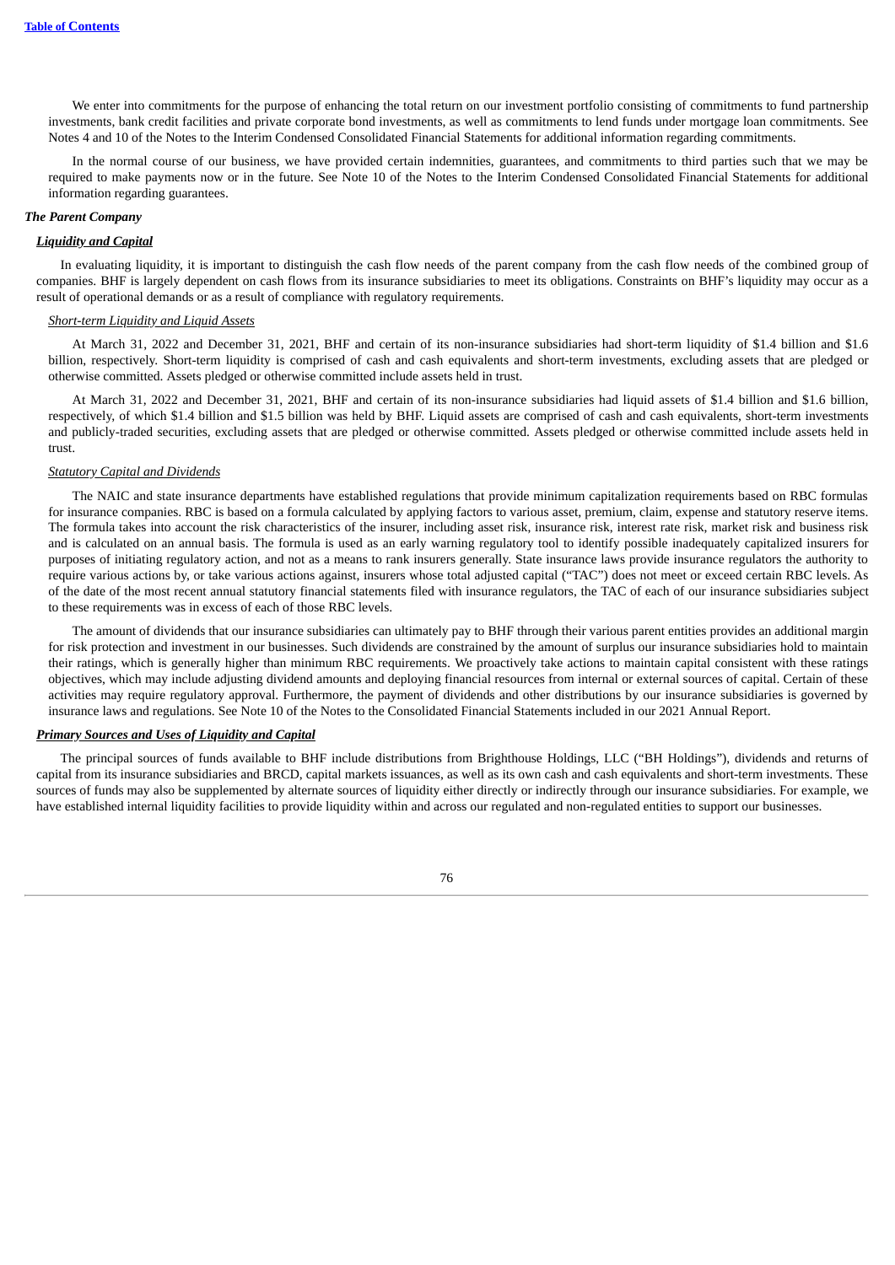We enter into commitments for the purpose of enhancing the total return on our investment portfolio consisting of commitments to fund partnership investments, bank credit facilities and private corporate bond investments, as well as commitments to lend funds under mortgage loan commitments. See Notes 4 and 10 of the Notes to the Interim Condensed Consolidated Financial Statements for additional information regarding commitments.

In the normal course of our business, we have provided certain indemnities, guarantees, and commitments to third parties such that we may be required to make payments now or in the future. See Note 10 of the Notes to the Interim Condensed Consolidated Financial Statements for additional information regarding guarantees.

### *The Parent Company*

### *Liquidity and Capital*

In evaluating liquidity, it is important to distinguish the cash flow needs of the parent company from the cash flow needs of the combined group of companies. BHF is largely dependent on cash flows from its insurance subsidiaries to meet its obligations. Constraints on BHF's liquidity may occur as a result of operational demands or as a result of compliance with regulatory requirements.

# *Short-term Liquidity and Liquid Assets*

At March 31, 2022 and December 31, 2021, BHF and certain of its non-insurance subsidiaries had short-term liquidity of \$1.4 billion and \$1.6 billion, respectively. Short-term liquidity is comprised of cash and cash equivalents and short-term investments, excluding assets that are pledged or otherwise committed. Assets pledged or otherwise committed include assets held in trust.

At March 31, 2022 and December 31, 2021, BHF and certain of its non-insurance subsidiaries had liquid assets of \$1.4 billion and \$1.6 billion, respectively, of which \$1.4 billion and \$1.5 billion was held by BHF. Liquid assets are comprised of cash and cash equivalents, short-term investments and publicly-traded securities, excluding assets that are pledged or otherwise committed. Assets pledged or otherwise committed include assets held in trust.

#### *Statutory Capital and Dividends*

The NAIC and state insurance departments have established regulations that provide minimum capitalization requirements based on RBC formulas for insurance companies. RBC is based on a formula calculated by applying factors to various asset, premium, claim, expense and statutory reserve items. The formula takes into account the risk characteristics of the insurer, including asset risk, insurance risk, interest rate risk, market risk and business risk and is calculated on an annual basis. The formula is used as an early warning regulatory tool to identify possible inadequately capitalized insurers for purposes of initiating regulatory action, and not as a means to rank insurers generally. State insurance laws provide insurance regulators the authority to require various actions by, or take various actions against, insurers whose total adjusted capital ("TAC") does not meet or exceed certain RBC levels. As of the date of the most recent annual statutory financial statements filed with insurance regulators, the TAC of each of our insurance subsidiaries subject to these requirements was in excess of each of those RBC levels.

The amount of dividends that our insurance subsidiaries can ultimately pay to BHF through their various parent entities provides an additional margin for risk protection and investment in our businesses. Such dividends are constrained by the amount of surplus our insurance subsidiaries hold to maintain their ratings, which is generally higher than minimum RBC requirements. We proactively take actions to maintain capital consistent with these ratings objectives, which may include adjusting dividend amounts and deploying financial resources from internal or external sources of capital. Certain of these activities may require regulatory approval. Furthermore, the payment of dividends and other distributions by our insurance subsidiaries is governed by insurance laws and regulations. See Note 10 of the Notes to the Consolidated Financial Statements included in our 2021 Annual Report.

### *Primary Sources and Uses of Liquidity and Capital*

The principal sources of funds available to BHF include distributions from Brighthouse Holdings, LLC ("BH Holdings"), dividends and returns of capital from its insurance subsidiaries and BRCD, capital markets issuances, as well as its own cash and cash equivalents and short-term investments. These sources of funds may also be supplemented by alternate sources of liquidity either directly or indirectly through our insurance subsidiaries. For example, we have established internal liquidity facilities to provide liquidity within and across our regulated and non-regulated entities to support our businesses.

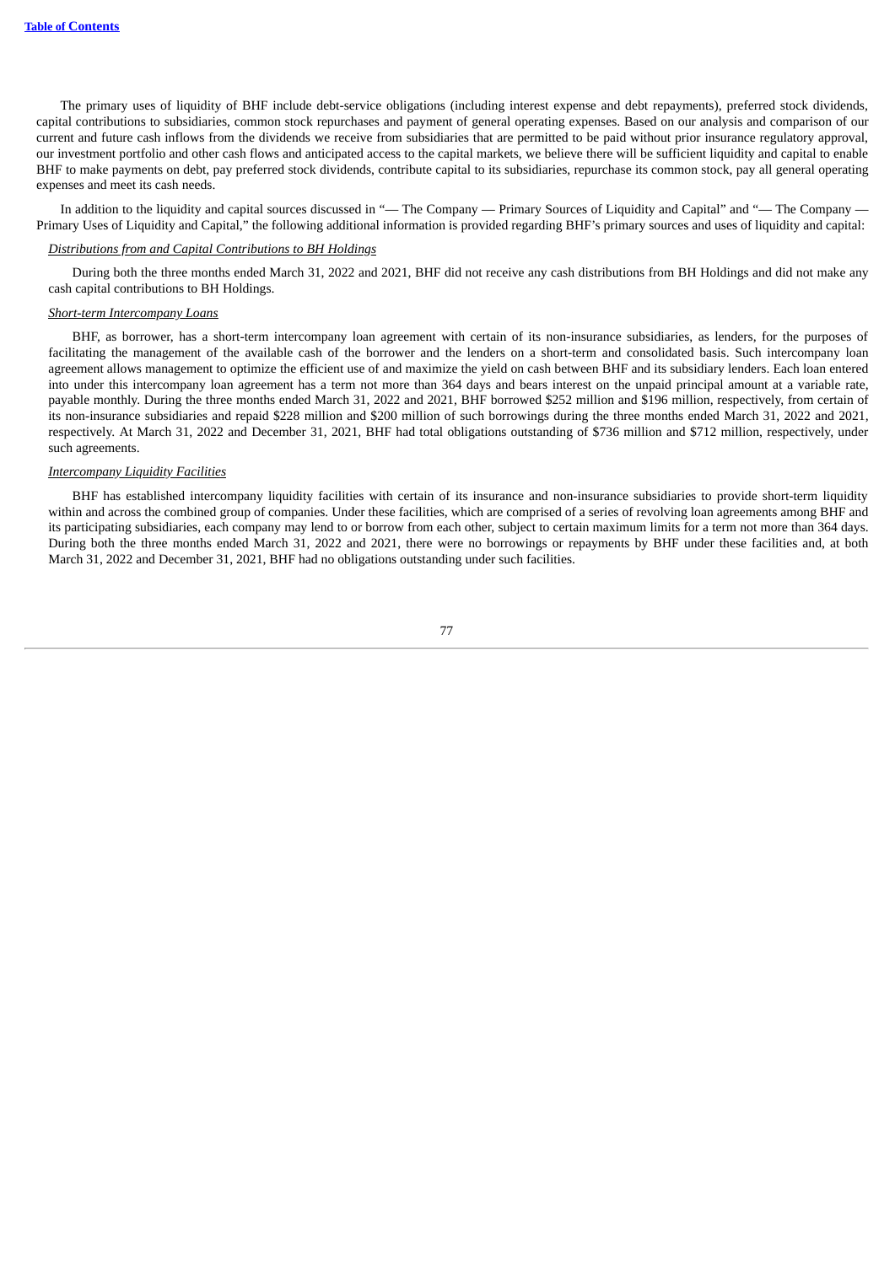The primary uses of liquidity of BHF include debt-service obligations (including interest expense and debt repayments), preferred stock dividends, capital contributions to subsidiaries, common stock repurchases and payment of general operating expenses. Based on our analysis and comparison of our current and future cash inflows from the dividends we receive from subsidiaries that are permitted to be paid without prior insurance regulatory approval, our investment portfolio and other cash flows and anticipated access to the capital markets, we believe there will be sufficient liquidity and capital to enable BHF to make payments on debt, pay preferred stock dividends, contribute capital to its subsidiaries, repurchase its common stock, pay all general operating expenses and meet its cash needs.

In addition to the liquidity and capital sources discussed in "— The Company — Primary Sources of Liquidity and Capital" and "— The Company — Primary Uses of Liquidity and Capital," the following additional information is provided regarding BHF's primary sources and uses of liquidity and capital:

# *Distributions from and Capital Contributions to BH Holdings*

During both the three months ended March 31, 2022 and 2021, BHF did not receive any cash distributions from BH Holdings and did not make any cash capital contributions to BH Holdings.

#### *Short-term Intercompany Loans*

BHF, as borrower, has a short-term intercompany loan agreement with certain of its non-insurance subsidiaries, as lenders, for the purposes of facilitating the management of the available cash of the borrower and the lenders on a short-term and consolidated basis. Such intercompany loan agreement allows management to optimize the efficient use of and maximize the yield on cash between BHF and its subsidiary lenders. Each loan entered into under this intercompany loan agreement has a term not more than 364 days and bears interest on the unpaid principal amount at a variable rate, payable monthly. During the three months ended March 31, 2022 and 2021, BHF borrowed \$252 million and \$196 million, respectively, from certain of its non-insurance subsidiaries and repaid \$228 million and \$200 million of such borrowings during the three months ended March 31, 2022 and 2021, respectively. At March 31, 2022 and December 31, 2021, BHF had total obligations outstanding of \$736 million and \$712 million, respectively, under such agreements.

#### *Intercompany Liquidity Facilities*

BHF has established intercompany liquidity facilities with certain of its insurance and non-insurance subsidiaries to provide short-term liquidity within and across the combined group of companies. Under these facilities, which are comprised of a series of revolving loan agreements among BHF and its participating subsidiaries, each company may lend to or borrow from each other, subject to certain maximum limits for a term not more than 364 days. During both the three months ended March 31, 2022 and 2021, there were no borrowings or repayments by BHF under these facilities and, at both March 31, 2022 and December 31, 2021, BHF had no obligations outstanding under such facilities.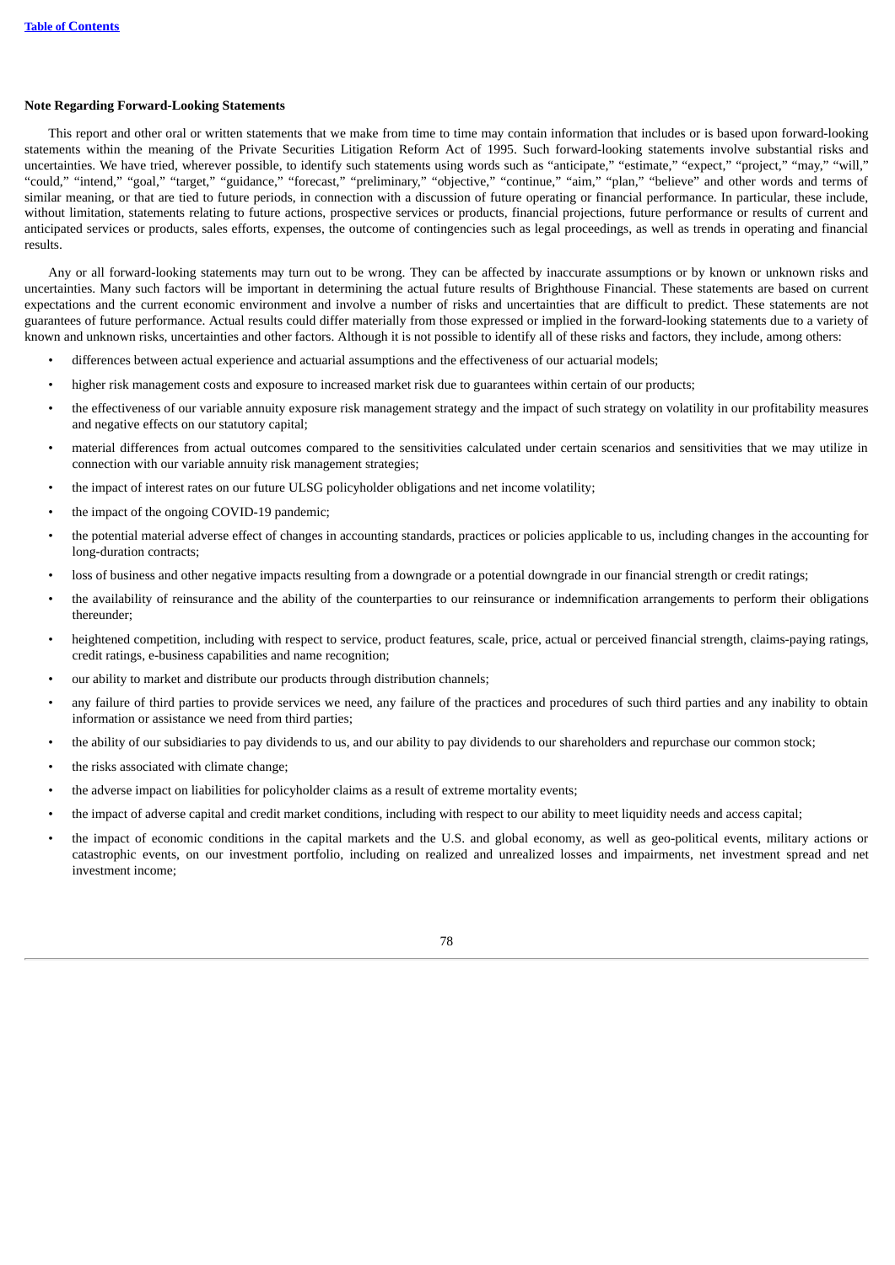# **Note Regarding Forward-Looking Statements**

This report and other oral or written statements that we make from time to time may contain information that includes or is based upon forward-looking statements within the meaning of the Private Securities Litigation Reform Act of 1995. Such forward-looking statements involve substantial risks and uncertainties. We have tried, wherever possible, to identify such statements using words such as "anticipate," "estimate," "expect," "project," "may," "will," "could," "intend," "goal," "target," "guidance," "forecast," "preliminary," "objective," "continue," "aim," "plan," "believe" and other words and terms of similar meaning, or that are tied to future periods, in connection with a discussion of future operating or financial performance. In particular, these include, without limitation, statements relating to future actions, prospective services or products, financial projections, future performance or results of current and anticipated services or products, sales efforts, expenses, the outcome of contingencies such as legal proceedings, as well as trends in operating and financial results.

Any or all forward-looking statements may turn out to be wrong. They can be affected by inaccurate assumptions or by known or unknown risks and uncertainties. Many such factors will be important in determining the actual future results of Brighthouse Financial. These statements are based on current expectations and the current economic environment and involve a number of risks and uncertainties that are difficult to predict. These statements are not guarantees of future performance. Actual results could differ materially from those expressed or implied in the forward-looking statements due to a variety of known and unknown risks, uncertainties and other factors. Although it is not possible to identify all of these risks and factors, they include, among others:

- differences between actual experience and actuarial assumptions and the effectiveness of our actuarial models;
- higher risk management costs and exposure to increased market risk due to guarantees within certain of our products;
- the effectiveness of our variable annuity exposure risk management strategy and the impact of such strategy on volatility in our profitability measures and negative effects on our statutory capital;
- material differences from actual outcomes compared to the sensitivities calculated under certain scenarios and sensitivities that we may utilize in connection with our variable annuity risk management strategies;
- the impact of interest rates on our future ULSG policyholder obligations and net income volatility;
- the impact of the ongoing COVID-19 pandemic;
- the potential material adverse effect of changes in accounting standards, practices or policies applicable to us, including changes in the accounting for long-duration contracts;
- loss of business and other negative impacts resulting from a downgrade or a potential downgrade in our financial strength or credit ratings;
- the availability of reinsurance and the ability of the counterparties to our reinsurance or indemnification arrangements to perform their obligations thereunder;
- heightened competition, including with respect to service, product features, scale, price, actual or perceived financial strength, claims-paying ratings, credit ratings, e-business capabilities and name recognition;
- our ability to market and distribute our products through distribution channels;
- any failure of third parties to provide services we need, any failure of the practices and procedures of such third parties and any inability to obtain information or assistance we need from third parties;
- the ability of our subsidiaries to pay dividends to us, and our ability to pay dividends to our shareholders and repurchase our common stock;
- the risks associated with climate change;
- the adverse impact on liabilities for policyholder claims as a result of extreme mortality events;
- the impact of adverse capital and credit market conditions, including with respect to our ability to meet liquidity needs and access capital;
- the impact of economic conditions in the capital markets and the U.S. and global economy, as well as geo-political events, military actions or catastrophic events, on our investment portfolio, including on realized and unrealized losses and impairments, net investment spread and net investment income;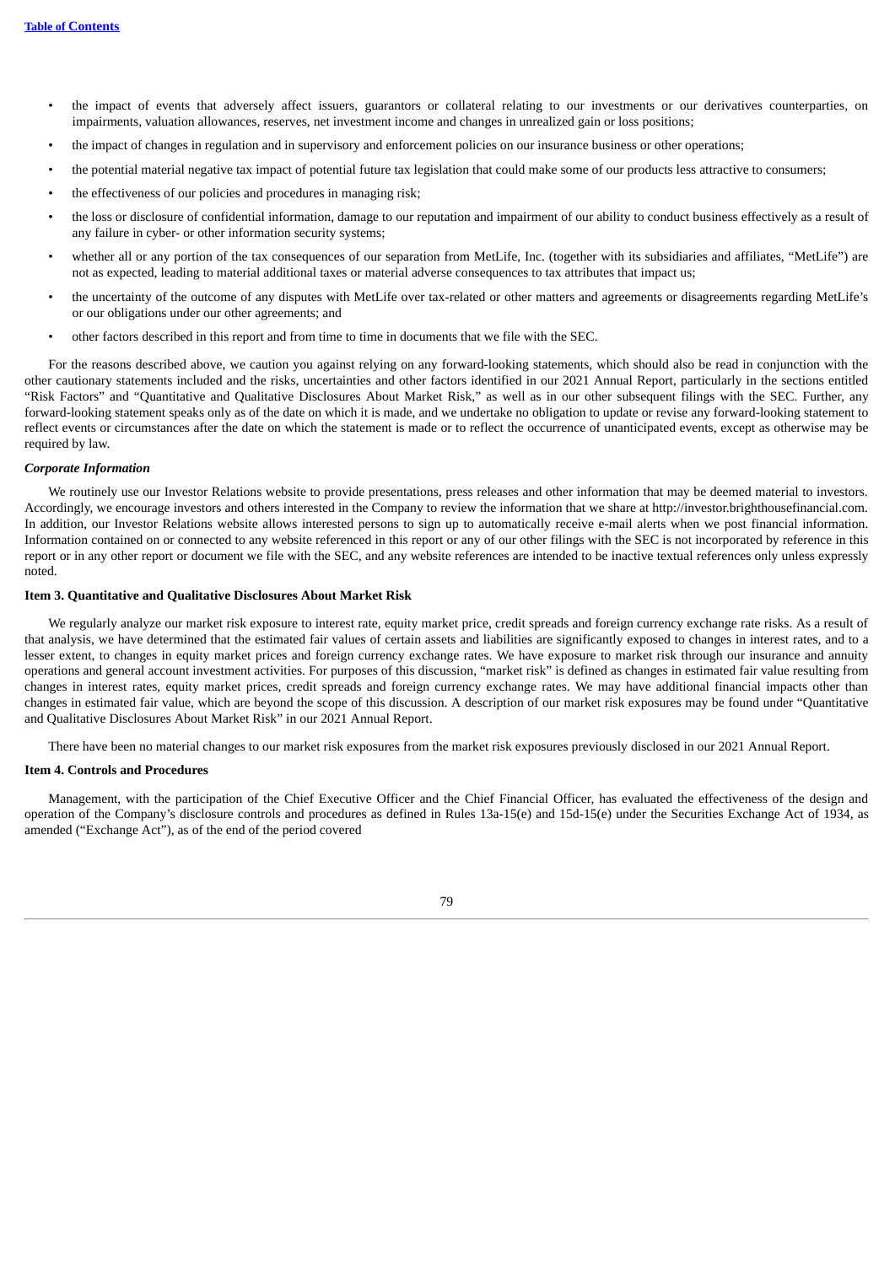- the impact of events that adversely affect issuers, guarantors or collateral relating to our investments or our derivatives counterparties, on impairments, valuation allowances, reserves, net investment income and changes in unrealized gain or loss positions;
- the impact of changes in regulation and in supervisory and enforcement policies on our insurance business or other operations;
- the potential material negative tax impact of potential future tax legislation that could make some of our products less attractive to consumers;
- the effectiveness of our policies and procedures in managing risk;
- the loss or disclosure of confidential information, damage to our reputation and impairment of our ability to conduct business effectively as a result of any failure in cyber- or other information security systems;
- whether all or any portion of the tax consequences of our separation from MetLife, Inc. (together with its subsidiaries and affiliates, "MetLife") are not as expected, leading to material additional taxes or material adverse consequences to tax attributes that impact us;
- the uncertainty of the outcome of any disputes with MetLife over tax-related or other matters and agreements or disagreements regarding MetLife's or our obligations under our other agreements; and
- other factors described in this report and from time to time in documents that we file with the SEC.

For the reasons described above, we caution you against relying on any forward-looking statements, which should also be read in conjunction with the other cautionary statements included and the risks, uncertainties and other factors identified in our 2021 Annual Report, particularly in the sections entitled "Risk Factors" and "Quantitative and Qualitative Disclosures About Market Risk," as well as in our other subsequent filings with the SEC. Further, any forward-looking statement speaks only as of the date on which it is made, and we undertake no obligation to update or revise any forward-looking statement to reflect events or circumstances after the date on which the statement is made or to reflect the occurrence of unanticipated events, except as otherwise may be required by law.

### *Corporate Information*

We routinely use our Investor Relations website to provide presentations, press releases and other information that may be deemed material to investors. Accordingly, we encourage investors and others interested in the Company to review the information that we share at http://investor.brighthousefinancial.com. In addition, our Investor Relations website allows interested persons to sign up to automatically receive e-mail alerts when we post financial information. Information contained on or connected to any website referenced in this report or any of our other filings with the SEC is not incorporated by reference in this report or in any other report or document we file with the SEC, and any website references are intended to be inactive textual references only unless expressly noted.

### **Item 3. Quantitative and Qualitative Disclosures About Market Risk**

We regularly analyze our market risk exposure to interest rate, equity market price, credit spreads and foreign currency exchange rate risks. As a result of that analysis, we have determined that the estimated fair values of certain assets and liabilities are significantly exposed to changes in interest rates, and to a lesser extent, to changes in equity market prices and foreign currency exchange rates. We have exposure to market risk through our insurance and annuity operations and general account investment activities. For purposes of this discussion, "market risk" is defined as changes in estimated fair value resulting from changes in interest rates, equity market prices, credit spreads and foreign currency exchange rates. We may have additional financial impacts other than changes in estimated fair value, which are beyond the scope of this discussion. A description of our market risk exposures may be found under "Quantitative and Qualitative Disclosures About Market Risk" in our 2021 Annual Report.

There have been no material changes to our market risk exposures from the market risk exposures previously disclosed in our 2021 Annual Report.

### **Item 4. Controls and Procedures**

Management, with the participation of the Chief Executive Officer and the Chief Financial Officer, has evaluated the effectiveness of the design and operation of the Company's disclosure controls and procedures as defined in Rules 13a-15(e) and 15d-15(e) under the Securities Exchange Act of 1934, as amended ("Exchange Act"), as of the end of the period covered

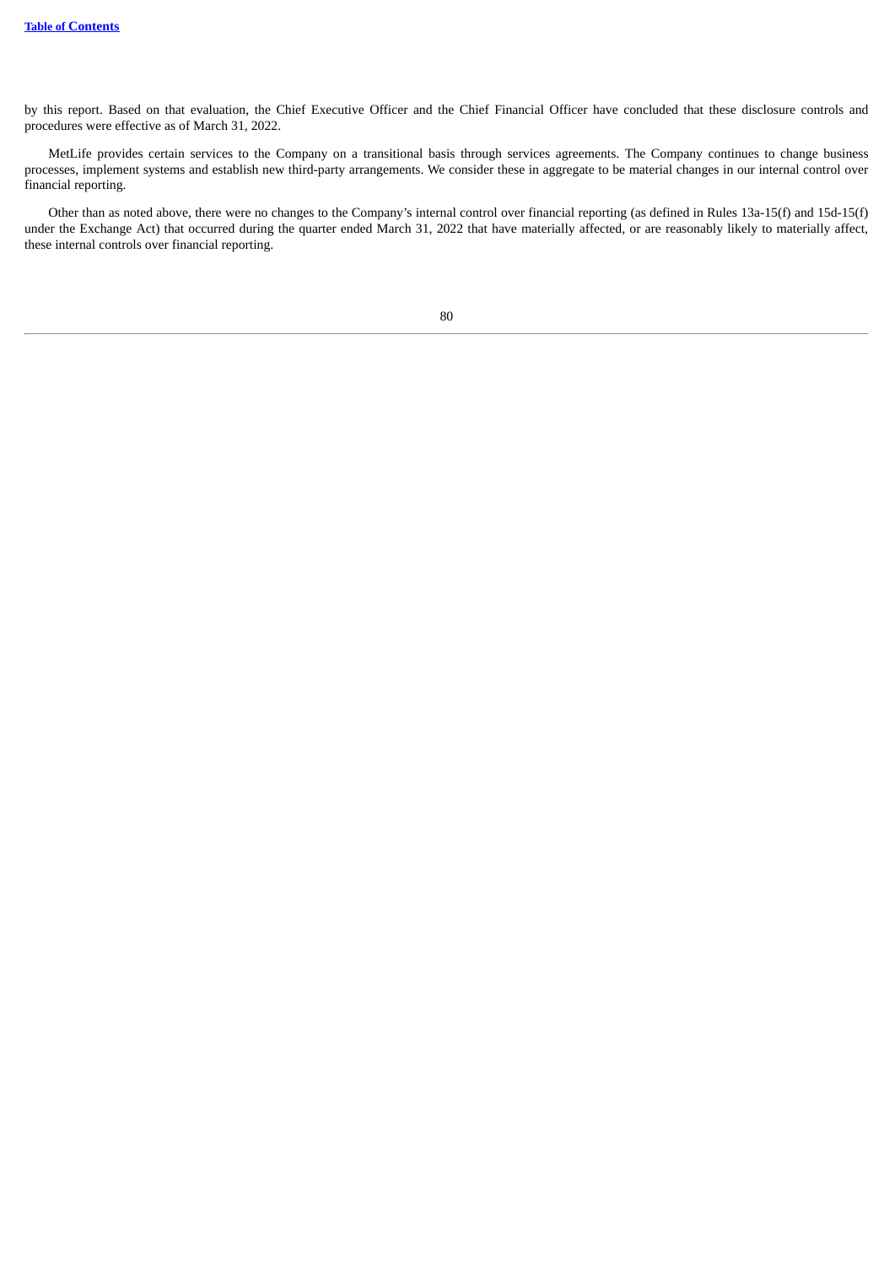by this report. Based on that evaluation, the Chief Executive Officer and the Chief Financial Officer have concluded that these disclosure controls and procedures were effective as of March 31, 2022.

MetLife provides certain services to the Company on a transitional basis through services agreements. The Company continues to change business processes, implement systems and establish new third-party arrangements. We consider these in aggregate to be material changes in our internal control over financial reporting.

Other than as noted above, there were no changes to the Company's internal control over financial reporting (as defined in Rules 13a-15(f) and 15d-15(f) under the Exchange Act) that occurred during the quarter ended March 31, 2022 that have materially affected, or are reasonably likely to materially affect, these internal controls over financial reporting.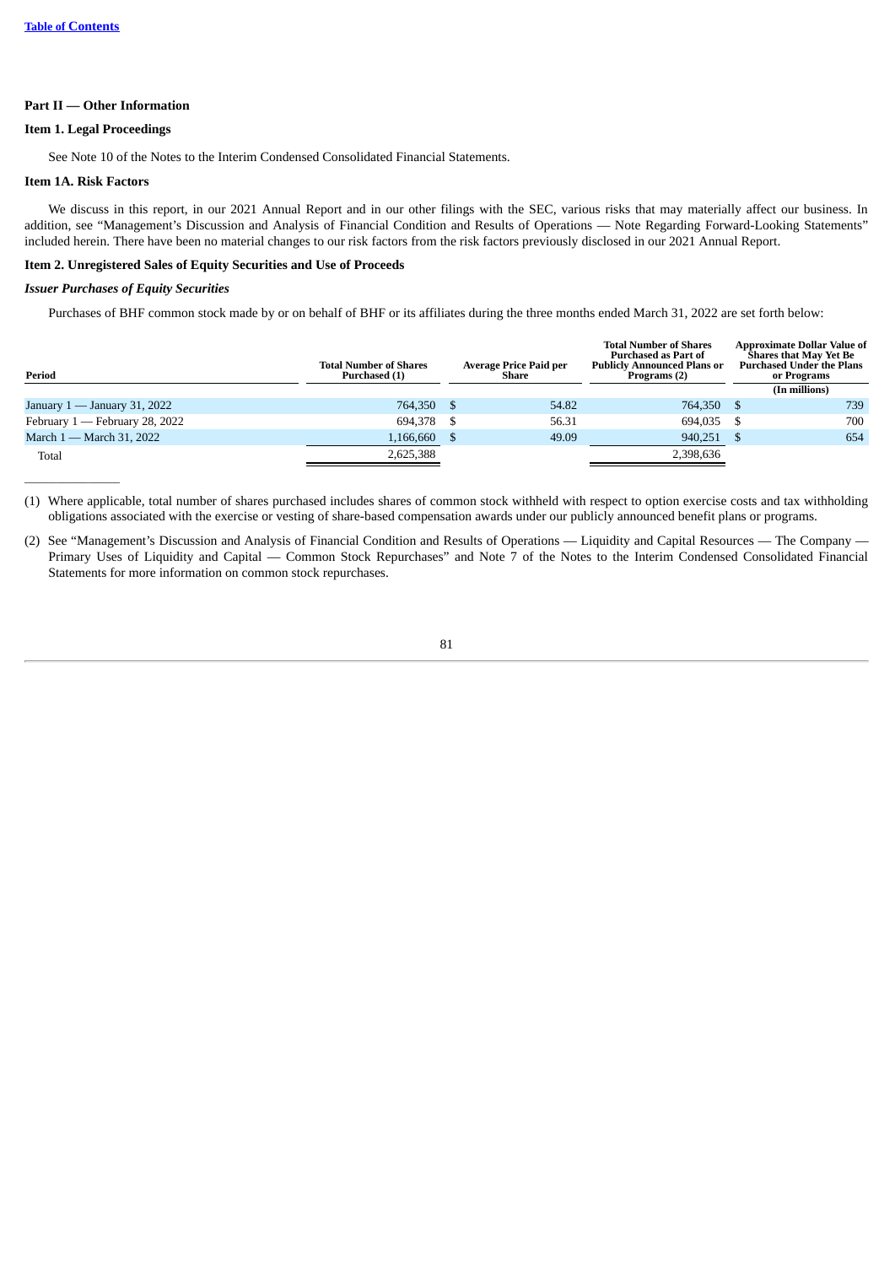# **Part II — Other Information**

# **Item 1. Legal Proceedings**

See Note 10 of the Notes to the Interim Condensed Consolidated Financial Statements.

# **Item 1A. Risk Factors**

 $\_$ 

We discuss in this report, in our 2021 Annual Report and in our other filings with the SEC, various risks that may materially affect our business. In addition, see "Management's Discussion and Analysis of Financial Condition and Results of Operations — Note Regarding Forward-Looking Statements" included herein. There have been no material changes to our risk factors from the risk factors previously disclosed in our 2021 Annual Report.

### **Item 2. Unregistered Sales of Equity Securities and Use of Proceeds**

# *Issuer Purchases of Equity Securities*

Purchases of BHF common stock made by or on behalf of BHF or its affiliates during the three months ended March 31, 2022 are set forth below:

| Period                         | <b>Total Number of Shares</b><br>Purchased (1) |  | Average Price Paid per<br>Share | <b>Total Number of Shares</b><br>Purchased as Part of<br><b>Publicly Announced Plans or</b><br>Programs (2) |  | <b>Approximate Dollar Value of</b><br>Shares that May Yet Be<br><b>Purchased Under the Plans</b><br>or Programs |  |
|--------------------------------|------------------------------------------------|--|---------------------------------|-------------------------------------------------------------------------------------------------------------|--|-----------------------------------------------------------------------------------------------------------------|--|
|                                |                                                |  |                                 |                                                                                                             |  | (In millions)                                                                                                   |  |
| January $1 -$ January 31, 2022 | 764,350 \$                                     |  | 54.82                           | 764,350                                                                                                     |  | 739                                                                                                             |  |
| February 1 — February 28, 2022 | 694.378                                        |  | 56.31                           | 694,035                                                                                                     |  | 700                                                                                                             |  |
| March 1 — March 31, 2022       | 1.166.660                                      |  | 49.09                           | 940,251                                                                                                     |  | 654                                                                                                             |  |
| Total                          | 2,625,388                                      |  |                                 | 2,398,636                                                                                                   |  |                                                                                                                 |  |
|                                |                                                |  |                                 |                                                                                                             |  |                                                                                                                 |  |

(1) Where applicable, total number of shares purchased includes shares of common stock withheld with respect to option exercise costs and tax withholding obligations associated with the exercise or vesting of share-based compensation awards under our publicly announced benefit plans or programs.

(2) See "Management's Discussion and Analysis of Financial Condition and Results of Operations — Liquidity and Capital Resources — The Company — Primary Uses of Liquidity and Capital — Common Stock Repurchases" and Note 7 of the Notes to the Interim Condensed Consolidated Financial Statements for more information on common stock repurchases.

<sup>81</sup>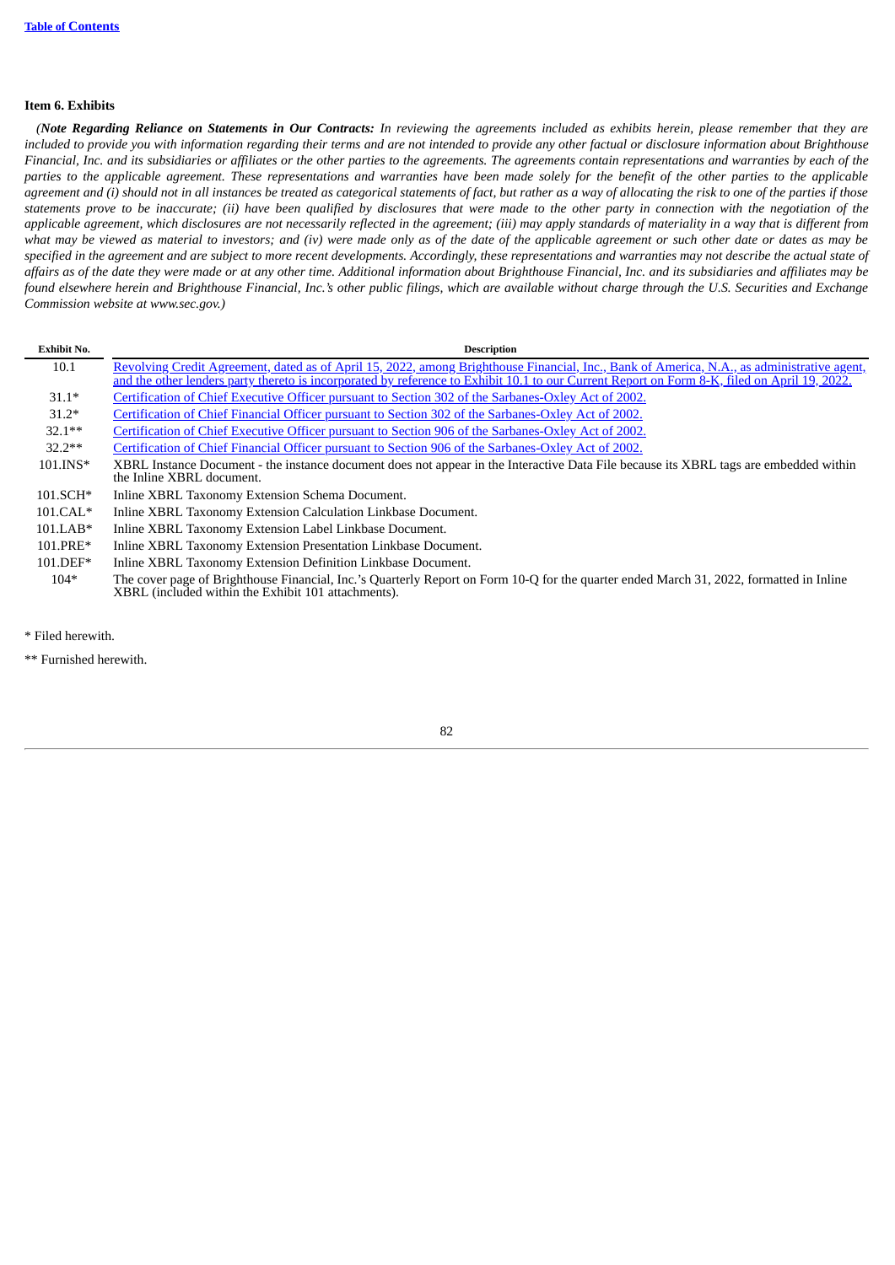## **Item 6. Exhibits**

(Note Regarding Reliance on Statements in Our Contracts: In reviewing the agreements included as exhibits herein, please remember that they are included to provide you with information regarding their terms and are not intended to provide any other factual or disclosure information about Brighthouse Financial, Inc. and its subsidiaries or affiliates or the other parties to the agreements. The agreements contain representations and warranties by each of the parties to the applicable agreement. These representations and warranties have been made solely for the benefit of the other parties to the applicable agreement and (i) should not in all instances be treated as categorical statements of fact, but rather as a way of allocating the risk to one of the parties if those statements prove to be inaccurate; (ii) have been qualified by disclosures that were made to the other party in connection with the negotiation of the applicable agreement, which disclosures are not necessarily reflected in the agreement; (iii) may apply standards of materiality in a way that is different from what may be viewed as material to investors; and (iv) were made only as of the date of the applicable agreement or such other date or dates as may be specified in the agreement and are subject to more recent developments. Accordingly, these representations and warranties may not describe the actual state of affairs as of the date they were made or at any other time. Additional information about Brighthouse Financial, Inc. and its subsidiaries and affiliates may be found elsewhere herein and Brighthouse Financial, Inc.'s other public filings, which are available without charge through the U.S. Securities and Exchange *Commission website at www.sec.gov.)*

| Exhibit No. | <b>Description</b>                                                                                                                                                                             |
|-------------|------------------------------------------------------------------------------------------------------------------------------------------------------------------------------------------------|
| 10.1        | Revolving Credit Agreement, dated as of April 15, 2022, among Brighthouse Financial, Inc., Bank of America, N.A., as administrative agent,                                                     |
|             | and the other lenders party thereto is incorporated by reference to Exhibit 10.1 to our Current Report on Form 8-K, filed on April 19, 2022.                                                   |
| $31.1*$     | Certification of Chief Executive Officer pursuant to Section 302 of the Sarbanes-Oxley Act of 2002.                                                                                            |
| $31.2*$     | Certification of Chief Financial Officer pursuant to Section 302 of the Sarbanes-Oxley Act of 2002.                                                                                            |
| $32.1**$    | Certification of Chief Executive Officer pursuant to Section 906 of the Sarbanes-Oxley Act of 2002.                                                                                            |
| $32.2**$    | Certification of Chief Financial Officer pursuant to Section 906 of the Sarbanes-Oxley Act of 2002.                                                                                            |
| $101.INS*$  | XBRL Instance Document - the instance document does not appear in the Interactive Data File because its XBRL tags are embedded within<br>the Inline XBRL document.                             |
| $101.SCH*$  | Inline XBRL Taxonomy Extension Schema Document.                                                                                                                                                |
| $101.CAL*$  | Inline XBRL Taxonomy Extension Calculation Linkbase Document.                                                                                                                                  |
| $101.LAB*$  | Inline XBRL Taxonomy Extension Label Linkbase Document.                                                                                                                                        |
| 101.PRE*    | Inline XBRL Taxonomy Extension Presentation Linkbase Document.                                                                                                                                 |
| $101.$ DEF* | Inline XBRL Taxonomy Extension Definition Linkbase Document.                                                                                                                                   |
| $104*$      | The cover page of Brighthouse Financial, Inc.'s Quarterly Report on Form 10-Q for the quarter ended March 31, 2022, formatted in Inline<br>XBRL (included within the Exhibit 101 attachments). |

\* Filed herewith.

\*\* Furnished herewith.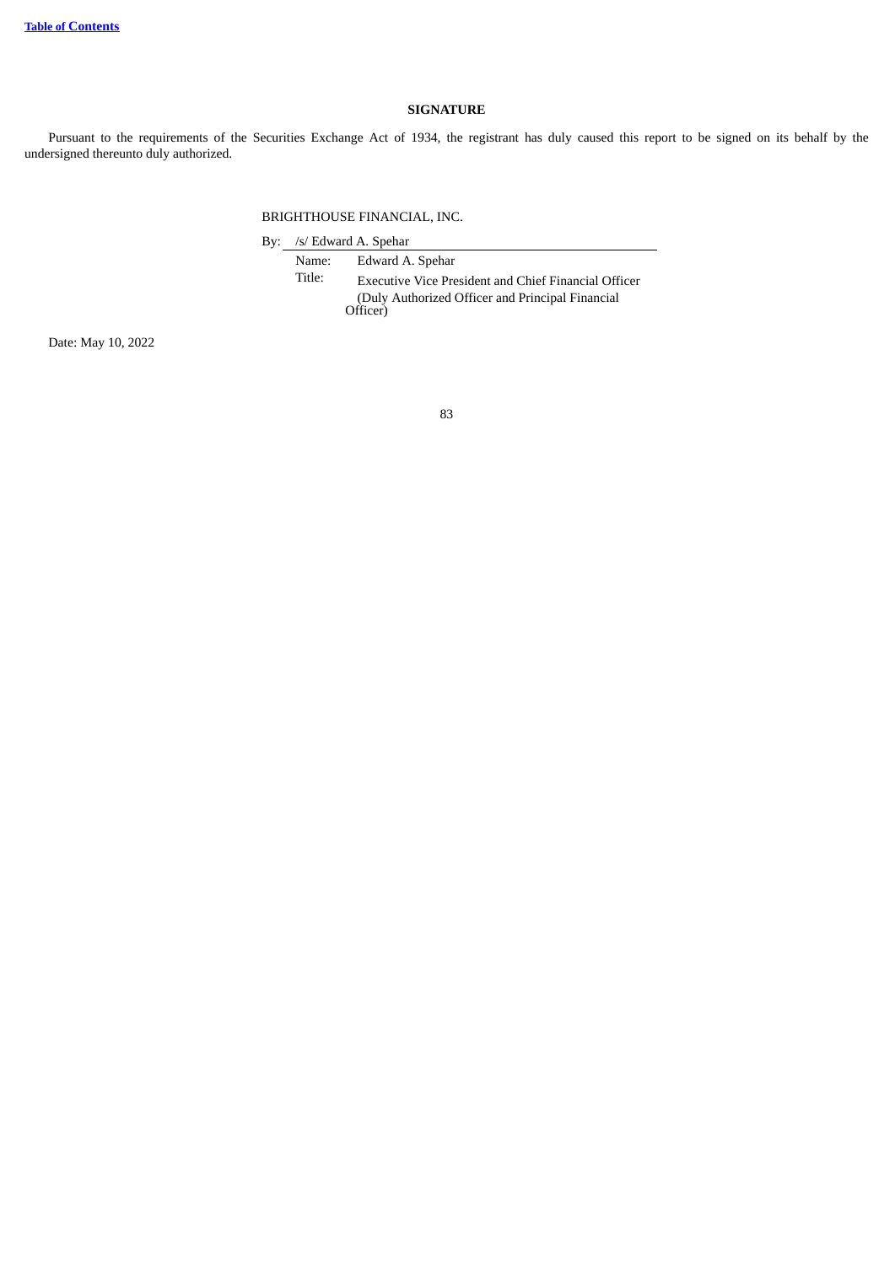# **SIGNATURE**

Pursuant to the requirements of the Securities Exchange Act of 1934, the registrant has duly caused this report to be signed on its behalf by the undersigned thereunto duly authorized.

BRIGHTHOUSE FINANCIAL, INC.

By: /s/ Edward A. Spehar

Name: Edward A. Spehar Title: Executive Vice President and Chief Financial Officer (Duly Authorized Officer and Principal Financial Officer)

Date: May 10, 2022

83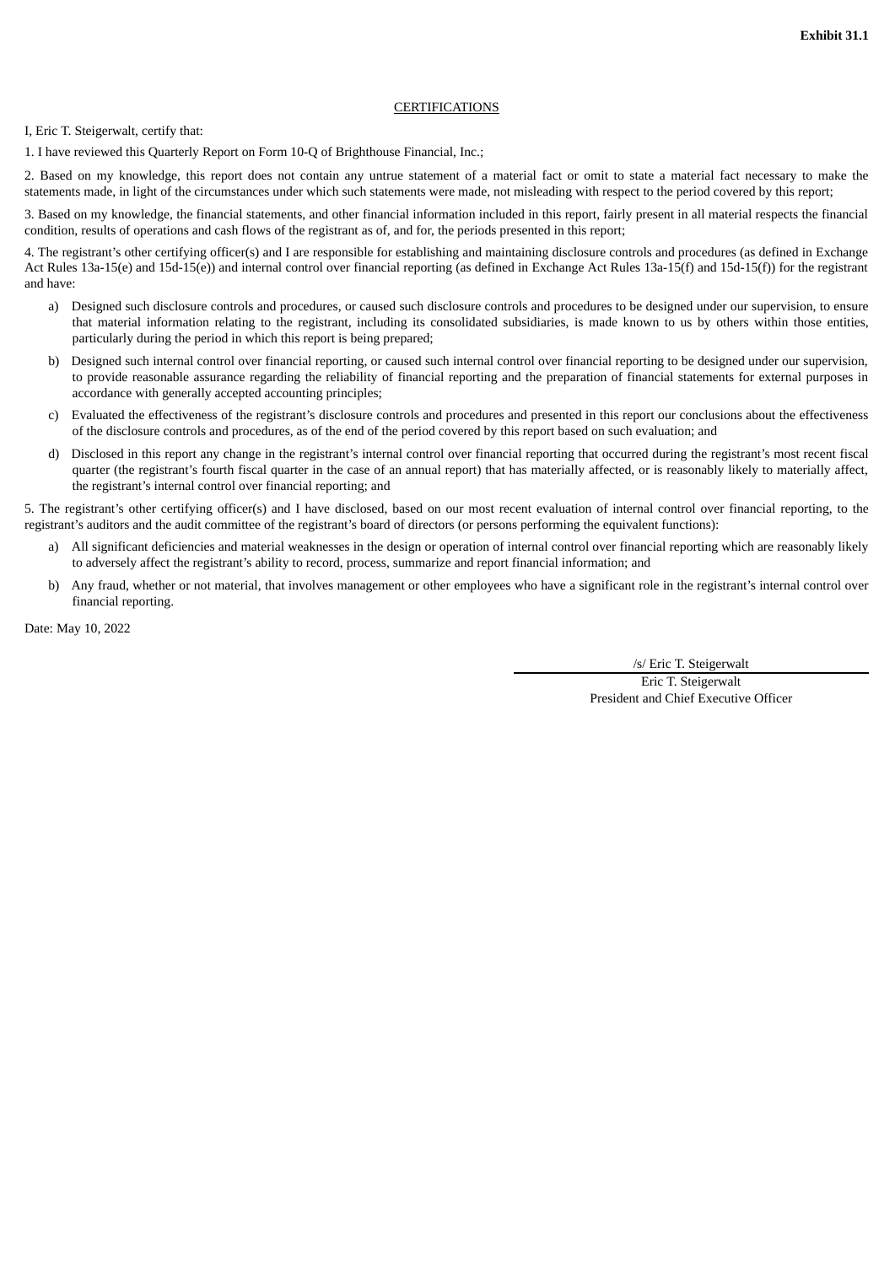# **CERTIFICATIONS**

<span id="page-85-0"></span>I, Eric T. Steigerwalt, certify that:

1. I have reviewed this Quarterly Report on Form 10-Q of Brighthouse Financial, Inc.;

2. Based on my knowledge, this report does not contain any untrue statement of a material fact or omit to state a material fact necessary to make the statements made, in light of the circumstances under which such statements were made, not misleading with respect to the period covered by this report;

3. Based on my knowledge, the financial statements, and other financial information included in this report, fairly present in all material respects the financial condition, results of operations and cash flows of the registrant as of, and for, the periods presented in this report;

4. The registrant's other certifying officer(s) and I are responsible for establishing and maintaining disclosure controls and procedures (as defined in Exchange Act Rules 13a-15(e) and 15d-15(e)) and internal control over financial reporting (as defined in Exchange Act Rules 13a-15(f) and 15d-15(f)) for the registrant and have:

- a) Designed such disclosure controls and procedures, or caused such disclosure controls and procedures to be designed under our supervision, to ensure that material information relating to the registrant, including its consolidated subsidiaries, is made known to us by others within those entities, particularly during the period in which this report is being prepared;
- b) Designed such internal control over financial reporting, or caused such internal control over financial reporting to be designed under our supervision, to provide reasonable assurance regarding the reliability of financial reporting and the preparation of financial statements for external purposes in accordance with generally accepted accounting principles;
- c) Evaluated the effectiveness of the registrant's disclosure controls and procedures and presented in this report our conclusions about the effectiveness of the disclosure controls and procedures, as of the end of the period covered by this report based on such evaluation; and
- d) Disclosed in this report any change in the registrant's internal control over financial reporting that occurred during the registrant's most recent fiscal quarter (the registrant's fourth fiscal quarter in the case of an annual report) that has materially affected, or is reasonably likely to materially affect, the registrant's internal control over financial reporting; and

5. The registrant's other certifying officer(s) and I have disclosed, based on our most recent evaluation of internal control over financial reporting, to the registrant's auditors and the audit committee of the registrant's board of directors (or persons performing the equivalent functions):

- a) All significant deficiencies and material weaknesses in the design or operation of internal control over financial reporting which are reasonably likely to adversely affect the registrant's ability to record, process, summarize and report financial information; and
- b) Any fraud, whether or not material, that involves management or other employees who have a significant role in the registrant's internal control over financial reporting.

Date: May 10, 2022

/s/ Eric T. Steigerwalt

Eric T. Steigerwalt President and Chief Executive Officer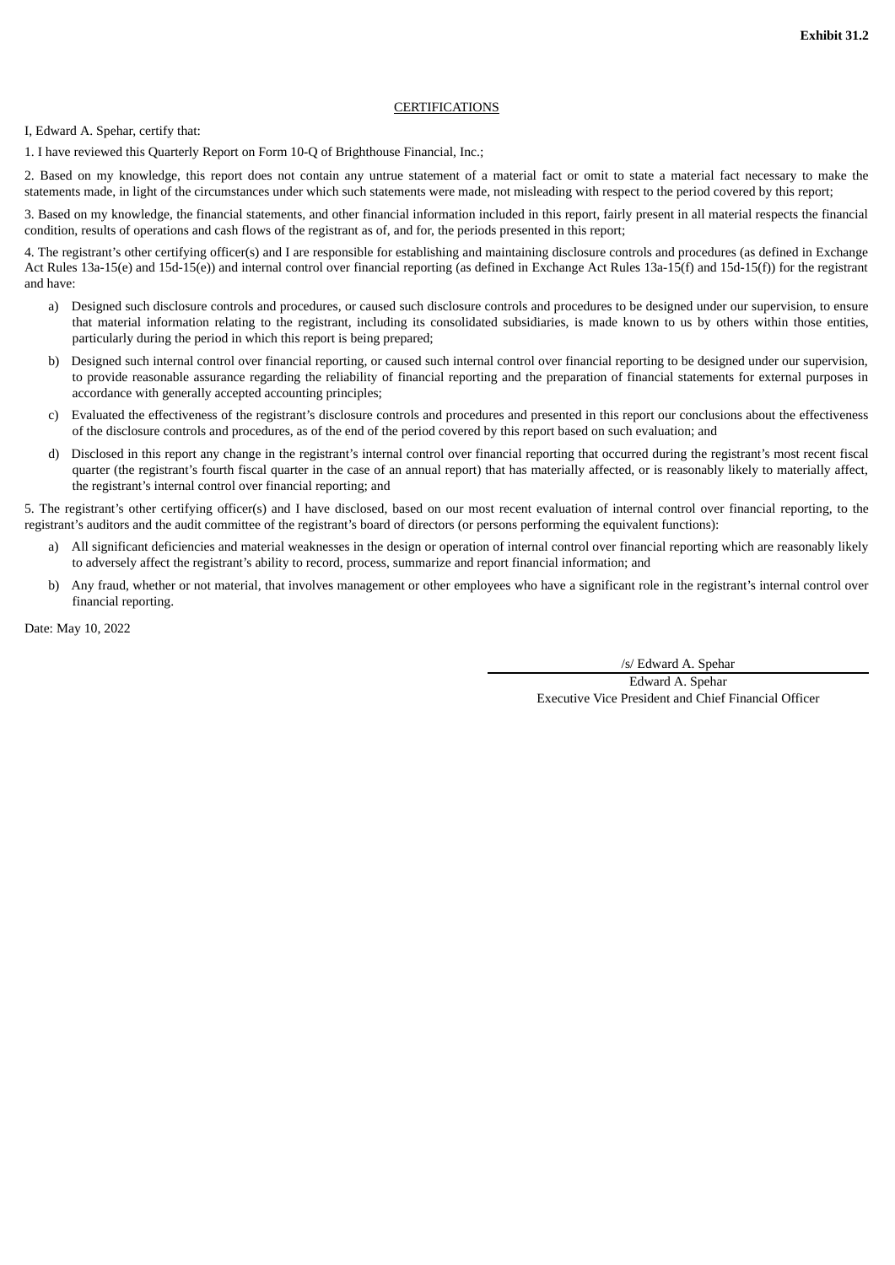# **CERTIFICATIONS**

<span id="page-86-0"></span>I, Edward A. Spehar, certify that:

1. I have reviewed this Quarterly Report on Form 10-Q of Brighthouse Financial, Inc.;

2. Based on my knowledge, this report does not contain any untrue statement of a material fact or omit to state a material fact necessary to make the statements made, in light of the circumstances under which such statements were made, not misleading with respect to the period covered by this report;

3. Based on my knowledge, the financial statements, and other financial information included in this report, fairly present in all material respects the financial condition, results of operations and cash flows of the registrant as of, and for, the periods presented in this report;

4. The registrant's other certifying officer(s) and I are responsible for establishing and maintaining disclosure controls and procedures (as defined in Exchange Act Rules 13a-15(e) and 15d-15(e)) and internal control over financial reporting (as defined in Exchange Act Rules 13a-15(f) and 15d-15(f)) for the registrant and have:

- a) Designed such disclosure controls and procedures, or caused such disclosure controls and procedures to be designed under our supervision, to ensure that material information relating to the registrant, including its consolidated subsidiaries, is made known to us by others within those entities, particularly during the period in which this report is being prepared;
- b) Designed such internal control over financial reporting, or caused such internal control over financial reporting to be designed under our supervision, to provide reasonable assurance regarding the reliability of financial reporting and the preparation of financial statements for external purposes in accordance with generally accepted accounting principles;
- c) Evaluated the effectiveness of the registrant's disclosure controls and procedures and presented in this report our conclusions about the effectiveness of the disclosure controls and procedures, as of the end of the period covered by this report based on such evaluation; and
- d) Disclosed in this report any change in the registrant's internal control over financial reporting that occurred during the registrant's most recent fiscal quarter (the registrant's fourth fiscal quarter in the case of an annual report) that has materially affected, or is reasonably likely to materially affect, the registrant's internal control over financial reporting; and

5. The registrant's other certifying officer(s) and I have disclosed, based on our most recent evaluation of internal control over financial reporting, to the registrant's auditors and the audit committee of the registrant's board of directors (or persons performing the equivalent functions):

- a) All significant deficiencies and material weaknesses in the design or operation of internal control over financial reporting which are reasonably likely to adversely affect the registrant's ability to record, process, summarize and report financial information; and
- b) Any fraud, whether or not material, that involves management or other employees who have a significant role in the registrant's internal control over financial reporting.

Date: May 10, 2022

/s/ Edward A. Spehar

Edward A. Spehar Executive Vice President and Chief Financial Officer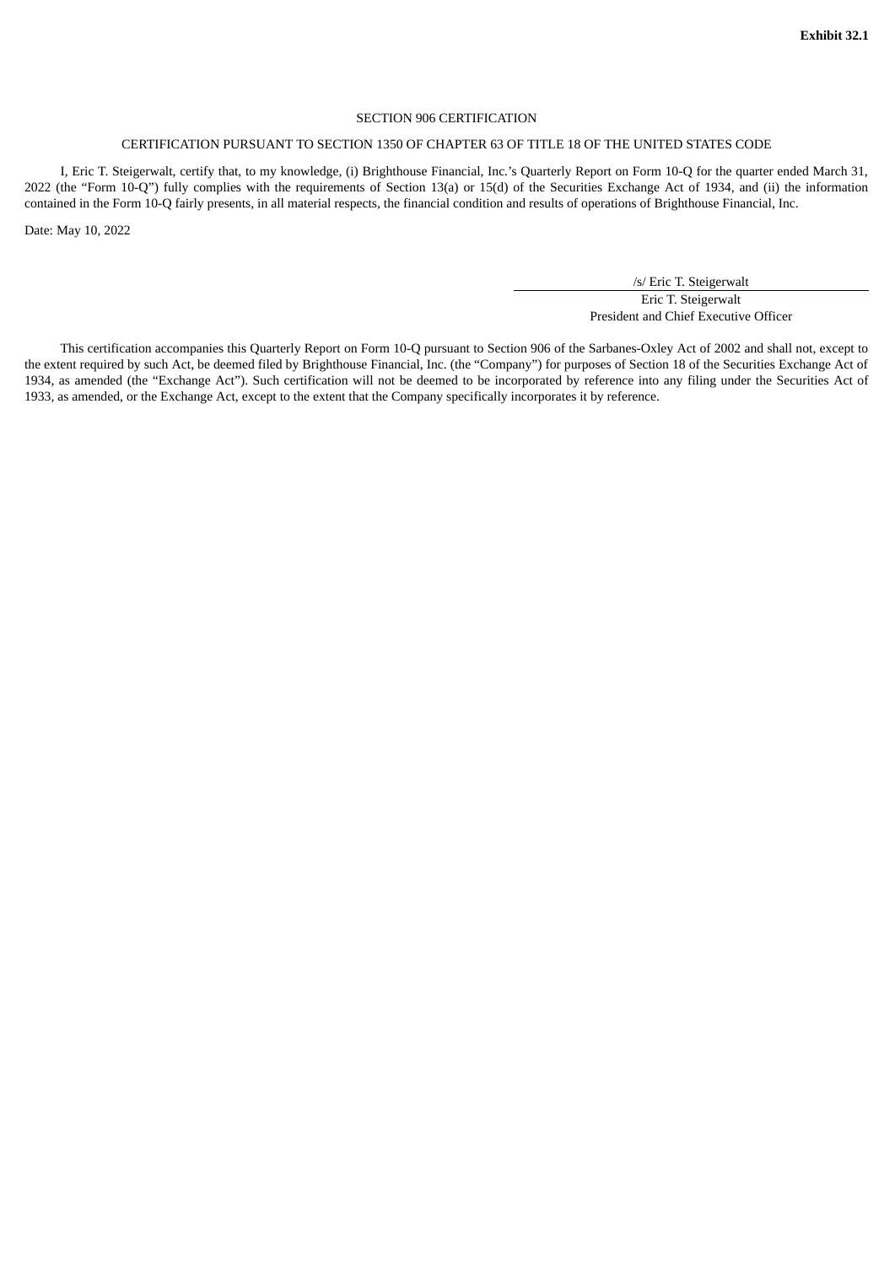# SECTION 906 CERTIFICATION

# CERTIFICATION PURSUANT TO SECTION 1350 OF CHAPTER 63 OF TITLE 18 OF THE UNITED STATES CODE

<span id="page-87-0"></span>I, Eric T. Steigerwalt, certify that, to my knowledge, (i) Brighthouse Financial, Inc.'s Quarterly Report on Form 10-Q for the quarter ended March 31, 2022 (the "Form 10-Q") fully complies with the requirements of Section 13(a) or 15(d) of the Securities Exchange Act of 1934, and (ii) the information contained in the Form 10-Q fairly presents, in all material respects, the financial condition and results of operations of Brighthouse Financial, Inc.

Date: May 10, 2022

/s/ Eric T. Steigerwalt

Eric T. Steigerwalt President and Chief Executive Officer

This certification accompanies this Quarterly Report on Form 10-Q pursuant to Section 906 of the Sarbanes-Oxley Act of 2002 and shall not, except to the extent required by such Act, be deemed filed by Brighthouse Financial, Inc. (the "Company") for purposes of Section 18 of the Securities Exchange Act of 1934, as amended (the "Exchange Act"). Such certification will not be deemed to be incorporated by reference into any filing under the Securities Act of 1933, as amended, or the Exchange Act, except to the extent that the Company specifically incorporates it by reference.